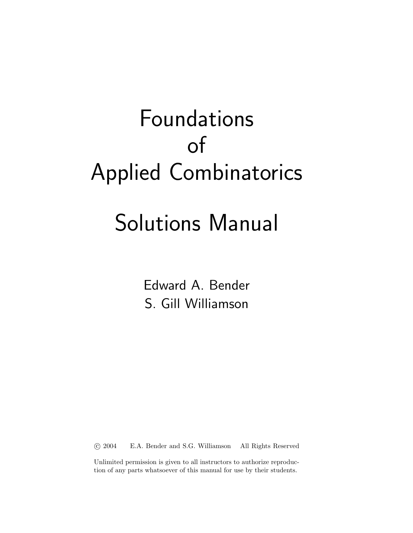# Solutions Manual

Edward A. Bender S. Gill Williamson

°c 2004 E.A. Bender and S.G. Williamson All Rights Reserved

Unlimited permission is given to all instructors to authorize reproduction of any parts whatsoever of this manual for use by their students.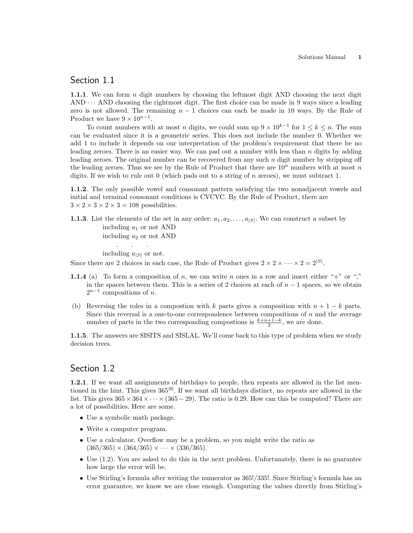#### Section 1.1

1.1.1. We can form  $n$  digit numbers by choosing the leftmost digit AND choosing the next digit  $AND \cdots AND$  choosing the rightmost digit. The first choice can be made in 9 ways since a leading zero is not allowed. The remaining  $n-1$  choices can each be made in 10 ways. By the Rule of Product we have  $9 \times 10^{n-1}$ .

To count numbers with at most n digits, we could sum up  $9 \times 10^{k-1}$  for  $1 \leq k \leq n$ . The sum can be evaluated since it is a geometric series. This does not include the number 0. Whether we add 1 to include it depends on our interpretation of the problem's requirement that there be no leading zeroes. There is an easier way. We can pad out a number with less than  $n$  digits by adding leading zeroes. The original number can be recovered from any such  $n$  digit number by stripping off the leading zeroes. Thus we see by the Rule of Product that there are  $10<sup>n</sup>$  numbers with at most n digits. If we wish to rule out 0 (which pads out to a string of n zeroes), we must subtract 1.

1.1.2. The only possible vowel and consonant pattern satisfying the two nonadjacent vowels and initial and terminal consonant conditions is CVCVC. By the Rule of Product, there are  $3 \times 2 \times 3 \times 2 \times 3 = 108$  possibilities.

**1.1.3**. List the elements of the set in any order:  $a_1, a_2, \ldots, a_{|S|}$ . We can construct a subset by including  $a_1$  or not AND including  $a_2$  or not AND . . .

including  $a_{|S|}$  or not.

Since there are 2 choices in each case, the Rule of Product gives  $2 \times 2 \times \cdots \times 2 = 2^{|S|}$ .

- 1.1.4 (a) To form a composition of n, we can write n ones in a row and insert either "+" or "," in the spaces between them. This is a series of 2 choices at each of  $n-1$  spaces, so we obtain  $2^{n-1}$  compositions of *n*.
- (b) Reversing the roles in a compostion with k parts gives a composition with  $n + 1 k$  parts. Since this reversal is a one-to-one correspondence between compositions of  $n$  and the average number of parts in the two corresponding compostions is  $\frac{k+n+1-k}{2}$ , we are done.

1.1.5. The answers are SISITS and SISLAL. We'll come back to this type of problem when we study decision trees.

#### Section 1.2

1.2.1. If we want all assignments of birthdays to people, then repeats are allowed in the list mentioned in the hint. This gives 365<sup>30</sup>. If we want all birthdays distinct, no repeats are allowed in the list. This gives  $365 \times 364 \times \cdots \times (365-29)$ . The ratio is 0.29. How can this be computed? There are a lot of possibilities. Here are some.

- Use a symbolic math package.
- Write a computer program.
- Use a calculator. Overflow may be a problem, so you might write the ratio as  $(365/365) \times (364/365) \times \cdots \times (336/365).$
- Use (1.2). You are asked to do this in the next problem. Unfortunately, there is no guarantee how large the error will be.
- Use Stirling's formula after writing the numerator as 365!/335!. Since Stirling's formula has an error guarantee, we know we are close enough. Computing the values directly from Stirling's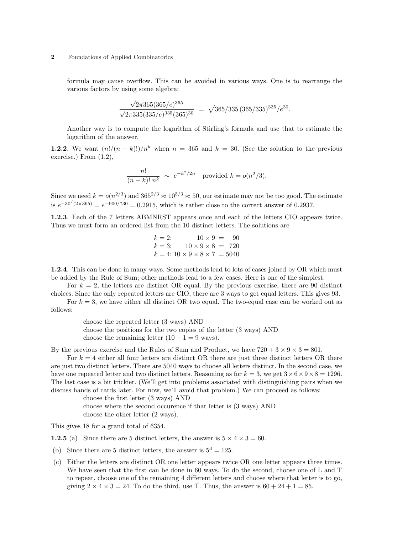formula may cause overflow. This can be avoided in various ways. One is to rearrange the various factors by using some algebra:

$$
\frac{\sqrt{2\pi 365}(365/e)^{365}}{\sqrt{2\pi 335}(335/e)^{335}(365)^{30}} = \sqrt{365/335}(365/335)^{335}/e^{30}.
$$

Another way is to compute the logarithm of Stirling's formula and use that to estimate the logarithm of the answer.

**1.2.2.** We want  $\frac{n!}{(n-k)!}\big/n^k$  when  $n = 365$  and  $k = 30$ . (See the solution to the previous exercise.) From (1.2),

$$
\frac{n!}{(n-k)! \; n^k} \; \sim \; e^{-k^2/2n} \quad \text{provided } k = o(n^2/3).
$$

Since we need  $k = o(n^{2/3})$  and  $365^{2/3} \approx 10^{5/3} \approx 50$ , our estimate may not be too good. The estimate is  $e^{-30/(2 \times 365)} = e^{-900/730} = 0.2915$ , which is rather close to the correct answer of 0.2937.

1.2.3. Each of the 7 letters ABMNRST appears once and each of the letters CIO appears twice. Thus we must form an ordered list from the 10 distinct letters. The solutions are

$$
k = 2: \t 10 \times 9 = 90
$$
  
\n
$$
k = 3: \t 10 \times 9 \times 8 = 720
$$
  
\n
$$
k = 4: 10 \times 9 \times 8 \times 7 = 5040
$$

1.2.4. This can be done in many ways. Some methods lead to lots of cases joined by OR which must be added by the Rule of Sum; other methods lead to a few cases. Here is one of the simplest.

For  $k = 2$ , the letters are distinct OR equal. By the previous exercise, there are 90 distinct choices. Since the only repeated letters are CIO, there are 3 ways to get equal letters. This gives 93.

For  $k = 3$ , we have either all distinct OR two equal. The two-equal case can be worked out as follows:

> choose the repeated letter (3 ways) AND choose the positions for the two copies of the letter (3 ways) AND choose the remaining letter  $(10 - 1 = 9$  ways).

By the previous exercise and the Rules of Sum and Product, we have  $720 + 3 \times 9 \times 3 = 801$ .

For  $k = 4$  either all four letters are distinct OR there are just three distinct letters OR there are just two distinct letters. There are 5040 ways to choose all letters distinct. In the second case, we have one repeated letter and two distinct letters. Reasoning as for  $k = 3$ , we get  $3 \times 6 \times 9 \times 8 = 1296$ . The last case is a bit trickier. (We'll get into problems associated with distinguishing pairs when we discuss hands of cards later. For now, we'll avoid that problem.) We can proceed as follows:

> choose the first letter (3 ways) AND choose where the second occurence if that letter is (3 ways) AND choose the other letter (2 ways).

This gives 18 for a grand total of 6354.

**1.2.5** (a) Since there are 5 distinct letters, the answer is  $5 \times 4 \times 3 = 60$ .

- (b) Since there are 5 distinct letters, the answer is  $5^3 = 125$ .
- (c) Either the letters are distinct OR one letter appears twice OR one letter appears three times. We have seen that the first can be done in 60 ways. To do the second, choose one of L and T to repeat, choose one of the remaining 4 different letters and choose where that letter is to go, giving  $2 \times 4 \times 3 = 24$ . To do the third, use T. Thus, the answer is  $60 + 24 + 1 = 85$ .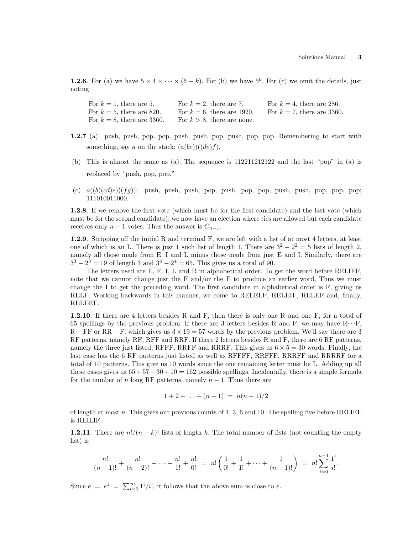**1.2.6**. For (a) we have  $5 \times 4 \times \cdots \times (6 - k)$ . For (b) we have  $5^k$ . For (c) we omit the details, just noting

| For $k = 1$ , there are 5.    | For $k = 2$ , there are 7.    | For $k = 4$ , there are 286.  |
|-------------------------------|-------------------------------|-------------------------------|
| For $k = 5$ , there are 820.  | For $k = 6$ , there are 1920. | For $k = 7$ , there are 3360. |
| For $k = 8$ , there are 3360. | For $k > 8$ , there are none. |                               |

- 1.2.7 (a) push, push, pop, pop, push, push, pop, push, pop, pop. Remembering to start with something, say a on the stack:  $(a(bc))((de)f)$ .
- (b) This is almost the same as (a). The sequence is 112211212122 and the last "pop" in (a) is replaced by "push, pop, pop."
- (c)  $a((b((cd)e))(fg))$ ; push, push, push, pop, push, pop, pop, push, push, pop, pop, pop; 111010011000.

1.2.8. If we remove the first vote (which must be for the first candidate) and the last vote (which must be for the second candidate), we now have an election where ties are allowed but each candidate receives only  $n-1$  votes. Thus the answer is  $C_{n-1}$ .

1.2.9. Stripping off the initial R and terminal F, we are left with a list of at most 4 letters, at least one of which is an L. There is just 1 such list of length 1. There are  $3^2 - 2^2 = 5$  lists of length 2, namely all those made from E, I and L minus those made from just E and I. Similarly, there are  $3^3 - 2^3 = 19$  of length 3 and  $3^4 - 2^4 = 65$ . This gives us a total of 90.

The letters used are E, F, I, L and R in alphabetical order. To get the word before RELIEF, note that we cannot change just the F and/or the E to produce an earlier word. Thus we must change the I to get the preceding word. The first candidate in alphabetical order is F, giving us RELF. Working backwards in this manner, we come to RELELF, RELEIF, RELEF and, finally, RELEEF.

1.2.10. If there are 4 letters besides R and F, then there is only one R and one F, for a total of 65 spellings by the previous problem. If there are 3 letters besides R and F, we may have  $R \cdot \cdot \cdot F$ ,  $R \cdot \cdot FF$  or  $RR \cdot \cdot \cdot F$ , which gives us  $3 \times 19 = 57$  words by the previous problem. We'll say there are 3 RF patterns, namely RF, RFF and RRF. If there 2 letters besides R and F, there are 6 RF patterns, namely the three just listed, RFFF, RRFF and RRRF. This gives us  $6 \times 5 = 30$  words. Finally, the last case has the 6 RF patterns just listed as well as RFFFF, RRFFF, RRRFF and RRRRF for a total of 10 patterns. This give us 10 words since the one remaining letter must be L. Adding up all these cases gives us  $65 + 57 + 30 + 10 = 162$  possible spellings. Incidentally, there is a simple formula for the number of n long RF patterns, namely  $n-1$ . Thus there are

$$
1+2+\ldots+(n-1) = n(n-1)/2
$$

of length at most n. This gives our previous counts of  $1, 3, 6$  and  $10$ . The spelling five before RELIEF is REILIF.

**1.2.11**. There are  $n!/(n-k)!$  lists of length k. The total number of lists (not counting the empty list) is

$$
\frac{n!}{(n-1)!} + \frac{n!}{(n-2)!} + \dots + \frac{n!}{1!} + \frac{n!}{0!} = n! \left( \frac{1}{0!} + \frac{1}{1!} + \dots + \frac{1}{(n-1)!} \right) = n! \sum_{i=0}^{n-1} \frac{1^i}{i!}.
$$

Since  $e = e^1 = \sum_{i=0}^{\infty} 1^i/i!$ , it follows that the above sum is close to  $e$ .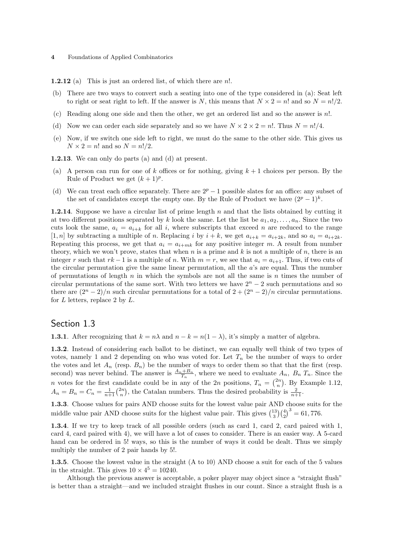**1.2.12** (a) This is just an ordered list, of which there are  $n!$ .

- (b) There are two ways to convert such a seating into one of the type considered in (a): Seat left to right or seat right to left. If the answer is N, this means that  $N \times 2 = n!$  and so  $N = n!/2$ .
- (c) Reading along one side and then the other, we get an ordered list and so the answer is n!.
- (d) Now we can order each side separately and so we have  $N \times 2 \times 2 = n!$ . Thus  $N = n!/4$ .
- (e) Now, if we switch one side left to right, we must do the same to the other side. This gives us  $N \times 2 = n!$  and so  $N = n!/2$ .

1.2.13. We can only do parts (a) and (d) at present.

- (a) A person can run for one of k offices or for nothing, giving  $k+1$  choices per person. By the Rule of Product we get  $(k+1)^p$ .
- (d) We can treat each office separately. There are  $2^p 1$  possible slates for an office: any subset of the set of candidates except the empty one. By the Rule of Product we have  $(2^p - 1)^k$ .

**1.2.14**. Suppose we have a circular list of prime length n and that the lists obtained by cutting it at two different positions separated by k look the same. Let the list be  $a_1, a_2, \ldots, a_n$ . Since the two cuts look the same,  $a_i = a_{i+k}$  for all i, where subscripts that exceed n are reduced to the range [1, n] by subtracting a multiple of n. Replacing i by  $i + k$ , we get  $a_{i+k} = a_{i+2k}$ , and so  $a_i = a_{i+2k}$ . Repeating this process, we get that  $a_i = a_{i+mk}$  for any positive integer m. A result from number theory, which we won't prove, states that when  $n$  is a prime and  $k$  is not a multiple of  $n$ , there is an integer r such that  $rk-1$  is a multiple of n. With  $m=r$ , we see that  $a_i = a_{i+1}$ . Thus, if two cuts of the circular permutation give the same linear permutation, all the a's are equal. Thus the number of permutations of length  $n$  in which the symbols are not all the same is  $n$  times the number of circular permutations of the same sort. With two letters we have  $2<sup>n</sup> - 2$  such permutations and so there are  $(2^{n} - 2)/n$  such circular permutations for a total of  $2 + (2^{n} - 2)/n$  circular permutations. for  $L$  letters, replace 2 by  $L$ .

#### Section 1.3

**1.3.1**. After recognizing that  $k = n\lambda$  and  $n - k = n(1 - \lambda)$ , it's simply a matter of algebra.

1.3.2. Instead of considering each ballot to be distinct, we can equally well think of two types of votes, namely 1 and 2 depending on who was voted for. Let  $T_n$  be the number of ways to order the votes and let  $A_n$  (resp.  $B_n$ ) be the number of ways to order them so that that the first (resp. second) was never behind. The answer is  $\frac{A_n + B_n}{T_n}$ , where we need to evaluate  $A_n$ ,  $B_n$ ,  $T_n$ . Since the n votes for the first candidate could be in any of the 2n positions,  $T_n = \binom{2n}{n}$ . By Example 1.12,  $A_n = B_n = C_n = \frac{1}{n+1} {2n \choose n}$ , the Catalan numbers. Thus the desired probability is  $\frac{2}{n+1}$ .

**1.3.3**. Choose values for pairs AND choose suits for the lowest value pair AND choose suits for the middle value pair AND choose suits for the highest value pair. This gives  $\binom{13}{3}\binom{4}{2}^3 = 61,776$ .  $b^3 = 61,776.$ 

1.3.4. If we try to keep track of all possible orders (such as card 1, card 2, card paired with 1, card 4, card paired with 4), we will have a lot of cases to consider. There is an easier way. A 5-card hand can be ordered in 5! ways, so this is the number of ways it could be dealt. Thus we simply multiply the number of 2 pair hands by 5!.

1.3.5. Choose the lowest value in the straight (A to 10) AND choose a suit for each of the 5 values in the straight. This gives  $10 \times 4^5 = 10240$ .

Although the previous answer is acceptable, a poker player may object since a "straight flush" is better than a straight—and we included straight flushes in our count. Since a straight flush is a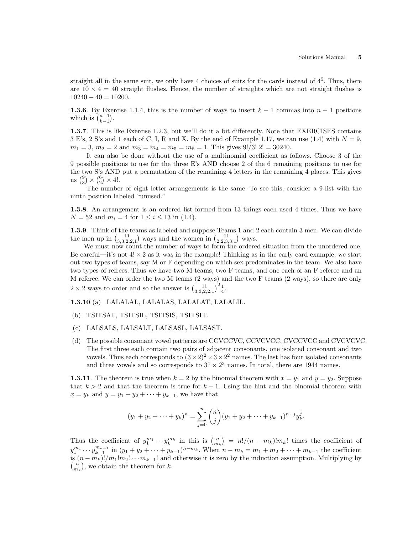straight all in the same suit, we only have 4 choices of suits for the cards instead of  $4<sup>5</sup>$ . Thus, there are  $10 \times 4 = 40$  straight flushes. Hence, the number of straights which are not straight flushes is  $10240 - 40 = 10200.$ 

1.3.6. By Exercise 1.1.4, this is the number of ways to insert  $k-1$  commas into  $n-1$  positions **1.3.6**. By Exervich is  $\binom{n-1}{k-1}$ .

1.3.7. This is like Exercise 1.2.3, but we'll do it a bit differently. Note that EXERCISES contains  $3 \to S$ 's,  $2 S'$ 's and  $1 \text{ each of } C$ , I, R and X. By the end of Example 1.17, we can use (1.4) with  $N = 9$ ,  $m_1 = 3$ ,  $m_2 = 2$  and  $m_3 = m_4 = m_5 = m_6 = 1$ . This gives  $9!/3! 2! = 30240$ .

It can also be done without the use of a multinomial coefficient as follows. Choose 3 of the 9 possible positions to use for the three E's AND choose 2 of the 6 remaining positions to use for the two S's AND put a permutation of the remaining 4 letters in the remaining 4 places. This gives the two S'S AND<br>
us  $\binom{9}{3} \times \binom{6}{2} \times 4!$ .

The number of eight letter arrangements is the same. To see this, consider a 9-list with the ninth position labeled "unused."

1.3.8. An arrangement is an ordered list formed from 13 things each used 4 times. Thus we have  $N = 52$  and  $m_i = 4$  for  $1 \le i \le 13$  in (1.4).

1.3.9. Think of the teams as labeled and suppose Teams 1 and 2 each contain 3 men. We can divide **1.3.9**. Think of the teams as labeled and suppose Teams 1 and 2 the men up in  $\binom{11}{3,3,2,2,1}$  ways and the women in  $\binom{11}{2,2,3,3,1}$  ways.

We must now count the number of ways to form the ordered situation from the unordered one. Be careful—it's not  $4! \times 2$  as it was in the example! Thinking as in the early card example, we start out two types of teams, say M or F depending on which sex predominates in the team. We also have two types of refrees. Thus we have two M teams, two F teams, and one each of an F referee and an M referee. We can order the two M teams (2 ways) and the two F teams (2 ways), so there are only  $2 \times 2$  ways to order and so the answer is  $\left(3,3,2,2,1\right)^2 \frac{1}{4}$ .

1.3.10 (a) LALALAL, LALALAS, LALALAT, LALALIL.

- (b) TSITSAT, TSITSIL, TSITSIS, TSITSIT.
- (c) LALSALS, LALSALT, LALSASL, LALSAST.
- (d) The possible consonant vowel patterns are CCVCCVC, CCVCVCC, CVCCVCC and CVCVCVC. The first three each contain two pairs of adjacent consonants, one isolated consonant and two vowels. Thus each corresponds to  $(3 \times 2)^2 \times 3 \times 2^2$  names. The last has four isolated consonants and three vowels and so corresponds to  $3^4 \times 2^3$  names. In total, there are 1944 names.

**1.3.11**. The theorem is true when  $k = 2$  by the binomial theorem with  $x = y_1$  and  $y = y_2$ . Suppose that  $k > 2$  and that the theorem is true for  $k - 1$ . Using the hint and the binomial theorem with  $x = y_k$  and  $y = y_1 + y_2 + \cdots + y_{k-1}$ , we have that

$$
(y_1 + y_2 + \dots + y_k)^n = \sum_{j=0}^n \binom{n}{j} (y_1 + y_2 + \dots + y_{k-1})^{n-j} y_k^j.
$$

Thus the coefficient of  $y_1^{m_1} \cdots y_k^{m_k}$  in this is  $\binom{n}{m_k}$ ¢  $= n!/(n - m_k)!m_k!$  times the coefficient of  $y_1^{m_1} \cdots y_{k-1}^{m_{k-1}}$  in  $(y_1 + y_2 + \cdots + y_{k-1})^{n-m_k}$ . When  $n - m_k = m_1 + m_2 + \cdots + m_{k-1}$  the coefficient is  $(n - m_k)! / m_1! m_2! \cdots m_{k-1}!$  and otherwise it is zero by the induction assumption. Multiplying by  $\binom{n}{k}$  we obtain the theorem for  $k$  $\binom{n}{m_k}$ , we obtain the theorem for k.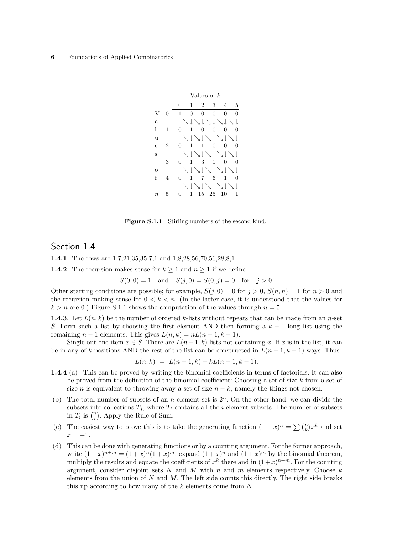

Figure S.1.1 Stirling numbers of the second kind.

#### Section 1.4

1.4.1. The rows are 1,7,21,35,35,7,1 and 1,8,28,56,70,56,28,8,1.

**1.4.2**. The recursion makes sense for  $k \ge 1$  and  $n \ge 1$  if we define

$$
S(0,0) = 1
$$
 and  $S(j,0) = S(0,j) = 0$  for  $j > 0$ .

Other starting conditions are possible; for example,  $S(j, 0) = 0$  for  $j > 0$ ,  $S(n, n) = 1$  for  $n > 0$  and the recursion making sense for  $0 \leq k \leq n$ . (In the latter case, it is understood that the values for  $k > n$  are 0.) Figure S.1.1 shows the computation of the values through  $n = 5$ .

**1.4.3**. Let  $L(n, k)$  be the number of ordered k-lists without repeats that can be made from an n-set S. Form such a list by choosing the first element AND then forming a  $k-1$  long list using the remaining  $n-1$  elements. This gives  $L(n, k) = nL(n-1, k-1)$ .

Single out one item  $x \in S$ . There are  $L(n-1,k)$  lists not containing x. If x is in the list, it can be in any of k positions AND the rest of the list can be constructed in  $L(n-1, k-1)$  ways. Thus

$$
L(n,k) = L(n-1,k) + kL(n-1,k-1).
$$

- 1.4.4 (a) This can be proved by writing the binomial coefficients in terms of factorials. It can also be proved from the definition of the binomial coefficient: Choosing a set of size  $k$  from a set of size n is equivalent to throwing away a set of size  $n - k$ , namely the things not chosen.
- (b) The total number of subsets of an n element set is  $2<sup>n</sup>$ . On the other hand, we can divide the subsets into collections  $T_j$ , where  $T_i$  contains all the i element subsets. The number of subsets subsets into collections  $I_j$ , where  $I_i$ <br>in  $T_i$  is  $\binom{n}{i}$ . Apply the Rule of Sum.
- (c) The easiest way to prove this is to take the generating function  $(1+x)^n = \sum {n \choose k}$ ¢  $x^k$  and set  $x = -1$ .
- (d) This can be done with generating functions or by a counting argument. For the former approach, write  $(1+x)^{n+m} = (1+x)^n(1+x)^m$ , expand  $(1+x)^n$  and  $(1+x)^m$  by the binomial theorem, multiply the results and equate the coefficients of  $x^k$  there and in  $(1+x)^{n+m}$ . For the counting argument, consider disjoint sets  $N$  and  $M$  with  $n$  and  $m$  elements respectively. Choose  $k$ elements from the union of  $N$  and  $M$ . The left side counts this directly. The right side breaks this up according to how many of the  $k$  elements come from  $N$ .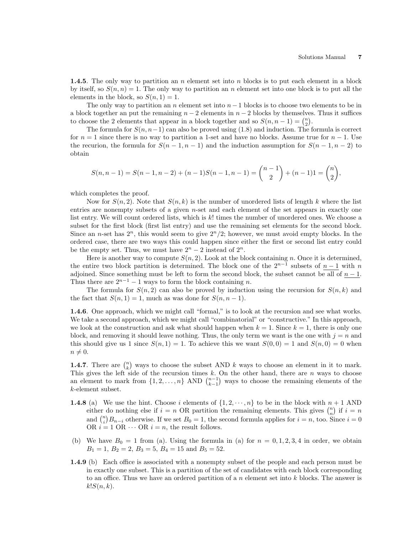**1.4.5.** The only way to partition an n element set into n blocks is to put each element in a block by itself, so  $S(n, n) = 1$ . The only way to partition an n element set into one block is to put all the elements in the block, so  $S(n, 1) = 1$ .

The only way to partition an n element set into  $n-1$  blocks is to choose two elements to be in a block together an put the remaining  $n-2$  elements in  $n-2$  blocks by themselves. Thus it suffices a block together an put the remaining  $n - 2$  elements in  $n - 2$  blocks by themselves<br>to choose the 2 elements that appear in a block together and so  $S(n, n - 1) = {n \choose 2}$ .

The formula for  $S(n, n-1)$  can also be proved using (1.8) and induction. The formula is correct for  $n = 1$  since there is no way to partition a 1-set and have no blocks. Assume true for  $n - 1$ . Use the recurion, the formula for  $S(n-1, n-1)$  and the induction assumption for  $S(n-1, n-2)$  to obtain

$$
S(n, n-1) = S(n-1, n-2) + (n-1)S(n-1, n-1) = {n-1 \choose 2} + (n-1)1 = {n \choose 2},
$$

which completes the proof.

Now for  $S(n, 2)$ . Note that  $S(n, k)$  is the number of unordered lists of length k where the list entries are nonempty subsets of a given *n*-set and each element of the set appears in exactly one list entry. We will count ordered lists, which is k! times the number of unordered ones. We choose a subset for the first block (first list entry) and use the remaining set elements for the second block. Since an n-set has  $2^n$ , this would seem to give  $2^n/2$ ; however, we must avoid empty blocks. In the ordered case, there are two ways this could happen since either the first or second list entry could be the empty set. Thus, we must have  $2^n - 2$  instead of  $2^n$ .

Here is another way to compute  $S(n, 2)$ . Look at the block containing n. Once it is determined, the entire two block partition is determined. The block one of the  $2^{n-1}$  subsets of  $n-1$  with n adjoined. Since something must be left to form the second block, the subset cannot be all of  $n-1$ . Thus there are  $2^{n-1} - 1$  ways to form the block containing n.

The formula for  $S(n, 2)$  can also be proved by induction using the recursion for  $S(n, k)$  and the fact that  $S(n, 1) = 1$ , much as was done for  $S(n, n - 1)$ .

1.4.6. One approach, which we might call "formal," is to look at the recursion and see what works. We take a second approach, which we might call "combinatorial" or "constructive." In this approach, we look at the construction and ask what should happen when  $k = 1$ . Since  $k = 1$ , there is only one block, and removing it should leave nothing. Thus, the only term we want is the one with  $j = n$  and this should give us 1 since  $S(n, 1) = 1$ . To achieve this we want  $S(0, 0) = 1$  and  $S(n, 0) = 0$  when  $n \neq 0.$ 

**1.4.7**. There are  $\binom{n}{k}$ ¢ ways to choose the subset AND  $k$  ways to choose an element in it to mark. This gives the left side of the recursion times k. On the other hand, there are n ways to choose an element to mark from  $\{1, 2, ..., n\}$  AND  $\binom{n-1}{k-1}$  ways to choose the remaining elements of the  $\zeta$ ways to choose the remaining elements of the k-element subset.

- **1.4.8** (a) We use the hint. Choose i elements of  $\{1, 2, \dots, n\}$  to be in the block with  $n+1$  AND (a) We use the nint. Choose i elements of  $\{1, 2, \dots, n\}$  to be in the block with  $n + 1$  AND<br>either do nothing else if  $i = n$  OR partition the remaining elements. This gives  $\binom{n}{n}$  if  $i = n$ either do nothing eise if  $i = n$  OK partition the remaining elements. This gives  $\binom{n}{n}$  if  $i = n$ <br>and  $\binom{n}{i}B_{n-i}$  otherwise. If we set  $B_0 = 1$ , the second formula applies for  $i = n$ , too. Since  $i = 0$ OR  $i = 1$  OR  $\cdots$  OR  $i = n$ , the result follows.
- (b) We have  $B_0 = 1$  from (a). Using the formula in (a) for  $n = 0, 1, 2, 3, 4$  in order, we obtain  $B_1 = 1, B_2 = 2, B_3 = 5, B_4 = 15 \text{ and } B_5 = 52.$
- 1.4.9 (b) Each office is associated with a nonempty subset of the people and each person must be in exactly one subset. This is a partition of the set of candidates with each block corresponding to an office. Thus we have an ordered partition of a  $n$  element set into  $k$  blocks. The answer is  $k!S(n,k).$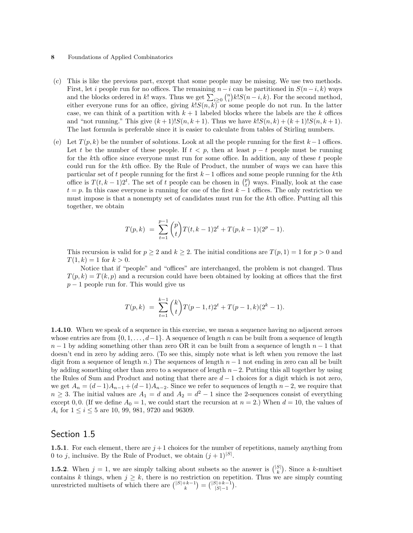- (c) This is like the previous part, except that some people may be missing. We use two methods. First, let *i* people run for no offices. The remaining  $n-i$  can be partitioned in  $S(n-i,k)$  ways First, let *i* people run for no offices. The remaining  $n - i$  can be partitioned in  $S(n - i, k)$  ways and the blocks ordered in k! ways. Thus we get  $\sum_{i \geq 0} {n \choose i} k! S(n - i, k)$ . For the second method, either everyone runs for an office, giving  $k!S(n, k)$  or some people do not run. In the latter case, we can think of a partition with  $k+1$  labeled blocks where the labels are the k offices and "not running." This give  $(k + 1)!S(n, k + 1)$ . Thus we have  $k!S(n, k) + (k + 1)!S(n, k + 1)$ . The last formula is preferable since it is easier to calculate from tables of Stirling numbers.
- (e) Let  $T(p, k)$  be the number of solutions. Look at all the people running for the first  $k-1$  offices. Let t be the number of these people. If  $t < p$ , then at least  $p - t$  people must be running for the kth office since everyone must run for some office. In addition, any of these  $t$  people could run for the kth office. By the Rule of Product, the number of ways we can have this particular set of t people running for the first  $k-1$  offices and some people running for the kth particular set of t people running for the first  $k-1$  offices and some people running for the  $k$ th office is  $T(t, k-1)2^t$ . The set of t people can be chosen in  $\binom{p}{t}$  ways. Finally, look at the case  $t = p$ . In this case everyone is running for one of the first  $k - 1$  offices. The only restriction we must impose is that a nonempty set of candidates must run for the kth office. Putting all this together, we obtain

$$
T(p,k) = \sum_{t=1}^{p-1} {p \choose t} T(t,k-1)2^{t} + T(p,k-1)(2^{p}-1).
$$

This recursion is valid for  $p \geq 2$  and  $k \geq 2$ . The initial conditions are  $T(p, 1) = 1$  for  $p > 0$  and  $T(1, k) = 1$  for  $k > 0$ .

Notice that if "people" and "offices" are interchanged, the problem is not changed. Thus  $T(p, k) = T(k, p)$  and a recursion could have been obtained by looking at offices that the first  $p-1$  people run for. This would give us

$$
T(p,k) = \sum_{t=1}^{k-1} {k \choose t} T(p-1,t)2^{t} + T(p-1,k)(2^{k}-1).
$$

1.4.10. When we speak of a sequence in this exercise, we mean a sequence having no adjacent zeroes whose entries are from  $\{0, 1, \ldots, d-1\}$ . A sequence of length n can be built from a sequence of length  $n-1$  by adding something other than zero OR it can be built from a sequence of length  $n-1$  that doesn't end in zero by adding zero. (To see this, simply note what is left when you remove the last digit from a sequence of length n.) The sequences of length  $n-1$  not ending in zero can all be built by adding something other than zero to a sequence of length  $n-2$ . Putting this all together by using the Rules of Sum and Product and noting that there are  $d-1$  choices for a digit which is not zero, we get  $A_n = (d-1)A_{n-1} + (d-1)A_{n-2}$ . Since we refer to sequences of length  $n-2$ , we require that  $n \geq 3$ . The initial values are  $A_1 = d$  and  $A_2 = d^2 - 1$  since the 2-sequences consist of everything except 0, 0. (If we define  $A_0 = 1$ , we could start the recursion at  $n = 2$ .) When  $d = 10$ , the values of  $A_i$  for  $1 \le i \le 5$  are 10, 99, 981, 9720 and 96309.

# Section 1.5

**1.5.1.** For each element, there are  $j+1$  choices for the number of repetitions, namely anything from 0 to j, inclusive. By the Rule of Product, we obtain  $(j+1)^{|S|}$ .

**1.5.2**. When  $j = 1$ , we are simply talking about subsets so the answer is  $\binom{|S|}{k}$ ¢ . Since a k-multiset contains k things, when  $j \geq k$ , there is no restriction on repetition. Thus we are simply counting unrestricted multisets of which there are  $\binom{|S|+k-1}{k} = \binom{|S|+k-1}{|S|-1}$ .  $\frac{c}{\sqrt{c}}$ =  $\frac{1}{|S|+k-1}$  $|S|-1$ ¢ .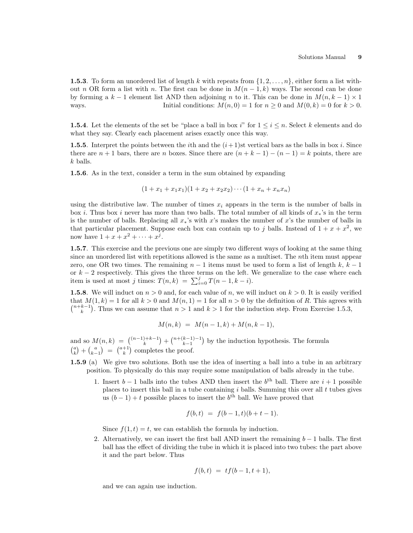**1.5.3.** To form an unordered list of length k with repeats from  $\{1, 2, \ldots, n\}$ , either form a list without n OR form a list with n. The first can be done in  $M(n-1,k)$  ways. The second can be done by forming a  $k-1$  element list AND then adjoining n to it. This can be done in  $M(n, k-1) \times 1$ ways. Initial conditions:  $M(n, 0) = 1$  for  $n \ge 0$  and  $M(0, k) = 0$  for  $k > 0$ .

**1.5.4**. Let the elements of the set be "place a ball in box i" for  $1 \leq i \leq n$ . Select k elements and do what they say. Clearly each placement arises exactly once this way.

**1.5.5.** Interpret the points between the *i*th and the  $(i+1)$ st vertical bars as the balls in box *i*. Since there are  $n + 1$  bars, there are n boxes. Since there are  $(n + k - 1) - (n - 1) = k$  points, there are k balls.

1.5.6. As in the text, consider a term in the sum obtained by expanding

$$
(1 + x_1 + x_1x_1)(1 + x_2 + x_2x_2) \cdots (1 + x_n + x_nx_n)
$$

using the distributive law. The number of times  $x_i$  appears in the term is the number of balls in box i. Thus box i never has more than two balls. The total number of all kinds of  $x<sub>*</sub>$ 's in the term is the number of balls. Replacing all  $x<sub>*</sub>$ 's with x's makes the number of x's the number of balls in that particular placement. Suppose each box can contain up to j balls. Instead of  $1 + x + x^2$ , we now have  $1 + x + x^2 + \cdots + x^j$ .

1.5.7. This exercise and the previous one are simply two different ways of looking at the same thing since an unordered list with repetitions allowed is the same as a multiset. The nth item must appear zero, one OR two times. The remaining  $n-1$  items must be used to form a list of length k,  $k-1$ or  $k-2$  respectively. This gives the three terms on the left. We generalize to the case where each or  $\kappa - z$  respectively. This gives the three terms on the left. Then is used at most j times:  $T(n, k) = \sum_{i=0}^{j} T(n-1, k-i)$ .

**1.5.8**. We will induct on  $n > 0$  and, for each value of n, we will induct on  $k > 0$ . It is easily verified that  $M(1, k) = 1$  for all  $k > 0$  and  $M(n, 1) = 1$  for all  $n > 0$  by the definition of R. This agrees with  $\prod_{k=1}^{\infty}$ <br>tnat *M*  $\ddot{\phantom{0}}$ . Thus we can assume that  $n > 1$  and  $k > 1$  for the induction step. From Exercise 1.5.3,

$$
M(n,k) = M(n-1,k) + M(n,k-1),
$$

and so  $M(n,k) = { (n-1)+k-1 \choose k}$ ¢  $+\binom{n+(k-1)-1}{k-1}$ ¢ and so  $M(n,k) = \binom{(n-1)+k-1}{k} + \binom{n+(k-1)-1}{k-1}$  by the induction hypothesis. The formula  $\binom{a}{k} + \binom{a}{k-1} = \binom{a+1}{k}$  completes the proof. µ<br>∖  $+$  $\binom{a}{k-1}$  $\frac{1}{\sqrt{2}}$ =  $\begin{pmatrix} a+1 \\ k \end{pmatrix}$  $\frac{1}{2}$ completes the proof.

- 1.5.9 (a) We give two solutions. Both use the idea of inserting a ball into a tube in an arbitrary position. To physically do this may require some manipulation of balls already in the tube.
	- 1. Insert  $b-1$  balls into the tubes AND then insert the  $b<sup>th</sup>$  ball. There are  $i+1$  possible places to insert this ball in a tube containing  $i$  balls. Summing this over all  $t$  tubes gives us  $(b-1) + t$  possible places to insert the  $b<sup>th</sup>$  ball. We have proved that

$$
f(b, t) = f(b-1, t)(b+t-1).
$$

Since  $f(1, t) = t$ , we can establish the formula by induction.

2. Alternatively, we can insert the first ball AND insert the remaining  $b-1$  balls. The first ball has the effect of dividing the tube in which it is placed into two tubes: the part above it and the part below. Thus

$$
f(b,t) = tf(b-1,t+1),
$$

and we can again use induction.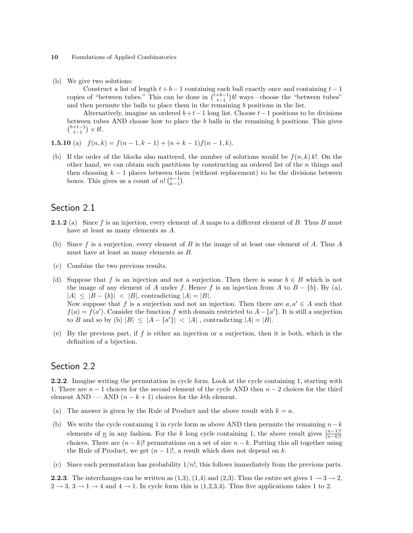(b) We give two solutions:

Construct a list of length  $t + b - 1$  containing each ball exactly once and containing  $t - 1$ Construct a list of length  $t + b - 1$  containing each ball exactly once and containing  $t - 1$  copies of "between tubes." This can be done in  $\binom{t+b-1}{t-1}b!$  ways—choose the "between tubes" and then permute the balls to place them in the remaining  $b$  positions in the list.

Alternatively, imagine an ordered  $b+t-1$  long list. Choose  $t-1$  positions to be divisions between tubes AND choose how to place the b balls in the remaining b positions. This gives  $_{t-1}^{b+t-1}) \times b!.$ 

**1.5.10** (a) 
$$
f(n,k) = f(n-1,k-1) + (n+k-1)f(n-1,k)
$$
.

(b) If the order of the blocks also mattered, the number of solutions would be  $f(n, k) k!$ . On the other hand, we can obtain such partitions by constructing an ordered list of the  $n$  things and then choosing  $k - 1$  places between them (without replacement) to be the divisions between<br>hoves This gives us a sount of  $n! \binom{n-1}{k}$ boxes. This gives us a count of  $n! {n-1 \choose k-1}$ .

# Section 2.1

- **2.1.2** (a) Since f is an injection, every element of A maps to a different element of B. Thus B must have at least as many elements as A.
- (b) Since f is a surjection, every element of B is the image of at least one element of A. Thus  $A$ must have at least as many elements as B.
- (c) Combine the two previous results.
- (d) Suppose that f is an injection and not a surjection. Then there is some  $b \in B$  which is not the image of any element of A under f. Hence f is an injection from A to  $B - \{b\}$ . By (a),  $|A| \leq |B - \{b\}| < |B|$ , contradicting  $|A| = |B|$ . Now suppose that f is a surjection and not an injection. Then there are  $a, a' \in A$  such that  $f(a) = f(a')$ . Consider the function f with domain restricted to  $A - \{a'\}$ . It is still a surjection to B and so by (b)  $|B| \leq |A - \{a'\}| < |A|$ , contradicting  $|A| = |B|$ .
- (e) By the previous part, if  $f$  is either an injection or a surjection, then it is both, which is the definition of a bijection.

# Section 2.2

2.2.2. Imagine writing the permutation in cycle form. Look at the cycle containing 1, starting with 1. There are  $n-1$  choices for the second element of the cycle AND then  $n-2$  choices for the third element AND  $\cdots$  AND  $(n - k + 1)$  choices for the kth element.

- (a) The answer is given by the Rule of Product and the above result with  $k = n$ .
- (b) We write the cycle containing 1 in cycle form as above AND then permute the remaining  $n-k$ elements of  $\underline{n}$  in any fashion. For the k long cycle containing 1, the above result gives  $\frac{(n-1)!}{(n-k)!}$ choices. There are  $(n-k)!$  permutations on a set of size  $n-k$ . Putting this all together using the Rule of Product, we get  $(n-1)!$ , a result which does not depend on k.
- (c) Since each permutation has probability  $1/n!$ , this follows immediately from the previous parts.

**2.2.3.** The interchanges can be written as  $(1,3)$ ,  $(1,4)$  and  $(2,3)$ . Thus the entire set gives  $1 \rightarrow 3 \rightarrow 2$ ,  $2 \rightarrow 3$ ,  $3 \rightarrow 1 \rightarrow 4$  and  $4 \rightarrow 1$ . In cycle form this is  $(1,2,3,4)$ . Thus five applications takes 1 to 2.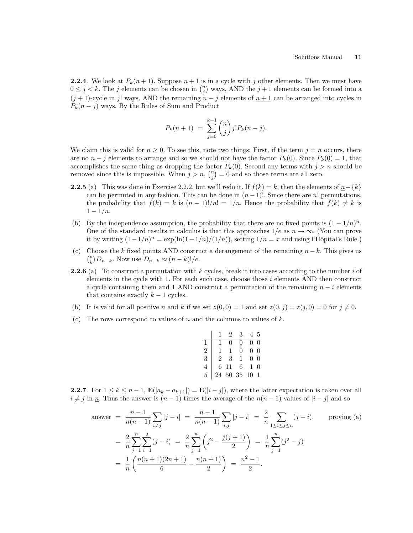**2.2.4.** We look at  $P_k(n+1)$ . Suppose  $n+1$  is in a cycle with j other elements. Then we must have **2.2.4**. We look at  $P_k(n+1)$ . Suppose  $n+1$  is in a cycle with j other elements. Then we must have  $0 \leq j < k$ . The j elements can be chosen in  $\binom{n}{j}$  ways, AND the  $j+1$  elements can be formed into a  $(j + 1)$ -cycle in j! ways, AND the remaining  $n - j$  elements of  $n + 1$  can be arranged into cycles in  $P_k(n-j)$  ways. By the Rules of Sum and Product

$$
P_k(n+1) = \sum_{j=0}^{k-1} {n \choose j} j! P_k(n-j).
$$

We claim this is valid for  $n \geq 0$ . To see this, note two things: First, if the term  $j = n$  occurs, there are no  $n - j$  elements to arrange and so we should not have the factor  $P_k(0)$ . Since  $P_k(0) = 1$ , that accomplishes the same thing as dropping the factor  $P_k(0)$ . Second any terms with  $j > n$  should be removed gines this is impossible. When  $j > n$ ,  $\binom{n}{k} - 0$  and so these terms are all gave. removed since this is impossible. When  $j > n$ ,  $\binom{n}{j} = 0$  and so those terms are all zero.

- 2.2.5 (a) This was done in Exercise 2.2.2, but we'll redo it. If  $f(k) = k$ , then the elements of  $n-\{k\}$ can be permuted in any fashion. This can be done in  $(n-1)!$ . Since there are n! permutations, the probability that  $f(k) = k$  is  $(n-1)!/n! = 1/n$ . Hence the probability that  $f(k) \neq k$  is  $1 - 1/n$ .
- (b) By the independence assumption, the probability that there are no fixed points is  $(1 1/n)^n$ . One of the standard results in calculus is that this approaches  $1/e$  as  $n \to \infty$ . (You can prove it by writing  $(1 - 1/n)^n = \exp(\ln(1 - 1/n)/(1/n))$ , setting  $1/n = x$  and using l'Hôpital's Rule.)
- (c) Choose the k fixed points AND construct a derangement of the remaining  $n k$ . This gives us  $\binom{n}{k}$  $\binom{n}{k}D_{n-k}$ . Now use  $D_{n-k}\approx (n-k)!/e$ .
- **2.2.6** (a) To construct a permutation with k cycles, break it into cases according to the number i of elements in the cycle with 1. For each such case, choose those  $i$  elements AND then construct a cycle containing them and 1 AND construct a permutation of the remaining  $n - i$  elements that contains exactly  $k - 1$  cycles.
- (b) It is valid for all positive n and k if we set  $z(0, 0) = 1$  and set  $z(0, j) = z(j, 0) = 0$  for  $j \neq 0$ .
- (c) The rows correspond to values of n and the columns to values of  $k$ .

|                |                |                | 2 3                 | 4 5            |  |
|----------------|----------------|----------------|---------------------|----------------|--|
|                |                | $\overline{0}$ | $\overline{0}$      | 0 <sub>0</sub> |  |
| $\overline{2}$ | 1              |                | $1 \quad 0$         | 0 <sub>0</sub> |  |
| $\overline{3}$ | $\overline{2}$ |                | $3 \quad 1$         | 0 <sub>0</sub> |  |
| $\overline{4}$ | H.             |                | 6 11 6              | $1\quad$       |  |
| $\overline{5}$ |                |                | $24\ 50\ 35\ 10\ 1$ |                |  |

2.2.7. For  $1 \leq k \leq n-1$ ,  $\mathbf{E}(|a_k - a_{k+1}|) = \mathbf{E}(|i-j|)$ , where the latter expectation is taken over all  $i \neq j$  in n. Thus the answer is  $(n - 1)$  times the average of the  $n(n - 1)$  values of  $|i - j|$  and so

answer 
$$
= \frac{n-1}{n(n-1)} \sum_{i \neq j} |j - i| = \frac{n-1}{n(n-1)} \sum_{i,j} |j - i| = \frac{2}{n} \sum_{1 \leq i \leq j \leq n} (j - i), \text{ proving (a)}
$$

$$
= \frac{2}{n} \sum_{j=1}^{n} \sum_{i=1}^{j} (j - i) = \frac{2}{n} \sum_{j=1}^{n} \left( j^2 - \frac{j(j+1)}{2} \right) = \frac{1}{n} \sum_{j=1}^{n} (j^2 - j)
$$

$$
= \frac{1}{n} \left( \frac{n(n+1)(2n+1)}{6} - \frac{n(n+1)}{2} \right) = \frac{n^2 - 1}{2}.
$$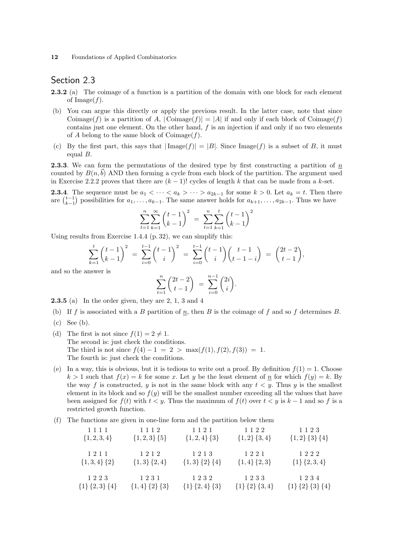# Section 2.3

- **2.3.2** (a) The coimage of a function is a partition of the domain with one block for each element of  $\text{Image}(f)$ .
- (b) You can argue this directly or apply the previous result. In the latter case, note that since Coimage(f) is a partition of A,  $|\text{Coimage}(f)| = |A|$  if and only if each block of Coimage(f) contains just one element. On the other hand, f is an injection if and only if no two elements of A belong to the same block of Coimage  $(f)$ .
- (c) By the first part, this says that  $|\text{Image}(f)| = |B|$ . Since Image(f) is a subset of B, it must equal B.

**2.3.3.** We can form the permutations of the desired type by first constructing a partition of  $n$ counted by  $B(n,b)$  AND then forming a cycle from each block of the partition. The argument used in Exercise 2.2.2 proves that there are  $(k-1)!$  cycles of length k that can be made from a k-set.

**2.3.4.** The sequence must be  $a_1 < \cdots < a_k > \cdots > a_{2k-1}$  for some  $k > 0$ . Let  $a_k = t$ . Then there **2.3.4**. The sequence must be  $a_1 < \cdots < a_k > \cdots > a_{2k-1}$  for some  $k > 0$ . Let  $a_k = t$ . Then the are  $\binom{t-1}{k-1}$  possibilities for  $a_1, \ldots, a_{k-1}$ . The same answer holds for  $a_{k+1}, \ldots, a_{2k-1}$ . Thus we have

$$
\sum_{t=1}^{n} \sum_{k=1}^{\infty} \binom{t-1}{k-1}^2 = \sum_{t=1}^{n} \sum_{k=1}^{t} \binom{t-1}{k-1}^2
$$

Using results from Exercise 1.4.4 (p. 32), we can simplify this:

$$
\sum_{k=1}^t \binom{t-1}{k-1}^2 = \sum_{i=0}^{t-1} \binom{t-1}{i}^2 = \sum_{i=0}^{t-1} \binom{t-1}{i} \binom{t-1}{t-1-i} = \binom{2t-2}{t-1},
$$

and so the answer is

$$
\sum_{t=1}^{n} \binom{2t-2}{t-1} = \sum_{i=0}^{n-1} \binom{2i}{i}.
$$

2.3.5 (a) In the order given, they are 2, 1, 3 and 4

- (b) If f is associated with a B partition of  $n$ , then B is the coimage of f and so f determines B.
- (c) See (b).
- (d) The first is not since  $f(1) = 2 \neq 1$ . The second is: just check the conditions. The third is not since  $f(4) - 1 = 2 > \max(f(1), f(2), f(3)) = 1$ . The fourth is: just check the conditions.
- (e) In a way, this is obvious, but it is tedious to write out a proof. By definition  $f(1) = 1$ . Choose  $k > 1$  such that  $f(x) = k$  for some x. Let y be the least element of  $\underline{n}$  for which  $f(y) = k$ . By the way f is constructed, y is not in the same block with any  $t < y$ . Thus y is the smallest element in its block and so  $f(y)$  will be the smallest number exceeding all the values that have been assigned for  $f(t)$  with  $t < y$ . Thus the maximum of  $f(t)$  over  $t < y$  is  $k-1$  and so f is a restricted growth function.
- (f) The functions are given in one-line form and the partition below them

| 1111                | 1112                | 1 1 2 1             | 1122                | 1123                |
|---------------------|---------------------|---------------------|---------------------|---------------------|
| $\{1, 2, 3, 4\}$    | $\{1,2,3\}$ $\{5\}$ | $\{1,2,4\}$ $\{3\}$ | $\{1,2\}$ $\{3,4\}$ | ${1,2}$ {3} {4}     |
| 1211                | 1212                | 1213                | 1221                | 1222                |
| $\{1,3,4\}$ $\{2\}$ | $\{1,3\}$ $\{2,4\}$ | ${1,3}$ ${2}$ ${4}$ | $\{1,4\}$ $\{2,3\}$ | $\{1\}$ $\{2,3,4\}$ |
| 1223                | 1231                | 1232                | 1233                | 1234                |
| ${1}{2,3}{4}$       | ${1,4}$ ${2}$ ${3}$ | ${1}{2,4}{3}$       | ${1}{2}{3,4}$       | ${1}{2}{3}{3}{4}$   |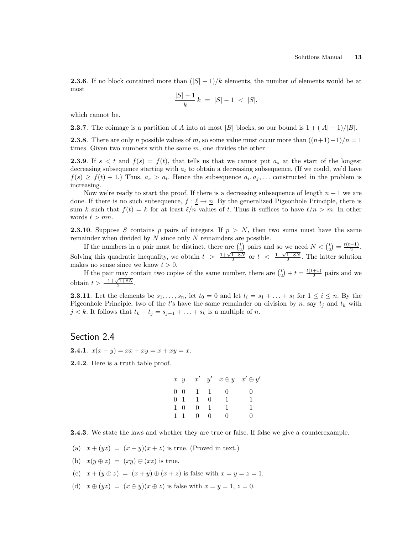**2.3.6.** If no block contained more than  $(|S| - 1)/k$  elements, the number of elements would be at most

$$
\frac{|S|-1}{k} k = |S|-1 < |S|,
$$

which cannot be.

**2.3.7.** The coimage is a partition of A into at most |B| blocks, so our bound is  $1 + (|A| - 1)/|B|$ .

**2.3.8**. There are only n possible values of m, so some value must occur more than  $((n+1)-1)/n = 1$ times. Given two numbers with the same  $m$ , one divides the other.

**2.3.9.** If  $s < t$  and  $f(s) = f(t)$ , that tells us that we cannot put  $a_s$  at the start of the longest decreasing subsequence starting with  $a_t$  to obtain a decreasing subsequence. (If we could, we'd have  $f(s) \geq f(t) + 1$ . Thus,  $a_s > a_t$ . Hence the subsequence  $a_i, a_j, \ldots$  constructed in the problem is increasing.

Now we're ready to start the proof. If there is a decreasing subsequence of length  $n+1$  we are done. If there is no such subsequence,  $f : \ell \to n$ . By the generalized Pigeonhole Principle, there is sum k such that  $f(t) = k$  for at least  $\ell/n$  values of t. Thus it suffices to have  $\ell/n > m$ . In other words  $\ell > mn$ .

**2.3.10.** Suppose S contains p pairs of integers. If  $p > N$ , then two sums must have the same remainder when divided by  $N$  since only  $N$  remainders are possible. ¢

If the numbers in a pair must be distinct, there are  $\begin{pmatrix} t \\ 2 \end{pmatrix}$  $\binom{p}{2}$  pairs and so we need  $N < \binom{t}{2}$  $=\frac{t(t-1)}{2}$ If the numbers in a pair must be distinct, there are  $\binom{t}{2}$  pairs and so we need  $N < \binom{t}{2} = \frac{t(t-1)}{2}$ .<br>Solving this quadratic inequality, we obtain  $t > \frac{1+\sqrt{1+8N}}{2}$  or  $t < \frac{1-\sqrt{1+8N}}{2}$ . The latter solution makes no sense since we know  $t > 0$ . ¢

If the pair may contain two copies of the same number, there are  $\binom{t}{2}$  $+t = \frac{t(t+1)}{2}$  $\frac{+1}{2}$  pairs and we obtain  $t > \frac{-1 + \sqrt{1 + 8N}}{2}$ .

**2.3.11**. Let the elements be  $s_1, \ldots, s_n$ , let  $t_0 = 0$  and let  $t_i = s_1 + \ldots + s_i$  for  $1 \le i \le n$ . By the Pigeonhole Principle, two of the t's have the same remainder on division by n, say  $t_i$  and  $t_k$  with  $j < k$ . It follows that  $t_k - t_j = s_{j+1} + \ldots + s_k$  is a multiple of n.

Section 2.4

**2.4.1.**  $x(x + y) = xx + xy = x + xy = x$ .

2.4.2. Here is a truth table proof.

|                                              |  | $x \ y \mid x' \ y' \ x \oplus y \ x' \oplus y'$ |
|----------------------------------------------|--|--------------------------------------------------|
| $\begin{matrix} 0 & 0 \\ 0 & 1 \end{matrix}$ |  |                                                  |
|                                              |  |                                                  |
|                                              |  |                                                  |
|                                              |  |                                                  |

2.4.3. We state the laws and whether they are true or false. If false we give a counterexample.

- (a)  $x + (yz) = (x + y)(x + z)$  is true. (Proved in text.)
- (b)  $x(y \oplus z) = (xy) \oplus (xz)$  is true.
- (c)  $x + (y \oplus z) = (x + y) \oplus (x + z)$  is false with  $x = y = z = 1$ .
- (d)  $x \oplus (yz) = (x \oplus y)(x \oplus z)$  is false with  $x = y = 1, z = 0$ .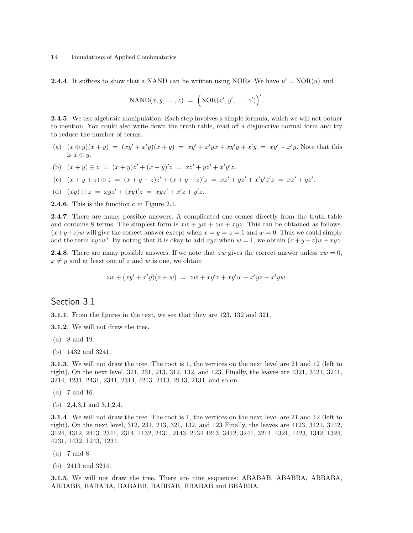**2.4.4**. It suffices to show that a NAND can be written using NORs. We have  $u' = NOR(u)$  and

$$
\mathrm{NAND}(x, y, \ldots, z) = \Big(\mathrm{NOR}(x', y', \ldots, z')\Big)'
$$

2.4.5. We use algebraic manipulation. Each step involves a simple formula, which we will not bother to mention. You could also write down the truth table, read off a disjunctive normal form and try to reduce the number of terms.

- (a)  $(x \oplus y)(x + y) = (xy' + x'y)(x + y) = xy' + x'yx + xy'y + x'y = xy' + x'y$ . Note that this is  $x \oplus y$ .
- (b)  $(x + y) \oplus z = (x + y)z' + (x + y)'z = xz' + yz' + x'y'z.$
- (c)  $(x+y+z) \oplus z = (x+y+z)z' + (x+y+z)'z = xz' + yz' + x'y'z'z = xz' + yz'.$
- (d)  $(xy) \oplus z = xyz' + (xy)'z = xyz' + x'z + y'z.$

**2.4.6**. This is the function c in Figure 2.1.

2.4.7. There are many possible answers. A complicated one comes directly from the truth table and contains 8 terms. The simplest form is  $xw + yw + zw + xyz$ . This can be obtained as follows.  $(x+y+z)w$  will give the correct answer except when  $x = y = z = 1$  and  $w = 0$ . Thus we could simply add the term xyzw'. By noting that it is okay to add xyz when  $w = 1$ , we obtain  $(x+y+z)w + xyz$ .

**2.4.8**. There are many possible answers. If we note that zw gives the correct answer unless  $zw = 0$ ,  $x \neq y$  and at least one of z and w is one, we obtain

$$
zw + (xy' + x'y)(z + w) = zw + xy'z + xy'w + x'yz + x'yw.
$$

#### Section 3.1

3.1.1. From the figures in the text, we see that they are 123, 132 and 321.

3.1.2. We will not draw the tree.

- (a) 8 and 19.
- (b) 1432 and 3241.

3.1.3. We will not draw the tree. The root is 1, the vertices on the next level are 21 and 12 (left to right). On the next level, 321, 231, 213, 312, 132, and 123. Finally, the leaves are 4321, 3421, 3241, 3214, 4231, 2431, 2341, 2314, 4213, 2413, 2143, 2134, and so on.

- (a) 7 and 16.
- (b) 2,4,3,1 and 3,1,2,4.

3.1.4. We will not draw the tree. The root is 1, the vertices on the next level are 21 and 12 (left to right). On the next level, 312, 231, 213, 321, 132, and 123 Finally, the leaves are 4123, 3421, 3142, 3124, 4312, 2413, 2341, 2314, 4132, 2431, 2143, 2134 4213, 3412, 3241, 3214, 4321, 1423, 1342, 1324, 4231, 1432, 1243, 1234.

- (a) 7 and 8.
- (b) 2413 and 3214.

3.1.5. We will not draw the tree. There are nine sequences: ABABAB, ABABBA, ABBABA, ABBABB, BABABA, BABABB, BABBAB, BBABAB and BBABBA.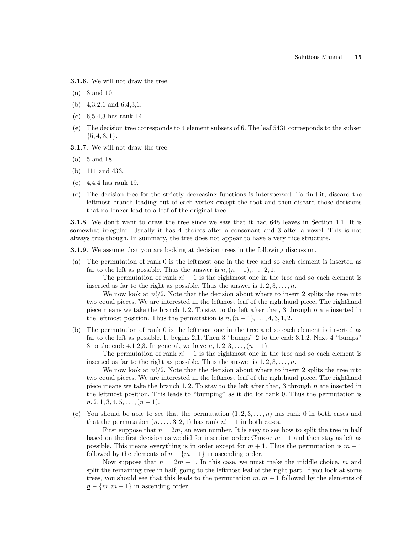3.1.6. We will not draw the tree.

- (a) 3 and 10.
- (b) 4,3,2,1 and 6,4,3,1.
- (c) 6,5,4,3 has rank 14.
- (e) The decision tree corresponds to 4 element subsets of 6. The leaf 5431 corresponds to the subset  $\{5,4,3,1\}.$
- 3.1.7. We will not draw the tree.
- (a) 5 and 18.
- (b) 111 and 433.
- (c) 4,4,4 has rank 19.
- (e) The decision tree for the strictly decreasing functions is interspersed. To find it, discard the leftmost branch leading out of each vertex except the root and then discard those decisions that no longer lead to a leaf of the original tree.

3.1.8. We don't want to draw the tree since we saw that it had 648 leaves in Section 1.1. It is somewhat irregular. Usually it has 4 choices after a consonant and 3 after a vowel. This is not always true though. In summary, the tree does not appear to have a very nice structure.

**3.1.9**. We assume that you are looking at decision trees in the following discussion.

(a) The permutation of rank 0 is the leftmost one in the tree and so each element is inserted as far to the left as possible. Thus the answer is  $n,(n-1),\ldots,2,1$ .

The permutation of rank  $n! - 1$  is the rightmost one in the tree and so each element is inserted as far to the right as possible. Thus the answer is  $1, 2, 3, \ldots, n$ .

We now look at  $n!/2$ . Note that the decision about where to insert 2 splits the tree into two equal pieces. We are interested in the leftmost leaf of the righthand piece. The righthand piece means we take the branch 1, 2. To stay to the left after that, 3 through  $n$  are inserted in the leftmost position. Thus the permutation is  $n,(n-1),\ldots,4,3,1,2$ .

(b) The permutation of rank 0 is the leftmost one in the tree and so each element is inserted as far to the left as possible. It begins 2,1. Then 3 "bumps" 2 to the end: 3,1,2. Next 4 "bumps" 3 to the end: 4,1,2,3. In general, we have  $n, 1, 2, 3, ..., (n-1)$ .

The permutation of rank  $n! - 1$  is the rightmost one in the tree and so each element is inserted as far to the right as possible. Thus the answer is  $1, 2, 3, \ldots, n$ .

We now look at  $n!/2$ . Note that the decision about where to insert 2 splits the tree into two equal pieces. We are interested in the leftmost leaf of the righthand piece. The righthand piece means we take the branch 1, 2. To stay to the left after that, 3 through  $n$  are inserted in the leftmost position. This leads to "bumping" as it did for rank 0. Thus the permutation is  $n, 2, 1, 3, 4, 5, \ldots, (n-1).$ 

(c) You should be able to see that the permutation  $(1, 2, 3, \ldots, n)$  has rank 0 in both cases and that the permutation  $(n, \ldots, 3, 2, 1)$  has rank  $n! - 1$  in both cases.

First suppose that  $n = 2m$ , an even number. It is easy to see how to split the tree in half based on the first decision as we did for insertion order: Choose  $m + 1$  and then stay as left as possible. This means everything is in order except for  $m + 1$ . Thus the permutation is  $m + 1$ followed by the elements of  $\underline{n} - \{m+1\}$  in ascending order.

Now suppose that  $n = 2m - 1$ . In this case, we must make the middle choice, m and split the remaining tree in half, going to the leftmost leaf of the right part. If you look at some trees, you should see that this leads to the permutation  $m, m + 1$  followed by the elements of  $n - \{m, m + 1\}$  in ascending order.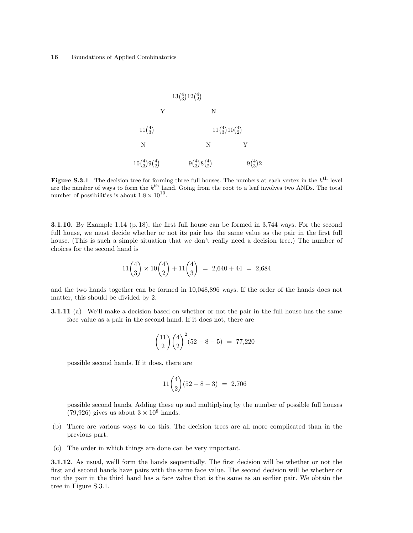

Figure S.3.1 The decision tree for forming three full houses. The numbers at each vertex in the  $k^{\text{th}}$  level are the number of ways to form the  $k^{\text{th}}$  hand. Going from the root to a leaf involves two ANDs. The total number of possibilities is about  $1.8 \times 10^{10}$ .

3.1.10. By Example 1.14 (p. 18), the first full house can be formed in 3,744 ways. For the second full house, we must decide whether or not its pair has the same value as the pair in the first full house. (This is such a simple situation that we don't really need a decision tree.) The number of choices for the second hand is

$$
11\binom{4}{3} \times 10\binom{4}{2} + 11\binom{4}{3} = 2,640 + 44 = 2,684
$$

and the two hands together can be formed in 10,048,896 ways. If the order of the hands does not matter, this should be divided by 2.

3.1.11 (a) We'll make a decision based on whether or not the pair in the full house has the same face value as a pair in the second hand. If it does not, there are

$$
\binom{11}{2} \binom{4}{2}^2 (52 - 8 - 5) = 77,220
$$

possible second hands. If it does, there are

$$
11\binom{4}{2}(52 - 8 - 3) = 2,706
$$

possible second hands. Adding these up and multiplying by the number of possible full houses  $(79,926)$  gives us about  $3 \times 10^8$  hands.

- (b) There are various ways to do this. The decision trees are all more complicated than in the previous part.
- (c) The order in which things are done can be very important.

3.1.12. As usual, we'll form the hands sequentially. The first decision will be whether or not the first and second hands have pairs with the same face value. The second decision will be whether or not the pair in the third hand has a face value that is the same as an earlier pair. We obtain the tree in Figure S.3.1.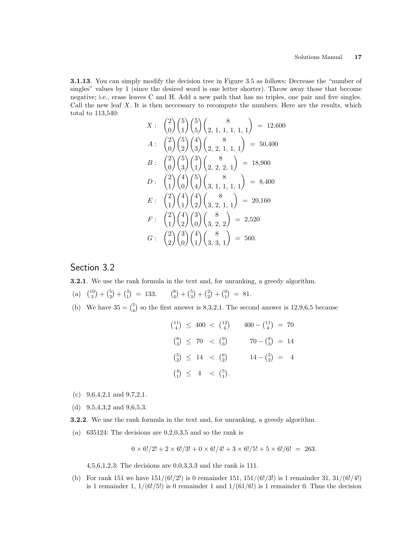3.1.13. You can simply modify the decision tree in Figure 3.5 as follows: Decrease the "number of singles" values by 1 (since the desired word is one letter shorter). Throw away those that become negative; i.e., erase leaves C and H. Add a new path that has no triples, one pair and five singles. Call the new leaf  $X$ . It is then necessary to recompute the numbers. Here are the results, which total to 113,540:  $\overline{a}$  $\mathbf{r}$ 

$$
X: \begin{pmatrix} 2 \\ 0 \end{pmatrix} \begin{pmatrix} 5 \\ 1 \end{pmatrix} \begin{pmatrix} 5 \\ 5 \end{pmatrix} \begin{pmatrix} 8 \\ 2, 1, 1, 1, 1, 1 \end{pmatrix} = 12,600
$$
  
\n
$$
A: \begin{pmatrix} 2 \\ 0 \end{pmatrix} \begin{pmatrix} 5 \\ 2 \end{pmatrix} \begin{pmatrix} 4 \\ 3 \end{pmatrix} \begin{pmatrix} 8 \\ 2, 2, 1, 1, 1 \end{pmatrix} = 50,400
$$
  
\n
$$
B: \begin{pmatrix} 2 \\ 0 \end{pmatrix} \begin{pmatrix} 5 \\ 3 \end{pmatrix} \begin{pmatrix} 3 \\ 1 \end{pmatrix} \begin{pmatrix} 8 \\ 2, 2, 2, 1 \end{pmatrix} = 18,900
$$
  
\n
$$
D: \begin{pmatrix} 2 \\ 1 \end{pmatrix} \begin{pmatrix} 4 \\ 0 \end{pmatrix} \begin{pmatrix} 5 \\ 4 \end{pmatrix} \begin{pmatrix} 8 \\ 3, 1, 1, 1, 1 \end{pmatrix} = 8,400
$$
  
\n
$$
E: \begin{pmatrix} 2 \\ 1 \end{pmatrix} \begin{pmatrix} 4 \\ 1 \end{pmatrix} \begin{pmatrix} 4 \\ 2 \end{pmatrix} \begin{pmatrix} 8 \\ 3, 2, 1, 1 \end{pmatrix} = 20,160
$$
  
\n
$$
F: \begin{pmatrix} 2 \\ 1 \end{pmatrix} \begin{pmatrix} 4 \\ 2 \end{pmatrix} \begin{pmatrix} 3 \\ 0 \end{pmatrix} \begin{pmatrix} 8 \\ 3, 2, 2 \end{pmatrix} = 2,520
$$
  
\n
$$
G: \begin{pmatrix} 2 \\ 2 \end{pmatrix} \begin{pmatrix} 3 \\ 0 \end{pmatrix} \begin{pmatrix} 4 \\ 1 \end{pmatrix} \begin{pmatrix} 8 \\ 3, 3, 1 \end{pmatrix} = 560.
$$

# Section 3.2

3.2.1. We use the rank formula in the text and, for unranking, a greedy algorithm.

(a)  $\binom{10}{3}$ ¢  $^{+}$  $\binom{5}{2}$ ¢  $^{+}$  $\binom{3}{1}$ ¢  $= 133.$  $\binom{8}{4}$ ¢  $+$  $\binom{5}{3}$ ¢  $^{+}$  $\binom{2}{2}$ ¢  $+$  $\binom{0}{1}$ ¢  $= 81.$ ¢

(b) We have  $35 = {7 \choose 4}$ so the first answer is 8,3,2,1. The second answer is 12,9,6,5 because

$$
\begin{aligned}\n\binom{11}{4} &\leq 400 < \binom{12}{4} & 400 - \binom{11}{4} &= 70 \\
\binom{8}{3} &\leq 70 < \binom{9}{3} & 70 - \binom{8}{3} &= 14 \\
\binom{5}{2} &\leq 14 < \binom{6}{2} & 14 - \binom{5}{2} &= 4 \\
\binom{4}{1} &\leq 4 < \binom{5}{1}.\n\end{aligned}
$$

- (c)  $9,6,4,2,1$  and  $9,7,2,1$ .
- (d) 9,5,4,3,2 and 9,6,5,3.
- 3.2.2. We use the rank formula in the text and, for unranking, a greedy algorithm.
- (a)  $635124$ : The decisions are  $0,2,0,3,5$  and so the rank is

$$
0 \times 6!/2! + 2 \times 6!/3! + 0 \times 6!/4! + 3 \times 6!/5! + 5 \times 6!/6! = 263.
$$

4,5,6,1,2,3: The decisions are 0,0,3,3,3 and the rank is 111.

(b) For rank 151 we have  $151/(6!/2!)$  is 0 remainder 151,  $151/(6!/3!)$  is 1 remainder 31,  $31/(6!/4!)$ is 1 remainder 1,  $1/(6!/5!)$  is 0 remainder 1 and  $1/(61/6!)$  is 1 remainder 0. Thus the decision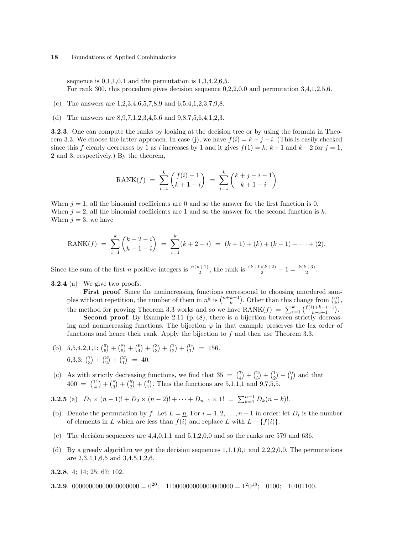sequence is  $0,1,1,0,1$  and the permutation is  $1,3,4,2,6,5$ . For rank 300, this procedure gives decision sequence  $0,2,2,0,0$  and permutation 3,4,1,2,5,6.

- (c) The answers are 1,2,3,4,6,5,7,8,9 and 6,5,4,1,2,3,7,9,8.
- (d) The answers are 8,9,7,1,2,3,4,5,6 and 9,8,7,5,6,4,1,2,3.

3.2.3. One can compute the ranks by looking at the decision tree or by using the formula in Theorem 3.3. We choose the latter approach. In case (j), we have  $f(i) = k + j - i$ . (This is easily checked since this f clearly decreases by 1 as i increases by 1 and it gives  $f(1) = k, k+1$  and  $k+2$  for  $j = 1$ , 2 and 3, respectively.) By the theorem,

$$
RANK(f) = \sum_{i=1}^{k} {f(i) - 1 \choose k + 1 - i} = \sum_{i=1}^{k} {k + j - i - 1 \choose k + 1 - i}
$$

When  $j = 1$ , all the binomial coefficients are 0 and so the answer for the first function is 0. When  $j = 2$ , all the binomial coefficients are 1 and so the answer for the second function is k. When  $j = 3$ , we have

$$
RANK(f) = \sum_{i=1}^{k} {k+2-i \choose k+1-i} = \sum_{i=1}^{k} (k+2-i) = (k+1) + (k) + (k-1) + \dots + (2).
$$

Since the sum of the first *n* positive integers is  $\frac{n(n+1)}{2}$ , the rank is  $\frac{(k+1)(k+2)}{2} - 1 = \frac{k(k+3)}{2}$ .

3.2.4 (a) We give two proofs.

**First proof.** Since the nonincreasing functions correspond to choosing unordered sam-**FIFST proof.** Since the nonincreasing functions correspond to choosing unordered samples without repetition, the number of them in  $\underline{n}^k$  is  $\binom{n+k-1}{k}$ . Other than this change from  $\binom{n}{k}$ , the method for proving Theorem 3.3 works and so we have  $\text{RANK}(f) = \sum_{i=1}^{k} {f(i)+k-i-1 \choose k-i+1}.$ Second proof. By Example 2.11 (p. 48), there is a bijection between strictly decreasing and nonincreasing functions. The bijection  $\varphi$  in that example preserves the lex order of functions and hence their rank. Apply the bijection to f and then use Theorem 3.3.

- (b)  $5,5,4,2,1,1:$   $\binom{9}{6}$ ¢  $^{+}$  $\binom{8}{5}$ ¢  $^{+}$  $\binom{6}{4}$ ¢  $+$  $\binom{3}{3}$ ¢  $^{+}$  $\binom{1}{2}$ ¢  $+$  $\binom{0}{1}$ ¢  $= 156.$  $6,3,3:$   $\binom{7}{3}$ ¢  $^{+}$  $rac{3}{2}$ ¢  $^{+}$  $rac{1}{2}$  $\ddot{\phantom{a}}$  $= 40.$
- (c) As with strictly decreasing functions, we find that  $35 = {7 \choose 4}$ ¢  $^{+}$  $\binom{2}{3}$ ¢  $+$  $\binom{1}{2}$ ¢  $+$  $\binom{0}{1}$ ¢ As with strictly decreasing functions, we find that  $35 = {7 \choose 4} + {2 \choose 3} + {1 \choose 2} + {0 \choose 1}$  and that  $400 = {11 \choose 4} + {8 \choose 3} + {5 \choose 2} + {4 \choose 1}$ . Thus the functions are 5,1,1,1 and 9,7,5,5.  $\frac{1}{\sqrt{2}}$  $+$ y<br>(3 u<br>\  $^{+}$  $rac{1}{6}$ ¢  $+$  $\frac{1}{4}$ .u<br>∖ . Thus the functions are  $5,1,1,1$  and  $9,7,5,5$ .

**3.2.5** (a)  $D_1 \times (n-1)! + D_2 \times (n-2)! + \cdots + D_{n-1} \times 1! = \sum_{k=1}^{n-1} D_k (n-k)!$ .

- (b) Denote the permutation by f. Let  $L = \underline{n}$ . For  $i = 1, 2, ..., n-1$  in order: let  $D_i$  is the number of elements in L which are less than  $f(i)$  and replace L with  $L - \{f(i)\}.$
- (c) The decision sequences are  $4,4,0,1,1$  and  $5,1,2,0,0$  and so the ranks are 579 and 636.
- (d) By a greedy algorithm we get the decision sequences 1,1,1,0,1 and 2,2,2,0,0. The permutations are 2,3,4,1,6,5 and 3,4,5,1,2,6.

3.2.8. 4; 14; 25; 67; 102.

**3.2.9**. 00000000000000000000 =  $0^{20}$ ; 11000000000000000000 =  $1^{2}0^{18}$ ; 0100; 10101100.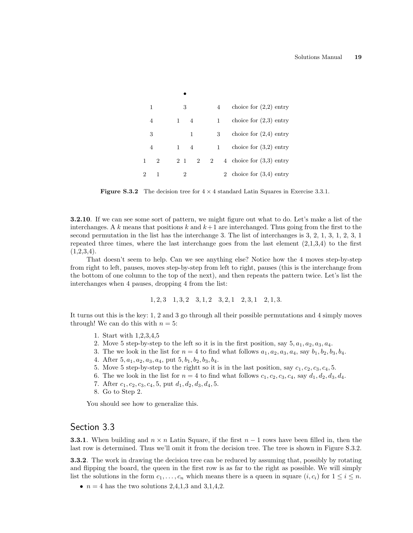| 1             |           | 3           |                |             |                | 4            | choice for $(2,2)$ entry   |
|---------------|-----------|-------------|----------------|-------------|----------------|--------------|----------------------------|
| 4             |           | $1 \quad 4$ |                |             |                | 1            | choice for $(2,3)$ entry   |
| 3             |           |             | 1              |             |                | 3            | choice for $(2,4)$ entry   |
| 4             | $1 \quad$ |             | $\overline{4}$ |             |                | $\mathbf{1}$ | choice for $(3,2)$ entry   |
| $\mathcal{D}$ | 2 1       |             |                | $2^{\circ}$ | $\overline{2}$ |              | 4 choice for $(3,3)$ entry |
|               |           |             |                |             |                |              | 2 choice for $(3,4)$ entry |

•

**Figure S.3.2** The decision tree for  $4 \times 4$  standard Latin Squares in Exercise 3.3.1.

3.2.10. If we can see some sort of pattern, we might figure out what to do. Let's make a list of the interchanges. A k means that positions k and  $k+1$  are interchanged. Thus going from the first to the second permutation in the list has the interchange 3. The list of interchanges is 3, 2, 1, 3, 1, 2, 3, 1 repeated three times, where the last interchange goes from the last element  $(2,1,3,4)$  to the first  $(1,2,3,4).$ 

That doesn't seem to help. Can we see anything else? Notice how the 4 moves step-by-step from right to left, pauses, moves step-by-step from left to right, pauses (this is the interchange from the bottom of one column to the top of the next), and then repeats the pattern twice. Let's list the interchanges when 4 pauses, dropping 4 from the list:

$$
1, 2, 3
$$
  $1, 3, 2$   $3, 1, 2$   $3, 2, 1$   $2, 3, 1$   $2, 1, 3$ .

It turns out this is the key: 1, 2 and 3 go through all their possible permutations and 4 simply moves through! We can do this with  $n = 5$ :

- 1. Start with 1,2,3,4,5
- 2. Move 5 step-by-step to the left so it is in the first position, say  $5, a_1, a_2, a_3, a_4$ .
- 3. The we look in the list for  $n = 4$  to find what follows  $a_1, a_2, a_3, a_4$ , say  $b_1, b_2, b_3, b_4$ .
- 4. After  $5, a_1, a_2, a_3, a_4$ , put  $5, b_1, b_2, b_3, b_4$ .
- 5. Move 5 step-by-step to the rightt so it is in the last position, say  $c_1, c_2, c_3, c_4, 5$ .
- 6. The we look in the list for  $n = 4$  to find what follows  $c_1, c_2, c_3, c_4$ , say  $d_1, d_2, d_3, d_4$ .
- 7. After  $c_1, c_2, c_3, c_4, 5$ , put  $d_1, d_2, d_3, d_4, 5$ .
- 8. Go to Step 2.

You should see how to generalize this.

# Section 3.3

**3.3.1**. When building and  $n \times n$  Latin Square, if the first  $n-1$  rows have been filled in, then the last row is determined. Thus we'll omit it from the decision tree. The tree is shown in Figure S.3.2.

3.3.2. The work in drawing the decision tree can be reduced by assuming that, possibly by rotating and flipping the board, the queen in the first row is as far to the right as possible. We will simply list the solutions in the form  $c_1, \ldots, c_n$  which means there is a queen in square  $(i, c_i)$  for  $1 \leq i \leq n$ .

•  $n = 4$  has the two solutions 2,4,1,3 and 3,1,4,2.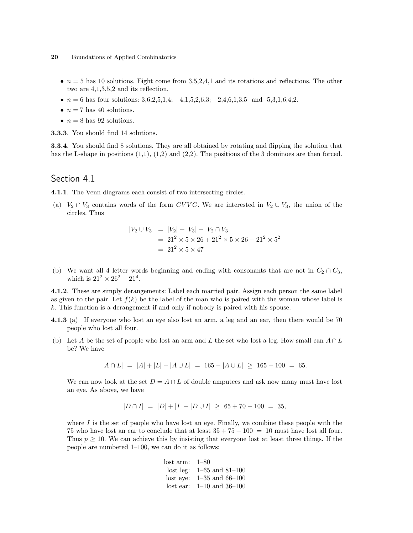- $n = 5$  has 10 solutions. Eight come from 3,5,2,4,1 and its rotations and reflections. The other two are 4,1,3,5,2 and its reflection.
- $n = 6$  has four solutions: 3,6,2,5,1,4; 4,1,5,2,6,3; 2,4,6,1,3,5 and 5,3,1,6,4,2.
- $n = 7$  has 40 solutions.
- $n = 8$  has 92 solutions.

3.3.3. You should find 14 solutions.

3.3.4. You should find 8 solutions. They are all obtained by rotating and flipping the solution that has the L-shape in positions  $(1,1)$ ,  $(1,2)$  and  $(2,2)$ . The positions of the 3 dominoes are then forced.

# Section 4.1

4.1.1. The Venn diagrams each consist of two intersecting circles.

(a)  $V_2 \cap V_3$  contains words of the form CVVC. We are interested in  $V_2 \cup V_3$ , the union of the circles. Thus

$$
|V_2 \cup V_3| = |V_2| + |V_3| - |V_2 \cap V_3|
$$
  
= 21<sup>2</sup> × 5 × 26 + 21<sup>2</sup> × 5 × 26 - 21<sup>2</sup> × 5<sup>2</sup>  
= 21<sup>2</sup> × 5 × 47

(b) We want all 4 letter words beginning and ending with consonants that are not in  $C_2 \cap C_3$ , which is  $21^2 \times 26^2 - 21^4$ .

4.1.2. These are simply derangements: Label each married pair. Assign each person the same label as given to the pair. Let  $f(k)$  be the label of the man who is paired with the woman whose label is k. This function is a derangement if and only if nobody is paired with his spouse.

- 4.1.3 (a) If everyone who lost an eve also lost an arm, a leg and an ear, then there would be 70 people who lost all four.
- (b) Let A be the set of people who lost an arm and L the set who lost a leg. How small can  $A \cap L$ be? We have

$$
|A \cap L| = |A| + |L| - |A \cup L| = 165 - |A \cup L| \ge 165 - 100 = 65.
$$

We can now look at the set  $D = A \cap L$  of double amputees and ask now many must have lost an eye. As above, we have

$$
|D \cap I| = |D| + |I| - |D \cup I| \ge 65 + 70 - 100 = 35,
$$

where  $I$  is the set of people who have lost an eye. Finally, we combine these people with the 75 who have lost an ear to conclude that at least  $35 + 75 - 100 = 10$  must have lost all four. Thus  $p \geq 10$ . We can achieve this by insisting that everyone lost at least three things. If the people are numbered 1–100, we can do it as follows:

> lost arm: 1–80 lost leg: 1–65 and 81–100 lost eye: 1–35 and 66–100 lost ear: 1–10 and 36–100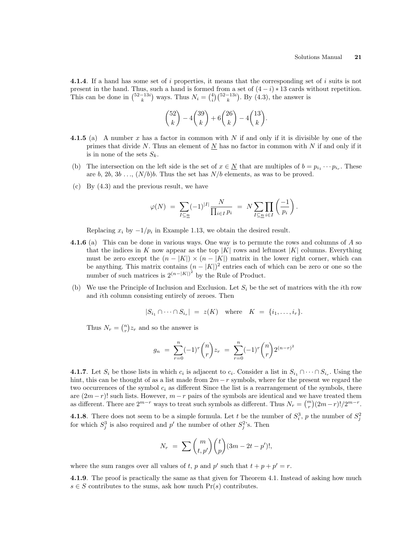4.1.4. If a hand has some set of i properties, it means that the corresponding set of i suits is not present in the hand. Thus, such a hand is formed from a set of  $(4-i)*13$  cards without repetition.<br>This can be done in  $\binom{52-13i}{k}$  ways. Thus  $N_i = \binom{4}{i} \binom{52-13i}{k}$ . By  $(4.3)$ , the answer is 51<br>∖ ways. Thus  $N_i =$ ed from a<br>  $\binom{4}{i} \binom{52-13i}{k}$  $\sum_{i=1}^{n}$ . By (4.3), the answer is

$$
\binom{52}{k} - 4\binom{39}{k} + 6\binom{26}{k} - 4\binom{13}{k}.
$$

- 4.1.5 (a) A number x has a factor in common with N if and only if it is divisible by one of the primes that divide N. Thus an element of  $N$  has no factor in common with N if and only if it is in none of the sets  $S_k$ .
- (b) The intersection on the left side is the set of  $x \in \underline{N}$  that are multiples of  $b = p_{i_1} \cdots p_{i_r}$ . These are b, 2b, 3b ...,  $(N/b)b$ . Thus the set has  $N/b$  elements, as was to be proved.
- (c) By (4.3) and the previous result, we have

$$
\varphi(N) \ = \ \sum_{I \subseteq \underline{n}} (-1)^{|I|} \frac{N}{\prod_{i \in I} p_i} \ = \ N \sum_{I \subseteq \underline{n}} \prod_{i \in I} \left( \frac{-1}{p_i} \right).
$$

Replacing  $x_i$  by  $-1/p_i$  in Example 1.13, we obtain the desired result.

- 4.1.6 (a) This can be done in various ways. One way is to permute the rows and columns of A so that the indices in K now appear as the top  $|K|$  rows and leftmost  $|K|$  columns. Everything must be zero except the  $(n - |K|) \times (n - |K|)$  matrix in the lower right corner, which can be anything. This matrix contains  $(n - |K|)^2$  entries each of which can be zero or one so the number of such matrices is  $2^{(n-|K|)^2}$  by the Rule of Product.
- (b) We use the Principle of Inclusion and Exclusion. Let  $S_i$  be the set of matrices with the *i*th row and ith column consisting entirely of zeroes. Then

$$
|S_{i_1} \cap \cdots \cap S_{i_r}| = z(K) \quad \text{where} \quad K = \{i_1, \ldots, i_r\}.
$$

Thus  $N_r = \binom{n}{r}$ ¢  $z_r$  and so the answer is

$$
g_n = \sum_{r=0}^n (-1)^r \binom{n}{r} z_r = \sum_{r=0}^n (-1)^r \binom{n}{r} 2^{(n-r)^2}
$$

**4.1.7**. Let  $S_i$  be those lists in which  $c_i$  is adjacent to  $c_i$ . Consider a list in  $S_{i_1} \cap \cdots \cap S_{i_r}$ . Using the hint, this can be thought of as a list made from  $2m-r$  symbols, where for the present we regard the two occurrences of the symbol  $c_i$  as different Since the list is a rearrangement of the symbols, there are  $(2m - r)!$  such lists. However,  $m - r$  pairs of the symbols are identical and we have treated them are  $(2m-r)!$  such lists. However,  $m-r$  pairs of the symbols are identical and we have treated them<br>as different. There are  $2^{m-r}$  ways to treat such symbols as different. Thus  $N_r = {m \choose r}(2m-r)!/2^{m-r}$ .

**4.1.8**. There does not seem to be a simple formula. Let t be the number of  $S_i^3$ , p the number of  $S_j^2$ for which  $S_j^3$  is also required and p' the number of other  $S_j^2$ 's. Then

$$
N_r = \sum {m \choose t, p'} {t \choose p} (3m - 2t - p')!,
$$

where the sum ranges over all values of t, p and p' such that  $t + p + p' = r$ .

4.1.9. The proof is practically the same as that given for Theorem 4.1. Instead of asking how much  $s \in S$  contributes to the sums, ask how much  $Pr(s)$  contributes.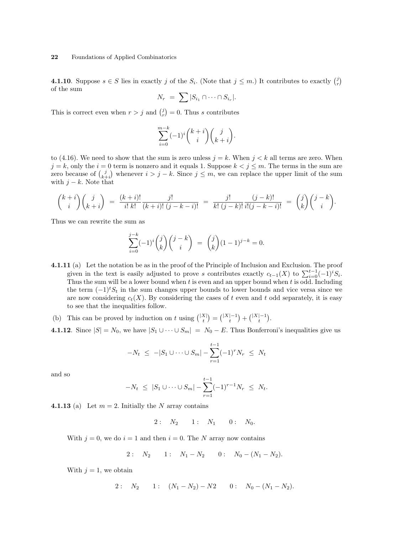**4.1.10**. Suppose  $s \in S$  lies in exactly j of the  $S_i$ . (Note that  $j \leq m$ .) It contributes to exactly  $\binom{j}{r}$ ¢ of the sum

$$
N_r = \sum |S_{i_1} \cap \cdots \cap S_{i_r}|.
$$

This is correct even when  $r > j$  and  $\binom{j}{r}$  $= 0$ . Thus s contributes

$$
\sum_{i=0}^{m-k}(-1)^i\binom{k+i}{i}\binom{j}{k+i}.
$$

to (4.16). We need to show that the sum is zero unless  $j = k$ . When  $j < k$  all terms are zero. When  $j = k$ , only the  $i = 0$  term is nonzero and it equals 1. Suppose  $k < j \leq m$ . The terms in the sum are  $j = k$ , only the  $i = 0$  term is nonzero and it equals 1. Suppose  $k < j \le m$ . The terms in the sum are zero because of  $\binom{j}{k+j}$  whenever  $i > j - k$ . Since  $j \le m$ , we can replace the upper limit of the sum with  $j - k$ . Note that

$$
\binom{k+i}{i}\binom{j}{k+i} = \frac{(k+i)!}{i!\;k!}\frac{j!}{(k+i)!\;(j-k-i)!} = \frac{j!}{k!\;(j-k)!}\frac{(j-k)!}{i!(j-k-i)!} = \binom{j}{k}\binom{j-k}{i}.
$$

Thus we can rewrite the sum as

$$
\sum_{i=0}^{j-k} (-1)^i \binom{j}{k} \binom{j-k}{i} = \binom{j}{k} (1-1)^{j-k} = 0.
$$

- 4.1.11 (a) Let the notation be as in the proof of the Principle of Inclusion and Exclusion. The proof given in the text is easily adjusted to prove s contributes exactly  $c_{t-1}(X)$  to  $\sum_{i=0}^{t-1}(-1)^iS_i$ . Thus the sum will be a lower bound when t is even and an upper bound when t is odd. Including the term  $(-1)^{t}S_{t}$  in the sum changes upper bounds to lower bounds and vice versa since we are now considering  $c_t(X)$ . By considering the cases of t even and t odd separately, it is easy to see that the inequalities follow.
- (b) This can be proved by induction on t using  $\binom{|X|}{t}$ ¢ =  $\binom{|X|-1}{t}$ ¢  $+$  $\binom{|X|-1}{t}$ ¢ .

4.1.12. Since  $|S| = N_0$ , we have  $|S_1 \cup \cdots \cup S_m| = N_0 - E$ . Thus Bonferroni's inequalities give us

$$
-N_t \leq -|S_1 \cup \dots \cup S_m| - \sum_{r=1}^{t-1} (-1)^r N_r \leq N_t
$$

and so

$$
-N_t \leq |S_1 \cup \cdots \cup S_m| - \sum_{r=1}^{t-1} (-1)^{r-1} N_r \leq N_t.
$$

**4.1.13** (a) Let  $m = 2$ . Initially the N array contains

$$
2: \quad N_2 \qquad 1: \quad N_1 \qquad 0: \quad N_0.
$$

With  $j = 0$ , we do  $i = 1$  and then  $i = 0$ . The N array now contains

2: 
$$
N_2
$$
 1:  $N_1 - N_2$  0:  $N_0 - (N_1 - N_2)$ .

With  $j = 1$ , we obtain

2: 
$$
N_2
$$
 1:  $(N_1 - N_2) - N_2$  0:  $N_0 - (N_1 - N_2)$ .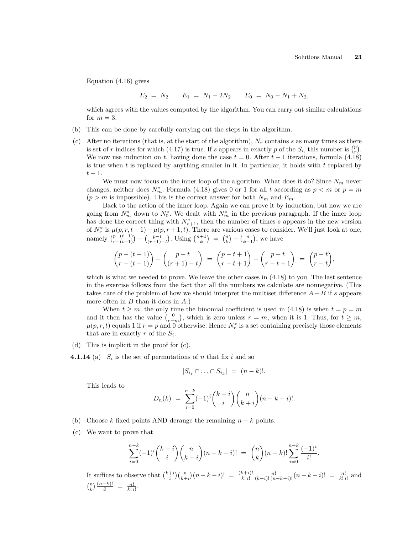Equation (4.16) gives

$$
E_2 = N_2 \qquad E_1 = N_1 - 2N_2 \qquad E_0 = N_0 - N_1 + N_2,
$$

which agrees with the values computed by the algorithm. You can carry out similar calculations for  $m = 3$ .

- (b) This can be done by carefully carrying out the steps in the algorithm.
- (c) After no iterations (that is, at the start of the algorithm),  $N_r$  contains s as many times as there After no iterations (that is, at the start of the algorithm),  $N_r$  contains s as many times as there is set of r indices for which (4.17) is true. If s appears in exactly p of the  $S_i$ , this number is  $\binom{p}{r}$ . We now use induction on t, having done the case  $t = 0$ . After  $t - 1$  iterations, formula (4.18) is true when  $t$  is replaced by anything smaller in it. In particular, it holds with  $t$  replaced by  $t-1$ .

We must now focus on the inner loop of the algorithm. What does it do? Since  $N_m$  never changes, neither does  $N_m^*$ . Formula (4.18) gives 0 or 1 for all t according as  $p < m$  or  $p = m$  $(p > m$  is impossible). This is the correct answer for both  $N_m$  and  $E_m$ .

Back to the action of the inner loop. Again we can prove it by induction, but now we are going from  $N_m^*$  down to  $N_0^*$ . We dealt with  $N_m^*$  in the previous paragraph. If the inner loop has done the correct thing with  $N_{r+1}^*$ , then the number of times s appears in the new version of  $N_r^*$  is  $\mu(p, r, t-1) - \mu(p, r+1, t)$ . There are various cases to consider. We'll just look at one,<br>namely  $\binom{p-(t-1)}{r-(t-1)} - \binom{p-t}{(r+1)-t}$ . Using  $\binom{n+1}{k} = \binom{n}{k} + \binom{n}{k-1}$ , we have  $r-(t-1)$  $\overline{a}$ −  $\mu(p,$ <br>  $\binom{p-t}{(r+1)-t}$  $\left( \begin{array}{c} n+1, & i \end{array} \right)$ . Using  $\left( \begin{array}{c} n+1 \\ k \end{array} \right)$ ⊂<br>∖  $=$  $\binom{n}{k}$ t. ous cas<br>+  $\binom{n}{k-1}$ ∘<br>∕ , we have

$$
\binom{p-(t-1)}{r-(t-1)} - \binom{p-t}{(r+1)-t} = \binom{p-t+1}{r-t+1} - \binom{p-t}{r-t+1} = \binom{p-t}{r-t},
$$

which is what we needed to prove. We leave the other cases in  $(4.18)$  to you. The last sentence in the exercise follows from the fact that all the numbers we calculate are nonnegative. (This takes care of the problem of how we should interpret the multiset difference  $A-B$  if s appears more often in  $B$  than it does in  $A$ .)

When  $t \geq m$ , the only time the binomial coefficient is used in (4.18) is when  $t = p = m$ when  $t \geq m$ , the only time the binomial coefficient is used in (4.18) is when  $t = p = m$  and it then has the value  $\binom{0}{r-m}$ , which is zero unless  $r = m$ , when it is 1. Thus, for  $t \geq m$ ,  $\mu(p,r,t)$  equals 1 if  $r = p$  and 0 otherwise. Hence  $N_r^*$  is a set containing precisely those elements that are in exactly r of the  $S_i$ .

- (d) This is implicit in the proof for (c).
- **4.1.14** (a)  $S_i$  is the set of permutations of n that fix i and so

$$
|S_{i_1} \cap \ldots \cap S_{i_k}| = (n-k)!.
$$

This leads to

$$
D_n(k) = \sum_{i=0}^{n-k} (-1)^i \binom{k+i}{i} \binom{n}{k+i} (n-k-i)!
$$

- (b) Choose k fixed points AND derange the remaining  $n k$  points.
- (c) We want to prove that

$$
\sum_{i=0}^{n-k}(-1)^i\binom{k+i}{i}\binom{n}{k+i}(n-k-i)! = \binom{n}{k}(n-k)!\sum_{i=0}^{n-k}\frac{(-1)^i}{i!}.
$$

It suffices to observe that  $\binom{k+i}{i}\binom{n}{k+i}$  $(x-h) = \frac{(k+i)!}{k! i!} \frac{n!}{(k+i)!(n-k-i)!} (n-k-i)! = \frac{n!}{k! i!}$  and  $\binom{n}{k}$  $(n-k)!$  $\frac{-k)!}{i!} = \frac{n!}{k! \, i!}.$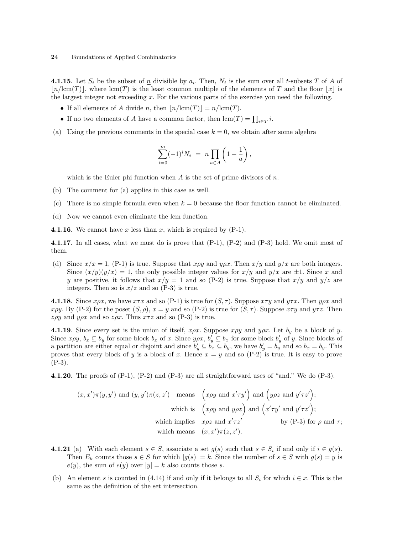**4.1.15**. Let  $S_i$  be the subset of  $\underline{n}$  divisible by  $a_i$ . Then,  $N_t$  is the sum over all t-subsets T of A of  $\lfloor n/(\mathrm{cm}(T)) \rfloor$ , where  $\mathrm{lcm}(T)$  is the least common multiple of the elements of T and the floor  $\lfloor x \rfloor$  is the largest integer not exceeding  $x$ . For the various parts of the exercise you need the following.

- If all elements of A divide n, then  $\vert n/\text{lcm}(T)\vert = n/\text{lcm}(T)$ .
- If no two elements of A have a common factor, then  $\text{lcm}(T) = \prod_{i \in T} i$ .
- (a) Using the previous comments in the special case  $k = 0$ , we obtain after some algebra

$$
\sum_{i=0}^{m} (-1)^{i} N_{i} = n \prod_{a \in A} \left( 1 - \frac{1}{a} \right),
$$

which is the Euler phi function when  $A$  is the set of prime divisors of  $n$ .

- (b) The comment for (a) applies in this case as well.
- (c) There is no simple formula even when  $k = 0$  because the floor function cannot be eliminated.
- (d) Now we cannot even eliminate the lcm function.
- **4.1.16**. We cannot have x less than x, which is required by  $(P-1)$ .

4.1.17. In all cases, what we must do is prove that (P-1), (P-2) and (P-3) hold. We omit most of them.

(d) Since  $x/x = 1$ , (P-1) is true. Suppose that  $x\rho y$  and  $y\rho x$ . Then  $x/y$  and  $y/x$  are both integers. Since  $(x/y)(y/x) = 1$ , the only possible integer values for  $x/y$  and  $y/x$  are  $\pm 1$ . Since x and y are positive, it follows that  $x/y = 1$  and so (P-2) is true. Suppose that  $x/y$  and  $y/z$  are integers. Then so is  $x/z$  and so (P-3) is true.

**4.1.18**. Since  $x \rho x$ , we have  $x \tau x$  and so (P-1) is true for  $(S, \tau)$ . Suppose  $x \tau y$  and  $y \tau x$ . Then  $y \rho x$  and xρy. By (P-2) for the poset  $(S, \rho)$ ,  $x = y$  and so (P-2) is true for  $(S, \tau)$ . Suppose  $x \tau y$  and  $y \tau z$ . Then zρy and  $y \rho x$  and so  $z \rho x$ . Thus  $x \tau z$  and so (P-3) is true.

**4.1.19**. Since every set is the union of itself,  $x \rho x$ . Suppose  $x \rho y$  and  $y \rho x$ . Let  $b_y$  be a block of y. Since  $x \rho y$ ,  $b_x \subseteq b_y$  for some block  $b_x$  of x. Since  $y \rho x$ ,  $b'_y \subseteq b_x$  for some block  $b'_y$  of y. Since blocks of a partition are either equal or disjoint and since  $b'_y \subseteq b'_x \subseteq b_y$ , we have  $b'_y = b'_y$  and so  $b_x = b_y$ . This proves that every block of y is a block of x. Hence  $x = y$  and so (P-2) is true. It is easy to prove  $(P-3)$ .

**4.1.20**. The proofs of  $(P-1)$ ,  $(P-2)$  and  $(P-3)$  are all straightforward uses of "and." We do  $(P-3)$ .

$$
(x, x')\pi(y, y')
$$
 and  $(y, y')\pi(z, z')$  means  $\left(x\rho y \text{ and } x'\tau y'\right)$  and  $\left(y\rho z \text{ and } y'\tau z'\right)$ ;  
\nwhich is  $\left(x\rho y \text{ and } y\rho z\right)$  and  $\left(x'\tau y'\text{ and } y'\tau z'\right)$ ;  
\nwhich implies  $x\rho z$  and  $x'\tau z'$  by (P-3) for  $\rho$  and  $\tau$ ;  
\nwhich means  $(x, x')\pi(z, z')$ .

- **4.1.21** (a) With each element  $s \in S$ , associate a set  $g(s)$  such that  $s \in S_i$  if and only if  $i \in g(s)$ . Then  $E_k$  counts those  $s \in S$  for which  $|g(s)| = k$ . Since the number of  $s \in S$  with  $g(s) = y$  is  $e(y)$ , the sum of  $e(y)$  over  $|y| = k$  also counts those s.
- (b) An element s is counted in (4.14) if and only if it belongs to all  $S_i$  for which  $i \in \mathcal{x}$ . This is the same as the definition of the set intersection.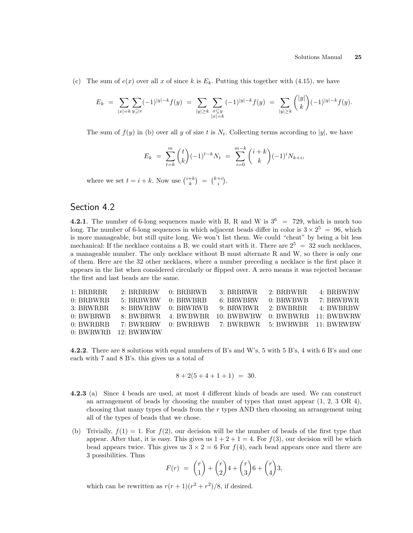(c) The sum of  $e(x)$  over all x of since k is  $E_k$ . Putting this together with (4.15), we have

$$
E_k \ = \ \sum_{|x|=k} \sum_{y \supseteq x} (-1)^{|y|-k} f(y) \ = \ \sum_{|y| \geq k} \sum_{\substack{x \subseteq y \\ |x|=k}} (-1)^{|y|-k} f(y) \ = \ \sum_{|y| \geq k} \binom{|y|}{k} (-1)^{|y|-k} f(y).
$$

The sum of  $f(y)$  in (b) over all y of size t is  $N_t$ . Collecting terms according to |y|, we have

$$
E_k = \sum_{t=k}^m \binom{t}{k} (-1)^{t-k} N_t = \sum_{i=0}^{m-k} \binom{i+k}{k} (-1)^i N_{k+i},
$$

where we set  $t = i + k$ . Now use  $\binom{i+k}{k}$ ¢ =  $\binom{k+i}{i}$ ¢ .

# Section 4.2

4.2.1. The number of 6-long sequences made with B, R and W is  $3^6 = 729$ , which is much too long. The number of 6-long sequences in which adjacent beads differ in color is  $3 \times 2^5 = 96$ , which is more manageable, but still quite long. We won't list them. We could "cheat" by being a bit less mechanical: If the necklace contains a B, we could start with it. There are  $2^5 = 32$  such necklaces, a manageable number. The only necklace without B must alternate R and W, so there is only one of them. Here are the 32 other necklaces, where a number preceding a necklace is the first place it appears in the list when considered circularly or flipped over. A zero means it was rejected because the first and last beads are the same.

| 1: BRBRBR   | $2: BRBRBW = 0: BRBRWB$ | 3: BRBRWR                                           | 2: BRBWBR | 4: BRBWBW |
|-------------|-------------------------|-----------------------------------------------------|-----------|-----------|
| $0:$ BRBWRB | $5:$ BRBWRW $0:$ BRWBRB | 6: BRWBRW                                           | 0: BRWBWB | 7: BRWBWR |
| 3: BRWRBR   |                         | 8: BRWRBW 0: BRWRWB 9: BRWRWR 2: BWBRBR 4: BWBRBW   |           |           |
| 0: BWBRWB   |                         | 8: BWBRWR 4: BWBWBR 10: BWBWBW 0: BWBWRB 11: BWBWRW |           |           |
| 0: BWRBBB   |                         | 7: BWRBRW 0: BWRBWB 7: BWRBWR 5: BWRWBR 11: BWRWBW  |           |           |
|             | $0: BWRWRB$ 12: BWRWRW  |                                                     |           |           |

4.2.2. There are 8 solutions with equal numbers of B's and W's, 5 with 5 B's, 4 with 6 B's and one each with 7 and 8 B's. this gives us a total of

$$
8 + 2(5 + 4 + 1 + 1) = 30.
$$

- 4.2.3 (a) Since 4 beads are used, at most 4 different kinds of beads are used. We can construct an arrangement of beads by choosing the number of types that must appear (1, 2, 3 OR 4), choosing that many types of beads from the r types AND then choosing an arrangement using all of the types of beads that we chose.
- (b) Trivially,  $f(1) = 1$ . For  $f(2)$ , our decision will be the number of beads of the first type that appear. After that, it is easy. This gives us  $1 + 2 + 1 = 4$ . For  $f(3)$ , our decision will be which bead appears twice. This gives us  $3 \times 2 = 6$  For  $f(4)$ , each bead appears once and there are 3 possibilities. Thus  $\mathbf{r}$  $\mathbf{r}$  $\mathbf{r}$

$$
F(r) = {r \choose 1} + {r \choose 2} 4 + {r \choose 3} 6 + {r \choose 4} 3,
$$

which can be rewritten as  $r(r+1)(r^2+r^2)/8$ , if desired.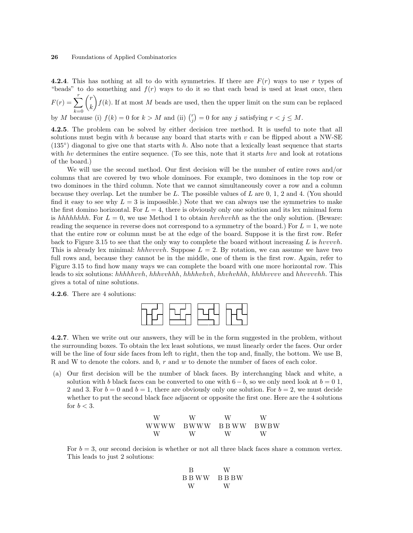4.2.4. This has nothing at all to do with symmetries. If there are  $F(r)$  ways to use r types of "beads" to do something and  $f(r)$  ways to do it so that each bead is used at least once, then  $F(r) = \sum_{r}^{r}$  $k=0$  $\frac{ac}{r}$ k  $\mathcal{L}$  $f(k)$ . If at most M beads are used, then the upper limit on the sum can be replaced

by M because (i)  $f(k) = 0$  for  $k > M$  and (ii)  $\binom{r}{j}$ ¢  $= 0$  for any j satisfying  $r < j \leq M$ .

4.2.5. The problem can be solved by either decision tree method. It is useful to note that all solutions must begin with h because any board that starts with  $v$  can be flipped about a NW-SE  $(135°)$  diagonal to give one that starts with h. Also note that a lexically least sequence that starts with hv determines the entire sequence. (To see this, note that it starts hvv and look at rotations of the board.)

We will use the second method. Our first decision will be the number of entire rows and/or columns that are covered by two whole dominoes. For example, two dominoes in the top row or two dominoes in the third column. Note that we cannot simultaneously cover a row and a column because they overlap. Let the number be L. The possible values of L are  $0, 1, 2$  and  $4$ . (You should find it easy to see why  $L = 3$  is impossible.) Note that we can always use the symmetries to make the first domino horizontal. For  $L = 4$ , there is obviously only one solution and its lex minimal form is hhhhhhhh. For  $L = 0$ , we use Method 1 to obtain hvvhvvhh as the the only solution. (Beware: reading the sequence in reverse does not correspond to a symmetry of the board.) For  $L = 1$ , we note that the entire row or column must be at the edge of the board. Suppose it is the first row. Refer back to Figure 3.15 to see that the only way to complete the board without increasing  $L$  is hvvvvh. This is already lex minimal: hhhvvvvh. Suppose  $L = 2$ . By rotation, we can assume we have two full rows and, because they cannot be in the middle, one of them is the first row. Again, refer to Figure 3.15 to find how many ways we can complete the board with one more horizontal row. This leads to six solutions: hhhhhvvh, hhhvvhhh, hhhhvhvh, hhvhvhhh, hhhhvvvv and hhvvvvhh. This gives a total of nine solutions.

4.2.6. There are 4 solutions:



4.2.7. When we write out our answers, they will be in the form suggested in the problem, without the surrounding boxes. To obtain the lex least solutions, we must linearly order the faces. Our order will be the line of four side faces from left to right, then the top and, finally, the bottom. We use B, R and W to denote the colors. and  $b, r$  and w to denote the number of faces of each color.

(a) Our first decision will be the number of black faces. By interchanging black and white, a solution with b black faces can be converted to one with  $6-b$ , so we only need look at  $b=0,1$ , 2 and 3. For  $b = 0$  and  $b = 1$ , there are obviously only one solution. For  $b = 2$ , we must decide whether to put the second black face adjacent or opposite the first one. Here are the 4 solutions for  $b < 3$ .

$$
\begin{array}{ccc} \textrm{W} & \textrm{W} & \textrm{W} & \textrm{W} \\ \textrm{WWW} & \textrm{BWWW} & \textrm{BBWW} & \textrm{BWBW} \\ \textrm{W} & \textrm{W} & \textrm{W} & \textrm{W} \end{array}
$$

For  $b = 3$ , our second decision is whether or not all three black faces share a common vertex. This leads to just 2 solutions:

$$
\begin{array}{ccc} \textbf{B} & \textbf{W} \\ \textbf{B} \textbf{B} \textbf{W} \textbf{W} & \textbf{B} \textbf{B} \textbf{B} \textbf{W} \\ \textbf{W} & \textbf{W} \end{array}
$$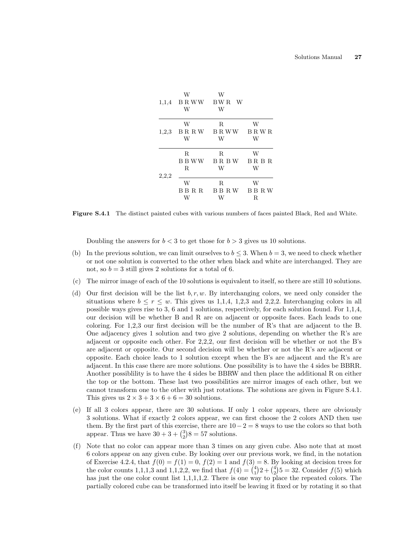|       | W<br>W | W<br>$1,1,4$ BRWW BWR W<br>W |   |
|-------|--------|------------------------------|---|
|       | W      | R                            | W |
| 1,2,3 |        | BRRW BRWW BRWR               |   |
|       | W      | W                            | W |
|       | R      | R                            | W |
|       |        | BBWW BRBW BRBR               |   |
|       | R.     | W                            | W |
| 2,2,2 |        |                              |   |
|       | W      | R                            | W |
|       |        | BBRR BBRW BBRW               |   |
|       | W      | W                            | R |

Figure S.4.1 The distinct painted cubes with various numbers of faces painted Black, Red and White.

Doubling the answers for  $b < 3$  to get those for  $b > 3$  gives us 10 solutions.

- (b) In the previous solution, we can limit ourselves to  $b \leq 3$ . When  $b = 3$ , we need to check whether or not one solution is converted to the other when black and white are interchanged. They are not, so  $b = 3$  still gives 2 solutions for a total of 6.
- (c) The mirror image of each of the 10 solutions is equivalent to itself, so there are still 10 solutions.
- (d) Our first decision will be the list  $b, r, w$ . By interchanging colors, we need only consider the situations where  $b \le r \le w$ . This gives us 1,1,4, 1,2,3 and 2,2,2. Interchanging colors in all possible ways gives rise to 3, 6 and 1 solutions, respectively, for each solution found. For 1,1,4, our decision will be whether B and R are on adjacent or opposite faces. Each leads to one coloring. For 1,2,3 our first decision will be the number of R's that are adjacent to the B. One adjacency gives 1 solution and two give 2 solutions, depending on whether the R's are adjacent or opposite each other. For 2,2,2, our first decision will be whether or not the B's are adjacent or opposite. Our second decision will be whether or not the R's are adjacent or opposite. Each choice leads to 1 solution except when the B's are adjacent and the R's are adjacent. In this case there are more solutions. One possibility is to have the 4 sides be BBRR. Another possiblility is to have the 4 sides be BBRW and then place the additional R on either the top or the bottom. These last two possibilities are mirror images of each other, but we cannot transform one to the other with just rotations. The solutions are given in Figure S.4.1. This gives us  $2 \times 3 + 3 \times 6 + 6 = 30$  solutions.
- (e) If all 3 colors appear, there are 30 solutions. If only 1 color appears, there are obviously 3 solutions. What if exactly 2 colors appear, we can first choose the 2 colors AND then use them. By the first part of this exercise, there are  $10-2=8$  ways to use the colors so that both them. By the first part of this exercise, there are 10<br>appear. Thus we have  $30 + 3 + {3 \choose 2}8 = 57$  solutions.
- (f) Note that no color can appear more than 3 times on any given cube. Also note that at most 6 colors appear on any given cube. By looking over our previous work, we find, in the notation of Exercise 4.2.4, that  $f(0) = f(1) = 0$ ,  $f(2) = 1$  and  $f(3) = 8$ . By looking at decision trees for of Exercise 4.2.4, that  $f(0) = f(1) = 0$ ,  $f(2) = 1$  and  $f(3) = 8$ . By looking at decision trees for the color counts 1,1,1,3 and 1,1,2,2, we find that  $f(4) = {4 \choose 1}2 + {4 \choose 2}5 = 32$ . Consider  $f(5)$  which has just the one color count list 1,1,1,1,2. There is one way to place the repeated colors. The partially colored cube can be transformed into itself be leaving it fixed or by rotating it so that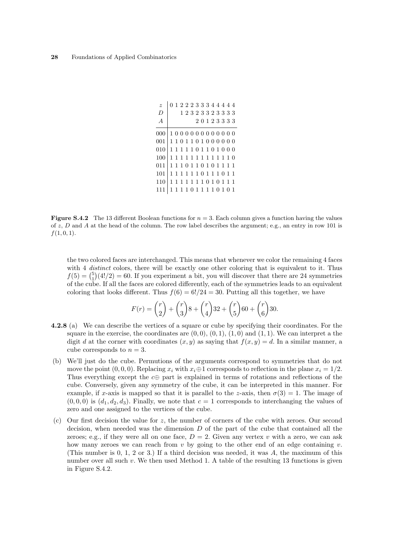| $\tilde{z}$ | $0\ 1\ 2\ 2\ 2\ 3\ 3\ 3\ 4\ 4\ 4\ 4\ 4$             |  |  |             |  |  |  |
|-------------|-----------------------------------------------------|--|--|-------------|--|--|--|
| D           |                                                     |  |  | 12323323333 |  |  |  |
| A           |                                                     |  |  | 20123333    |  |  |  |
| 000         | 10000000000000                                      |  |  |             |  |  |  |
| 001         | $1\; 1\; 0\; 1\; 1\; 0\; 1\; 0\; 0\; 0\; 0\; 0\; 0$ |  |  |             |  |  |  |
| 010         | 1111101101000                                       |  |  |             |  |  |  |
| 100         | 1111111111110                                       |  |  |             |  |  |  |
| 011         | 1110110101111                                       |  |  |             |  |  |  |
| 101         | 1111110111011                                       |  |  |             |  |  |  |
| 110         | 1111111010111                                       |  |  |             |  |  |  |
|             | 1111011110101                                       |  |  |             |  |  |  |

**Figure S.4.2** The 13 different Boolean functions for  $n = 3$ . Each column gives a function having the values of  $z$ , D and A at the head of the column. The row label describes the argument; e.g., an entry in row 101 is  $f(1, 0, 1)$ .

the two colored faces are interchanged. This means that whenever we color the remaining 4 faces with 4 distinct colors, there will be exactly one other coloring that is equivalent to it. Thus with 4 *austinct* colors, there will be exactly one other coloring that is equivalent to it. Thus  $f(5) = {5 \choose 1}(4!/2) = 60$ . If you experiment a bit, you will discover that there are 24 symmetries of the cube. If all the faces are colored differently, each of the symmetries leads to an equivalent coloring that looks different. Thus  $f(6) = 6!/24 = 30$ . Putting all this together, we have

$$
F(r) = {r \choose 2} + {r \choose 3}8 + {r \choose 4}32 + {r \choose 5}60 + {r \choose 6}30.
$$

- 4.2.8 (a) We can describe the vertices of a square or cube by specifying their coordinates. For the square in the exercise, the coordinates are  $(0,0), (0,1), (1,0)$  and  $(1,1)$ . We can interpret a the digit d at the corner with coordinates  $(x, y)$  as saying that  $f(x, y) = d$ . In a similar manner, a cube corresponds to  $n = 3$ .
- (b) We'll just do the cube. Permutions of the arguments correspond to symmetries that do not move the point  $(0, 0, 0)$ . Replacing  $x_i$  with  $x_i \oplus 1$  corresponds to reflection in the plane  $x_i = 1/2$ . Thus everything except the  $c \oplus$  part is explained in terms of rotations and reflections of the cube. Conversely, given any symmetry of the cube, it can be interpreted in this manner. For example, if x-axis is mapped so that it is parallel to the z-axis, then  $\sigma(3) = 1$ . The image of  $(0, 0, 0)$  is  $(d_1, d_2, d_3)$ . Finally, we note that  $c = 1$  corresponds to interchanging the values of zero and one assigned to the vertices of the cube.
- (c) Our first decision the value for z, the number of corners of the cube with zeroes. Our second decision, when neeeded was the dimension  $D$  of the part of the cube that contained all the zeroes; e.g., if they were all on one face,  $D = 2$ . Given any vertex v with a zero, we can ask how many zeroes we can reach from  $v$  by going to the other end of an edge containing  $v$ . (This number is 0, 1, 2 or 3.) If a third decision was needed, it was A, the maximum of this number over all such  $v$ . We then used Method 1. A table of the resulting 13 functions is given in Figure S.4.2.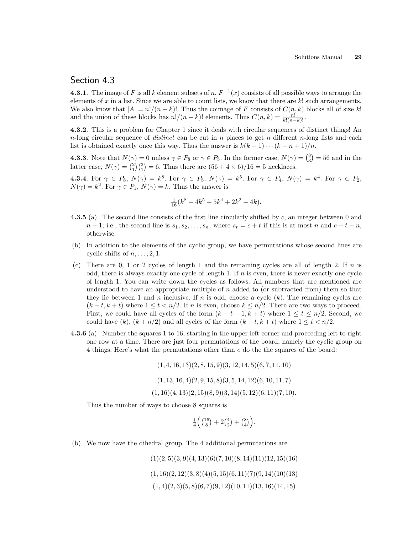# Section 4.3

**4.3.1**. The image of F is all k element subsets of  $\underline{n}$ .  $F^{-1}(x)$  consists of all possible ways to arrange the elements of x in a list. Since we are able to count lists, we know that there are  $k!$  such arrangements. We also know that  $|A| = n!/(n - k)!$ . Thus the coimage of F consists of  $C(n, k)$  blocks all of size k! and the union of these blocks has  $n!/(n-k)!$  elements. Thus  $C(n,k) = \frac{n!}{k!(n-k)!}$ .

4.3.2. This is a problem for Chapter 1 since it deals with circular sequences of distinct things! An n-long circular sequence of *distinct* can be cut in n places to get n different n-long lists and each list is obtained exactly once this way. Thus the answer is  $k(k-1)\cdots(k-n+1)/n$ .

**4.3.3**. Note that  $N(\gamma) = 0$  unless  $\gamma \in P_8$  or  $\gamma \in P_5$ . In the former case,  $N(\gamma) = \binom{8}{3}$ ¢  $\phi: 0$  unless  $\gamma \in P_8$  or  $\gamma \in P_5$ . In the former case,  $N(\gamma) = \binom{8}{3} = 56$  and in the **4.3.3.** Note that  $N(\gamma) = 0$  different are  $\gamma \in T_5$ . In the former case,  $N(\gamma)$  latter case,  $N(\gamma) = {2 \choose 1}{3 \choose 1} = 6$ . Thus there are  $(56 + 4 \times 6)/16 = 5$  necklaces.

**4.3.4**. For  $\gamma \in P_8$ ,  $N(\gamma) = k^8$ . For  $\gamma \in P_5$ ,  $N(\gamma) = k^5$ . For  $\gamma \in P_4$ ,  $N(\gamma) = k^4$ . For  $\gamma \in P_2$ ,  $N(\gamma) = k^2$ . For  $\gamma \in P_1$ ,  $N(\gamma) = k$ . Thus the answer is

$$
\frac{1}{16}(k^8 + 4k^5 + 5k^4 + 2k^2 + 4k).
$$

- **4.3.5** (a) The second line consists of the first line circularly shifted by  $c$ , an integer between 0 and  $n-1$ ; i.e., the second line is  $s_1, s_2, \ldots, s_n$ , where  $s_t = c + t$  if this is at most n and  $c + t - n$ , otherwise.
- (b) In addition to the elements of the cyclic group, we have permutations whose second lines are cyclic shifts of  $n, \ldots, 2, 1$ .
- (c) There are  $0, 1$  or 2 cycles of length 1 and the remaining cycles are all of length 2. If n is odd, there is always exactly one cycle of length 1. If  $n$  is even, there is never exactly one cycle of length 1. You can write down the cycles as follows. All numbers that are mentioned are understood to have an appropriate multiple of  $n$  added to (or subtracted from) them so that they lie between 1 and n inclusive. If n is odd, choose a cycle  $(k)$ . The remaining cycles are  $(k-t, k+t)$  where  $1 \le t < n/2$ . If n is even, choose  $k \le n/2$ . There are two ways to proceed. First, we could have all cycles of the form  $(k - t + 1, k + t)$  where  $1 \le t \le n/2$ . Second, we could have  $(k)$ ,  $(k + n/2)$  and all cycles of the form  $(k - t, k + t)$  where  $1 \le t < n/2$ .
- 4.3.6 (a) Number the squares 1 to 16, starting in the upper left corner and proceeding left to right one row at a time. There are just four permutations of the board, namely the cyclic group on 4 things. Here's what the permutations other than e do the the squares of the board:

 $(1, 4, 16, 13)(2, 8, 15, 9)(3, 12, 14, 5)(6, 7, 11, 10)$ 

$$
(1, 13, 16, 4)(2, 9, 15, 8)(3, 5, 14, 12)(6, 10, 11, 7)
$$

 $(1, 16)(4, 13)(2, 15)(8, 9)(3, 14)(5, 12)(6, 11)(7, 10).$ 

Thus the number of ways to choose 8 squares is

 $\frac{1}{4}$  $\left(\binom{16}{8}\right)$  $+2\binom{4}{2}$ ¢  $+$  $\binom{8}{4}$  $\mathcal{L}_{\ell}$ .

(b) We now have the dihedral group. The 4 additional permutations are

 $(1)(2, 5)(3, 9)(4, 13)(6)(7, 10)(8, 14)(11)(12, 15)(16)$  $(1, 16)(2, 12)(3, 8)(4)(5, 15)(6, 11)(7)(9, 14)(10)(13)$  $(1, 4)(2, 3)(5, 8)(6, 7)(9, 12)(10, 11)(13, 16)(14, 15)$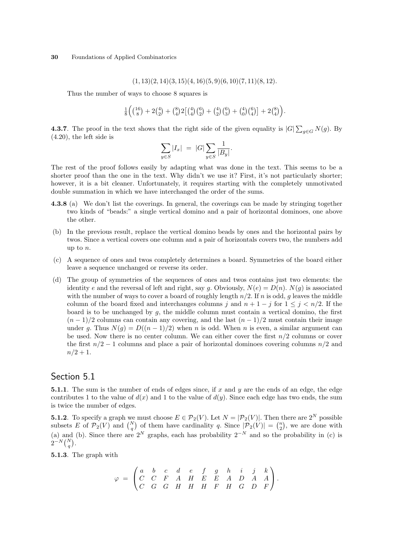$$
(1, 13)(2, 14)(3, 15)(4, 16)(5, 9)(6, 10)(7, 11)(8, 12).
$$

Thus the number of ways to choose 8 squares is

$$
\tfrac{1}{8}\Bigl(\bigl(\begin{smallmatrix}16\\8\end{smallmatrix}\bigr)+2\bigl(\begin{smallmatrix}4\\2\end{smallmatrix}\bigr)+\bigl(\begin{smallmatrix}8\\4\end{smallmatrix}\bigr)2\bigl[\bigl(\begin{smallmatrix}4\\4\end{smallmatrix}\bigr)\bigl(\begin{smallmatrix}6\\2\end{smallmatrix}\bigr)+\bigl(\begin{smallmatrix}4\\2\end{smallmatrix}\bigr)\bigl(\begin{smallmatrix}6\\3\end{smallmatrix}\bigr)+\bigl(\begin{smallmatrix}4\\0\end{smallmatrix}\bigr)\bigl(\begin{smallmatrix}6\\4\end{smallmatrix}\bigr)\bigr]+2\bigl(\begin{smallmatrix}8\\4\end{smallmatrix}\bigr)\Bigr).
$$

**4.3.7**. The proof in the text shows that the right side of the given equality is  $|G|\sum_{g\in G}N(g)$ . By (4.20), the left side is

$$
\sum_{y \in S} |I_x| \ = \ |G| \sum_{y \in S} \frac{1}{|B_y|}.
$$

The rest of the proof follows easily by adapting what was done in the text. This seems to be a shorter proof than the one in the text. Why didn't we use it? First, it's not particularly shorter; however, it is a bit cleaner. Unfortunately, it requires starting with the completely unmotivated double summation in which we have interchanged the order of the sums.

- 4.3.8 (a) We don't list the coverings. In general, the coverings can be made by stringing together two kinds of "beads:" a single vertical domino and a pair of horizontal dominoes, one above the other.
- (b) In the previous result, replace the vertical domino beads by ones and the horizontal pairs by twos. Since a vertical covers one column and a pair of horizontals covers two, the numbers add up to n.
- (c) A sequence of ones and twos completely determines a board. Symmetries of the board either leave a sequence unchanged or reverse its order.
- (d) The group of symmetries of the sequences of ones and twos contains just two elements: the identity e and the reversal of left and right, say g. Obviously,  $N(e) = D(n)$ .  $N(g)$  is associated with the number of ways to cover a board of roughly length  $n/2$ . If n is odd, g leaves the middle column of the board fixed and interchanges columns j and  $n + 1 - j$  for  $1 \leq j < n/2$ . If the board is to be unchanged by  $g$ , the middle column must contain a vertical domino, the first  $(n-1)/2$  columns can contain any covering, and the last  $(n-1)/2$  must contain their image under g. Thus  $N(q) = D((n-1)/2)$  when n is odd. When n is even, a similar argument can be used. Now there is no center column. We can either cover the first  $n/2$  columns or cover the first  $n/2 - 1$  columns and place a pair of horizontal dominoes covering columns  $n/2$  and  $n/2 + 1$ .

# Section 5.1

**5.1.1**. The sum is the number of ends of edges since, if x and y are the ends of an edge, the edge contributes 1 to the value of  $d(x)$  and 1 to the value of  $d(y)$ . Since each edge has two ends, the sum is twice the number of edges.

**5.1.2**. To specify a graph we must choose  $E \in \mathcal{P}_2(V)$ . Let  $N = |\mathcal{P}_2(V)|$ . Then there are  $2^N$  possible subsets E of  $\mathcal{P}_2(V)$  and  $\binom{N}{q}$  of them have cardinality q. Since  $|\mathcal{P}_2(V)| = \binom{n}{2}$ , we are done with  $\ddot{\phantom{0}}$ of them have cardinality q. Since  $|\mathcal{P}_2(V)|$ . Then then have cardinality q. Since  $|\mathcal{P}_2(V)| = \binom{n}{2}$ ¢ , we are done with (a) and (b). Since there are  $2^N$  graphs, each has probability  $2^{-N}$  and so the probability in (c) is (a) and  $2^{-N} \binom{N}{q}$  $\frac{1}{\sqrt{2}}$ .

5.1.3. The graph with

$$
\varphi \;=\; \begin{pmatrix} a & b & c & d & e & f & g & h & i & j & k \\ C & C & F & A & H & E & E & A & D & A & A \\ C & G & G & H & H & H & F & H & G & D & F \end{pmatrix}.
$$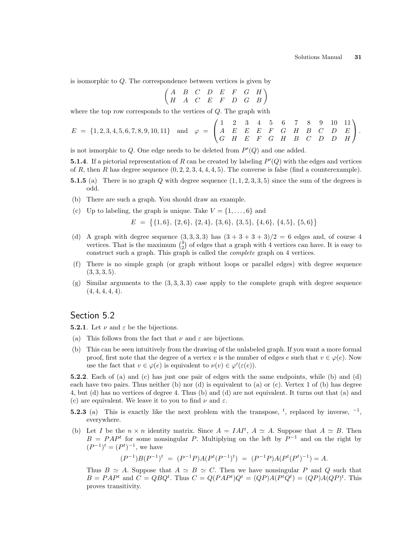is isomorphic to Q. The correspondence between vertices is given by

$$
\begin{pmatrix}\nA & B & C & D & E & F & G & H \\
H & A & C & E & F & D & G & B\n\end{pmatrix}
$$

where the top row corresponds to the vertices of  $Q$ . The graph with  $\overline{\phantom{a}}$ 

$$
E = \{1, 2, 3, 4, 5, 6, 7, 8, 9, 10, 11\} \text{ and } \varphi = \begin{pmatrix} 1 & 2 & 3 & 4 & 5 & 6 & 7 & 8 & 9 & 10 & 11 \\ A & E & E & E & F & G & H & B & C & D & E \\ G & H & E & F & G & H & B & C & D & D & H \end{pmatrix}.
$$

is not ismorphic to  $Q$ . One edge needs to be deleted from  $P'(Q)$  and one added.

**5.1.4**. If a pictorial representation of R can be created by labeling  $P'(Q)$  with the edges and vertices of R, then R has degree sequence  $(0, 2, 2, 3, 4, 4, 4, 5)$ . The converse is false (find a counterexample).

- **5.1.5** (a) There is no graph Q with degree sequence  $(1, 1, 2, 3, 3, 5)$  since the sum of the degrees is odd.
- (b) There are such a graph. You should draw an example.
- (c) Up to labeling, the graph is unique. Take  $V = \{1, \ldots, 6\}$  and

 $E =$ ©  $\{1,6\}, \{2,6\}, \{2,4\}, \{3,6\}, \{3,5\}, \{4,6\}, \{4,5\}, \{5,6\}$ ª

- (d) A graph with degree sequence  $(3,3,3,3)$  has  $(3+3+3+3)/2 = 6$  edges and, of course 4 A graph with degree sequence  $(3, 3, 3, 3)$  has  $(3 + 3 + 3 + 3)/2 = 6$  edges and, of course 4 vertices. That is the maximum  $\binom{4}{2}$  of edges that a graph with 4 vertices can have. It is easy to construct such a graph. This graph is called the complete graph on 4 vertices.
- (f) There is no simple graph (or graph without loops or parallel edges) with degree sequence  $(3, 3, 3, 5).$
- (g) Similar arguments to the  $(3, 3, 3, 3)$  case apply to the complete graph with degree sequence  $(4, 4, 4, 4, 4).$

#### Section 5.2

**5.2.1**. Let  $\nu$  and  $\varepsilon$  be the bijections.

- (a) This follows from the fact that  $\nu$  and  $\varepsilon$  are bijections.
- (b) This can be seen intuitively from the drawing of the unlabeled graph. If you want a more formal proof, first note that the degree of a vertex v is the number of edges e such that  $v \in \varphi(e)$ . Now use the fact that  $v \in \varphi(e)$  is equivalent to  $\nu(v) \in \varphi'(\varepsilon(e))$ .

5.2.2. Each of (a) and (c) has just one pair of edges with the same endpoints, while (b) and (d) each have two pairs. Thus neither  $(b)$  nor  $(d)$  is equivalent to  $(a)$  or  $(c)$ . Vertex 1 of  $(b)$  has degree 4, but (d) has no vertices of degree 4. Thus (b) and (d) are not equivalent. It turns out that (a) and (c) are equivalent. We leave it to you to find  $\nu$  and  $\varepsilon$ .

- **5.2.3** (a) This is exactly like the next problem with the transpose, <sup>t</sup>, replaced by inverse,  $^{-1}$ , everywhere.
- (b) Let I be the  $n \times n$  identity matrix. Since  $A = I A I^t$ ,  $A \simeq A$ . Suppose that  $A \simeq B$ . Then  $B = PAP<sup>t</sup>$  for some nonsingular P. Multiplying on the left by  $P<sup>-1</sup>$  and on the right by  $(P^{-1})^t = (P^t)^{-1}$ , we have

$$
(P^{-1})B(P^{-1})^t = (P^{-1}P)A(P^t(P^{-1})^t) = (P^{-1}P)A(P^t(P^t)^{-1}) = A.
$$

Thus  $B \simeq A$ . Suppose that  $A \simeq B \simeq C$ . Then we have nonsingular P and Q such that  $B = PAP^t$  and  $C = QBQ^t$ . Thus  $C = Q(PAP^t)Q^t = (QP)A(P^tQ^t) = (QP)A(QP)^t$ . This proves transitivity.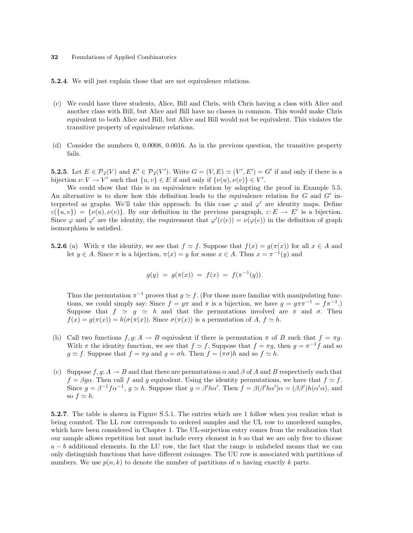5.2.4. We will just explain those that are not equivalence relations.

- (c) We could have three students, Alice, Bill and Chris, with Chris having a class with Alice and another class with Bill, but Alice and Bill have no classes in common. This would make Chris equivalent to both Alice and Bill, but Alice and Bill would not be equivalent. This violates the transitive property of equivalence relations.
- (d) Consider the numbers 0, 0.0008, 0.0016. As in the previous question, the transitive property fails.

**5.2.5**. Let  $E \in \mathcal{P}_2(V)$  and  $E' \in \mathcal{P}_2(V')$ . Write  $G = (V, E) \simeq (V', E') = G'$  if and only if there is a bijection  $\nu: V \to V'$  such that  $\{u, v\} \in E$  if and only if  $\{\nu(u), \nu(v)\} \in V'.$ 

We could show that this is an equivalence relation by adapting the proof in Example 5.5. An alternative is to show how this definition leads to the equivalence relation for  $G$  and  $G'$  interpreted as graphs. We'll take this approach. In this case  $\varphi$  and  $\varphi'$  are identity maps. Define  $\varepsilon(\{u, v\}) = \{\nu(u), \nu(v)\}.$  By our definition in the previous paragraph,  $\varepsilon: E \to E'$  is a bijection. Since  $\varphi$  and  $\varphi'$  are the identity, the requirement that  $\varphi'(\varepsilon(e)) = \nu(\varphi(e))$  in the definition of graph isomorphism is satisfied.

**5.2.6** (a) With  $\pi$  the identity, we see that  $f \simeq f$ . Suppose that  $f(x) = g(\pi(x))$  for all  $x \in A$  and let  $y \in A$ . Since  $\pi$  is a bijection,  $\pi(x) = y$  for some  $x \in A$ . Thus  $x = \pi^{-1}(y)$  and

$$
g(y) = g(\pi(x)) = f(x) = f(\pi^{-1}(y)).
$$

Thus the permutation  $\pi^{-1}$  proves that  $g \simeq f$ . (For those more familiar with manipulating functions, we could simply say: Since  $f = g\pi$  and  $\pi$  is a bijection, we have  $g = g\pi\pi^{-1} = f\pi^{-1}$ .) Suppose that  $f \simeq g \simeq h$  and that the permutations involved are  $\pi$  and  $\sigma$ . Then  $f(x) = g(\pi(x)) = h(\sigma(\pi(x)).$  Since  $\sigma(\pi(x))$  is a permutation of A,  $f \simeq h$ .

- (b) Call two functions  $f, g: A \to B$  equivalent if there is permutation  $\pi$  of B such that  $f = \pi g$ . With  $\pi$  the identity function, we see that  $f \approx f$ . Suppose that  $f = \pi g$ , then  $g = \pi^{-1} f$  and so  $g \simeq f$ . Suppose that  $f = \pi g$  and  $g = \sigma h$ . Then  $f = (\pi \sigma)h$  and so  $f \simeq h$ .
- (c) Suppose  $f, g: A \to B$  and that there are permutations  $\alpha$  and  $\beta$  of A and B respectively such that  $f = \beta g \alpha$ . Then call f and g equivalent. Using the identity permutations, we have that  $f \simeq f$ . Since  $g = \beta^{-1} f \alpha^{-1}$ ,  $g \simeq h$ . Suppose that  $g = \beta' h \alpha'$ . Then  $f = \beta(\beta' h \alpha') \alpha = (\beta \beta') h(\alpha' \alpha)$ , and so  $f \simeq h$ .

5.2.7. The table is shown in Figure S.5.1. The entries which are 1 follow when you realize what is being counted. The LL row corresponds to ordered samples and the UL row to unordered samples, which have been considered in Chapter 1. The UL-surjection entry comes from the realization that our sample allows repetition but must include every element in  $b$  so that we are only free to choose  $a - b$  additional elements. In the LU row, the fact that the range is unlabeled means that we can only distinguish functions that have different coimages. The UU row is associated with partitions of numbers. We use  $p(n, k)$  to denote the number of partitions of n having exactly k parts.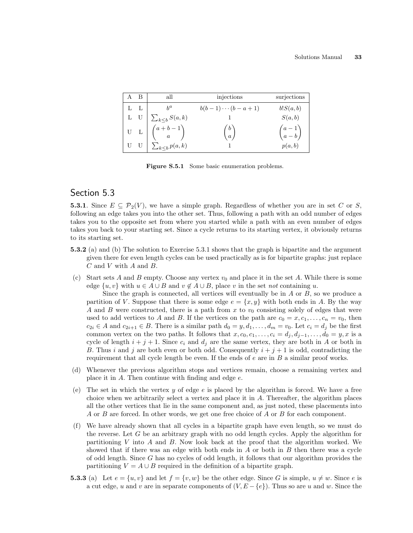| – B | all                                                           | injections            | surjections        |
|-----|---------------------------------------------------------------|-----------------------|--------------------|
| L L |                                                               | $b(b-1)\cdots(b-a+1)$ | b!S(a,b)           |
| L U | $\sum_{k\leq b} S(a,k)$                                       |                       | S(a,b)             |
|     | U L $\left( \begin{array}{cc} a+b-1 \\ a \end{array} \right)$ | $\binom{b}{a}$        | $\binom{a-1}{a-b}$ |
|     | $\sum_{k\leq b} p(a,k)$                                       |                       | p(a,b)             |

Figure S.5.1 Some basic enumeration problems.

# Section 5.3

**5.3.1**. Since  $E \subseteq \mathcal{P}_2(V)$ , we have a simple graph. Regardless of whether you are in set C or S, following an edge takes you into the other set. Thus, following a path with an odd number of edges takes you to the opposite set from where you started while a path with an even number of edges takes you back to your starting set. Since a cycle returns to its starting vertex, it obviously returns to its starting set.

- 5.3.2 (a) and (b) The solution to Exercise 5.3.1 shows that the graph is bipartite and the argument given there for even length cycles can be used practically as is for bipartite graphs: just replace  $C$  and  $V$  with  $A$  and  $B$ .
- (c) Start sets  $A$  and  $B$  empty. Choose any vertex  $v_0$  and place it in the set  $A$ . While there is some edge  $\{u, v\}$  with  $u \in A \cup B$  and  $v \notin A \cup B$ , place v in the set not containing u.

Since the graph is connected, all vertices will eventually be in  $A$  or  $B$ , so we produce a partition of V. Suppose that there is some edge  $e = \{x, y\}$  with both ends in A. By the way A and B were constructed, there is a path from x to  $v_0$  consisting solely of edges that were used to add vertices to A and B. If the vertices on the path are  $c_0 = x, c_1, \ldots, c_n = v_0$ , then  $c_{2i} \in A$  and  $c_{2i+1} \in B$ . There is a similar path  $d_0 = y, d_1, \ldots, d_m = v_0$ . Let  $c_i = d_i$  be the first common vertex on the two paths. It follows that  $x, c_0, c_1, \ldots, c_i = d_j, d_{j-1}, \ldots, d_0 = y, x$  is a cycle of length  $i + j + 1$ . Since  $c_i$  and  $d_j$  are the same vertex, they are both in A or both in B. Thus i and j are both even or both odd. Consequently  $i + j + 1$  is odd, contradicting the requirement that all cycle length be even. If the ends of  $e$  are in  $B$  a similar proof works.

- (d) Whenever the previous algorithm stops and vertices remain, choose a remaining vertex and place it in  $A$ . Then continue with finding and edge  $e$ .
- (e) The set in which the vertex y of edge e is placed by the algorithm is forced. We have a free choice when we arbitrarily select a vertex and place it in A. Thereafter, the algorithm places all the other vertices that lie in the same component and, as just noted, these placements into A or B are forced. In other words, we get one free choice of A or B for each component.
- (f) We have already shown that all cycles in a bipartite graph have even length, so we must do the reverse. Let  $G$  be an arbitrary graph with no odd length cycles. Apply the algorithm for partitioning V into A and B. Now look back at the proof that the algorithm worked. We showed that if there was an edge with both ends in  $A$  or both in  $B$  then there was a cycle of odd length. Since  $G$  has no cycles of odd length, it follows that our algorithm provides the partitioning  $V = A \cup B$  required in the definition of a bipartite graph.
- **5.3.3** (a) Let  $e = \{u, v\}$  and let  $f = \{v, w\}$  be the other edge. Since G is simple,  $u \neq w$ . Since e is a cut edge, u and v are in separate components of  $(V, E - \{e\})$ . Thus so are u and w. Since the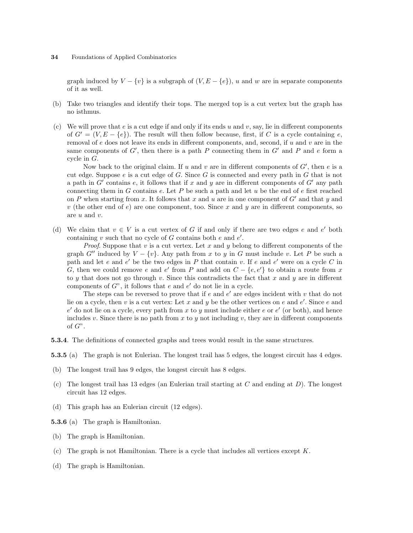graph induced by  $V - \{v\}$  is a subgraph of  $(V, E - \{e\})$ , u and w are in separate components of it as well.

- (b) Take two triangles and identify their tops. The merged top is a cut vertex but the graph has no isthmus.
- (c) We will prove that  $e$  is a cut edge if and only if its ends  $u$  and  $v$ , say, lie in different components of  $G' = (V, E - \{e\})$ . The result will then follow because, first, if C is a cycle containing e, removal of e does not leave its ends in different components, and, second, if  $u$  and  $v$  are in the same components of  $G'$ , then there is a path P connecting them in  $G'$  and P and e form a cycle in G.

Now back to the original claim. If u and v are in different components of  $G'$ , then e is a cut edge. Suppose  $e$  is a cut edge of  $G$ . Since  $G$  is connected and every path in  $G$  that is not a path in  $G'$  contains  $e$ , it follows that if x and y are in different components of  $G'$  any path connecting them in G contains  $e$ . Let P be such a path and let  $u$  be the end of  $e$  first reached on P when starting from x. It follows that x and u are in one component of  $G'$  and that y and v (the other end of  $e$ ) are one component, too. Since x and y are in different components, so are u and v.

(d) We claim that  $v \in V$  is a cut vertex of G if and only if there are two edges e and e' both containing v such that no cycle of  $G$  contains both  $e$  and  $e'$ .

*Proof.* Suppose that v is a cut vertex. Let x and y belong to different components of the graph G<sup>tt</sup> induced by  $V - \{v\}$ . Any path from x to y in G must include v. Let P be such a path and let  $e$  and  $e'$  be the two edges in  $P$  that contain  $v$ . If  $e$  and  $e'$  were on a cycle  $C$  in G, then we could remove e and e' from P and add on  $C - \{e, e'\}$  to obtain a route from x to y that does not go through v. Since this contradicts the fact that x and y are in different components of  $G$ ", it follows that  $e$  and  $e'$  do not lie in a cycle.

The steps can be reversed to prove that if  $e$  and  $e'$  are edges incident with  $v$  that do not lie on a cycle, then v is a cut vertex: Let x and y be the other vertices on e and e'. Since e and  $e'$  do not lie on a cycle, every path from x to y must include either e or  $e'$  (or both), and hence includes v. Since there is no path from x to y not including v, they are in different components of  $G$ ".

5.3.4. The definitions of connected graphs and trees would result in the same structures.

5.3.5 (a) The graph is not Eulerian. The longest trail has 5 edges, the longest circuit has 4 edges.

- (b) The longest trail has 9 edges, the longest circuit has 8 edges.
- (c) The longest trail has 13 edges (an Eulerian trail starting at  $C$  and ending at  $D$ ). The longest circuit has 12 edges.
- (d) This graph has an Eulerian circuit (12 edges).

5.3.6 (a) The graph is Hamiltonian.

- (b) The graph is Hamiltonian.
- (c) The graph is not Hamiltonian. There is a cycle that includes all vertices except  $K$ .
- (d) The graph is Hamiltonian.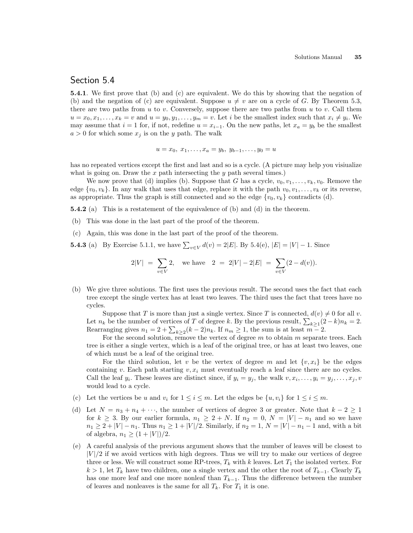#### Section 5.4

5.4.1. We first prove that (b) and (c) are equivalent. We do this by showing that the negation of (b) and the negation of (c) are equivalent. Suppose  $u \neq v$  are on a cycle of G. By Theorem 5.3, there are two paths from u to v. Conversely, suppose there are two paths from u to v. Call them  $u = x_0, x_1, \ldots, x_k = v$  and  $u = y_0, y_1, \ldots, y_m = v$ . Let i be the smallest index such that  $x_i \neq y_i$ . We may assume that  $i = 1$  for, if not, redefine  $u = x_{i-1}$ . On the new paths, let  $x_a = y_b$  be the smallest  $a > 0$  for which some  $x_j$  is on the y path. The walk

$$
u = x_0, x_1, \dots, x_a = y_b, y_{b-1}, \dots, y_0 = u
$$

has no repeated vertices except the first and last and so is a cycle. (A picture may help you visiualize what is going on. Draw the  $x$  path intersecting the  $y$  path several times.)

We now prove that (d) implies (b). Suppose that G has a cycle,  $v_0, v_1, \ldots, v_k, v_0$ . Remove the edge  $\{v_0, v_k\}$ . In any walk that uses that edge, replace it with the path  $v_0, v_1, \ldots, v_k$  or its reverse, as appropriate. Thus the graph is still connected and so the edge  $\{v_0, v_k\}$  contradicts (d).

5.4.2 (a) This is a restatement of the equivalence of (b) and (d) in the theorem.

(b) This was done in the last part of the proof of the theorem.

(c) Again, this was done in the last part of the proof of the theorem.

**5.4.3** (a) By Exercise 5.1.1, we have  $\sum_{v \in V} d(v) = 2|E|$ . By 5.4(e),  $|E| = |V| - 1$ . Since

$$
2|V| = \sum_{v \in V} 2
$$
, we have  $2 = 2|V| - 2|E| = \sum_{v \in V} (2 - d(v)).$ 

(b) We give three solutions. The first uses the previous result. The second uses the fact that each tree except the single vertex has at least two leaves. The third uses the fact that trees have no cycles.

Suppose that T is more than just a single vertex. Since T is connected,  $d(v) \neq 0$  for all v. Suppose that T is more than just a single vertex. Since T is connected,  $a(v) \neq 0$  for an v.<br>Let  $n_k$  be the number of vertices of T of degree k. By the previous result,  $\sum_{k\geq 1}(2-k)n_k = 2$ . Let  $n_k$  be the number of vertices of 1 of degree k. By the previous result,  $\sum_{k\geq 1}$  (2)<br>Rearranging gives  $n_1 = 2 + \sum_{k\geq 2} (k-2)n_k$ . If  $n_m \geq 1$ , the sum is at least  $m-2$ .

For the second solution, remove the vertex of degree  $m$  to obtain  $m$  separate trees. Each tree is either a single vertex, which is a leaf of the original tree, or has at least two leaves, one of which must be a leaf of the original tree.

For the third solution, let v be the vertex of degree m and let  $\{v, x_i\}$  be the edges containing v. Each path starting  $v, x_i$  must eventually reach a leaf since there are no cycles. Call the leaf  $y_i$ . These leaves are distinct since, if  $y_i = y_j$ , the walk  $v, x_i, \ldots, y_i = y_j, \ldots, x_j, v$ would lead to a cycle.

- (c) Let the vertices be u and  $v_i$  for  $1 \leq i \leq m$ . Let the edges be  $\{u, v_i\}$  for  $1 \leq i \leq m$ .
- (d) Let  $N = n_3 + n_4 + \cdots$ , the number of vertices of degree 3 or greater. Note that  $k 2 \ge 1$ for  $k \geq 3$ . By our earlier formula,  $n_1 \geq 2 + N$ . If  $n_2 = 0$ ,  $N = |V| - n_1$  and so we have  $n_1 \geq 2 + |V| - n_1$ . Thus  $n_1 \geq 1 + |V|/2$ . Similarly, if  $n_2 = 1, N = |V| - n_1 - 1$  and, with a bit of algebra,  $n_1 \ge (1 + |V|)/2$ .
- (e) A careful analysis of the previous argument shows that the number of leaves will be closest to  $|V|/2$  if we avoid vertices with high degrees. Thus we will try to make our vertices of degree three or less. We will construct some RP-trees,  $T_k$  with k leaves. Let  $T_1$  the isolated vertex. For  $k > 1$ , let  $T_k$  have two children, one a single vertex and the other the root of  $T_{k-1}$ . Clearly  $T_k$ has one more leaf and one more nonleaf than  $T_{k-1}$ . Thus the difference between the number of leaves and nonleaves is the same for all  $T_k$ . For  $T_1$  it is one.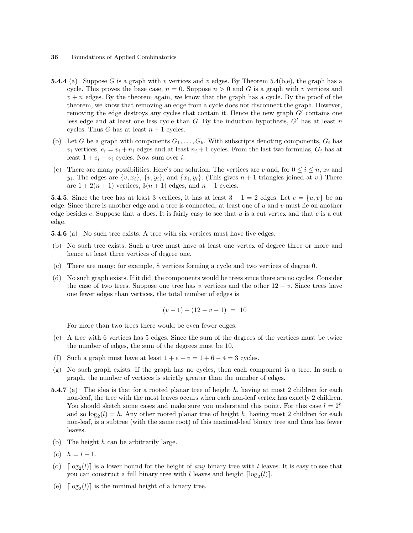- **5.4.4** (a) Suppose G is a graph with v vertices and v edges. By Theorem 5.4(b,e), the graph has a cycle. This proves the base case,  $n = 0$ . Suppose  $n > 0$  and G is a graph with v vertices and  $v + n$  edges. By the theorem again, we know that the graph has a cycle. By the proof of the theorem, we know that removing an edge from a cycle does not disconnect the graph. However, removing the edge destroys any cycles that contain it. Hence the new graph  $G'$  contains one less edge and at least one less cycle than  $G$ . By the induction hypothesis,  $G'$  has at least  $n$ cycles. Thus G has at least  $n + 1$  cycles.
- (b) Let G be a graph with components  $G_1, \ldots, G_k$ . With subscripts denoting components,  $G_i$  has  $v_i$  vertices,  $e_i = v_i + n_i$  edges and at least  $n_i + 1$  cycles. From the last two formulas,  $G_i$  has at least  $1 + e_i - v_i$  cycles. Now sum over i.
- (c) There are many possibilities. Here's one solution. The vertices are v and, for  $0 \le i \le n$ ,  $x_i$  and  $y_i$ . The edges are  $\{v, x_i\}$ ,  $\{v, y_i\}$ , and  $\{x_i, y_i\}$ . (This gives  $n + 1$  triangles joined at v.) There are  $1 + 2(n + 1)$  vertices,  $3(n + 1)$  edges, and  $n + 1$  cycles.

**5.4.5**. Since the tree has at least 3 vertices, it has at least  $3 - 1 = 2$  edges. Let  $e = \{u, v\}$  be an edge. Since there is another edge and a tree is connected, at least one of u and v must lie on another edge besides e. Suppose that  $u$  does. It is fairly easy to see that  $u$  is a cut vertex and that  $e$  is a cut edge.

5.4.6 (a) No such tree exists. A tree with six vertices must have five edges.

- (b) No such tree exists. Such a tree must have at least one vertex of degree three or more and hence at least three vertices of degree one.
- (c) There are many; for example, 8 vertices forming a cycle and two vertices of degree 0.
- (d) No such graph exists. If it did, the components would be trees since there are no cycles. Consider the case of two trees. Suppose one tree has v vertices and the other  $12 - v$ . Since trees have one fewer edges than vertices, the total number of edges is

$$
(v-1) + (12 - v - 1) = 10
$$

For more than two trees there would be even fewer edges.

- (e) A tree with 6 vertices has 5 edges. Since the sum of the degrees of the vertices must be twice the number of edges, the sum of the degrees must be 10.
- (f) Such a graph must have at least  $1 + e v = 1 + 6 4 = 3$  cycles.
- (g) No such graph exists. If the graph has no cycles, then each component is a tree. In such a graph, the number of vertices is strictly greater than the number of edges.
- **5.4.7** (a) The idea is that for a rooted planar tree of height h, having at most 2 children for each non-leaf, the tree with the most leaves occurs when each non-leaf vertex has exactly 2 children. You should sketch some cases and make sure you understand this point. For this case  $l = 2<sup>h</sup>$ and so  $log_2(l) = h$ . Any other rooted planar tree of height h, having most 2 children for each non-leaf, is a subtree (with the same root) of this maximal-leaf binary tree and thus has fewer leaves.
- (b) The height  $h$  can be arbitrarily large.
- (c)  $h = l 1$ .
- (d)  $\lceil \log_2(l) \rceil$  is a lower bound for the height of any binary tree with l leaves. It is easy to see that you can construct a full binary tree with l leaves and height  $\lceil \log_2(l) \rceil$ .
- (e)  $\lceil \log_2(l) \rceil$  is the minimal height of a binary tree.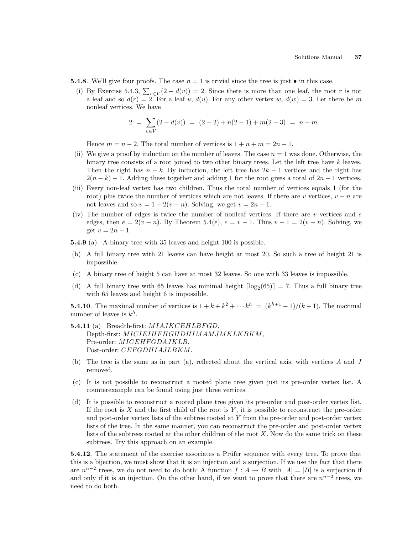- **5.4.8**. We'll give four proofs. The case  $n = 1$  is trivial since the tree is just  $\bullet$  in this case.
	- (i) By Exercise 5.4.3,  $\sum_{v \in V} (2 d(v)) = 2$ . Since there is more than one leaf, the root r is not a leaf and so  $d(r) = 2$ . For a leaf u,  $d(u)$ . For any other vertex w,  $d(w) = 3$ . Let there be m nonleaf vertices. We have

$$
2 = \sum_{v \in V} (2 - d(v)) = (2 - 2) + n(2 - 1) + m(2 - 3) = n - m.
$$

Hence  $m = n - 2$ . The total number of vertices is  $1 + n + m = 2n - 1$ .

- (ii) We give a proof by induction on the number of leaves. The case  $n = 1$  was done. Otherwise, the binary tree consists of a root joined to two other binary trees. Let the left tree have  $k$  leaves. Then the right has  $n - k$ . By induction, the left tree has  $2k - 1$  vertices and the right has  $2(n - k) - 1$ . Adding these together and adding 1 for the root gives a total of  $2n - 1$  vertices.
- (iii) Every non-leaf vertex has two children. Thus the total number of vertices equals 1 (for the root) plus twice the number of vertices which are not leaves. If there are v vertices,  $v - n$  are not leaves and so  $v = 1 + 2(v - n)$ . Solving, we get  $v = 2n - 1$ .
- (iv) The number of edges is twice the number of nonleaf vertices. If there are  $v$  vertices and  $e$ edges, then  $e = 2(v - n)$ . By Theorem 5.4(e),  $e = v - 1$ . Thus  $v - 1 = 2(v - n)$ . Solving, we get  $v = 2n - 1$ .
- 5.4.9 (a) A binary tree with 35 leaves and height 100 is possible.
- (b) A full binary tree with 21 leaves can have height at most 20. So such a tree of height 21 is impossible.
- (c) A binary tree of height 5 can have at most 32 leaves. So one with 33 leaves is impossible.
- (d) A full binary tree with 65 leaves has minimal height  $\lceil \log_2(65) \rceil = 7$ . Thus a full binary tree with 65 leaves and height 6 is impossible.

**5.4.10**. The maximal number of vertices is  $1 + k + k^2 + \cdots + k^h = (k^{h+1} - 1)/(k - 1)$ . The maximal number of leaves is  $k^h$ .

- 5.4.11 (a) Breadth-first: MIAJKCEHLBFGD, Depth-first: MICIEIHFHGHDHIMAMJMKLKBKM, Pre-order: *MICEHFGDAJKLB*, Post-order: CEFGDHIAJLBKM.
- (b) The tree is the same as in part (a), reflected about the vertical axis, with vertices A and J removed.
- (c) It is not possible to reconstruct a rooted plane tree given just its pre-order vertex list. A counterexample can be found using just three vertices.
- (d) It is possible to reconstruct a rooted plane tree given its pre-order and post-order vertex list. If the root is  $X$  and the first child of the root is  $Y$ , it is possible to reconstruct the pre-order and post-order vertex lists of the subtree rooted at Y from the pre-order and post-order vertex lists of the tree. In the same manner, you can reconstruct the pre-order and post-order vertex lists of the subtrees rooted at the other children of the root  $X$ . Now do the same trick on these subtrees. Try this approach on an example.

5.4.12. The statement of the exercise associates a Prüfer sequence with every tree. To prove that this is a bijection, we must show that it is an injection and a surjection. If we use the fact that there are  $n^{n-2}$  trees, we do not need to do both: A function  $f : A \to B$  with  $|A| = |B|$  is a surjection if and only if it is an injection. On the other hand, if we want to prove that there are  $n^{n-2}$  trees, we need to do both.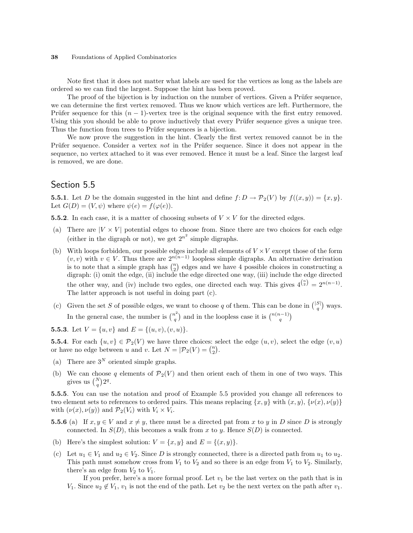Note first that it does not matter what labels are used for the vertices as long as the labels are ordered so we can find the largest. Suppose the hint has been proved.

The proof of the bijection is by induction on the number of vertices. Given a Prüfer sequence, we can determine the first vertex removed. Thus we know which vertices are left. Furthermore, the Prüfer sequence for this  $(n - 1)$ -vertex tree is the original sequence with the first entry removed. Using this you should be able to prove inductively that every Prüfer sequence gives a unique tree. Thus the function from trees to Prüfer sequences is a bijection.

We now prove the suggestion in the hint. Clearly the first vertex removed cannot be in the Prüfer sequence. Consider a vertex not in the Prüfer sequence. Since it does not appear in the sequence, no vertex attached to it was ever removed. Hence it must be a leaf. Since the largest leaf is removed, we are done.

## Section 5.5

**5.5.1**. Let D be the domain suggested in the hint and define  $f: D \to \mathcal{P}_2(V)$  by  $f((x, y)) = \{x, y\}.$ Let  $G(D) = (V, \psi)$  where  $\psi(e) = f(\varphi(e))$ .

**5.5.2**. In each case, it is a matter of choosing subsets of  $V \times V$  for the directed edges.

- (a) There are  $|V \times V|$  potential edges to choose from. Since there are two choices for each edge (either in the digraph or not), we get  $2^{n^2}$  simple digraphs.
- (b) With loops forbidden, our possible edges include all elements of  $V \times V$  except those of the form  $(v, v)$  with  $v \in V$ . Thus there are  $2^{n(n-1)}$  loopless simple digraphs. An alternative derivation  $(v, v)$  with  $v \in V$ . Thus there are  $2^{n(w-2)}$  loopless simple digraphs. An alternative derivation is to note that a simple graph has  $\binom{n}{2}$  edges and we have 4 possible choices in constructing a digraph: (i) omit the edge, (ii) include the edge directed one way, (iii) include the edge directed the other way, and (iv) include two egdes, one directed each way. This gives  $4^{n \choose 2} = 2^{n(n-1)}$ . The latter approach is not useful in doing part (c).
- (c) Given the set S of possible edges, we want to choose q of them. This can be done in  $\binom{|S|}{q}$ ¢ ways. In the general case, the number is  $\binom{n^2}{2}$ q ) and in the loopless case it is  $\binom{n(n-1)}{q}$ ¢

**5.5.3**. Let  $V = \{u, v\}$  and  $E = \{(u, v), (v, u)\}.$ 

**5.5.4**. For each  $\{u, v\} \in \mathcal{P}_2(V)$  we have three choices: select the edge  $(u, v)$ , select the edge  $(v, u)$ **5.5.4**. For each  $\{u, v\} \in P_2(V)$  we have three choices: se<br>or have no edge between u and v. Let  $N = \mathcal{P}_2(V) = \binom{n}{2}$ .

- (a) There are  $3^N$  oriented simple graphs.
- (b) We can choose q elements of  $\mathcal{P}_2(V)$  and then orient each of them in one of two ways. This we can choose<br>gives us  $\binom{N}{q} 2^q$ .

5.5.5. You can use the notation and proof of Example 5.5 provided you change all references to two element sets to references to ordered pairs. This means replacing  $\{x, y\}$  with  $(x, y)$ ,  $\{\nu(x), \nu(y)\}$ with  $(\nu(x), \nu(y))$  and  $\mathcal{P}_2(V_i)$  with  $V_i \times V_i$ .

- **5.5.6** (a) If  $x, y \in V$  and  $x \neq y$ , there must be a directed pat from x to y in D since D is strongly connected. In  $S(D)$ , this becomes a walk from x to y. Hence  $S(D)$  is connected.
- (b) Here's the simplest solution:  $V = \{x, y\}$  and  $E = \{(x, y)\}.$
- (c) Let  $u_1 \in V_1$  and  $u_2 \in V_2$ . Since D is strongly connected, there is a directed path from  $u_1$  to  $u_2$ . This path must somehow cross from  $V_1$  to  $V_2$  and so there is an edge from  $V_1$  to  $V_2$ . Similarly, there's an edge from  $V_2$  to  $V_1$ .

If you prefer, here's a more formal proof. Let  $v_1$  be the last vertex on the path that is in  $V_1$ . Since  $u_2 \notin V_1$ ,  $v_1$  is not the end of the path. Let  $v_2$  be the next vertex on the path after  $v_1$ .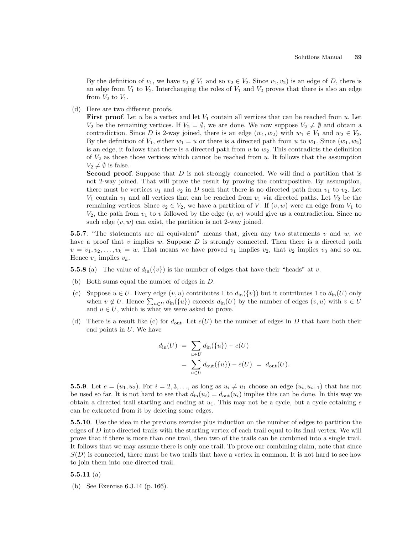By the definition of  $v_1$ , we have  $v_2 \notin V_1$  and so  $v_2 \in V_2$ . Since  $v_1, v_2$ ) is an edge of D, there is an edge from  $V_1$  to  $V_2$ . Interchanging the roles of  $V_1$  and  $V_2$  proves that there is also an edge from  $V_2$  to  $V_1$ .

(d) Here are two different proofs.

**First proof.** Let u be a vertex and let  $V_1$  contain all vertices that can be reached from u. Let  $V_2$  be the remaining vertices. If  $V_2 = \emptyset$ , we are done. We now suppose  $V_2 \neq \emptyset$  and obtain a contradiction. Since D is 2-way joined, there is an edge  $(w_1, w_2)$  with  $w_1 \in V_1$  and  $w_2 \in V_2$ . By the definition of  $V_1$ , either  $w_1 = u$  or there is a directed path from u to  $w_1$ . Since  $(w_1, w_2)$ is an edge, it follows that there is a directed path from  $u$  to  $w_2$ . This contradicts the definition of  $V_2$  as those those vertices which cannot be reached from u. It follows that the assumption  $V_2 \neq \emptyset$  is false.

Second proof. Suppose that D is not strongly connected. We will find a partition that is not 2-way joined. That will prove the result by proving the contrapositive. By assumption, there must be vertices  $v_1$  and  $v_2$  in D such that there is no directed path from  $v_1$  to  $v_2$ . Let  $V_1$  contain  $v_1$  and all vertices that can be reached from  $v_1$  via directed paths. Let  $V_2$  be the remaining vertices. Since  $v_2 \in V_2$ , we have a partition of V. If  $(v, w)$  were an edge from  $V_1$  to  $V_2$ , the path from  $v_1$  to v followed by the edge  $(v, w)$  would give us a contradiction. Since no such edge  $(v, w)$  can exist, the partition is not 2-way joined.

5.5.7. "The statements are all equivalent" means that, given any two statements v and w, we have a proof that  $v$  implies  $w$ . Suppose  $D$  is strongly connected. Then there is a directed path  $v = v_1, v_2, \ldots, v_k = w$ . That means we have proved  $v_1$  implies  $v_2$ , that  $v_2$  implies  $v_3$  and so on. Hence  $v_1$  implies  $v_k$ .

**5.5.8** (a) The value of  $d_{in}(\{v\})$  is the number of edges that have their "heads" at v.

- (b) Both sums equal the number of edges in D.
- (c) Suppose  $u \in U$ . Every edge  $(v, u)$  contributes 1 to  $d_{\text{in}}(\{v\})$  but it contributes 1 to  $d_{\text{in}}(U)$  only suppose  $u \in U$ . Every edge  $(v, u)$  contributes 1 to  $a_{\text{in}}(v)$  but it contributes 1 to  $a_{\text{in}}(v)$  only<br>when  $v \notin U$ . Hence  $\sum_{u \in U} d_{\text{in}}(\{u\})$  exceeds  $d_{\text{in}}(U)$  by the number of edges  $(v, u)$  with  $v \in U$ and  $u \in U$ , which is what we were asked to prove.
- (d) There is a result like (c) for  $d_{\text{out}}$ . Let  $e(U)$  be the number of edges in D that have both their end points in  $U$ . We have

$$
d_{\text{in}}(U) = \sum_{u \in U} d_{\text{in}}(\{u\}) - e(U)
$$
  
= 
$$
\sum_{u \in U} d_{\text{out}}(\{u\}) - e(U) = d_{\text{out}}(U).
$$

**5.5.9**. Let  $e = (u_1, u_2)$ . For  $i = 2, 3, \ldots$ , as long as  $u_i \neq u_1$  choose an edge  $(u_i, u_{i+1})$  that has not be used so far. It is not hard to see that  $d_{\text{in}}(u_i) = d_{\text{out}}(u_i)$  implies this can be done. In this way we obtain a directed trail starting and ending at  $u_1$ . This may not be a cycle, but a cycle cotaining e can be extracted from it by deleting some edges.

5.5.10. Use the idea in the previous exercise plus induction on the number of edges to partition the edges of  $D$  into directed trails with the starting vertex of each trail equal to its final vertex. We will prove that if there is more than one trail, then two of the trails can be combined into a single trail. It follows that we may assume there is only one trail. To prove our combining claim, note that since  $S(D)$  is connected, there must be two trails that have a vertex in common. It is not hard to see how to join them into one directed trail.

#### 5.5.11 $(a)$

(b) See Exercise 6.3.14 (p. 166).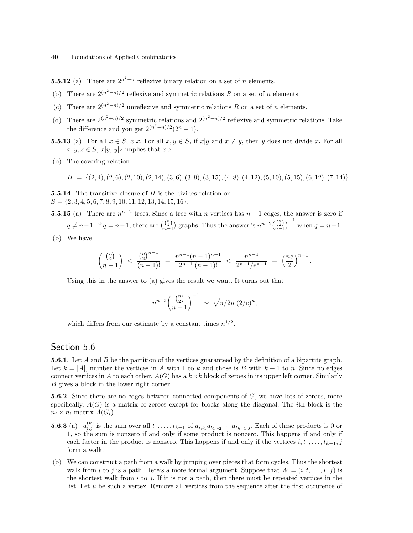**5.5.12** (a) There are  $2^{n^2-n}$  reflexive binary relation on a set of *n* elements.

- (b) There are  $2^{(n^2-n)/2}$  reflexive and symmetric relations R on a set of n elements.
- (c) There are  $2^{(n^2-n)/2}$  unreflexive and symmetric relations R on a set of n elements.
- (d) There are  $2^{(n^2+n)/2}$  symmetric relations and  $2^{(n^2-n)/2}$  reflexive and symmetric relations. Take the difference and you get  $2^{(n^2-n)/2}(2^n-1)$ .
- **5.5.13** (a) For all  $x \in S$ ,  $x|x$ . For all  $x, y \in S$ , if  $x|y$  and  $x \neq y$ , then y does not divide x. For all  $x, y, z \in S$ ,  $x|y, y|z$  implies that  $x|z$ .
- (b) The covering relation

 $H = \{(2, 4), (2, 6), (2, 10), (2, 14), (3, 6), (3, 9), (3, 15), (4, 8), (4, 12), (5, 10), (5, 15), (6, 12), (7, 14)\}.$ 

**5.5.14.** The transitive closure of  $H$  is the divides relation on  $S = \{2, 3, 4, 5, 6, 7, 8, 9, 10, 11, 12, 13, 14, 15, 16\}.$ 

**5.5.15** (a) There are  $n^{n-2}$  trees. Since a tree with n vertices has  $n-1$  edges, the answer is zero if  $q \neq n-1$ . If  $q = n-1$ , there are  $\binom{n}{n-1}$ ¢ graphs. Thus the answer is  $n^{n-2} {n \choose n-1}$  $\sqrt{-1}$ when  $q = n-1$ .

(b) We have

$$
\binom{\binom{n}{2}}{n-1} < \frac{\binom{n}{2}^{n-1}}{(n-1)!} = \frac{n^{n-1}(n-1)^{n-1}}{2^{n-1}(n-1)!} < \frac{n^{n-1}}{2^{n-1}/e^{n-1}} = \left(\frac{ne}{2}\right)^{n-1}.
$$

Using this in the answer to (a) gives the result we want. It turns out that

$$
n^{n-2} \binom{\binom{n}{2}}{n-1}^{-1} \sim \sqrt{\pi/2n} (2/e)^n,
$$

which differs from our estimate by a constant times  $n^{1/2}$ .

## Section 5.6

5.6.1. Let A and B be the partition of the vertices guaranteed by the definition of a bipartite graph. Let  $k = |A|$ , number the vertices in A with 1 to k and those is B with  $k + 1$  to n. Since no edges connect vertices in A to each other,  $A(G)$  has a  $k \times k$  block of zeroes in its upper left corner. Similarly B gives a block in the lower right corner.

**5.6.2.** Since there are no edges between connected components of  $G$ , we have lots of zeroes, more specifically,  $A(G)$  is a matrix of zeroes except for blocks along the diagonal. The *i*th block is the  $n_i \times n_i$  matrix  $A(G_i)$ .

- **5.6.3** (a)  $a_{i,j}^{(k)}$  is the sum over all  $t_1, \ldots, t_{k-1}$  of  $a_{i,t_1} a_{t_1,t_2} \cdots a_{t_{k-1},j}$ . Each of these products is 0 or 1, so the sum is nonzero if and only if some product is nonzero. This happens if and only if each factor in the product is nonzero. This happens if and only if the vertices  $i, t_1, \ldots, t_{k-1}, j$ form a walk.
- (b) We can construct a path from a walk by jumping over pieces that form cycles. Thus the shortest walk from i to j is a path. Here's a more formal argument. Suppose that  $W = (i, t, \ldots, v, j)$  is the shortest walk from  $i$  to  $j$ . If it is not a path, then there must be repeated vertices in the list. Let u be such a vertex. Remove all vertices from the sequence after the first occurence of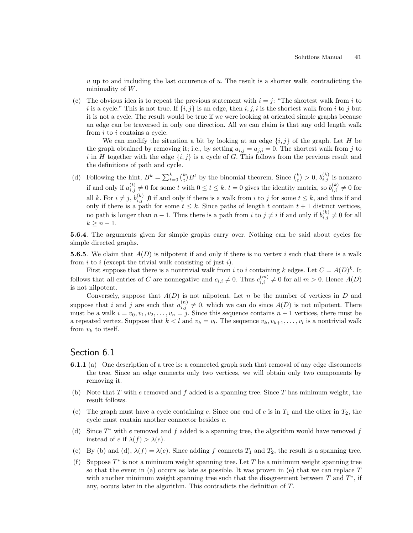$u$  up to and including the last occurence of  $u$ . The result is a shorter walk, contradicting the minimality of  $W$ .

(c) The obvious idea is to repeat the previous statement with  $i = j$ : "The shortest walk from i to i is a cycle." This is not true. If  $\{i, j\}$  is an edge, then i, j, i is the shortest walk from i to j but it is not a cycle. The result would be true if we were looking at oriented simple graphs because an edge can be traversed in only one direction. All we can claim is that any odd length walk from i to i contains a cycle.

We can modify the situation a bit by looking at an edge  $\{i, j\}$  of the graph. Let H be the graph obtained by removing it; i.e., by setting  $a_{i,j} = a_{j,i} = 0$ . The shortest walk from j to i in H together with the edge  $\{i, j\}$  is a cycle of G. This follows from the previous result and the definitions of path and cycle.

(d) Following the hint,  $B^k = \sum_{t=0}^k {k \choose t}$  $B^t$  by the binomial theorem. Since  $\binom{k}{t}$ ¢  $> 0, b_{i,j}^{(k)}$  is nonzero if and only if  $a_{i,j}^{(t)} \neq 0$  for some t with  $0 \le t \le k$ .  $t = 0$  gives the identity matrix, so  $b_{i,i}^{(k)} \neq 0$  for all k. For  $i \neq j$ ,  $b_{i,j}^{(k)}$   $\beta$  if and only if there is a walk from i to j for some  $t \leq k$ , and thus if and only if there is a path for some  $t \leq k$ . Since paths of length t contain  $t + 1$  distinct vertices, no path is longer than  $n-1$ . Thus there is a path from i to  $j \neq i$  if and only if  $b_{i,j}^{(k)} \neq 0$  for all  $k \geq n-1$ .

5.6.4. The arguments given for simple graphs carry over. Nothing can be said about cycles for simple directed graphs.

**5.6.5**. We claim that  $A(D)$  is nilpotent if and only if there is no vertex i such that there is a walk from  $i$  to  $i$  (except the trivial walk consisting of just  $i$ ).

First suppose that there is a nontrivial walk from i to i containing k edges. Let  $C = A(D)^k$ . It follows that all entries of C are nonnegative and  $c_{i,i} \neq 0$ . Thus  $c_{i,i}^{(m)} \neq 0$  for all  $m > 0$ . Hence  $A(D)$ is not nilpotent.

Conversely, suppose that  $A(D)$  is not nilpotent. Let n be the number of vertices in D and suppose that i and j are such that  $a_{i,j}^{(n)} \neq 0$ , which we can do since  $A(D)$  is not nilpotent. There must be a walk  $i = v_0, v_1, v_2, \ldots, v_n = j$ . Since this sequence contains  $n + 1$  vertices, there must be a repeated vertex. Suppose that  $k < l$  and  $v_k = v_l$ . The sequence  $v_k, v_{k+1}, \ldots, v_l$  is a nontrivial walk from  $v_k$  to itself.

### Section 6.1

- 6.1.1 (a) One description of a tree is: a connected graph such that removal of any edge disconnects the tree. Since an edge connects only two vertices, we will obtain only two components by removing it.
- (b) Note that  $T$  with  $e$  removed and  $f$  added is a spanning tree. Since  $T$  has minimum weight, the result follows.
- (c) The graph must have a cycle containing e. Since one end of e is in  $T_1$  and the other in  $T_2$ , the cycle must contain another connector besides e.
- (d) Since  $T^*$  with e removed and f added is a spanning tree, the algorithm would have removed f instead of e if  $\lambda(f) > \lambda(e)$ .
- (e) By (b) and (d),  $\lambda(f) = \lambda(e)$ . Since adding f connects  $T_1$  and  $T_2$ , the result is a spanning tree.
- (f) Suppose  $T^*$  is not a minimum weight spanning tree. Let T be a minimum weight spanning tree so that the event in (a) occurs as late as possible. It was proven in (e) that we can replace  $T$ with another minimum weight spanning tree such that the disagreement between  $T$  and  $T^*$ , if any, occurs later in the algorithm. This contradicts the definition of T.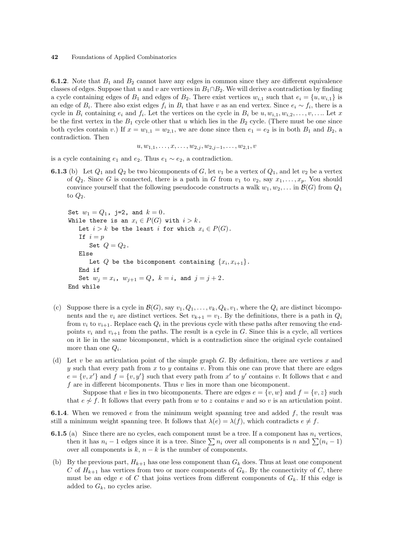**6.1.2.** Note that  $B_1$  and  $B_2$  cannot have any edges in common since they are different equivalence classes of edges. Suppose that u and v are vertices in  $B_1 \cap B_2$ . We will derive a contradiction by finding a cycle containing edges of  $B_1$  and edges of  $B_2$ . There exist vertices  $w_{i,1}$  such that  $e_i = \{u, w_{i,1}\}$  is an edge of  $B_i$ . There also exist edges  $f_i$  in  $B_i$  that have v as an end vertex. Since  $e_i \sim f_i$ , there is a cycle in  $B_i$  containing  $e_i$  and  $f_i$ . Let the vertices on the cycle in  $B_i$  be  $u, w_{i,1}, w_{i,2}, \ldots, v, \ldots$  Let x be the first vertex in the  $B_1$  cycle other that u which lies in the  $B_2$  cycle. (There must be one since both cycles contain v.) If  $x = w_{1,1} = w_{2,1}$ , we are done since then  $e_1 = e_2$  is in both  $B_1$  and  $B_2$ , a contradiction. Then

$$
u, w_{1,1}, \ldots, x, \ldots, w_{2,j}, w_{2,j-1}, \ldots, w_{2,1}, v
$$

is a cycle containing  $e_1$  and  $e_2$ . Thus  $e_1 \sim e_2$ , a contradiction.

**6.1.3** (b) Let  $Q_1$  and  $Q_2$  be two bicomponents of G, let  $v_1$  be a vertex of  $Q_1$ , and let  $v_2$  be a vertex of  $Q_2$ . Since G is connected, there is a path in G from  $v_1$  to  $v_2$ , say  $x_1, \ldots, x_p$ . You should convince yourself that the following pseudocode constructs a walk  $w_1, w_2, \ldots$  in  $\mathcal{B}(G)$  from  $Q_1$ to  $Q_2$ .

```
Set w_1 = Q_1, j=2, and k = 0.
While there is an x_i \in P(G) with i > k.
   Let i > k be the least i for which x_i \in P(G).
   If i = pSet Q = Q_2.
   Else
       Let Q be the bicomponent containing \{x_i, x_{i+1}\}.End if
   Set w_i = x_i, w_{i+1} = Q, k = i, and j = j + 2.
End while
```
- (c) Suppose there is a cycle in  $\mathcal{B}(G)$ , say  $v_1, Q_1, \ldots, v_k, Q_k, v_1$ , where the  $Q_i$  are distinct bicomponents and the  $v_i$  are distinct vertices. Set  $v_{k+1} = v_1$ . By the definitions, there is a path in  $Q_i$ from  $v_i$  to  $v_{i+1}$ . Replace each  $Q_i$  in the previous cycle with these paths after removing the endpoints  $v_i$  and  $v_{i+1}$  from the paths. The result is a cycle in G. Since this is a cycle, all vertices on it lie in the same bicomponent, which is a contradiction since the original cycle contained more than one  $Q_i$ .
- (d) Let v be an articulation point of the simple graph G. By definition, there are vertices x and y such that every path from x to y contains v. From this one can prove that there are edges  $e = \{v, x'\}$  and  $f = \{v, y'\}$  such that every path from x' to y' contains v. It follows that e and f are in different bicomponents. Thus  $v$  lies in more than one bicomponent.

Suppose that v lies in two bicomponents. There are edges  $e = \{v, w\}$  and  $f = \{v, z\}$  such that  $e \nsim f$ . It follows that every path from w to z contains v and so v is an articulation point.

**6.1.4.** When we removed  $e$  from the minimum weight spanning tree and added  $f$ , the result was still a minimum weight spanning tree. It follows that  $\lambda(e) = \lambda(f)$ , which contradicts  $e \neq f$ .

- **6.1.5** (a) Since there are no cycles, each component must be a tree. If a component has  $n_i$  vertices, then it has  $n_i - 1$  edges since it is a tree. Since  $\sum n_i$  over all components is n and  $\sum (n_i - 1)$ over all components is  $k$ ,  $n - k$  is the number of components.
- (b) By the previous part,  $H_{k+1}$  has one less component than  $G_k$  does. Thus at least one component C of  $H_{k+1}$  has vertices from two or more components of  $G_k$ . By the connectivity of C, there must be an edge e of C that joins vertices from different components of  $G_k$ . If this edge is added to  $G_k$ , no cycles arise.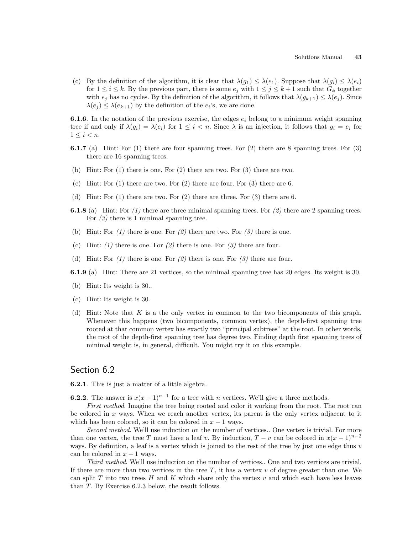(c) By the definition of the algorithm, it is clear that  $\lambda(g_1) \leq \lambda(e_1)$ . Suppose that  $\lambda(g_i) \leq \lambda(e_i)$ for  $1 \leq i \leq k$ . By the previous part, there is some  $e_j$  with  $1 \leq j \leq k+1$  such that  $G_k$  together with  $e_j$  has no cycles. By the definition of the algorithm, it follows that  $\lambda(g_{k+1}) \leq \lambda(e_j)$ . Since  $\lambda(e_j) \leq \lambda(e_{k+1})$  by the definition of the  $e_i$ 's, we are done.

**6.1.6**. In the notation of the previous exercise, the edges  $e_i$  belong to a minimum weight spanning tree if and only if  $\lambda(g_i) = \lambda(e_i)$  for  $1 \leq i < n$ . Since  $\lambda$  is an injection, it follows that  $g_i = e_i$  for  $1 \leq i \leq n$ .

- 6.1.7 (a) Hint: For (1) there are four spanning trees. For (2) there are 8 spanning trees. For (3) there are 16 spanning trees.
- (b) Hint: For (1) there is one. For (2) there are two. For (3) there are two.
- (c) Hint: For (1) there are two. For (2) there are four. For (3) there are 6.
- (d) Hint: For (1) there are two. For (2) there are three. For (3) there are 6.
- **6.1.8** (a) Hint: For  $(1)$  there are three minimal spanning trees. For  $(2)$  there are 2 spanning trees. For  $(3)$  there is 1 minimal spanning tree.
- (b) Hint: For  $(1)$  there is one. For  $(2)$  there are two. For  $(3)$  there is one.
- (c) Hint: (1) there is one. For (2) there is one. For (3) there are four.
- (d) Hint: For  $(1)$  there is one. For  $(2)$  there is one. For  $(3)$  there are four.
- 6.1.9 (a) Hint: There are 21 vertices, so the minimal spanning tree has 20 edges. Its weight is 30.
- (b) Hint: Its weight is 30..
- (c) Hint: Its weight is 30.
- (d) Hint: Note that K is a the only vertex in common to the two bicomponents of this graph. Whenever this happens (two bicomponents, common vertex), the depth-first spanning tree rooted at that common vertex has exactly two "principal subtrees" at the root. In other words, the root of the depth-first spanning tree has degree two. Finding depth first spanning trees of minimal weight is, in general, difficult. You might try it on this example.

#### Section 6.2

6.2.1. This is just a matter of a little algebra.

**6.2.2**. The answer is  $x(x-1)^{n-1}$  for a tree with *n* vertices. We'll give a three methods.

First method. Imagine the tree being rooted and color it working from the root. The root can be colored in  $x$  ways. When we reach another vertex, its parent is the only vertex adjacent to it which has been colored, so it can be colored in  $x - 1$  ways.

Second method. We'll use induction on the number of vertices.. One vertex is trivial. For more than one vertex, the tree T must have a leaf v. By induction,  $T - v$  can be colored in  $x(x - 1)^{n-2}$ ways. By definition, a leaf is a vertex which is joined to the rest of the tree by just one edge thus  $v$ can be colored in  $x - 1$  ways.

Third method. We'll use induction on the number of vertices.. One and two vertices are trivial. If there are more than two vertices in the tree  $T$ , it has a vertex  $v$  of degree greater than one. We can split T into two trees H and K which share only the vertex  $v$  and which each have less leaves than T. By Exercise 6.2.3 below, the result follows.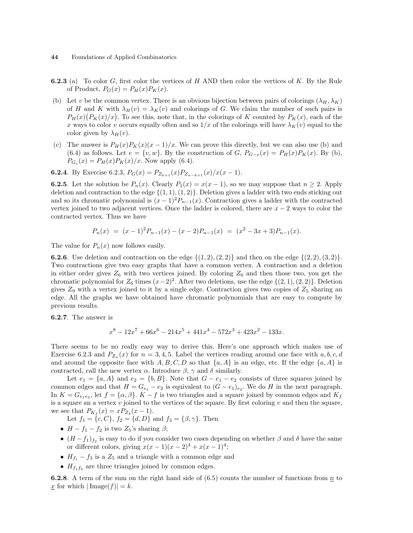- **6.2.3** (a) To color G, first color the vertices of H AND then color the vertices of K. By the Rule of Product,  $P_G(x) = P_H(x)P_K(x)$ .
- (b) Let v be the common vertex. There is an obvious bijection between pairs of colorings  $(\lambda_H, \lambda_K)$ of H and K with  $\lambda_H(v) = \lambda_K(v)$  and colorings of G. We claim the number of such pairs is or *H* and *K* with  $\lambda_H(v) = \lambda_K(v)$  and colorings of *G*. We claim the number of such pairs is  $P_H(x)(P_K(x)/x)$ . To see this, note that, in the colorings of *K* counted by  $P_K(x)$ , each of the x ways to color v occurs equally often and so  $1/x$  of the colorings will have  $\lambda_K(v)$  equal to the color given by  $\lambda_H(v)$ .
- (c) The answer is  $P_H(x)P_K(x)(x-1)/x$ . We can prove this directly, but we can also use (b) and (6.4) as follows. Let  $e = \{v, w\}$ . By the construction of G,  $P_{G-e}(x) = P_H(x)P_K(x)$ . By (b),  $P_{G_e}(x) = P_H(x)P_K(x)/x$ . Now apply (6.4).

**6.2.4**. By Exercise 6.2.3,  $P_G(x) = P_{Z_{k+1}}(x)P_{Z_{n-k+1}}(x)/x(x-1)$ .

**6.2.5**. Let the solution be  $P_n(x)$ . Clearly  $P_1(x) = x(x - 1)$ , so we may suppose that  $n \ge 2$ . Apply deletion and contraction to the edge  $\{(1, 1), (1, 2)\}.$  Deletion gives a ladder with two ends sticking out and so its chromatic polynomial is  $(x - 1)^2 P_{n-1}(x)$ . Contraction gives a ladder with the contracted vertex joined to two adjacent vertices. Once the ladder is colored, there are  $x - 2$  ways to color the contracted vertex. Thus we have

$$
P_n(x) = (x-1)^2 P_{n-1}(x) - (x-2)P_{n-1}(x) = (x^2 - 3x + 3)P_{n-1}(x).
$$

The value for  $P_n(x)$  now follows easily.

**6.2.6.** Use deletion and contraction on the edge  $\{(1, 2), (2, 2)\}$  and then on the edge  $\{(2, 2), (3, 2)\}.$ Two contractions give two easy graphs that have a common vertex. A contraction and a deletion in either order gives  $Z_6$  with two vertices joined. By coloring  $Z_6$  and then those two, you get the chromatic polynomial for  $Z_6$  times  $(x-2)^2$ . After two deletions, use the edge  $\{(2,1),(2,2)\}$ . Deletion gives  $Z_9$  with a vertex joined to it by a single edge. Contraction gives two copies of  $Z_5$  sharing an edge. All the graphs we have obtained have chromatic polynomials that are easy to compute by previous results.

6.2.7. The answer is

$$
x^8 - 12x^7 + 66x^6 - 214x^5 + 441x^4 - 572x^3 + 423x^2 - 133x.
$$

There seems to be no really easy way to derive this. Here's one approach which makes use of Exercise 6.2.3 and  $P_{Z_n}(x)$  for  $n = 3, 4, 5$ . Label the vertices reading around one face with  $a, b, c, d$ and around the opposite face with  $A, B, C, D$  so that  $\{a, A\}$  is an edge, etc. If the edge  $\{a, A\}$  is contracted, call the new vertex  $\alpha$ . Introduce  $\beta$ ,  $\gamma$  and  $\delta$  similarly.

Let  $e_1 = \{a, A\}$  and  $e_2 = \{b, B\}$ . Note that  $G - e_1 - e_2$  consists of three squares joined by common edges and that  $H = G_{e_1} - e_2$  is equivalent to  $(G - e_1)_{e_2}$ . We do H in the next paragraph. In  $K = G_{e_1e_2}$ , let  $f = {\alpha, \beta}$ .  $K - f$  is two triangles and a square joined by common edges and  $K_f$ is a square an a vertex  $v$  joined to the vertices of the square. By first coloring  $v$  and then the square, we see that  $P_{K_f}(x) = x P_{Z_4}(x-1)$ .

Let  $f_1 = \{c, C\}, f_2 = \{d, D\}$  and  $f_3 = \{\beta, \gamma\}.$  Then

- $H f_1 f_2$  is two  $Z_5$ 's sharing  $\beta$ ;
- $(H f_1)_{f_2}$  is easy to do if you consider two cases depending on whether  $\beta$  and  $\delta$  have the same or different colors, giving  $x(x-1)(x-2)^4 + x(x-1)^4$ ;
- $H_{f_1} f_3$  is a  $Z_5$  and a triangle with a common edge and
- $H_{f_1f_3}$  are three triangles joined by common edges.

**6.2.8**. A term of the sum on the right hand side of  $(6.5)$  counts the number of functions from  $\underline{n}$  to  $\underline{x}$  for which  $|\text{Image}(f)| = k$ .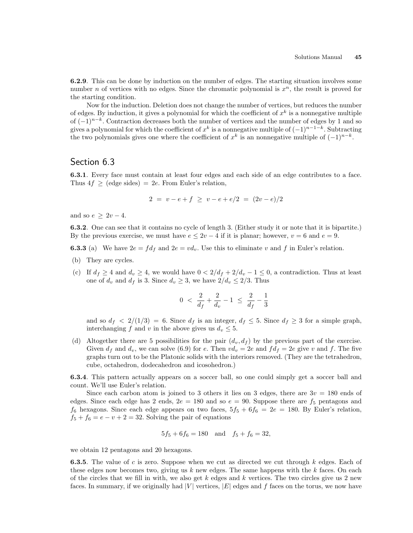6.2.9. This can be done by induction on the number of edges. The starting situation involves some number *n* of vertices with no edges. Since the chromatic polynomial is  $x^n$ , the result is proved for the starting condition.

Now for the induction. Deletion does not change the number of vertices, but reduces the number of edges. By induction, it gives a polynomial for which the coefficient of  $x^k$  is a nonnegative multiple of  $(-1)^{n-k}$ . Contraction decreases both the number of vertices and the number of edges by 1 and so gives a polynomial for which the coefficient of  $x^k$  is a nonnegative multiple of  $(-1)^{n-1-k}$ . Subtracting the two polynomials gives one where the coefficient of  $x^k$  is an nonnegative multiple of  $(-1)^{n-k}$ .

#### Section 6.3

6.3.1. Every face must contain at least four edges and each side of an edge contributes to a face. Thus  $4f \geq$  (edge sides) = 2e. From Euler's relation,

$$
2 = v - e + f \ge v - e + e/2 = (2v - e)/2
$$

and so  $e > 2v - 4$ .

6.3.2. One can see that it contains no cycle of length 3. (Either study it or note that it is bipartite.) By the previous exercise, we must have  $e \leq 2v - 4$  if it is planar; however,  $v = 6$  and  $e = 9$ .

**6.3.3** (a) We have  $2e = fd_f$  and  $2e = vd_v$ . Use this to eliminate v and f in Euler's relation.

- (b) They are cycles.
- (c) If  $d_f \geq 4$  and  $d_v \geq 4$ , we would have  $0 < 2/d_f + 2/d_v 1 \leq 0$ , a contradiction. Thus at least one of  $d_v$  and  $d_f$  is 3. Since  $d_v \geq 3$ , we have  $2/d_v \leq 2/3$ . Thus

$$
0 \ < \ \frac{2}{d_f} + \frac{2}{d_v} - 1 \ \leq \ \frac{2}{d_f} - \frac{1}{3}
$$

and so  $d_f < 2/(1/3) = 6$ . Since  $d_f$  is an integer,  $d_f \le 5$ . Since  $d_f \ge 3$  for a simple graph, interchanging f and v in the above gives us  $d_v \leq 5$ .

(d) Altogether there are 5 possibilities for the pair  $(d_v, d_f)$  by the previous part of the exercise. Given  $d_f$  and  $d_v$ , we can solve (6.9) for e. Then  $vd_v = 2e$  and  $fd_f = 2e$  give v and f. The five graphs turn out to be the Platonic solids with the interiors removed. (They are the tetrahedron, cube, octahedron, dodecahedron and icosohedron.)

6.3.4. This pattern actually appears on a soccer ball, so one could simply get a soccer ball and count. We'll use Euler's relation.

Since each carbon atom is joined to 3 others it lies on 3 edges, there are  $3v = 180$  ends of edges. Since each edge has 2 ends,  $2e = 180$  and so  $e = 90$ . Suppose there are  $f_5$  pentagons and  $f_6$  hexagons. Since each edge appears on two faces,  $5f_5 + 6f_6 = 2e = 180$ . By Euler's relation,  $f_5 + f_6 = e - v + 2 = 32$ . Solving the pair of equations

$$
5f_5 + 6f_6 = 180
$$
 and  $f_5 + f_6 = 32$ ,

we obtain 12 pentagons and 20 hexagons.

**6.3.5.** The value of c is zero. Suppose when we cut as directed we cut through k edges. Each of these edges now becomes two, giving us  $k$  new edges. The same happens with the  $k$  faces. On each of the circles that we fill in with, we also get  $k$  edges and  $k$  vertices. The two circles give us 2 new faces. In summary, if we originally had |V| vertices,  $|E|$  edges and f faces on the torus, we now have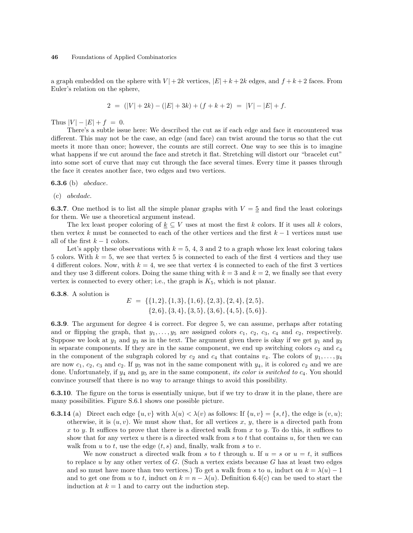a graph embedded on the sphere with  $V | + 2k$  vertices,  $|E| + k + 2k$  edges, and  $f + k + 2$  faces. From Euler's relation on the sphere,

$$
2 = (|V| + 2k) - (|E| + 3k) + (f + k + 2) = |V| - |E| + f.
$$

Thus  $|V| - |E| + f = 0$ .

There's a subtle issue here: We described the cut as if each edge and face it encountered was different. This may not be the case, an edge (and face) can twist around the torus so that the cut meets it more than once; however, the counts are still correct. One way to see this is to imagine what happens if we cut around the face and stretch it flat. Stretching will distort our "bracelet cut" into some sort of curve that may cut through the face several times. Every time it passes through the face it creates another face, two edges and two vertices.

**6.3.6** (b) *abcdace*.

(c) abcdadc.

**6.3.7.** One method is to list all the simple planar graphs with  $V = 5$  and find the least colorings for them. We use a theoretical argument instead.

The lex least proper coloring of  $\underline{k} \subseteq V$  uses at most the first k colors. If it uses all k colors, then vertex k must be connected to each of the other vertices and the first  $k-1$  vertices must use all of the first  $k - 1$  colors.

Let's apply these observations with  $k = 5, 4, 3$  and 2 to a graph whose lex least coloring takes 5 colors. With  $k = 5$ , we see that vertex 5 is connected to each of the first 4 vertices and they use 4 different colors. Now, with  $k = 4$ , we see that vertex 4 is connected to each of the first 3 vertices and they use 3 different colors. Doing the same thing with  $k = 3$  and  $k = 2$ , we finally see that every vertex is connected to every other; i.e., the graph is  $K_5$ , which is not planar.

6.3.8. A solution is

$$
E = \{ \{1, 2\}, \{1, 3\}, \{1, 6\}, \{2, 3\}, \{2, 4\}, \{2, 5\}, \{2, 6\}, \{3, 4\}, \{3, 5\}, \{3, 6\}, \{4, 5\}, \{5, 6\} \}.
$$

6.3.9. The argument for degree 4 is correct. For degree 5, we can assume, perhaps after rotating and or flipping the graph, that  $y_1, \ldots, y_5$  are assigned colors  $c_1, c_2, c_3, c_4$  and  $c_2$ , respectively. Suppose we look at  $y_1$  and  $y_3$  as in the text. The argument given there is okay if we get  $y_1$  and  $y_3$ in separate components. If they are in the same component, we end up switching colors  $c_2$  and  $c_4$ in the component of the subgraph colored by  $c_2$  and  $c_4$  that contains  $v_4$ . The colors of  $y_1, \ldots, y_4$ are now  $c_1$ ,  $c_2$ ,  $c_3$  and  $c_2$ . If  $y_5$  was not in the same component with  $y_4$ , it is colored  $c_2$  and we are done. Unfortunately, if  $y_4$  and  $y_5$  are in the same component, its color is switched to  $c_4$ . You should convince yourself that there is no way to arrange things to avoid this possibility.

6.3.10. The figure on the torus is essentially unique, but if we try to draw it in the plane, there are many possibilities. Figure S.6.1 shows one possible picture.

**6.3.14** (a) Direct each edge  $\{u, v\}$  with  $\lambda(u) < \lambda(v)$  as follows: If  $\{u, v\} = \{s, t\}$ , the edge is  $(v, u)$ ; otherwise, it is  $(u, v)$ . We must show that, for all vertices x, y, there is a directed path from x to y. It suffices to prove that there is a directed walk from x to y. To do this, it suffices to show that for any vertex u there is a directed walk from s to t that contains u, for then we can walk from  $u$  to  $t$ , use the edge  $(t, s)$  and, finally, walk from  $s$  to  $v$ .

We now construct a directed walk from s to t through u. If  $u = s$  or  $u = t$ , it suffices to replace u by any other vertex of  $G$ . (Such a vertex exists because  $G$  has at least two edges and so must have more than two vertices.) To get a walk from s to u, induct on  $k = \lambda(u) - 1$ and to get one from u to t, induct on  $k = n - \lambda(u)$ . Definition 6.4(c) can be used to start the induction at  $k = 1$  and to carry out the induction step.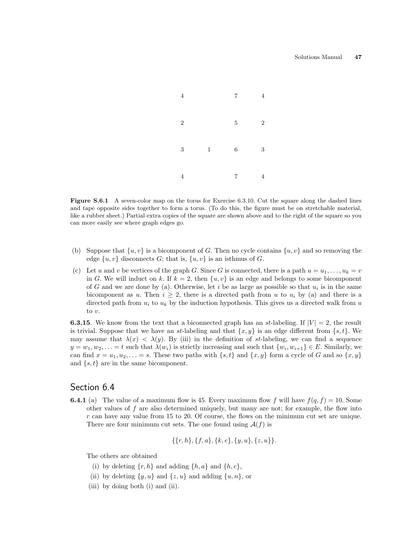

Figure S.6.1 A seven-color map on the torus for Exercise 6.3.10. Cut the square along the dashed lines and tape opposite sides together to form a torus. (To do this, the figure must be on stretchable material, like a rubber sheet.) Partial extra copies of the square are shown above and to the right of the square so you can more easily see where graph edges go.

- (b) Suppose that  $\{u, v\}$  is a bicomponent of G. Then no cycle contains  $\{u, v\}$  and so removing the edge  $\{u, v\}$  disconnects G; that is,  $\{u, v\}$  is an isthmus of G.
- (c) Let u and v be vertices of the graph G. Since G is connected, there is a path  $u = u_1, \ldots, u_k = v$ in G. We will induct on k. If  $k = 2$ , then  $\{u, v\}$  is an edge and belongs to some bicomponent of G and we are done by (a). Otherwise, let i be as large as possible so that  $u_i$  is in the same bicomponent as u. Then  $i \geq 2$ , there is a directed path from u to  $u_i$  by (a) and there is a directed path from  $u_i$  to  $u_k$  by the induction hypothesis. This gives us a directed walk from u to v.

**6.3.15**. We know from the text that a biconnected graph has an st-labeling. If  $|V| = 2$ , the result is trivial. Suppose that we have an st-labeling and that  $\{x, y\}$  is an edge different from  $\{s, t\}$ . We may assume that  $\lambda(x) < \lambda(y)$ . By (iii) in the definition of st-labeling, we can find a sequence  $y = w_1, w_2, \ldots = t$  such that  $\lambda(w_i)$  is strictly increasing and such that  $\{w_i, w_{i+1}\} \in E$ . Similarly, we can find  $x = u_1, u_2, \ldots = s$ . These two paths with  $\{s, t\}$  and  $\{x, y\}$  form a cycle of G and so  $\{x, y\}$ and  $\{s, t\}$  are in the same bicomponent.

## Section 6.4

**6.4.1** (a) The value of a maximum flow is 45. Every maximum flow f will have  $f(q, f) = 10$ . Some other values of f are also determined uniquely, but many are not; for example, the flow into  $r$  can have any value from 15 to 20. Of course, the flows on the minimum cut set are unique. There are four minimum cut sets. The one found using  $\mathcal{A}(f)$  is

$$
\{\{r,h\},\{f,a\},\{k,e\},\{y,u\},\{z,u\}\}.
$$

The others are obtained

- (i) by deleting  $\{r, h\}$  and adding  $\{h, a\}$  and  $\{h, c\}$ ,
- (ii) by deleting  $\{y, u\}$  and  $\{z, u\}$  and adding  $\{u, n\}$ , or
- (iii) by doing both (i) and (ii).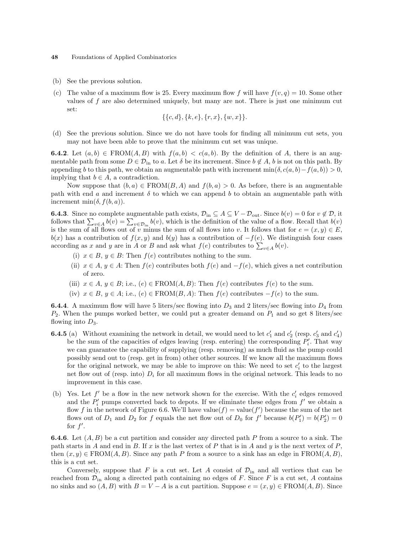- (b) See the previous solution.
- (c) The value of a maximum flow is 25. Every maximum flow f will have  $f(v, q) = 10$ . Some other values of  $f$  are also determined uniquely, but many are not. There is just one minimum cut set:

$$
\{\{c,d\},\{k,e\},\{r,x\},\{w,x\}\}.
$$

(d) See the previous solution. Since we do not have tools for finding all minimum cut sets, you may not have been able to prove that the minimum cut set was unique.

**6.4.2**. Let  $(a, b) \in \text{FROM}(A, B)$  with  $f(a, b) < c(a, b)$ . By the definition of A, there is an augmentable path from some  $D \in \mathcal{D}_{\text{in}}$  to a. Let  $\delta$  be its increment. Since  $b \notin A$ , b is not on this path. By appending b to this path, we obtain an augmentable path with increment  $\min(\delta, c(a, b) - f(a, b)) > 0$ , implying that  $b \in A$ , a contradiction.

Now suppose that  $(b, a) \in \text{FROM}(B, A)$  and  $f(b, a) > 0$ . As before, there is an augmentable path with end a and increment  $\delta$  to which we can append b to obtain an augmentable path with increment min $(\delta, f(b, a))$ .

**6.4.3**. Since no complete augmentable path exists,  $\mathcal{D}_{in} \subseteq A \subseteq V - \mathcal{D}_{out}$ . Since  $b(v) = 0$  for  $v \notin \mathcal{D}$ , it **6.4.3**. Since no complete augmentable path exists,  $\nu_{\text{in}} \\\le A \\\le v - \nu_{\text{out}}$ . Since  $v(v) = 0$  for  $v \notin \nu$ , it follows that  $\sum_{v \in A} b(v) = \sum_{v \in \mathcal{D}_{\text{in}}} b(v)$ , which is the definition of the value of a flow. Recall that is the sum of all flows out of v minus the sum of all flows into v. It follows that for  $e = (x, y) \in E$ ,  $b(x)$  has a contribution of  $f(x, y)$  and  $b(y)$  has a contribution of  $-f(e)$ . We distinguish four cases  $a(x)$  has a contribution of  $f(x, y)$  and  $o(y)$  has a contribution of  $-f(e)$ . We distance according as x and y are in A or B and ask what  $f(e)$  contributes to  $\sum_{v \in A} b(v)$ .

- (i)  $x \in B$ ,  $y \in B$ : Then  $f(e)$  contributes nothing to the sum.
- (ii)  $x \in A$ ,  $y \in A$ : Then  $f(e)$  contributes both  $f(e)$  and  $-f(e)$ , which gives a net contribution of zero.
- (iii)  $x \in A, y \in B$ ; i.e.,  $(e) \in \text{FROM}(A, B)$ : Then  $f(e)$  contributes  $f(e)$  to the sum.
- (iv)  $x \in B$ ,  $y \in A$ ; i.e.,  $(e) \in \text{FROM}(B, A)$ : Then  $f(e)$  contributes  $-f(e)$  to the sum.

**6.4.4**. A maximum flow will have 5 liters/sec flowing into  $D_3$  and 2 liters/sec flowing into  $D_4$  from  $P_2$ . When the pumps worked better, we could put a greater demand on  $P_1$  and so get 8 liters/sec flowing into  $D_3$ .

- **6.4.5** (a) Without examining the network in detail, we would need to let  $c'_1$  and  $c'_2$  (resp.  $c'_3$  and  $c'_4$ ) be the sum of the capacities of edges leaving (resp. entering) the corresponding  $P_i'$ . That way we can guarantee the capability of supplying (resp. removing) as much fluid as the pump could possibly send out to (resp. get in from) other other sources. If we know all the maximum flows for the original network, we may be able to improve on this: We need to set  $c_i'$  to the largest net flow out of (resp. into)  $D_i$  for all maximum flows in the original network. This leads to no improvement in this case.
- (b) Yes. Let  $f'$  be a flow in the new network shown for the exercise. With the  $c'_i$  edges removed and the  $P_i'$  pumps converted back to depots. If we eliminate these edges from  $f'$  we obtain a flow f in the network of Figure 6.6. We'll have value $(f)$  = value $(f')$  because the sum of the net flows out of  $D_1$  and  $D_2$  for f equals the net flow out of  $D_0$  for f' because  $b(P'_1) = b(P'_2) = 0$ for  $f'$ .

**6.4.6**. Let  $(A, B)$  be a cut partition and consider any directed path P from a source to a sink. The path starts in A and end in B. If x is the last vertex of P that is in A and y is the next vertex of P, then  $(x, y) \in \text{FROM}(A, B)$ . Since any path P from a source to a sink has an edge in  $\text{FROM}(A, B)$ , this is a cut set.

Conversely, suppose that F is a cut set. Let A consist of  $\mathcal{D}_{\text{in}}$  and all vertices that can be reached from  $\mathcal{D}_{\text{in}}$  along a directed path containing no edges of F. Since F is a cut set, A contains no sinks and so  $(A, B)$  with  $B = V - A$  is a cut partition. Suppose  $e = (x, y) \in \text{FROM}(A, B)$ . Since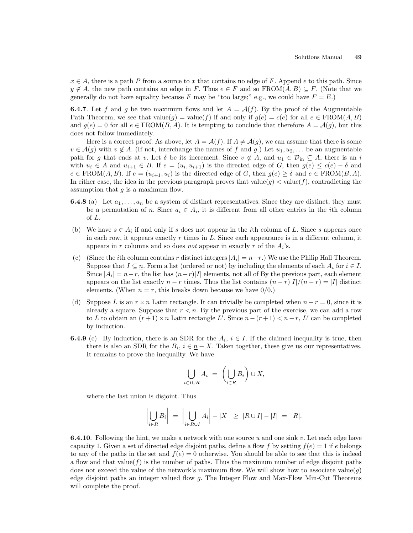$x \in A$ , there is a path P from a source to x that contains no edge of F. Append e to this path. Since  $y \notin A$ , the new path contains an edge in F. Thus  $e \in F$  and so  $\text{FROM}(A, B) \subseteq F$ . (Note that we generally do not have equality because F may be "too large;" e.g., we could have  $F = E$ .)

**6.4.7.** Let f and g be two maximum flows and let  $A = \mathcal{A}(f)$ . By the proof of the Augmentable Path Theorem, we see that  $value(g) = value(f)$  if and only if  $g(e) = c(e)$  for all  $e \in \text{FROM}(A, B)$ and  $g(e) = 0$  for all  $e \in \text{FROM}(B, A)$ . It is tempting to conclude that therefore  $A = \mathcal{A}(g)$ , but this does not follow immediately.

Here is a correct proof. As above, let  $A = \mathcal{A}(f)$ . If  $A \neq \mathcal{A}(g)$ , we can assume that there is some  $v \in \mathcal{A}(g)$  with  $v \notin A$ . (If not, interchange the names of f and g.) Let  $u_1, u_2, \ldots$  be an augmentable path for g that ends at v. Let  $\delta$  be its increment. Since  $v \notin A$ , and  $u_1 \in \mathcal{D}_{in} \subseteq A$ , there is an i with  $u_i \in A$  and  $u_{i+1} \in B$ . If  $e = (u_i, u_{i+1})$  is the directed edge of G, then  $g(e) \leq c(e) - \delta$  and  $e \in \text{FROM}(A, B)$ . If  $e = (u_{i+1}, u_i)$  is the directed edge of G, then  $g(e) \geq \delta$  and  $e \in \text{FROM}(B, A)$ . In either case, the idea in the previous paragraph proves that value $(g) <$  value $(f)$ , contradicting the assumption that  $q$  is a maximum flow.

- **6.4.8** (a) Let  $a_1, \ldots, a_n$  be a system of distinct representatives. Since they are distinct, they must be a permutation of  $\underline{n}$ . Since  $a_i \in A_i$ , it is different from all other entries in the *i*th column of L.
- (b) We have  $s \in A_i$  if and only if s does not appear in the *i*th column of L. Since s appears once in each row, it appears exactly  $r$  times in  $L$ . Since each appearance is in a different column, it appears in r columns and so does *not* appear in exactly r of the  $A_i$ 's.
- (c) (Since the *i*th column contains r distinct integers  $|A_i| = n-r$ .) We use the Philip Hall Theorem. Suppose that  $I \subseteq n$ . Form a list (ordered or not) by including the elements of each  $A_i$  for  $i \in I$ . Since  $|A_i| = n-r$ , the list has  $(n-r)|I|$  elements, not all of By the previous part, each element appears on the list exactly  $n - r$  times. Thus the list contains  $(n - r)|I|/(n - r) = |I|$  distinct elements. (When  $n = r$ , this breaks down because we have  $0/0$ .)
- (d) Suppose L is an  $r \times n$  Latin rectangle. It can trivially be completed when  $n r = 0$ , since it is already a square. Suppose that  $r < n$ . By the previous part of the exercise, we can add a row to L to obtain an  $(r+1) \times n$  Latin rectangle L'. Since  $n - (r+1) < n - r$ , L' can be completed by induction.
- **6.4.9** (c) By induction, there is an SDR for the  $A_i$ ,  $i \in I$ . If the claimed inequality is true, then there is also an SDR for the  $B_i$ ,  $i \in \underline{n} - X$ . Taken together, these give us our representatives. It remains to prove the inequality. We have

$$
\bigcup_{i \in I \cup R} A_i = \left( \bigcup_{i \in R} B_i \right) \cup X,
$$

where the last union is disjoint. Thus

$$
\left|\bigcup_{i\in R}B_i\right| = \left|\bigcup_{i\in R\cup I}A_i\right| - |X| \geq |R\cup I| - |I| = |R|.
$$

**6.4.10**. Following the hint, we make a network with one source u and one sink v. Let each edge have capacity 1. Given a set of directed edge disjoint paths, define a flow f by setting  $f(e) = 1$  if e belongs to any of the paths in the set and  $f(e) = 0$  otherwise. You should be able to see that this is indeed a flow and that value( $f$ ) is the number of paths. Thus the maximum number of edge disjoint paths does not exceed the value of the network's maximum flow. We will show how to associate value $(g)$ edge disjoint paths an integer valued flow g. The Integer Flow and Max-Flow Min-Cut Theorems will complete the proof.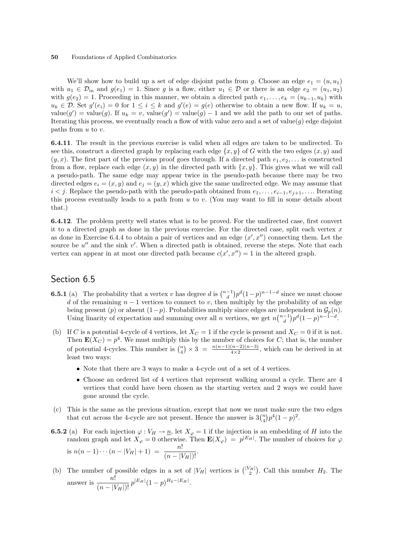We'll show how to build up a set of edge disjoint paths from g. Choose an edge  $e_1 = (u, u_1)$ with  $u_1 \in \mathcal{D}_{\text{in}}$  and  $g(e_1) = 1$ . Since g is a flow, either  $u_1 \in \mathcal{D}$  or there is an edge  $e_2 = (u_1, u_2)$ with  $g(e_2) = 1$ . Proceeding in this manner, we obtain a directed path  $e_1, \ldots, e_k = (u_{k-1}, u_k)$  with  $u_k \in \mathcal{D}$ . Set  $g'(e_i) = 0$  for  $1 \leq i \leq k$  and  $g'(e) = g(e)$  otherwise to obtain a new flow. If  $u_k = u$ , value(g') = value(g). If  $u_k = v$ , value(g') = value(g) - 1 and we add the path to our set of paths. Iterating this process, we eventually reach a flow of with value zero and a set of value(g) edge disjoint paths from  $u$  to  $v$ .

6.4.11. The result in the previous exercise is valid when all edges are taken to be undirected. To see this, construct a directed graph by replacing each edge  $\{x, y\}$  of G with the two edges  $(x, y)$  and  $(y, x)$ . The first part of the previous proof goes through. If a directed path  $e_1, e_2, \ldots$  is constructed from a flow, replace each edge  $(x, y)$  in the directed path with  $\{x, y\}$ . This gives what we will call a pseudo-path. The same edge may appear twice in the pseudo-path because there may be two directed edges  $e_i = (x, y)$  and  $e_j = (y, x)$  which give the same undirected edge. We may assume that  $i < j$ . Replace the pseudo-path with the pseudo-path obtained from  $e_1, \ldots, e_{i-1}, e_{j+1}, \ldots$  Iterating this process eventually leads to a path from  $u$  to  $v$ . (You may want to fill in some details about that.)

6.4.12. The problem pretty well states what is to be proved. For the undirected case, first convert it to a directed graph as done in the previous exercise. For the directed case, split each vertex  $x$ as done in Exercise 6.4.4 to obtain a pair of vertices and an edge  $(x', x'')$  connecting them. Let the source be  $u''$  and the sink  $v'$ . When a directed path is obtained, reverse the steps. Note that each vertex can appear in at most one directed path because  $c(x', x'') = 1$  in the altered graph.

# Section 6.5

- **6.5.1** (a) The probability that a vertex v has degree d is  $\binom{n-1}{d}$ ¢  $p^{d}(1-p)^{n-1-d}$  since we must choose d of the remaining  $n-1$  vertices to connect to v, then multiply by the probability of an edge being present (p) or absent  $(1-p)$ . Probabilities multiply since edges are independent in  $\mathcal{G}_p(n)$ . being present (p) or absent  $(1-p)$ . Probabilities multiply since edges are independent in  $\mathcal{G}_p(n)$ .<br>Using linarity of expectation and summing over all n vertices, we get  $n\binom{n-1}{d}p^d(1-p)^{n-1-d}$ .
- (b) If C is a potential 4-cycle of 4 vertices, let  $X_C = 1$  if the cycle is present and  $X_C = 0$  if it is not. Then  $\mathbf{E}(X_C) = p^4$ . We must multiply this by the number of choices for C; that is, the number Then  $E(XC) - p$ . We must multiply the of potential 4-cycles. This number is  $\binom{n}{4}$  $\phi$   $\times$  3 =  $\frac{n(n-1)(n-2)(n-3)}{4\times2}$ , which can be derived in at least two ways:
	- Note that there are 3 ways to make a 4-cycle out of a set of 4 vertices.
	- Choose an ordered list of 4 vertices that represent walking around a cycle. There are 4 vertices that could have been chosen as the starting vertex and 2 ways we could have gone around the cycle.
- (c) This is the same as the previous situation, except that now we must make sure the two edges This is the same as the previous situation, except that now we must make sure that cut across the 4-cycle are not present. Hence the answer is  $3\binom{n}{4}p^4(1-p)^2$ .
- **6.5.2** (a) For each injection  $\varphi: V_H \to \underline{n}$ , let  $X_{\varphi} = 1$  if the injection is an embedding of H into the random graph and let  $X_{\varphi} = 0$  otherwise. Then  $\mathbf{E}(X_{\varphi}) = p^{|E_H|}$ . The number of choices for  $\varphi$ is  $n(n-1)\cdots(n-|V_H|+1) = \frac{n!}{(n-|V_H|)!}$ .
- (b) The number of possible edges in a set of  $|V_H|$  vertices is  $\binom{|V_H|}{2}$ ¢ . Call this number  $H_2$ . The answer is  $\frac{n!}{(n-|V_H|)!} p^{|E_H|} (1-p)^{H_2-|E_H|}$ .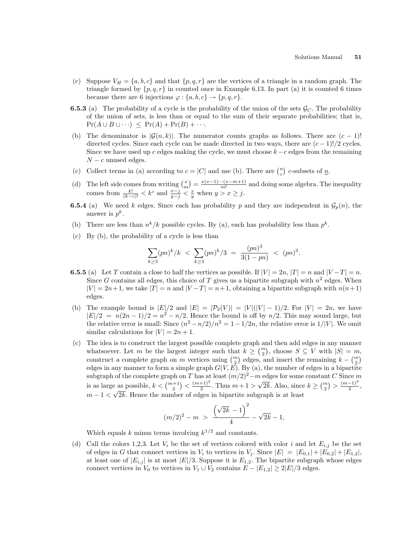- (c) Suppose  $V_H = \{a, b, c\}$  and that  $\{p, q, r\}$  are the vertices of a triangle in a random graph. The triangle formed by  $\{p,q,r\}$  in counted once in Example 6.13. In part (a) it is counted 6 times because there are 6 injections  $\varphi: \{a, b, c\} \to \{p, q, r\}.$
- **6.5.3** (a) The probability of a cycle is the probability of the union of the sets  $\mathcal{G}_C$ . The probability of the union of sets, is less than or equal to the sum of their separate probabilities; that is,  $Pr(A \cup B \cup \cdots) \leq Pr(A) + Pr(B) + \cdots$
- (b) The denominator is  $|\mathcal{G}(n, k)|$ . The numerator counts graphs as follows. There are  $(c 1)!$ directed cycles. Since each cycle can be made directed in two ways, there are  $(c-1)!/2$  cycles. Since we have used up c edges making the cycle, we must choose  $k-c$  edges from the remaining  $N - c$  unused edges. ¢
- (c) Collect terms in (a) according to  $c = |C|$  and use (b). There are  $\binom{n}{c}$ c-subsets of  $\underline{n}$ .
- (d) The left side comes from writing  $\binom{x}{m}$ ¢  $=\frac{x(x-1)\cdots(x-m+1)}{m!}$  $\frac{m(n-m+1)}{m!}$  and doing some algebra. The inequality comes from  $\frac{k!}{(k-c)!} < k^c$  and  $\frac{x-j}{y-j} < \frac{x}{y}$  when  $y > x \geq j$ .
- **6.5.4** (a) We need k edges. Since each has probability p and they are independent in  $\mathcal{G}_p(n)$ , the answer is  $p^k$ .
- (b) There are less than  $n^k/k$  possible cycles. By (a), each has probability less than  $p^k$ .
- (c) By (b), the probability of a cycle is less than

$$
\sum_{k\geq 3} (pn)^k / k \ \leq \ \sum_{k\geq 3} (pn)^k / 3 \ = \ \frac{(pn)^3}{3(1 - pn)} \ \leq \ (pn)^3.
$$

- **6.5.5** (a) Let T contain a close to half the vertices as possible. If  $|V| = 2n$ ,  $|T| = n$  and  $|V T| = n$ . Since G contains all edges, this choice of T gives us a bipartite subgraph with  $n^2$  edges. When  $|V| = 2n+1$ , we take  $|T| = n$  and  $|V - T| = n+1$ , obtaining a bipartite subgraph with  $n(n+1)$ edges.
- (b) The example bound is  $|E|/2$  and  $|E| = |\mathcal{P}_2(V)| = |V|(|V|-1)/2$ . For  $|V| = 2n$ , we have  $|E|/2 = n(2n-1)/2 = n^2 - n/2$ . Hence the bound is off by  $n/2$ . This may sound large, but the relative error is small: Since  $(n^2 - n/2)/n^2 = 1 - 1/2n$ , the relative error is  $1/|V|$ . We omit similar calculations for  $|V| = 2n + 1$ .
- (c) The idea is to construct the largest possible complete graph and then add edges in any manner The idea is to construct the largest possible complete graph and then add edges in any manner<br>whatsoever. Let m be the largest integer such that  $k \geq {m \choose 2}$ , choose  $S \subseteq V$  with  $|S| = m$ , whatsoever. Let *m* be the largest integer such that  $\kappa \geq \binom{2}{2}$ , choose  $\beta \subseteq V$  with  $|\beta| = m$  construct a complete graph on *m* vertices using  $\binom{m}{2}$  edges, and insert the remaining  $k - \binom{m}{2}$ edges in any manner to form a simple graph  $G(V, E)$ . By (a), the number of edges in a bipartite subgraph of the complete graph on T has at least  $(m/2)^2 - m$  edges for some constant C Since m is as large as possible,  $k < \binom{m+1}{2}$  $\check{\phantom{a}}$  $\frac{(m+1)^2}{2}$  $\frac{+1}{2}$ . Thus  $m+1$ √  $\overline{2k}$ . Also, since  $k \geq {m \choose 2}$ ¢  $> \frac{(m-1)^2}{2}$ e as possible,  $k < \binom{m+1}{2} < \frac{(m+1)^2}{2}$ . Thus  $m+1 > \sqrt{2k}$ . Also, since  $k \geq \binom{m}{2} > \frac{(m-1)^2}{2}$ ,  $m-1 < \sqrt{2k}$ . Hence the number of edges in bipartite subgraph is at least

$$
(m/2)^2 - m > \frac{(\sqrt{2k} - 1)^2}{4} - \sqrt{2k} - 1,
$$

Which equals k minus terms involving  $k^{1/2}$  and constants.

(d) Call the colors 1,2,3. Let  $V_i$  be the set of vertices colored with color i and let  $E_{i,j}$  be the set of edges in G that connect vertices in  $V_i$  to vertices in  $V_j$ . Since  $|E| = |E_{0,1}| + |E_{0,2}| + |E_{1,2}|$ , at least one of  $|E_{i,j}|$  is at most  $|E|/3$ . Suppose it is  $E_{1,2}$ . The bipartite subgraph whose edges connect vertices in  $V_0$  to vertices in  $V_1 \cup V_2$  contains  $E - |E_{1,2}| \geq 2|E|/3$  edges.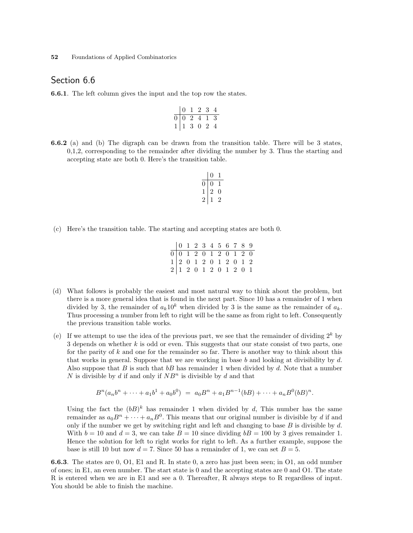## Section 6.6

6.6.1. The left column gives the input and the top row the states.

$$
\begin{array}{c|cccc}\n & 0 & 1 & 2 & 3 & 4 \\
\hline\n0 & 0 & 2 & 4 & 1 & 3 \\
1 & 1 & 3 & 0 & 2 & 4\n\end{array}
$$

6.6.2 (a) and (b) The digraph can be drawn from the transition table. There will be 3 states, 0,1,2, corresponding to the remainder after dividing the number by 3. Thus the starting and accepting state are both 0. Here's the transition table.

$$
\begin{array}{c|cc}\n & 0 & 1 \\
\hline\n0 & 0 & 1 \\
1 & 2 & 0 \\
2 & 1 & 2\n\end{array}
$$

(c) Here's the transition table. The starting and accepting states are both 0.

|  |  | $\begin{array}{c cccccccc} 0&1&2&3&4&5&6&7&8&9\\ \hline 0&0&1&2&0&1&2&0&1&2&0\\ 1&2&0&1&2&0&1&2&0&1&2\\ 2&1&2&0&1&2&0&1&2&0&1 \end{array}$ |  |  |  |
|--|--|--------------------------------------------------------------------------------------------------------------------------------------------|--|--|--|
|  |  |                                                                                                                                            |  |  |  |
|  |  |                                                                                                                                            |  |  |  |
|  |  |                                                                                                                                            |  |  |  |

- (d) What follows is probably the easiest and most natural way to think about the problem, but there is a more general idea that is found in the next part. Since 10 has a remainder of 1 when divided by 3, the remainder of  $a_k10^k$  when divided by 3 is the same as the remainder of  $a_k$ . Thus processing a number from left to right will be the same as from right to left. Consequently the previous transition table works.
- (e) If we attempt to use the idea of the previous part, we see that the remainder of dividing  $2^k$  by 3 depends on whether  $k$  is odd or even. This suggests that our state consist of two parts, one for the parity of  $k$  and one for the remainder so far. There is another way to think about this that works in general. Suppose that we are working in base b and looking at divisibility by  $d$ . Also suppose that B is such that  $bB$  has remainder 1 when divided by d. Note that a number N is divisible by d if and only if  $NB<sup>n</sup>$  is divisible by d and that

$$
B^{n}(a_{n}b^{n}+\cdots+a_{1}b^{1}+a_{0}b^{0}) = a_{0}B^{n}+a_{1}B^{n-1}(bB)+\cdots+a_{n}B^{0}(bB)^{n}.
$$

Using the fact the  $(bB)^k$  has remainder 1 when divided by d, This number has the same remainder as  $a_0B^n + \cdots + a_nB^0$ . This means that our original number is divisible by d if and only if the number we get by switching right and left and changing to base  $B$  is divisible by  $d$ . With  $b = 10$  and  $d = 3$ , we can take  $B = 10$  since dividing  $bB = 100$  by 3 gives remainder 1. Hence the solution for left to right works for right to left. As a further example, suppose the base is still 10 but now  $d = 7$ . Since 50 has a remainder of 1, we can set  $B = 5$ .

6.6.3. The states are 0, O1, E1 and R. In state 0, a zero has just been seen; in O1, an odd number of ones; in E1, an even number. The start state is 0 and the accepting states are 0 and O1. The state R is entered when we are in E1 and see a 0. Thereafter, R always steps to R regardless of input. You should be able to finish the machine.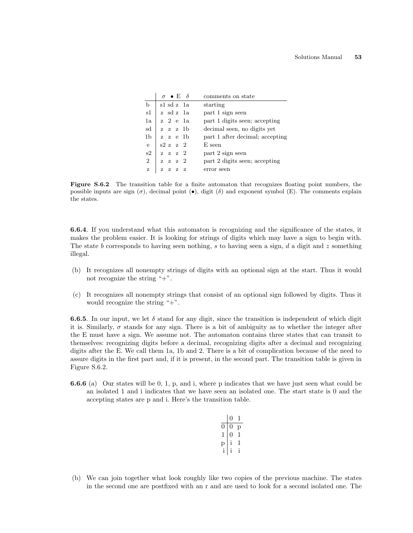|                | $\sigma \bullet \to \delta$ | comments on state               |
|----------------|-----------------------------|---------------------------------|
| b              | s1 sd z -1a                 | starting                        |
| s1             | z sdz 1a                    | part 1 sign seen                |
| 1a             | z 2 e 1a                    | part 1 digits seen; accepting   |
| sd             | z z z 1b                    | decimal seen, no digits yet     |
| 1b             | zze 1 b                     | part 1 after decimal; accepting |
| $\overline{e}$ | s2 z z 2                    | E seen                          |
| s2             | $z \, z \, z \, 2$          | part 2 sign seen                |
| $\overline{2}$ | $z \, z \, z \, 2$          | part 2 digits seen; accepting   |
| z              | z<br>Z<br>- 7<br>z          | error seen                      |

Figure S.6.2 The transition table for a finite automaton that recognizes floating point numbers, the possible inputs are sign  $(\sigma)$ , decimal point  $(\bullet)$ , digit  $(\delta)$  and exponent symbol (E). The comments explain the states.

6.6.4. If you understand what this automaton is recognizing and the significance of the states, it makes the problem easier. It is looking for strings of digits which may have a sign to begin with. The state b corresponds to having seen nothing, s to having seen a sign, d a digit and z something illegal.

- (b) It recognizes all nonempty strings of digits with an optional sign at the start. Thus it would not recognize the string "+".
- (c) It recognizes all nonempty strings that consist of an optional sign followed by digits. Thus it would recognize the string "+".

**6.6.5.** In our input, we let  $\delta$  stand for any digit, since the transition is independent of which digit it is. Similarly,  $\sigma$  stands for any sign. There is a bit of ambiguity as to whether the integer after the E must have a sign. We assume not. The automaton contains three states that can transit to themselves: recognizing digits before a decimal, recognizing digits after a decimal and recognizing digits after the E. We call them 1a, 1b and 2. There is a bit of complication because of the need to assure digits in the first part and, if it is present, in the second part. The transition table is given in Figure S.6.2.

6.6.6 (a) Our states will be 0, 1, p, and i, where p indicates that we have just seen what could be an isolated 1 and i indicates that we have seen an isolated one. The start state is 0 and the accepting states are p and i. Here's the transition table.

|   | i) |   |
|---|----|---|
|   |    | р |
| 1 | IJ |   |
|   | i  |   |
| i | i  | i |
|   |    |   |

(b) We can join together what look roughly like two copies of the previous machine. The states in the second one are postfixed with an r and are used to look for a second isolated one. The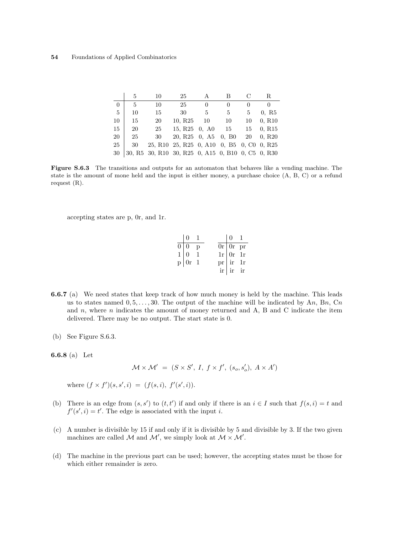|          | 5  | 10                                                                                                                                    | 25                                                                                                                | A  | В            | С  | R                  |
|----------|----|---------------------------------------------------------------------------------------------------------------------------------------|-------------------------------------------------------------------------------------------------------------------|----|--------------|----|--------------------|
| $\Omega$ | 5  | 10                                                                                                                                    | 25                                                                                                                |    | $\mathbf{0}$ |    |                    |
| - 5      | 10 | 15                                                                                                                                    | 30                                                                                                                | 5  | 5            | 5  | 0, R5              |
| 10       | 15 | 20                                                                                                                                    | 10, R25                                                                                                           | 10 | 10           | 10 | 0, R10             |
| 15       | 20 | 25                                                                                                                                    | 15, R25, 0, A0                                                                                                    |    | 15           | 15 | 0, R <sub>15</sub> |
| 20       | 25 | 30                                                                                                                                    | 20, R <sub>25</sub> 0, A <sub>5</sub> 0, B <sub>0</sub>                                                           |    |              | 20 | 0, R20             |
| 25       | 30 |                                                                                                                                       | 25, R <sub>10</sub> 25, R <sub>25</sub> 0, A <sub>10</sub> 0, B <sub>5</sub> 0, C <sub>0</sub> 0, R <sub>25</sub> |    |              |    |                    |
| 30       |    | 30, R <sub>5</sub> 30, R <sub>10</sub> 30, R <sub>25</sub> 0, A <sub>15</sub> 0, B <sub>10</sub> 0, C <sub>5</sub> 0, R <sub>30</sub> |                                                                                                                   |    |              |    |                    |

Figure S.6.3 The transitions and outputs for an automaton that behaves like a vending machine. The state is the amount of mone held and the input is either money, a purchase choice (A, B, C) or a refund request (R).

accepting states are p, 0r, and 1r.

| $\begin{pmatrix} 0 & 1 \end{pmatrix}$                             |  | $\begin{array}{cc} 0 & 1 \end{array}$                                                                       |  |
|-------------------------------------------------------------------|--|-------------------------------------------------------------------------------------------------------------|--|
| $\overline{0 0}$ p                                                |  | $\begin{tabular}{ c c } \hline \hline 0r & 0r & pr \\ 1r & 0r & 1r \\ pr & ir & 1r \\ \hline \end{tabular}$ |  |
|                                                                   |  |                                                                                                             |  |
| $\begin{bmatrix} 0 & 1 \\ 1 & 0 \\ 0 & 1 \end{bmatrix}$<br>p or 1 |  |                                                                                                             |  |
|                                                                   |  | $ir$ ir ir                                                                                                  |  |

- 6.6.7 (a) We need states that keep track of how much money is held by the machine. This leads us to states named  $0, 5, \ldots, 30$ . The output of the machine will be indicated by An, Bn, Cn and  $n$ , where  $n$  indicates the amount of money returned and A, B and C indicate the item delivered. There may be no output. The start state is 0.
- (b) See Figure S.6.3.

6.6.8 (a) Let

$$
\mathcal{M} \times \mathcal{M}' = (S \times S', I, f \times f', (s_o, s'_o), A \times A')
$$

where  $(f \times f')(s, s', i) = (f(s, i), f'(s', i)).$ 

- (b) There is an edge from  $(s, s')$  to  $(t, t')$  if and only if there is an  $i \in I$  such that  $f(s, i) = t$  and  $f'(s', i) = t'$ . The edge is associated with the input *i*.
- (c) A number is divisible by 15 if and only if it is divisible by 5 and divisible by 3. If the two given machines are called M and M', we simply look at  $M \times M'$ .
- (d) The machine in the previous part can be used; however, the accepting states must be those for which either remainder is zero.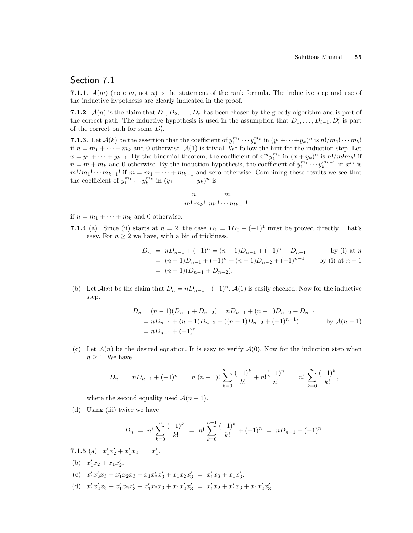## Section 7.1

7.1.1.  $\mathcal{A}(m)$  (note m, not n) is the statement of the rank formula. The inductive step and use of the inductive hypothesis are clearly indicated in the proof.

7.1.2.  $\mathcal{A}(n)$  is the claim that  $D_1, D_2, \ldots, D_n$  has been chosen by the greedy algorithm and is part of the correct path. The inductive hypothesis is used in the assumption that  $D_1, \ldots, D_{i-1}, D'_i$  is part of the correct path for some  $D_i'$ .

**7.1.3**. Let  $\mathcal{A}(k)$  be the assertion that the coefficient of  $y_1^{m_1} \cdots y_k^{m_k}$  in  $(y_1 + \cdots + y_k)^n$  is  $n!/m_1! \cdots m_k!$ if  $n = m_1 + \cdots + m_k$  and 0 otherwise.  $\mathcal{A}(1)$  is trivial. We follow the hint for the induction step. Let  $x = y_1 + \cdots + y_{k-1}$ . By the binomial theorem, the coefficient of  $x^m y_k^{m_k}$  in  $(x + y_k)^n$  is  $n!/m!m_k!$  if  $n = m + m_k$  and 0 otherwise. By the induction hypothesis, the coefficient of  $y_1^{m_1} \cdots y_{k-1}^{m_{k-1}}$  in  $x^m$  is  $m!/m_1! \cdots m_{k-1}!$  if  $m = m_1 + \cdots + m_{k-1}$  and zero otherwise. Combining these results we see that the coefficient of  $y_1^{m_1} \cdots y_k^{m_k}$  in  $(y_1 + \cdots + y_k)^n$  is

$$
\frac{n!}{m! \; m_k!} \; \frac{m!}{m_1! \cdots m_{k-1}!}
$$

if  $n = m_1 + \cdots + m_k$  and 0 otherwise.

7.1.4 (a) Since (ii) starts at  $n = 2$ , the case  $D_1 = 1D_0 + (-1)^1$  must be proved directly. That's easy. For  $n \geq 2$  we have, with a bit of trickiness,

$$
D_n = nD_{n-1} + (-1)^n = (n-1)D_{n-1} + (-1)^n + D_{n-1}
$$
 by (i) at  $n$   
=  $(n-1)D_{n-1} + (-1)^n + (n-1)D_{n-2} + (-1)^{n-1}$  by (i) at  $n-1$   
=  $(n-1)(D_{n-1} + D_{n-2}).$ 

(b) Let  $\mathcal{A}(n)$  be the claim that  $D_n = nD_{n-1} + (-1)^n$ .  $\mathcal{A}(1)$  is easily checked. Now for the inductive step.

$$
D_n = (n-1)(D_{n-1} + D_{n-2}) = nD_{n-1} + (n-1)D_{n-2} - D_{n-1}
$$
  
=  $nD_{n-1} + (n-1)D_{n-2} - ((n-1)D_{n-2} + (-1)^{n-1})$  by  $\mathcal{A}(n-1)$   
=  $nD_{n-1} + (-1)^n$ .

(c) Let  $\mathcal{A}(n)$  be the desired equation. It is easy to verify  $\mathcal{A}(0)$ . Now for the induction step when  $n \geq 1$ . We have

$$
D_n = nD_{n-1} + (-1)^n = n (n - 1)! \sum_{k=0}^{n-1} \frac{(-1)^k}{k!} + n! \frac{(-1)^n}{n!} = n! \sum_{k=0}^{n} \frac{(-1)^k}{k!},
$$

where the second equality used  $\mathcal{A}(n-1)$ .

(d) Using (iii) twice we have

$$
D_n = n! \sum_{k=0}^n \frac{(-1)^k}{k!} = n! \sum_{k=0}^{n-1} \frac{(-1)^k}{k!} + (-1)^n = nD_{n-1} + (-1)^n.
$$

- 7.1.5 (a)  $x'_1x'_2 + x'_1x_2 = x'_1.$ (b)  $x'_1x_2 + x_1x'_2$ .
- (c)  $x'_1x'_2x_3 + x'_1x_2x_3 + x_1x'_2x'_3 + x_1x_2x'_3 = x'_1x_3 + x_1x'_3.$
- (d)  $x'_1x'_2x_3 + x'_1x_2x'_3 + x'_1x_2x_3 + x_1x'_2x'_3 = x'_1x_2 + x'_1x_3 + x_1x'_2x'_3.$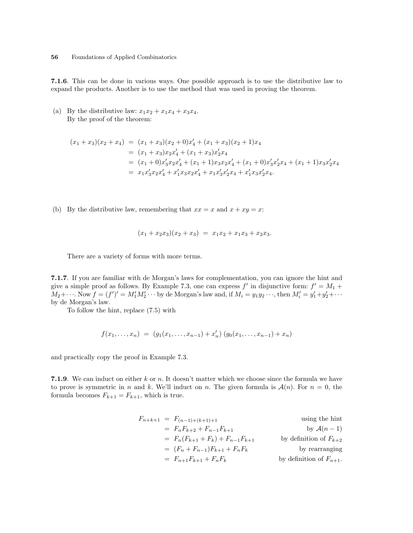7.1.6. This can be done in various ways. One possible approach is to use the distributive law to expand the products. Another is to use the method that was used in proving the theorem.

(a) By the distributive law:  $x_1x_2 + x_1x_4 + x_3x_4$ . By the proof of the theorem:

$$
(x_1 + x_3)(x_2 + x_4) = (x_1 + x_3)(x_2 + 0)x'_4 + (x_1 + x_3)(x_2 + 1)x_4
$$
  
=  $(x_1 + x_3)x_2x'_4 + (x_1 + x_3)x'_2x_4$   
=  $(x_1 + 0)x'_3x_2x'_4 + (x_1 + 1)x_3x_2x'_4 + (x_1 + 0)x'_3x'_2x_4 + (x_1 + 1)x_3x'_2x_4$   
=  $x_1x'_3x_2x'_4 + x'_1x_3x_2x'_4 + x_1x'_3x'_2x_4 + x'_1x_3x'_2x_4$ .

(b) By the distributive law, remembering that  $xx = x$  and  $x + xy = x$ :

$$
(x_1 + x_2 x_3)(x_2 + x_3) = x_1 x_2 + x_1 x_3 + x_2 x_3.
$$

There are a variety of forms with more terms.

7.1.7. If you are familiar with de Morgan's laws for complementation, you can ignore the hint and give a simple proof as follows. By Example 7.3, one can express  $f'$  in disjunctive form:  $f' = M_1 +$  $M_2+\cdots$ . Now  $f=(f')'=M'_1M'_2\cdots$  by de Morgan's law and, if  $M_i=y_1y_2\cdots$ , then  $M'_i=y'_1+y'_2+\cdots$ by de Morgan's law.

To follow the hint, replace (7.5) with

$$
f(x_1,...,x_n) = (g_1(x_1,...,x_{n-1}) + x'_n) (g_0(x_1,...,x_{n-1}) + x_n)
$$

and practically copy the proof in Example 7.3.

7.1.9. We can induct on either k or n. It doesn't matter which we choose since the formula we have to prove is symmetric in n and k. We'll induct on n. The given formula is  $\mathcal{A}(n)$ . For  $n = 0$ , the formula becomes  $F_{k+1} = F_{k+1}$ , which is true.

$$
F_{n+k+1} = F_{(n-1)+(k+1)+1}
$$
 using the hint  
\n
$$
= F_n F_{k+2} + F_{n-1} F_{k+1}
$$
 by  $\mathcal{A}(n-1)$   
\n
$$
= F_n (F_{k+1} + F_k) + F_{n-1} F_{k+1}
$$
 by definition of  $F_{k+2}$   
\n
$$
= (F_n + F_{n-1}) F_{k+1} + F_n F_k
$$
 by the definition of  $F_{n+1}$ .  
\nby definition of  $F_{n+1}$ .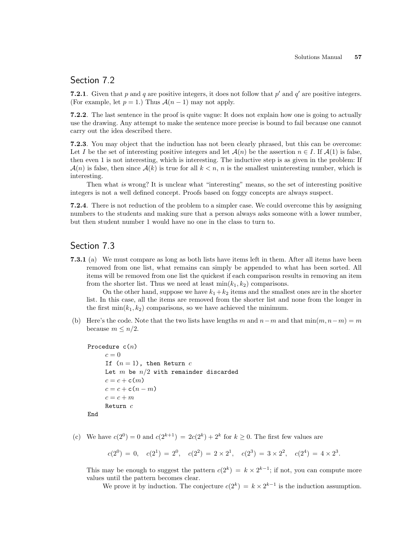## Section 7.2

**7.2.1**. Given that p and q are positive integers, it does not follow that  $p'$  and  $q'$  are positive integers. (For example, let  $p = 1$ .) Thus  $\mathcal{A}(n-1)$  may not apply.

7.2.2. The last sentence in the proof is quite vague: It does not explain how one is going to actually use the drawing. Any attempt to make the sentence more precise is bound to fail because one cannot carry out the idea described there.

7.2.3. You may object that the induction has not been clearly phrased, but this can be overcome: Let I be the set of interesting positive integers and let  $\mathcal{A}(n)$  be the assertion  $n \in I$ . If  $\mathcal{A}(1)$  is false, then even 1 is not interesting, which is interesting. The inductive step is as given in the problem: If  $\mathcal{A}(n)$  is false, then since  $\mathcal{A}(k)$  is true for all  $k < n$ , n is the smallest uninteresting number, which is interesting.

Then what is wrong? It is unclear what "interesting" means, so the set of interesting positive integers is not a well defined concept. Proofs based on foggy concepts are always suspect.

7.2.4. There is not reduction of the problem to a simpler case. We could overcome this by assigning numbers to the students and making sure that a person always asks someone with a lower number, but then student number 1 would have no one in the class to turn to.

# Section 7.3

7.3.1 (a) We must compare as long as both lists have items left in them. After all items have been removed from one list, what remains can simply be appended to what has been sorted. All items will be removed from one list the quickest if each comparison results in removing an item from the shorter list. Thus we need at least  $\min(k_1, k_2)$  comparisons.

On the other hand, suppose we have  $k_1+k_2$  items and the smallest ones are in the shorter list. In this case, all the items are removed from the shorter list and none from the longer in the first  $\min(k_1, k_2)$  comparisons, so we have achieved the minimum.

(b) Here's the code. Note that the two lists have lengths m and  $n-m$  and that  $\min(m, n-m) = m$ because  $m \leq n/2$ .

```
Procedure c(n)c = 0If (n = 1), then Return c
     Let m be n/2 with remainder discarded
     c = c + c(m)c = c + c(n-m)c = c + mReturn c
```
End

(c) We have  $c(2^0) = 0$  and  $c(2^{k+1}) = 2c(2^k) + 2^k$  for  $k \ge 0$ . The first few values are

$$
c(20) = 0, \quad c(21) = 20, \quad c(22) = 2 \times 21, \quad c(23) = 3 \times 22, \quad c(24) = 4 \times 23.
$$

This may be enough to suggest the pattern  $c(2^k) = k \times 2^{k-1}$ ; if not, you can compute more values until the pattern becomes clear.

We prove it by induction. The conjecture  $c(2^k) = k \times 2^{k-1}$  is the induction assumption.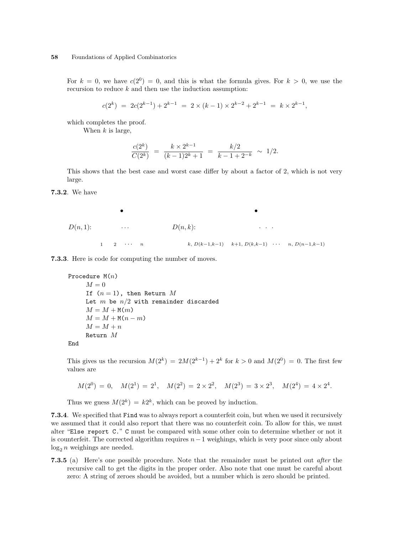For  $k = 0$ , we have  $c(2^0) = 0$ , and this is what the formula gives. For  $k > 0$ , we use the recursion to reduce  $k$  and then use the induction assumption:

$$
c(2k) = 2c(2k-1) + 2k-1 = 2 \times (k-1) \times 2k-2 + 2k-1 = k \times 2k-1,
$$

which completes the proof.

When  $k$  is large,

$$
\frac{c(2^k)}{C(2^k)} = \frac{k \times 2^{k-1}}{(k-1)2^k + 1} = \frac{k/2}{k-1+2^{-k}} \sim 1/2.
$$

This shows that the best case and worst case differ by about a factor of 2, which is not very large.

7.3.2. We have

D(n, 1): • . . . <sup>1</sup> <sup>2</sup> · · · <sup>n</sup> D(n, k): • . . . k, D(k−1,k−1) <sup>k</sup>+1, D(k,k−1) · · · n, D(n−1,k−1)

7.3.3. Here is code for computing the number of moves.

```
Procedure M(n)M = 0If (n = 1), then Return M
    Let m be n/2 with remainder discarded
    M = M + M(m)M = M + M(n - m)M = M + nReturn M
```
End

This gives us the recursion  $M(2^k) = 2M(2^{k-1}) + 2^k$  for  $k > 0$  and  $M(2^0) = 0$ . The first few values are

$$
M(2^0) = 0
$$
,  $M(2^1) = 2^1$ ,  $M(2^2) = 2 \times 2^2$ ,  $M(2^3) = 3 \times 2^3$ ,  $M(2^4) = 4 \times 2^4$ .

Thus we guess  $M(2^k) = k2^k$ , which can be proved by induction.

7.3.4. We specified that Find was to always report a counterfeit coin, but when we used it recursively we assumed that it could also report that there was no counterfeit coin. To allow for this, we must alter "Else report C." C must be compared with some other coin to determine whether or not it is counterfeit. The corrected algorithm requires  $n-1$  weighings, which is very poor since only about  $log_2 n$  weighings are needed.

7.3.5 (a) Here's one possible procedure. Note that the remainder must be printed out after the recursive call to get the digits in the proper order. Also note that one must be careful about zero: A string of zeroes should be avoided, but a number which is zero should be printed.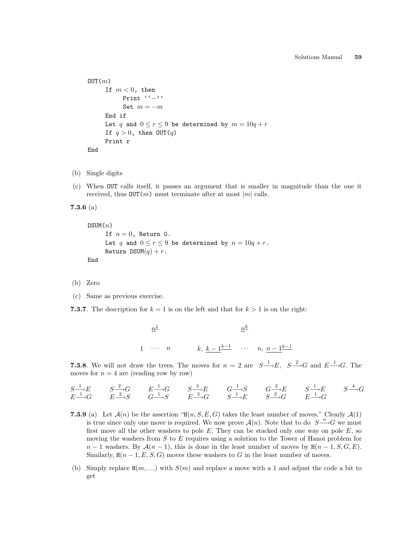```
OUT(m)If m < 0, then
          Print ''−''
          Set m = -mEnd if
     Let q and 0 \le r \le 9 be determined by m = 10q + rIf q > 0, then OUT(q)Print r
End
```
- (b) Single digits
- (c) When OUT calls itself, it passes an argument that is smaller in magnitude than the one it received, thus  $OUT(m)$  must terminate after at most |m| calls.

```
7.3.6 (a)
```

```
DSUM(n)If n = 0, Return 0.
     Let q and 0 \le r \le 9 be determined by n = 10q + r.
     Return DSUM(q) + r.
End
```
- (b) Zero
- (c) Same as previous exercise.
- **7.3.7**. The description for  $k = 1$  is on the left and that for  $k > 1$  is on the right:

$$
\frac{n^{\underline{1}}}{1 \cdots n} \qquad k, \frac{k-1}{\underline{k-1}} \cdots n, \frac{n-1}{\underline{k-1}}
$$

**7.3.8**. We will not draw the trees. The moves for  $n = 2$  are  $S \rightarrow E$ ,  $S \rightarrow G$  and  $E \rightarrow G$ . The moves for  $n = 4$  are (reading row by row)

$$
\begin{array}{ccccccccc}\nS^{\_} \to E & & S^{\_} \to G & & E^{\_} \to G & & S^{\_} \to E & & G^{\_} \to S & & G^{\_} \to E & & S^{\_} \to E & & S^{\_} \to G \\
E^{\_} \to G & & E^{\_} \to S & & G^{\_} \to S & & E^{\_} \to G & & S^{\_} \to E & & S^{\_} \to G & & E^{\_} \to G\n\end{array}
$$

- 7.3.9 (a) Let  $\mathcal{A}(n)$  be the assertion "H $(n, S, E, G)$  takes the least number of moves." Clearly  $\mathcal{A}(1)$ is true since only one move is required. We now prove  $\mathcal{A}(n)$ . Note that to do  $S \longrightarrow G$  we must first move all the other washers to pole  $E$ . They can be stacked only one way on pole  $E$ , so moving the washers from  $S$  to  $E$  requires using a solution to the Tower of Hanoi problem for  $n-1$  washers. By  $\mathcal{A}(n-1)$ , this is done in the least number of moves by  $H(n-1, S, G, E)$ . Similarly,  $H(n-1, E, S, G)$  moves these washers to G in the least number of moves.
- (b) Simply replace  $H(m, \ldots)$  with  $S(m)$  and replace a move with a 1 and adjust the code a bit to get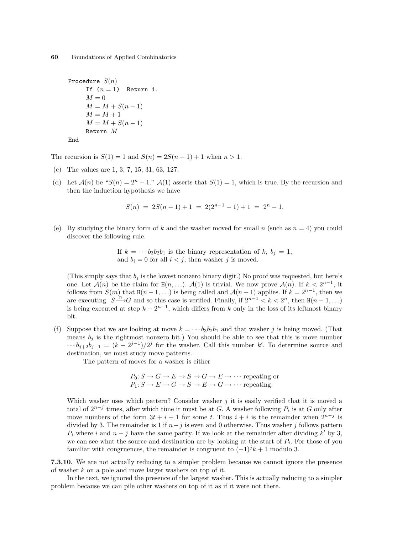```
Procedure S(n)If (n = 1) Return 1.
    M = 0M = M + S(n - 1)M = M + 1M = M + S(n - 1)Return M
```
End

The recursion is  $S(1) = 1$  and  $S(n) = 2S(n-1) + 1$  when  $n > 1$ .

- (c) The values are 1, 3, 7, 15, 31, 63, 127.
- (d) Let  $\mathcal{A}(n)$  be " $S(n) = 2^n 1$ ."  $\mathcal{A}(1)$  asserts that  $S(1) = 1$ , which is true. By the recursion and then the induction hypothesis we have

$$
S(n) = 2S(n-1) + 1 = 2(2^{n-1} - 1) + 1 = 2^n - 1.
$$

(e) By studying the binary form of k and the washer moved for small n (such as  $n = 4$ ) you could discover the following rule.

> If  $k = \cdots b_3b_2b_1$  is the binary representation of k,  $b_j = 1$ , and  $b_i = 0$  for all  $i < j$ , then washer j is moved.

(This simply says that  $b_j$  is the lowest nonzero binary digit.) No proof was requested, but here's one. Let  $\mathcal{A}(n)$  be the claim for  $H(n, \ldots)$ .  $\mathcal{A}(1)$  is trivial. We now prove  $\mathcal{A}(n)$ . If  $k < 2^{n-1}$ , it follows from  $S(m)$  that  $H(n-1,...)$  is being called and  $A(n-1)$  applies. If  $k=2^{n-1}$ , then we are executing  $S \xrightarrow{n} G$  and so this case is verified. Finally, if  $2^{n-1} < k < 2^n$ , then  $H(n-1,...)$ is being executed at step  $k - 2^{n-1}$ , which differs from k only in the loss of its leftmost binary bit.

(f) Suppose that we are looking at move  $k = \cdots b_3b_2b_1$  and that washer j is being moved. (That means  $b_j$  is the rightmost nonzero bit.) You should be able to see that this is move number  $\cdots b_{j+2}b_{j+1} = (k-2^{j-1})/2^j$  for the washer. Call this number k'. To determine source and destination, we must study move patterns.

The pattern of moves for a washer is either

$$
P_0: S \to G \to E \to S \to G \to E \to \cdots
$$
 repeating or  
 $P_1: S \to E \to G \to S \to E \to G \to \cdots$  repeating.

Which washer uses which pattern? Consider washer  $j$  it is easily verified that it is moved a total of  $2^{n-j}$  times, after which time it must be at G. A washer following  $P_i$  is at G only after move numbers of the form  $3t + i + 1$  for some t. Thus  $i + i$  is the remainder when  $2^{n-j}$  is divided by 3. The remainder is 1 if  $n-j$  is even and 0 otherwise. Thus washer j follows pattern  $P_i$  where i and  $n - j$  have the same parity. If we look at the remainder after dividing k' by 3, we can see what the source and destination are by looking at the start of  $P_i$ . For those of you familiar with congruences, the remainder is congruent to  $(-1)^{j}k + 1$  modulo 3.

7.3.10. We are not actually reducing to a simpler problem because we cannot ignore the presence of washer k on a pole and move larger washers on top of it.

In the text, we ignored the presence of the largest washer. This is actually reducing to a simpler problem because we can pile other washers on top of it as if it were not there.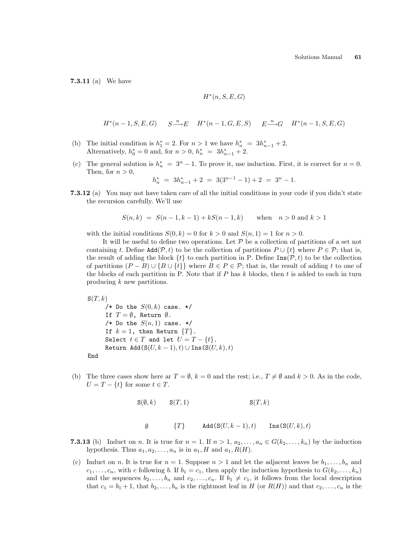7.3.11 (a) We have

$$
H^*(n, S, E, G)
$$

$$
H^*(n-1, S, E, G) \qquad S \xrightarrow{n} E \qquad H^*(n-1, G, E, S) \qquad E \xrightarrow{n} G \qquad H^*(n-1, S, E, G)
$$

- (b) The initial condition is  $h_1^* = 2$ . For  $n > 1$  we have  $h_n^* = 3h_{n-1}^* + 2$ . Alternatively,  $h_0^* = 0$  and, for  $n > 0$ ,  $h_n^* = 3h_{n-1}^* + 2$ .
- (c) The general solution is  $h_n^* = 3^n 1$ . To prove it, use induction. First, it is correct for  $n = 0$ . Then, for  $n > 0$ ,

$$
h_n^* = 3h_{n-1}^* + 2 = 3(3^{n-1} - 1) + 2 = 3^n - 1.
$$

7.3.12 (a) You may not have taken care of all the initial conditions in your code if you didn't state the recursion carefully. We'll use

$$
S(n,k) = S(n-1,k-1) + kS(n-1,k) \quad \text{when} \quad n > 0 \text{ and } k > 1
$$

with the initial conditions  $S(0, k) = 0$  for  $k > 0$  and  $S(n, 1) = 1$  for  $n > 0$ .

It will be useful to define two operations. Let  $P$  be a collection of partitions of a set not containing t. Define  $\text{Add}(\mathcal{P}, t)$  to be the collection of partitions  $P \cup \{t\}$  where  $P \in \mathcal{P}$ ; that is, the result of adding the block  $\{t\}$  to each partition in P. Define  $\text{Ins}(\mathcal{P}, t)$  to be the collection of partitions  $(P - B) \cup \{B \cup \{t\}\}\$  where  $B \in P \in \mathcal{P}$ ; that is, the result of adding t to one of the blocks of each partition in P. Note that if  $P$  has  $k$  blocks, then  $t$  is added to each in turn producing k new partitions.

 $S(T, k)$ /\* Do the  $S(0, k)$  case. \*/ If  $T = \emptyset$ , Return  $\emptyset$ . /\* Do the  $S(n,1)$  case. \*/ If  $k = 1$ , then Return  $\{T\}$ . Select  $t \in T$  and let  $U = T - \{t\}.$ Return Add(S $(U, k - 1), t$ ) ∪ Ins(S $(U, k), t$ ) End

(b) The three cases show here ar  $T = \emptyset$ ,  $k = 0$  and the rest; i.e.,  $T \neq \emptyset$  and  $k > 0$ . As in the code,  $U = T - \{t\}$  for some  $t \in T$ .

$$
S(\emptyset, k) \qquad S(T, 1) \qquad S(T, k)
$$

 $\emptyset$  $\{T\}$  Add $(S(U, k-1), t)$  Ins $(S(U, k), t)$ 

- 7.3.13 (b) Induct on n. It is true for  $n = 1$ . If  $n > 1$ ,  $a_2, \ldots, a_n \in G(k_2, \ldots, k_n)$  by the induction hypothesis. Thus  $a_1, a_2, \ldots, a_n$  is in  $a_1, H$  and  $a_1, R(H)$ .
- (c) Induct on n. It is true for  $n = 1$ . Suppose  $n > 1$  and let the adjacent leaves be  $b_1, \ldots, b_n$  and  $c_1, \ldots, c_n$ , with c following b. If  $b_1 = c_1$ , then apply the induction hypothesis to  $G(k_2, \ldots, k_n)$ and the sequences  $b_2, \ldots, b_n$  and  $c_2, \ldots, c_n$ . If  $b_1 \neq c_1$ , it follows from the local description that  $c_1 = b_1 + 1$ , that  $b_2, \ldots, b_n$  is the rightmost leaf in H (or  $R(H)$ ) and that  $c_2, \ldots, c_n$  is the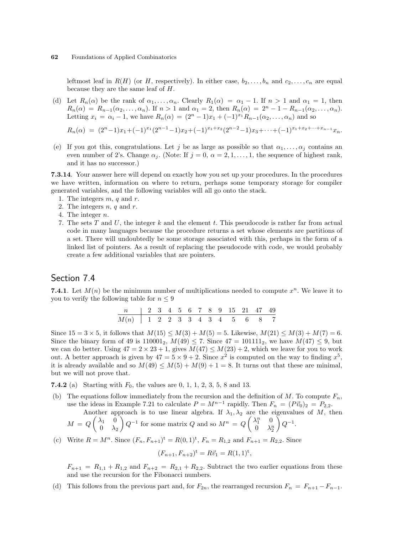leftmost leaf in  $R(H)$  (or H, respectively). In either case,  $b_2, \ldots, b_n$  and  $c_2, \ldots, c_n$  are equal because they are the same leaf of H.

(d) Let  $R_n(\alpha)$  be the rank of  $\alpha_1, \ldots, \alpha_n$ . Clearly  $R_1(\alpha) = \alpha_1 - 1$ . If  $n > 1$  and  $\alpha_1 = 1$ , then  $R_n(\alpha) = R_{n-1}(\alpha_2, ..., \alpha_n)$ . If  $n > 1$  and  $\alpha_1 = 2$ , then  $R_n(\alpha) = 2^n - 1 - R_{n-1}(\alpha_2, ..., \alpha_n)$ . Letting  $x_i = \alpha_i - 1$ , we have  $R_n(\alpha) = (2^n - 1)x_1 + (-1)^{x_1}R_{n-1}(\alpha_2, \ldots, \alpha_n)$  and so

$$
R_n(\alpha) = (2^n - 1)x_1 + (-1)^{x_1}(2^{n-1} - 1)x_2 + (-1)^{x_1 + x_2}(2^{n-2} - 1)x_3 + \dots + (-1)^{x_1 + x_2 + \dots + x_{n-1}}x_n.
$$

(e) If you got this, congratulations. Let j be as large as possible so that  $\alpha_1, \ldots, \alpha_j$  contains an even number of 2's. Change  $\alpha_i$ . (Note: If  $j = 0, \alpha = 2, 1, \ldots, 1$ , the sequence of highest rank, and it has no successor.)

7.3.14. Your answer here will depend on exactly how you set up your procedures. In the procedures we have written, information on where to return, perhaps some temporary storage for compiler generated variables, and the following variables will all go onto the stack.

- 1. The integers  $m, q$  and  $r$ .
- 2. The integers  $n, q$  and  $r$ .
- 4. The integer n.
- 7. The sets T and U, the integer k and the element t. This pseudocode is rather far from actual code in many languages because the procedure returns a set whose elements are partitions of a set. There will undoubtedly be some storage associated with this, perhaps in the form of a linked list of pointers. As a result of replacing the pseudocode with code, we would probably create a few additional variables that are pointers.

## Section 7.4

7.4.1. Let  $M(n)$  be the minimum number of multiplications needed to compute  $x^n$ . We leave it to you to verify the following table for  $n \leq 9$ 

| n   2 3 4 5 6 7 8 9 15 21 47 49  |  |  |  |  |  |  |  |
|----------------------------------|--|--|--|--|--|--|--|
| $M(n)$   1 2 2 3 3 4 3 4 5 6 8 7 |  |  |  |  |  |  |  |

Since  $15 = 3 \times 5$ , it follows that  $M(15) \leq M(3) + M(5) = 5$ . Likewise,  $M(21) \leq M(3) + M(7) = 6$ . Since the binary form of 49 is  $110001_2$ ,  $M(49) \le 7$ . Since  $47 = 101111_2$ , we have  $M(47) \le 9$ , but we can do better. Using  $47 = 2 \times 23 + 1$ , gives  $M(47) \leq M(23) + 2$ , which we leave for you to work out. A better approach is given by  $47 = 5 \times 9 + 2$ . Since  $x^2$  is computed on the way to finding  $x^5$ , it is already available and so  $M(49) \leq M(5) + M(9) + 1 = 8$ . It turns out that these are minimal, but we will not prove that.

**7.4.2** (a) Starting with  $F_0$ , the values are 0, 1, 1, 2, 3, 5, 8 and 13.

(b) The equations follow immediately from the recursion and the definition of  $M$ . To compute  $F_n$ , use the ideas in Example 7.21 to calculate  $P = M^{n-1}$  rapidly. Then  $F_n = (P\vec{v}_0)_2 = P_{2,2}$ .

Another approach is to use linear algebra. If 
$$
\lambda_1, \lambda_2
$$
 are the eigenvalues of M, then  $M = Q \begin{pmatrix} \lambda_1 & 0 \\ 0 & \lambda_2 \end{pmatrix} Q^{-1}$  for some matrix Q and so  $M^n = Q \begin{pmatrix} \lambda_1^n & 0 \\ 0 & \lambda_2^n \end{pmatrix} Q^{-1}$ .

(c) Write  $R = M^n$ . Since  $(F_n, F_{n+1})^{\text{t}} = R(0, 1)^{\text{t}}$ ,  $F_n = R_{1,2}$  and  $F_{n+1} = R_{2,2}$ . Since

$$
(F_{n+1}, F_{n+2})^{\mathsf{t}} = R\vec{v}_1 = R(1, 1)^{\mathsf{t}},
$$

 $F_{n+1} = R_{1,1} + R_{1,2}$  and  $F_{n+2} = R_{2,1} + R_{2,2}$ . Subtract the two earlier equations from these and use the recursion for the Fibonacci numbers.

(d) This follows from the previous part and, for  $F_{2n}$ , the rearranged recursion  $F_n = F_{n+1} - F_{n-1}$ .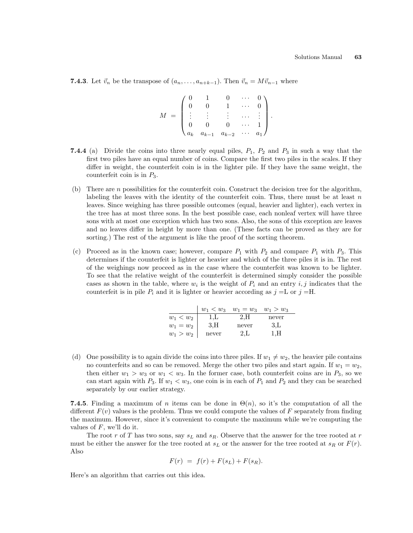**7.4.3**. Let  $\vec{v}_n$  be the transpose of  $(a_n, \ldots, a_{n+k-1})$ . Then  $\vec{v}_n = M\vec{v}_{n-1}$  where

$$
M = \begin{pmatrix} 0 & 1 & 0 & \cdots & 0 \\ 0 & 0 & 1 & \cdots & 0 \\ \vdots & \vdots & \vdots & \cdots & \vdots \\ 0 & 0 & 0 & \cdots & 1 \\ a_k & a_{k-1} & a_{k-2} & \cdots & a_1 \end{pmatrix}.
$$

- **7.4.4** (a) Divide the coins into three nearly equal piles,  $P_1$ ,  $P_2$  and  $P_3$  in such a way that the first two piles have an equal number of coins. Compare the first two piles in the scales. If they differ in weight, the counterfeit coin is in the lighter pile. If they have the same weight, the counterfeit coin is in  $P_3$ .
- (b) There are n possibilities for the counterfeit coin. Construct the decision tree for the algorithm, labeling the leaves with the identity of the counterfeit coin. Thus, there must be at least  $n$ leaves. Since weighing has three possible outcomes (equal, heavier and lighter), each vertex in the tree has at most three sons. In the best possible case, each nonleaf vertex will have three sons with at most one exception which has two sons. Also, the sons of this exception are leaves and no leaves differ in height by more than one. (These facts can be proved as they are for sorting.) The rest of the argument is like the proof of the sorting theorem.
- (c) Proceed as in the known case; however, compare  $P_1$  with  $P_2$  and compare  $P_1$  with  $P_3$ . This determines if the counterfeit is lighter or heavier and which of the three piles it is in. The rest of the weighings now proceed as in the case where the counterfeit was known to be lighter. To see that the relative weight of the counterfeit is determined simply consider the possible cases as shown in the table, where  $w_i$  is the weight of  $P_i$  and an entry  $i, j$  indicates that the counterfeit is in pile  $P_i$  and it is lighter or heavier according as  $j = L$  or  $j = H$ .

|             | $w_1 < w_3$ | $w_1 = w_3$ | $w_1 > w_3$ |  |
|-------------|-------------|-------------|-------------|--|
| $w_1 < w_2$ | 1.L         | 2.H         | never       |  |
| $w_1 = w_2$ | 3.H         | never       | 3.L         |  |
| $w_1 > w_2$ | never       | 2.L         |             |  |

(d) One possibility is to again divide the coins into three piles. If  $w_1 \neq w_2$ , the heavier pile contains no counterfeits and so can be removed. Merge the other two piles and start again. If  $w_1 = w_2$ , then either  $w_1 > w_3$  or  $w_1 < w_3$ . In the former case, both counterfeit coins are in  $P_3$ , so we can start again with  $P_3$ . If  $w_1 < w_3$ , one coin is in each of  $P_1$  and  $P_2$  and they can be searched separately by our earlier strategy.

**7.4.5.** Finding a maximum of n items can be done in  $\Theta(n)$ , so it's the computation of all the different  $F(v)$  values is the problem. Thus we could compute the values of F separately from finding the maximum. However, since it's convenient to compute the maximum while we're computing the values of  $F$ , we'll do it.

The root r of T has two sons, say  $s<sub>L</sub>$  and  $s<sub>R</sub>$ . Observe that the answer for the tree rooted at r must be either the answer for the tree rooted at  $s_L$  or the answer for the tree rooted at  $s_R$  or  $F(r)$ . Also

$$
F(r) = f(r) + F(s_L) + F(s_R).
$$

Here's an algorithm that carries out this idea.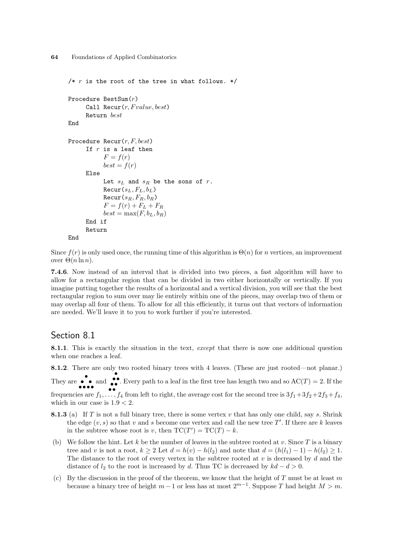```
/* r is the root of the tree in what follows. */
Procedure BestSum(r)
     Call Recur(r, Fvalue, best)Return best
End
Procedure Recur(r, F, best)If r is a leaf then
           F = f(r)best = f(r)Else
           Let s_L and s_R be the sons of r.
           \text{Recur}(s_L, F_L, b_L)\text{Recur}(s_R, F_R, b_R)F = f(r) + F_L + F_Rbest = max(F, b_L, b_R)End if
     Return
End
```

```
Since f(r) is only used once, the running time of this algorithm is \Theta(n) for n vertices, an improvement
over Θ(n \ln n).
```
7.4.6. Now instead of an interval that is divided into two pieces, a fast algorithm will have to allow for a rectangular region that can be divided in two either horizontally or vertically. If you imagine putting together the results of a horizontal and a vertical division, you will see that the best rectangular region to sum over may lie entirely within one of the pieces, may overlap two of them or may overlap all four of them. To allow for all this efficiently, it turns out that vectors of information are needed. We'll leave it to you to work further if you're interested.

#### Section 8.1

8.1.1. This is exactly the situation in the text, except that there is now one additional question when one reaches a leaf.

8.1.2. There are only two rooted binary trees with 4 leaves. (These are just rooted—not planar.)

They are  $\bullet \bullet$  and  $\bullet \bullet$ . Every path to a leaf in the first tree has length two and so  $AC(T) = 2$ . If the

frequencies are  $f_1, \ldots, f_4$  from left to right, the average cost for the second tree is  $3f_1 + 3f_2 + 2f_3 + f_4$ , which in our case is  $1.9 < 2$ .

- **8.1.3** (a) If T is not a full binary tree, there is some vertex v that has only one child, say s. Shrink the edge  $(v, s)$  so that v and s become one vertex and call the new tree T'. If there are k leaves in the subtree whose root is v, then  $TC(T') = TC(T) - k$ .
- (b) We follow the hint. Let k be the number of leaves in the subtree rooted at v. Since  $T$  is a binary tree and v is not a root,  $k \ge 2$  Let  $d = h(v) - h(l_2)$  and note that  $d = (h(l_1) - 1) - h(l_2) \ge 1$ . The distance to the root of every vertex in the subtree rooted at  $v$  is decreased by  $d$  and the distance of  $l_2$  to the root is increased by d. Thus TC is decreased by  $kd - d > 0$ .
- (c) By the discussion in the proof of the theorem, we know that the height of T must be at least m because a binary tree of height  $m-1$  or less has at most  $2^{m-1}$ . Suppose T had height  $M > m$ .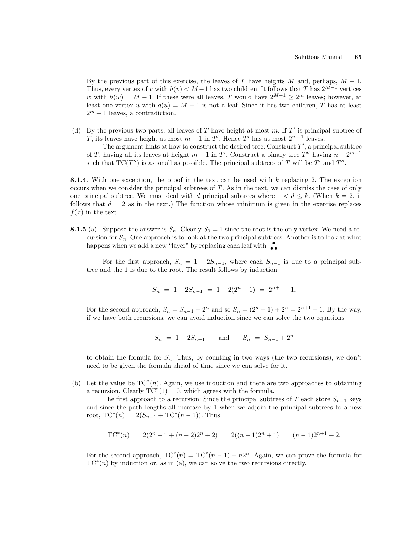By the previous part of this exercise, the leaves of T have heights M and, perhaps,  $M - 1$ . Thus, every vertex of v with  $h(v) < M-1$  has two children. It follows that T has  $2^{M-1}$  vertices w with  $h(w) = M - 1$ . If these were all leaves, T would have  $2^{M-1} \geq 2^m$  leaves; however, at least one vertex u with  $d(u) = M - 1$  is not a leaf. Since it has two children, T has at least  $2^m + 1$  leaves, a contradiction.

(d) By the previous two parts, all leaves of T have height at most  $m$ . If  $T'$  is principal subtree of T, its leaves have height at most  $m-1$  in T'. Hence T' has at most  $2^{m-1}$  leaves.

The argument hints at how to construct the desired tree: Construct  $T'$ , a principal subtree of T, having all its leaves at height  $m-1$  in T'. Construct a binary tree T'' having  $n-2^{m-1}$ such that  $TC(T'')$  is as small as possible. The principal subtrees of T will be T' and T''.

**8.1.4.** With one exception, the proof in the text can be used with  $k$  replacing 2. The exception occurs when we consider the principal subtrees of  $T$ . As in the text, we can dismiss the case of only one principal subtree. We must deal with d principal subtrees where  $1 < d \leq k$ . (When  $k = 2$ , it follows that  $d = 2$  as in the text.) The function whose minimum is given in the exercise replaces  $f(x)$  in the text.

**8.1.5** (a) Suppose the answer is  $S_n$ . Clearly  $S_0 = 1$  since the root is the only vertex. We need a recursion for  $S_n$ . One approach is to look at the two principal subtrees. Another is to look at what happens when we add a new "layer" by replacing each leaf with  $\bullet$ 

For the first approach,  $S_n = 1 + 2S_{n-1}$ , where each  $S_{n-1}$  is due to a principal subtree and the 1 is due to the root. The result follows by induction:

$$
S_n = 1 + 2S_{n-1} = 1 + 2(2^n - 1) = 2^{n+1} - 1.
$$

For the second approach,  $S_n = S_{n-1} + 2^n$  and so  $S_n = (2^n - 1) + 2^n = 2^{n+1} - 1$ . By the way, if we have both recursions, we can avoid induction since we can solve the two equations

$$
S_n = 1 + 2S_{n-1} \quad \text{and} \quad S_n = S_{n-1} + 2^n
$$

to obtain the formula for  $S_n$ . Thus, by counting in two ways (the two recursions), we don't need to be given the formula ahead of time since we can solve for it.

(b) Let the value be  $TC^*(n)$ . Again, we use induction and there are two approaches to obtaining a recursion. Clearly  $TC^*(1) = 0$ , which agrees with the formula.

The first approach to a recursion: Since the principal subtrees of T each store  $S_{n-1}$  keys and since the path lengths all increase by 1 when we adjoin the principal subtrees to a new root,  $TC^*(n) = 2(S_{n-1} + TC^*(n-1))$ . Thus

$$
TC^{*}(n) = 2(2^{n} - 1 + (n - 2)2^{n} + 2) = 2((n - 1)2^{n} + 1) = (n - 1)2^{n+1} + 2.
$$

For the second approach,  $TC^*(n) = TC^*(n-1) + n2^n$ . Again, we can prove the formula for  $TC^*(n)$  by induction or, as in (a), we can solve the two recursions directly.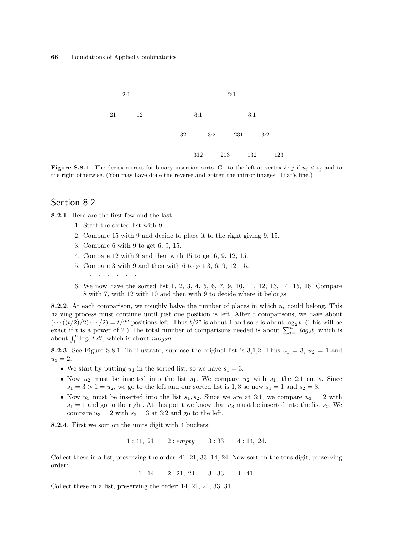

**Figure S.8.1** The decision trees for binary insertion sorts. Go to the left at vertex  $i : j$  if  $u_i < s_j$  and to the right otherwise. (You may have done the reverse and gotten the mirror images. That's fine.)

## Section 8.2

8.2.1. Here are the first few and the last.

- 1. Start the sorted list with 9.
- 2. Compare 15 with 9 and decide to place it to the right giving 9, 15.
- 3. Compare 6 with 9 to get 6, 9, 15.
- 4. Compare 12 with 9 and then with 15 to get 6, 9, 12, 15.
- 5. Compare 3 with 9 and then with 6 to get 3, 6, 9, 12, 15.
- . . . . . .
- 16. We now have the sorted list 1, 2, 3, 4, 5, 6, 7, 9, 10, 11, 12, 13, 14, 15, 16. Compare 8 with 7, with 12 with 10 and then with 9 to decide where it belongs.

8.2.2. At each comparison, we roughly halve the number of places in which  $u_t$  could belong. This halving process must continue until just one position is left. After c comparisons, we have about  $(\cdots((t/2)/2)\cdots/2) = t/2^c$  positions left. Thus  $t/2^c$  is about 1 and so c is about  $\log_2 t$ . (This will be  $(\cdots((\iota/2)/2)\cdots/2) = \iota/2$  positions left. Thus  $\iota/2$  is about 1 and so c is about  $\log_2 \iota$ . (This will be exact if t is a power of 2.) The total number of comparisons needed is about  $\sum_{t=1}^n log_2 t$ , which is exact if t is a power of 2.) The total num<br>about  $\int_1^n \log_2 t \, dt$ , which is about  $n \log_2 n$ .

**8.2.3.** See Figure S.8.1. To illustrate, suppose the original list is 3,1,2. Thus  $u_1 = 3$ ,  $u_2 = 1$  and  $u_3 = 2.$ 

- We start by putting  $u_1$  in the sorted list, so we have  $s_1 = 3$ .
- Now  $u_2$  must be inserted into the list  $s_1$ . We compare  $u_2$  with  $s_1$ , the 2:1 entry. Since  $s_1 = 3 > 1 = u_2$ , we go to the left and our sorted list is 1,3 so now  $s_1 = 1$  and  $s_2 = 3$ .
- Now  $u_3$  must be inserted into the list  $s_1, s_2$ . Since we are at 3:1, we compare  $u_3 = 2$  with  $s_1 = 1$  and go to the right. At this point we know that  $u_3$  must be inserted into the list  $s_2$ . We compare  $u_3 = 2$  with  $s_2 = 3$  at 3:2 and go to the left.

8.2.4. First we sort on the units digit with 4 buckets:

 $1: 41, 21$   $2: empty$   $3: 33$   $4: 14, 24$ .

Collect these in a list, preserving the order: 41, 21, 33, 14, 24. Now sort on the tens digit, preserving order:

 $1: 14$   $2: 21, 24$   $3: 33$   $4: 41$ .

Collect these in a list, preserving the order: 14, 21, 24, 33, 31.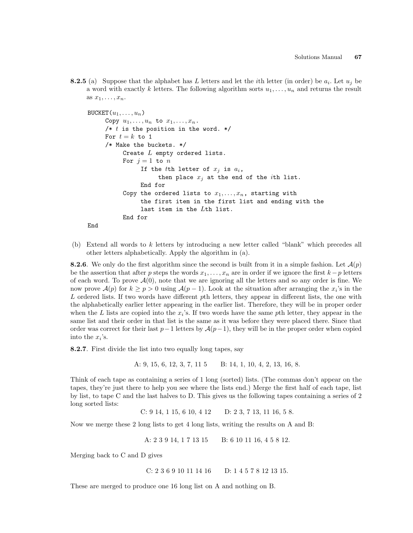**8.2.5** (a) Suppose that the alphabet has L letters and let the *i*th letter (in order) be  $a_i$ . Let  $u_j$  be a word with exactly k letters. The following algorithm sorts  $u_1, \ldots, u_n$  and returns the result as  $x_1, \ldots, x_n$ .

```
BUCKET(u_1, \ldots, u_n)Copy u_1, \ldots, u_n to x_1, \ldots, x_n.
     /* t is the position in the word. */
     For t = k to 1
     /* Make the buckets. */
           Create L empty ordered lists.
           For j=1 to nIf the tth letter of x_j is a_i,
                      then place x_j at the end of the ith list.
                End for
           Copy the ordered lists to x_1, \ldots, x_n, starting with
                the first item in the first list and ending with the
                last item in the Lth list.
           End for
End
```
(b) Extend all words to k letters by introducing a new letter called "blank" which precedes all other letters alphabetically. Apply the algorithm in (a).

**8.2.6**. We only do the first algorithm since the second is built from it in a simple fashion. Let  $\mathcal{A}(p)$ be the assertion that after p steps the words  $x_1, \ldots, x_n$  are in order if we ignore the first  $k - p$  letters of each word. To prove  $\mathcal{A}(0)$ , note that we are ignoring all the letters and so any order is fine. We now prove  $\mathcal{A}(p)$  for  $k \geq p > 0$  using  $\mathcal{A}(p-1)$ . Look at the situation after arranging the  $x_i$ 's in the L ordered lists. If two words have different pth letters, they appear in different lists, the one with the alphabetically earlier letter appearing in the earlier list. Therefore, they will be in proper order when the L lists are copied into the  $x_i$ 's. If two words have the same pth letter, they appear in the same list and their order in that list is the same as it was before they were placed there. Since that order was correct for their last  $p-1$  letters by  $\mathcal{A}(p-1)$ , they will be in the proper order when copied into the  $x_i$ 's.

8.2.7. First divide the list into two equally long tapes, say

A: 9, 15, 6, 12, 3, 7, 11 5 B: 14, 1, 10, 4, 2, 13, 16, 8.

Think of each tape as containing a series of 1 long (sorted) lists. (The commas don't appear on the tapes, they're just there to help you see where the lists end.) Merge the first half of each tape, list by list, to tape C and the last halves to D. This gives us the following tapes containing a series of 2 long sorted lists:

C: 9 14, 1 15, 6 10, 4 12 D: 2 3, 7 13, 11 16, 5 8.

Now we merge these 2 long lists to get 4 long lists, writing the results on A and B:

A: 2 3 9 14, 1 7 13 15 B: 6 10 11 16, 4 5 8 12.

Merging back to C and D gives

C: 2 3 6 9 10 11 14 16 D: 1 4 5 7 8 12 13 15.

These are merged to produce one 16 long list on A and nothing on B.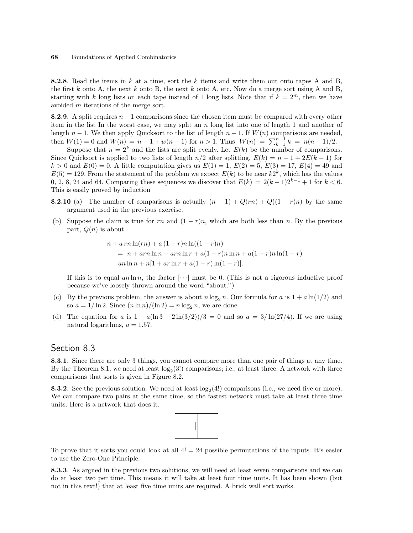**8.2.8.** Read the items in k at a time, sort the k items and write them out onto tapes A and B, the first k onto A, the next k onto B, the next k onto A, etc. Now do a merge sort using A and B, starting with k long lists on each tape instead of 1 long lists. Note that if  $k = 2^m$ , then we have avoided m iterations of the merge sort.

8.2.9. A split requires  $n-1$  comparisons since the chosen item must be compared with every other item in the list In the worst case, we may split an  $n \times n$  long list into one of length 1 and another of length  $n-1$ . We then apply Quicksort to the list of length  $n-1$ . If  $W(n)$  comparisons are needed, then  $W(1) = 0$  and  $W(n) = n - 1 + w(n - 1)$  for  $n > 1$ . Thus  $W(n) = \sum_{k=1}^{n-1} k = n(n-1)/2$ .

Suppose that  $n = 2^k$  and the lists are split evenly. Let  $E(k)$  be the number of comparisons. Since Quicksort is applied to two lists of length  $n/2$  after splitting,  $E(k) = n - 1 + 2E(k - 1)$  for  $k > 0$  and  $E(0) = 0$ . A little computation gives us  $E(1) = 1$ ,  $E(2) = 5$ ,  $E(3) = 17$ ,  $E(4) = 49$  and  $E(5) = 129$ . From the statement of the problem we expect  $E(k)$  to be near  $k2^k$ , which has the values 0, 2, 8, 24 and 64. Comparing these sequences we discover that  $E(k) = 2(k-1)2^{k-1} + 1$  for  $k < 6$ . This is easily proved by induction

- **8.2.10** (a) The number of comparisons is actually  $(n-1) + Q(rn) + Q((1-r)n)$  by the same argument used in the previous exercise.
- (b) Suppose the claim is true for rn and  $(1 r)n$ , which are both less than n. By the previous part,  $Q(n)$  is about

$$
n + a r n \ln(r n) + a (1 - r) n \ln((1 - r) n)
$$
  
=  $n + a r n \ln n + a r n \ln r + a (1 - r) n \ln n + a (1 - r) n \ln(1 - r)$   

$$
an \ln n + n [1 + a r \ln r + a (1 - r) \ln(1 - r)].
$$

If this is to equal an ln n, the factor  $[\cdots]$  must be 0. (This is not a rigorous inductive proof because we've loosely thrown around the word "about.")

- (c) By the previous problem, the answer is about  $n \log_2 n$ . Our formula for a is  $1 + a \ln(1/2)$  and so  $a = 1/\ln 2$ . Since  $(n \ln n)/(\ln 2) = n \log_2 n$ , we are done.
- (d) The equation for a is  $1 a(\ln 3 + 2 \ln(3/2))/3 = 0$  and so  $a = 3/\ln(27/4)$ . If we are using natural logarithms,  $a = 1.57$ .

## Section 8.3

8.3.1. Since there are only 3 things, you cannot compare more than one pair of things at any time. By the Theorem 8.1, we need at least  $log_2(3!)$  comparisons; i.e., at least three. A network with three comparisons that sorts is given in Figure 8.2.

**8.3.2**. See the previous solution. We need at least  $log_2(4!)$  comparisons (i.e., we need five or more). We can compare two pairs at the same time, so the fastest network must take at least three time units. Here is a network that does it.

To prove that it sorts you could look at all  $4! = 24$  possible permutations of the inputs. It's easier to use the Zero-One Principle.

8.3.3. As argued in the previous two solutions, we will need at least seven comparisons and we can do at least two per time. This means it will take at least four time units. It has been shown (but not in this text!) that at least five time units are required. A brick wall sort works.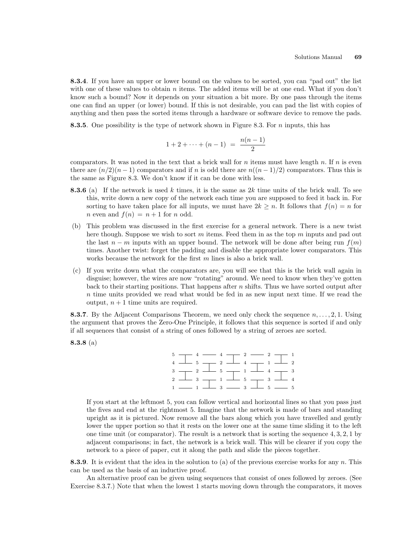8.3.4. If you have an upper or lower bound on the values to be sorted, you can "pad out" the list with one of these values to obtain  $n$  items. The added items will be at one end. What if you don't know such a bound? Now it depends on your situation a bit more. By one pass through the items one can find an upper (or lower) bound. If this is not desirable, you can pad the list with copies of anything and then pass the sorted items through a hardware or software device to remove the pads.

8.3.5. One possibility is the type of network shown in Figure 8.3. For  $n$  inputs, this has

$$
1 + 2 + \cdots + (n - 1) = \frac{n(n - 1)}{2}
$$

comparators. It was noted in the text that a brick wall for n items must have length n. If n is even there are  $(n/2)(n-1)$  comparators and if n is odd there are  $n((n-1)/2)$  comparators. Thus this is the same as Figure 8.3. We don't know if it can be done with less.

- **8.3.6** (a) If the network is used k times, it is the same as  $2k$  time units of the brick wall. To see this, write down a new copy of the network each time you are supposed to feed it back in. For sorting to have taken place for all inputs, we must have  $2k \geq n$ . It follows that  $f(n) = n$  for *n* even and  $f(n) = n + 1$  for *n* odd.
- (b) This problem was discussed in the first exercise for a general network. There is a new twist here though. Suppose we wish to sort m items. Feed them in as the top m inputs and pad out the last  $n - m$  inputs with an upper bound. The network will be done after being run  $f(m)$ times. Another twist: forget the padding and disable the appropriate lower comparators. This works because the network for the first  $m$  lines is also a brick wall.
- (c) If you write down what the comparators are, you will see that this is the brick wall again in disguise; however, the wires are now "rotating" around. We need to know when they've gotten back to their starting positions. That happens after  $n$  shifts. Thus we have sorted output after  $n$  time units provided we read what would be fed in as new input next time. If we read the output,  $n + 1$  time units are required.

**8.3.7.** By the Adjacent Comparisons Theorem, we need only check the sequence  $n, \ldots, 2, 1$ . Using the argument that proves the Zero-One Principle, it follows that this sequence is sorted if and only if all sequences that consist of a string of ones followed by a string of zeroes are sorted.

8.3.8 (a)

 $5 \rightarrow 4 \rightarrow 4 \rightarrow 2 \rightarrow 1$  $\begin{array}{ccccccccccccccccc} 4 & \perp & 5 & \perp & 2 & \perp & 4 & \perp & 1 & \perp & 2 \end{array}$  $3 \rightarrow 2 \rightarrow 5 \rightarrow 1 \rightarrow 4 \rightarrow 3$  $2$   $\longrightarrow$  3  $\longrightarrow$  1  $\longrightarrow$  5  $\longrightarrow$  3  $\longrightarrow$  4  $1 \longrightarrow 1 \longrightarrow 3 \longrightarrow 3 \longrightarrow 5 \longrightarrow 5$ 

If you start at the leftmost 5, you can follow vertical and horizontal lines so that you pass just the fives and end at the rightmost 5. Imagine that the network is made of bars and standing upright as it is pictured. Now remove all the bars along which you have travelled and gently lower the upper portion so that it rests on the lower one at the same time sliding it to the left one time unit (or comparator). The result is a network that is sorting the sequence  $4, 3, 2, 1$  by adjacent comparisons; in fact, the network is a brick wall. This will be clearer if you copy the network to a piece of paper, cut it along the path and slide the pieces together.

**8.3.9.** It is evident that the idea in the solution to (a) of the previous exercise works for any  $n$ . This can be used as the basis of an inductive proof.

An alternative proof can be given using sequences that consist of ones followed by zeroes. (See Exercise 8.3.7.) Note that when the lowest 1 starts moving down through the comparators, it moves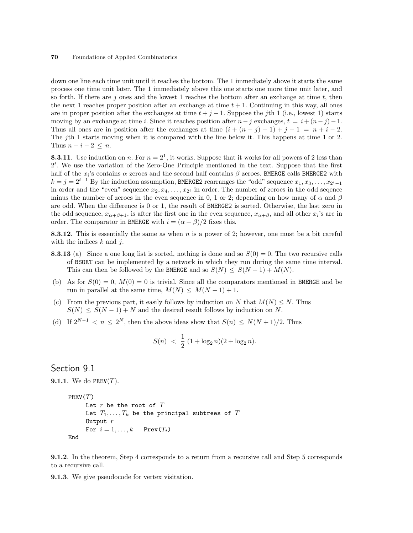down one line each time unit until it reaches the bottom. The 1 immediately above it starts the same process one time unit later. The 1 immediately above this one starts one more time unit later, and so forth. If there are  $j$  ones and the lowest 1 reaches the bottom after an exchange at time t, then the next 1 reaches proper position after an exchange at time  $t + 1$ . Continuing in this way, all ones are in proper position after the exchanges at time  $t + j - 1$ . Suppose the jth 1 (i.e., lowest 1) starts moving by an exchange at time i. Since it reaches position after  $n-j$  exchanges,  $t = i + (n-j)-1$ . Thus all ones are in position after the exchanges at time  $(i + (n - j) - 1) + j - 1 = n + i - 2$ . The jth 1 starts moving when it is compared with the line below it. This happens at time 1 or 2. Thus  $n + i - 2 \leq n$ .

**8.3.11**. Use induction on n. For  $n = 2<sup>1</sup>$ , it works. Suppose that it works for all powers of 2 less than  $2<sup>t</sup>$ . We use the variation of the Zero-One Principle mentioned in the text. Suppose that the first half of the  $x_i$ 's contains  $\alpha$  zeroes and the second half contains  $\beta$  zeroes. BMERGE calls BMERGE2 with  $k = j = 2^{t-1}$  By the induction assumption, BMERGE2 rearranges the "odd" sequence  $x_1, x_3, \ldots, x_{2^t-1}$ in order and the "even" sequence  $x_2, x_4, \ldots, x_{2^t}$  in order. The number of zeroes in the odd seqence minus the number of zeroes in the even sequence in 0, 1 or 2; depending on how many of  $\alpha$  and  $\beta$ are odd. When the difference is 0 or 1, the result of BMERGE2 is sorted. Otherwise, the last zero in the odd sequence,  $x_{\alpha+\beta+1}$ , is after the first one in the even sequence,  $x_{\alpha+\beta}$ , and all other  $x_i$ 's are in order. The comparator in BMERGE with  $i = (\alpha + \beta)/2$  fixes this.

8.3.12. This is essentially the same as when n is a power of 2; however, one must be a bit careful with the indices  $k$  and  $j$ .

- **8.3.13** (a) Since a one long list is sorted, nothing is done and so  $S(0) = 0$ . The two recursive calls of BSORT can be implemented by a network in which they run during the same time interval. This can then be followed by the BMERGE and so  $S(N) \leq S(N-1) + M(N)$ .
- (b) As for  $S(0) = 0$ ,  $M(0) = 0$  is trivial. Since all the comparators mentioned in BMERGE and be run in parallel at the same time,  $M(N) \leq M(N-1) + 1$ .
- (c) From the previous part, it easily follows by induction on N that  $M(N) \leq N$ . Thus  $S(N) \leq S(N-1) + N$  and the desired result follows by induction on N.
- (d) If  $2^{N-1} < n \leq 2^N$ , then the above ideas show that  $S(n) \leq N(N+1)/2$ . Thus

$$
S(n) \; < \; \frac{1}{2} \; (1 + \log_2 n)(2 + \log_2 n).
$$

### Section 9.1

```
9.1.1. We do PREV(T).
```

```
PREV(T)Let r be the root of TLet T_1, \ldots, T_k be the principal subtrees of TOutput rFor i = 1, \ldots, k Prev(T_i)End
```
9.1.2. In the theorem, Step 4 corresponds to a return from a recursive call and Step 5 corresponds to a recursive call.

9.1.3. We give pseudocode for vertex visitation.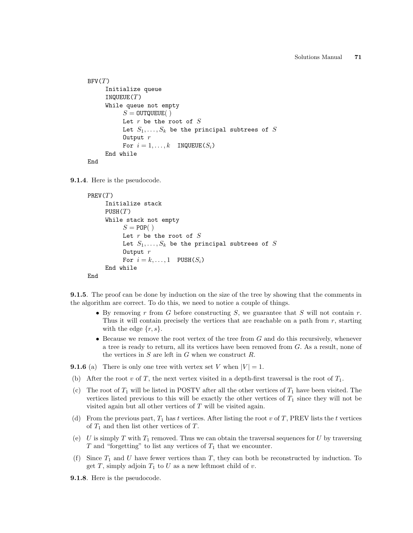```
BFV(T)Initialize queue
     INQUEUE(T)While queue not empty
          S = 0UTQUEUE( )Let r be the root of SLet S_1, \ldots, S_k be the principal subtrees of S
          Output rFor i = 1, ..., k INQUEUE(S_i)End while
End
```
9.1.4. Here is the pseudocode.

```
PREV(T)Initialize stack
     PUSH(T)While stack not empty
           S = POP()Let r be the root of SLet S_1, \ldots, S_k be the principal subtrees of S
           Output rFor i = k, \ldots, 1 PUSH(S_i)End while
End
```
**9.1.5.** The proof can be done by induction on the size of the tree by showing that the comments in the algorithm are correct. To do this, we need to notice a couple of things.

- By removing  $r$  from  $G$  before constructing  $S$ , we guarantee that  $S$  will not contain  $r$ . Thus it will contain precisely the vertices that are reachable on a path from  $r$ , starting with the edge  $\{r, s\}.$
- Because we remove the root vertex of the tree from  $G$  and do this recursively, whenever a tree is ready to return, all its vertices have been removed from G. As a result, none of the vertices in  $S$  are left in  $G$  when we construct  $R$ .

**9.1.6** (a) There is only one tree with vertex set V when  $|V| = 1$ .

- (b) After the root v of T, the next vertex visited in a depth-first traversal is the root of  $T_1$ .
- (c) The root of  $T_1$  will be listed in POSTV after all the other vertices of  $T_1$  have been visited. The vertices listed previous to this will be exactly the other vertices of  $T_1$  since they will not be visited again but all other vertices of  $T$  will be visited again.
- (d) From the previous part,  $T_1$  has t vertices. After listing the root v of T, PREV lists the t vertices of  $T_1$  and then list other vertices of T.
- (e) U is simply T with  $T_1$  removed. Thus we can obtain the traversal sequences for U by traversing  $T$  and "forgetting" to list any vertices of  $T_1$  that we encounter.
- (f) Since  $T_1$  and U have fewer vertices than T, they can both be reconstructed by induction. To get T, simply adjoin  $T_1$  to U as a new leftmost child of v.
- 9.1.8. Here is the pseudocode.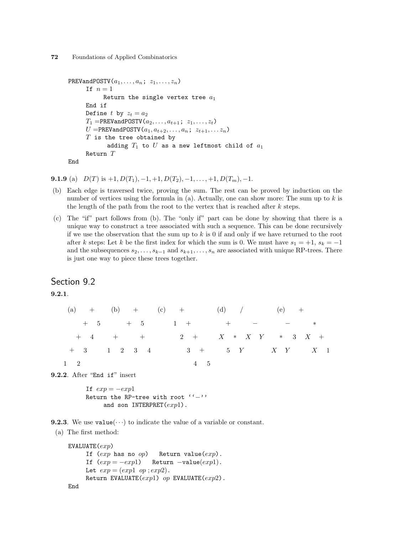```
PREVandPOSTV(a_1, \ldots, a_n; z_1, \ldots, z_n)If n=1Return the single vertex tree a_1End if
      Define t by z_t = a_2T_1 =PREVandPOSTV(a_2, \ldots, a_{t+1}; z_1, \ldots, z_t)
      U =PREVandPOSTV(a_1, a_{t+2}, \ldots, a_n; z_{t+1}, \ldots z_n)T is the tree obtained by
             adding T_1 to U as a new leftmost child of a_1Return T
End
```
**9.1.9** (a)  $D(T)$  is  $+1$ ,  $D(T_1)$ ,  $-1$ ,  $+1$ ,  $D(T_2)$ ,  $-1$ ,  $\ldots$ ,  $+1$ ,  $D(T_m)$ ,  $-1$ .

- (b) Each edge is traversed twice, proving the sum. The rest can be proved by induction on the number of vertices using the formula in (a). Actually, one can show more: The sum up to k is the length of the path from the root to the vertex that is reached after  $k$  steps.
- (c) The "if" part follows from (b). The "only if" part can be done by showing that there is a unique way to construct a tree associated with such a sequence. This can be done recursively if we use the observation that the sum up to  $k$  is 0 if and only if we have returned to the root after k steps: Let k be the first index for which the sum is 0. We must have  $s_1 = +1$ ,  $s_k = -1$ and the subsequences  $s_2, \ldots, s_{k-1}$  and  $s_{k+1}, \ldots, s_n$  are associated with unique RP-trees. There is just one way to piece these trees together.

## Section 9.2

9.2.1.

|             | (a) + (b) + (c) + (d) /                   |                   | $(e) +$ |  |
|-------------|-------------------------------------------|-------------------|---------|--|
|             | $+ 5$ $+ 5$ $1 +$ $+$ $  *$               |                   |         |  |
|             | $+$ 4 + $+$ 2 + $X \times Y \times 3 X +$ |                   |         |  |
|             | $+$ 3 1 2 3 4                             | $3 + 5 Y$ X Y X 1 |         |  |
| $1 \quad 2$ |                                           | 4 5               |         |  |

9.2.2. After "End if" insert

If  $exp = -exp1$ Return the RP-tree with root ''−'' and son INTERPRET $(exp1)$ .

**9.2.3**. We use  $value(\cdots)$  to indicate the value of a variable or constant.

(a) The first method:

```
EVALUATE(exp)If (exp \text{ has no } op) Return value(exp).
     If (exp = -exp1) Return -value(exp1).
     Let exp = (exp1 \text{ op} ; exp2).Return EVALUATE(exp1) op EVALUATE(exp2).
End
```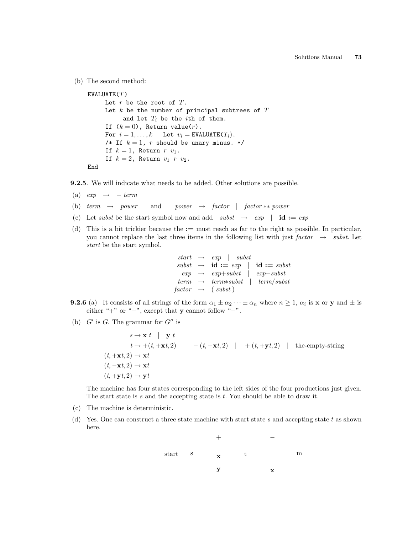(b) The second method:

```
EVALUATE(T)Let r be the root of T.
     Let k be the number of principal subtrees of Tand let T_i be the ith of them.
     If (k = 0), Return value(r).
     For i = 1, ..., k Let v_i = EVALUATE(T_i).
     /* If k = 1, r should be unary minus. */
     If k = 1, Return r v_1.
     If k = 2, Return v_1 r v_2.
End
```
9.2.5. We will indicate what needs to be added. Other solutions are possible.

- (a)  $exp \rightarrow term$
- (b) term  $\rightarrow$  power and power  $\rightarrow$  factor | factor \*\* power
- (c) Let subst be the start symbol now and add  $\textit{subst} \rightarrow \textit{exp}$  | id :=  $\textit{exp}$
- (d) This is a bit trickier because the := must reach as far to the right as possible. In particular, you cannot replace the last three items in the following list with just factor  $\rightarrow$  subst. Let start be the start symbol.

|  | $start \rightarrow exp \mid subst$                                                          |                    |
|--|---------------------------------------------------------------------------------------------|--------------------|
|  | $\textit{subst} \rightarrow \textbf{id} := \textit{exp} \mid \textbf{id} := \textit{subst}$ |                    |
|  | $exp \rightarrow exp+subst$ $exp-subst$                                                     |                    |
|  | $term \rightarrow termsubst$                                                                | $\vert$ term/subst |
|  | $factor \rightarrow (subst)$                                                                |                    |

- **9.2.6** (a) It consists of all strings of the form  $\alpha_1 \pm \alpha_2 \cdots \pm \alpha_n$  where  $n \geq 1$ ,  $\alpha_i$  is **x** or **y** and  $\pm$  is either "+" or "−", except that y cannot follow "−".
- (b)  $G'$  is G. The grammar for  $G''$  is

 $s \rightarrow \mathbf{x} t$  |  $\mathbf{y} t$  $t \rightarrow +(t, +\mathbf{x}t, 2)$  |  $-(t, -\mathbf{x}t, 2)$  |  $+(t, +\mathbf{y}t, 2)$  | the-empty-string  $(t, +\mathbf{x}t, 2) \rightarrow \mathbf{x}t$  $(t, -\mathbf{x}t, 2) \rightarrow \mathbf{x}t$  $(t, +\mathbf{v}t, 2) \rightarrow \mathbf{v}t$ 

The machine has four states corresponding to the left sides of the four productions just given. The start state is  $s$  and the accepting state is  $t$ . You should be able to draw it.

- (c) The machine is deterministic.
- (d) Yes. One can construct a three state machine with start state s and accepting state t as shown here.

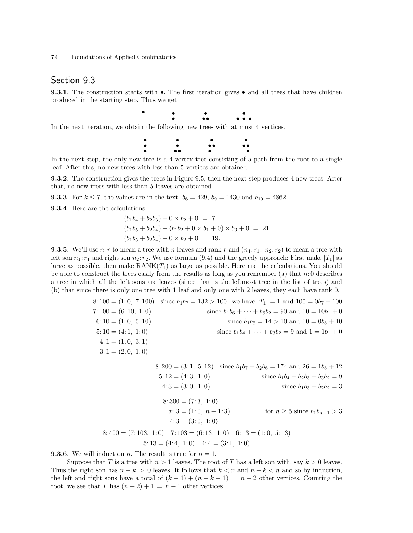## Section 9.3

**9.3.1**. The construction starts with  $\bullet$ . The first iteration gives  $\bullet$  and all trees that have children produced in the starting step. Thus we get

•

• •

• • •

• •

In the next iteration, we obtain the following new trees with at most 4 vertices.

• •



In the next step, the only new tree is a 4-vertex tree consisting of a path from the root to a single leaf. After this, no new trees with less than 5 vertices are obtained.

9.3.2. The construction gives the trees in Figure 9.5, then the next step produces 4 new trees. After that, no new trees with less than 5 leaves are obtained.

**9.3.3**. For  $k \le 7$ , the values are in the text.  $b_8 = 429$ ,  $b_9 = 1430$  and  $b_{10} = 4862$ .

9.3.4. Here are the calculations:

$$
(b_1b_4 + b_2b_3) + 0 \times b_2 + 0 = 7
$$
  
\n
$$
(b_1b_5 + b_2b_4) + (b_1b_2 + 0 \times b_1 + 0) \times b_3 + 0 = 21
$$
  
\n
$$
(b_1b_5 + b_2b_4) + 0 \times b_2 + 0 = 19.
$$

**9.3.5.** We'll use n: r to mean a tree with n leaves and rank r and  $(n_1: r_1, n_2: r_2)$  to mean a tree with left son  $n_1: r_1$  and right son  $n_2: r_2$ . We use formula (9.4) and the greedy approach: First make  $|T_1|$  as large as possible, then make  $\text{RANK}(T_1)$  as large as possible. Here are the calculations. You should be able to construct the trees easily from the results as long as you remember (a) that  $n:0$  describes a tree in which all the left sons are leaves (since that is the leftmost tree in the list of trees) and (b) that since there is only one tree with 1 leaf and only one with 2 leaves, they each have rank 0.

|                       |                   | 8:100 = (1:0, 7:100) since $b_1b_7 = 132 > 100$ , we have $ T_1  = 1$ and $100 = 0b_7 + 100$ |
|-----------------------|-------------------|----------------------------------------------------------------------------------------------|
| $7:100 = (6:10, 1:0)$ |                   | since $b_1b_6 + \cdots + b_5b_2 = 90$ and $10 = 10b_1 + 0$                                   |
| $6:10 = (1:0, 5:10)$  |                   | since $b_1b_5 = 14 > 10$ and $10 = 0b_5 + 10$                                                |
| $5:10 = (4:1, 1:0)$   |                   | since $b_1b_4 + \cdots + b_3b_2 = 9$ and $1 = 1b_1 + 0$                                      |
| $4:1 = (1:0, 3:1)$    |                   |                                                                                              |
| $3:1 = (2:0, 1:0)$    |                   |                                                                                              |
|                       |                   |                                                                                              |
|                       |                   | 8:200 = (3:1, 5:12) since $b_1b_7 + b_2b_6 = 174$ and $26 = 1b_5 + 12$                       |
|                       | $5:12=(4:3, 1:0)$ | since $b_1b_4 + b_2b_3 + b_3b_2 = 9$                                                         |

4:3 = (3:0, 1:0)  
\n
$$
1:3 = (1:0, 1:0)
$$
\n
$$
1:3 = (1:0, n - 1:3)
$$
\n
$$
1:3 = (3:0, 1:0)
$$
\n
$$
1:3 = (3:0, 1:0)
$$
\n
$$
1:3 = (3:0, 1:0)
$$
\nfor  $n \ge 5$  since  $b_1b_{n-1} > 3$ 

$$
8:400 = (7:103, 1:0) \quad 7:103 = (6:13, 1:0) \quad 6:13 = (1:0, 5:13)
$$

$$
5:13 = (4:4, 1:0) \quad 4:4 = (3:1, 1:0)
$$

**9.3.6.** We will induct on *n*. The result is true for  $n = 1$ .

Suppose that T is a tree with  $n > 1$  leaves. The root of T has a left son with, say  $k > 0$  leaves. Thus the right son has  $n - k > 0$  leaves. It follows that  $k < n$  and  $n - k < n$  and so by induction, the left and right sons have a total of  $(k-1) + (n-k-1) = n-2$  other vertices. Counting the root, we see that T has  $(n-2)+1 = n-1$  other vertices.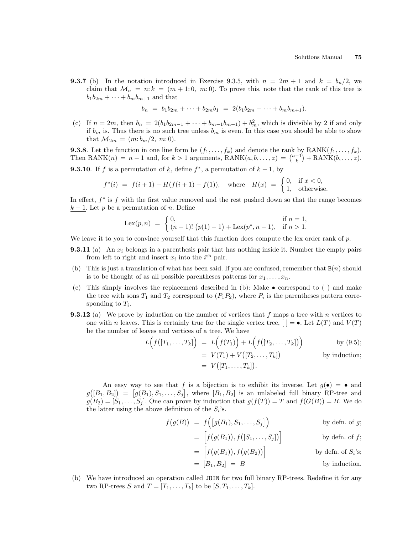**9.3.7** (b) In the notation introduced in Exercise 9.3.5, with  $n = 2m + 1$  and  $k = b_n/2$ , we claim that  $\mathcal{M}_n = n: k = (m + 1: 0, m: 0)$ . To prove this, note that the rank of this tree is  $b_1b_{2m} + \cdots + b_mb_{m+1}$  and that

$$
b_n = b_1 b_{2m} + \dots + b_{2m} b_1 = 2(b_1 b_{2m} + \dots + b_m b_{m+1}).
$$

(c) If  $n = 2m$ , then  $b_n = 2(b_1b_{2m-1} + \cdots + b_{m-1}b_{m+1}) + b_m^2$ , which is divisible by 2 if and only if  $b_m$  is. Thus there is no such tree unless  $b_m$  is even. In this case you should be able to show that  $M_{2m} = (m:b_m/2, m:0)$ .

**9.3.8**. Let the function in one line form be  $(f_1, \ldots, f_k)$  and denote the rank by  $\text{RANK}(f_1, \ldots, f_k)$ . **9.3.8**. Let the function in one line form be  $(f_1, \ldots, f_k)$  and denote the rank by  $\text{KANK}(f_1, \ldots, f_k)$ .<br>Then  $\text{RANK}(n) = n - 1$  and, for  $k > 1$  arguments,  $\text{RANK}(a, b, \ldots, z) = \binom{a-1}{k} + \text{RANK}(b, \ldots, z)$ . **9.3.10**. If f is a permutation of <u>k</u>, define  $f^*$ , a permutation of  $k-1$ , by

$$
f^*(i) = f(i+1) - H(f(i+1) - f(1)),
$$
 where  $H(x) = \begin{cases} 0, & \text{if } x < 0, \\ 1, & \text{otherwise.} \end{cases}$ 

In effect,  $f^*$  is  $f$  with the first value removed and the rest pushed down so that the range becomes  $k-1$ . Let p be a permutation of  $\underline{n}$ . Define

$$
\text{Lex}(p,n) = \begin{cases} 0, & \text{if } n = 1, \\ (n-1)! (p(1)-1) + \text{Lex}(p^*, n-1), & \text{if } n > 1. \end{cases}
$$

We leave it to you to convince yourself that this function does compute the lex order rank of  $p$ .

- **9.3.11** (a) An  $x_i$  belongs in a parenthesis pair that has nothing inside it. Number the empty pairs from left to right and insert  $x_i$  into the  $i<sup>th</sup>$  pair.
- (b) This is just a translation of what has been said. If you are confused, remember that  $B(n)$  should is to be thought of as all possible parentheses patterns for  $x_1, \ldots, x_n$ .
- (c) This simply involves the replacement described in (b): Make correspond to ( ) and make the tree with sons  $T_1$  and  $T_2$  correspond to  $(P_1P_2)$ , where  $P_i$  is the parentheses pattern corresponding to  $T_i$ .
- **9.3.12** (a) We prove by induction on the number of vertices that f maps a tree with n vertices to one with n leaves. This is certainly true for the single vertex tree,  $| = \bullet|$ . Let  $L(T)$  and  $V(T)$ be the number of leaves and vertices of a tree. We have  $\overline{a}$ ´

$$
L(f([T_1,\ldots,T_k]) = L(f(T_1)) + L(f([T_2,\ldots,T_k]))
$$
by (9.5);  
=  $V(T_1) + V([T_2,\ldots,T_k])$  by induction;  
=  $V([T_1,\ldots,T_k]).$ 

An easy way to see that f is a bijection is to exhibit its inverse. Let  $g(\bullet) = \bullet$  and g ¡  $[B_1, B_2]$  =  $[g(B_1), S_1, \ldots, S_j]$ , where  $[B_1, B_2]$  is an unlabeled full binary RP-tree and  $g(B_2) = [S_1, \ldots, S_j]$ . One can prove by induction that  $g(f(T)) = T$  and  $f(G(B)) = B$ . We do the latter using the above definition of the  $S_i$ 's. ´

$$
f(g(B)) = f\Big([g(B_1), S_1, \ldots, S_j]\Big) \qquad \text{by defn. of } g;
$$

$$
= \left[ f(g(B_1)), f([S_1, \ldots, S_j]) \right]
$$
 by defn. of  $f$ ;

$$
= \left[ f(g(B_1)), f(g(B_2)) \right]
$$
 by defn. of  $S_i$ 's;

$$
= [B_1, B_2] = B
$$
 by induction.

(b) We have introduced an operation called JOIN for two full binary RP-trees. Redefine it for any two RP-trees S and  $T = [T_1, \ldots, T_k]$  to be  $[S, T_1, \ldots, T_k]$ .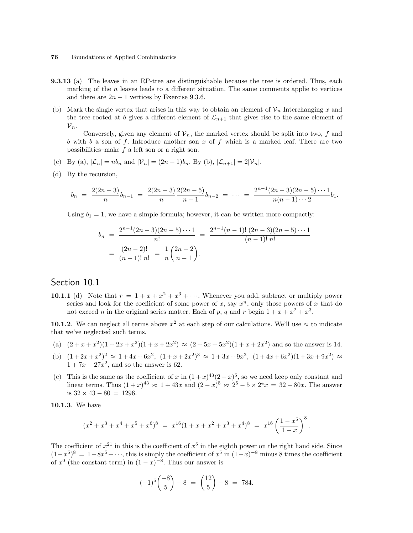- **9.3.13** (a) The leaves in an RP-tree are distinguishable because the tree is ordered. Thus, each marking of the n leaves leads to a different situation. The same comments applie to vertices and there are  $2n - 1$  vertices by Exercise 9.3.6.
- (b) Mark the single vertex that arises in this way to obtain an element of  $\mathcal{V}_n$  Interchanging x and the tree rooted at b gives a different element of  $\mathcal{L}_{n+1}$  that gives rise to the same element of  ${\cal V}_n$ .

Conversely, given any element of  $\mathcal{V}_n$ , the marked vertex should be split into two, f and b with b a son of f. Introduce another son x of f which is a marked leaf. There are two possibilities–make f a left son or a right son.

- (c) By (a),  $|\mathcal{L}_n| = nb_n$  and  $|\mathcal{V}_n| = (2n-1)b_n$ . By (b),  $|\mathcal{L}_{n+1}| = 2|\mathcal{V}_n|$ .
- (d) By the recursion,

$$
b_n = \frac{2(2n-3)}{n}b_{n-1} = \frac{2(2n-3)}{n} \frac{2(2n-5)}{n-1} b_{n-2} = \cdots = \frac{2^{n-1}(2n-3)(2n-5)\cdots 1}{n(n-1)\cdots 2} b_1.
$$

Using  $b_1 = 1$ , we have a simple formula; however, it can be written more compactly:

$$
b_n = \frac{2^{n-1}(2n-3)(2n-5)\cdots 1}{n!} = \frac{2^{n-1}(n-1)! (2n-3)(2n-5)\cdots 1}{(n-1)! n!}
$$
  
= 
$$
\frac{(2n-2)!}{(n-1)! n!} = \frac{1}{n} {2n-2 \choose n-1}.
$$

## Section 10.1

**10.1.1** (d) Note that  $r = 1 + x + x^2 + x^3 + \cdots$ . Whenever you add, subtract or multiply power series and look for the coefficient of some power of x, say  $x^n$ , only those powers of x that do not exceed *n* in the original series matter. Each of *p*, *q* and *r* begin  $1 + x + x^2 + x^3$ .

**10.1.2**. We can neglect all terms above  $x^2$  at each step of our calculations. We'll use  $\approx$  to indicate that we've neglected such terms.

- (a)  $(2+x+x^2)(1+2x+x^2)(1+x+2x^2) \approx (2+5x+5x^2)(1+x+2x^2)$  and so the answer is 14.
- (b)  $(1+2x+x^2)^2 \approx 1+4x+6x^2$ ,  $(1+x+2x^2)^3 \approx 1+3x+9x^2$ ,  $(1+4x+6x^2)(1+3x+9x^2) \approx$  $1 + 7x + 27x^2$ , and so the answer is 62.
- (c) This is the same as the coefficient of x in  $(1+x)^{43}(2-x)^5$ , so we need keep only constant and linear terms. Thus  $(1+x)^{43} \approx 1+43x$  and  $(2-x)^5 \approx 2^5-5 \times 2^4x = 32-80x$ . The answer is  $32 \times 43 - 80 = 1296$ .

10.1.3. We have

$$
(x^{2} + x^{3} + x^{4} + x^{5} + x^{6})^{8} = x^{16}(1 + x + x^{2} + x^{3} + x^{4})^{8} = x^{16} \left(\frac{1 - x^{5}}{1 - x}\right)^{8}.
$$

The coefficient of  $x^{21}$  in this is the coefficient of  $x^5$  in the eighth power on the right hand side. Since  $(1-x^5)^8 = 1-8x^5+\cdots$ , this is simply the coefficient of  $x^5$  in  $(1-x)^{-8}$  minus 8 times the coefficient of  $x^0$  (the constant term) in  $(1-x)^{-8}$ . Thus our answer is

$$
(-1)^5 \binom{-8}{5} - 8 = \binom{12}{5} - 8 = 784.
$$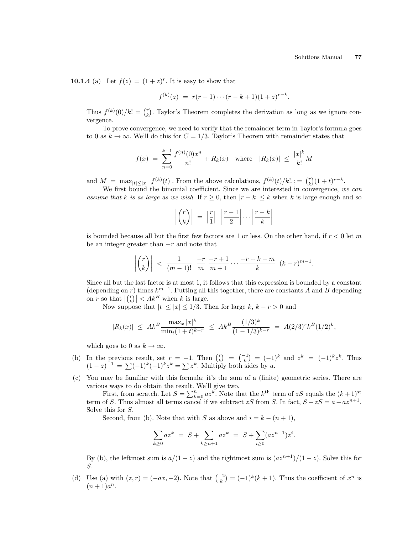10.1.4 (a) Let  $f(z) = (1+z)^r$ . It is easy to show that

$$
f^{(k)}(z) = r(r-1)\cdots(r-k+1)(1+z)^{r-k}.
$$

Thus  $f^{(k)}(0)/k! = {r \choose k}$ ¢ . Taylor's Theorem completes the derivation as long as we ignore convergence.

To prove convergence, we need to verify that the remainder term in Taylor's formula goes to 0 as  $k \to \infty$ . We'll do this for  $C = 1/3$ . Taylor's Theorem with remainder states that

$$
f(x) = \sum_{n=0}^{k-1} \frac{f^{(n)}(0)x^n}{n!} + R_k(x) \quad \text{where} \quad |R_k(x)| \le \frac{|x|^k}{k!}M
$$

and  $M = \max_{|t| \leq |x|} |f^{(k)}(t)|$ . From the above calculations,  $f^{(k)}(t)/k!$ ,  $= \binom{r}{k}$ ¢  $(1+t)^{r-k}.$ 

We first bound the binomial coefficient. Since we are interested in convergence, we can assume that k is as large as we wish. If  $r \geq 0$ , then  $|r - k| \leq k$  when k is large enough and so

$$
\left| \binom{r}{k} \right| \ = \ \left| \frac{r}{1} \right| \ \left| \frac{r-1}{2} \right| \cdots \left| \frac{r-k}{k} \right|
$$

is bounded because all but the first few factors are 1 or less. On the other hand, if  $r < 0$  let m be an integer greater than  $-r$  and note that

$$
\left| {r \choose k} \right| < \frac{1}{(m-1)!} \frac{-r}{m} \frac{-r+1}{m+1} \cdots \frac{-r+k-m}{k} (k-r)^{m-1}.
$$

Since all but the last factor is at most 1, it follows that this expression is bounded by a constant (depending on r) times  $k^{m-1}$ . Putting all this together, there are constants A and B depending on r so that  $\frac{r}{\binom{r}{k}}$ for times  $k^{m-1}$ . Putting all  $|k|$ .<br> $\Big| < Ak^B$  when k is large.

Now suppose that  $|t| \leq |x| \leq 1/3$ . Then for large k,  $k - r > 0$  and

$$
|R_k(x)| \leq Ak^B \frac{\max_x |x|^k}{\min_t (1+t)^{k-r}} \leq Ak^B \frac{(1/3)^k}{(1-1/3)^{k-r}} = A(2/3)^r k^B (1/2)^k,
$$

which goes to 0 as  $k \to \infty$ .

- (b) In the previous result, set  $r = -1$ . Then  $\binom{r}{k}$ ¢  $=$   $\binom{-1}{k}$  $= (-1)^k$  and  $z^k = (-1)^k z^k$ . Thus In the previous result, set  $r = -1$ . Then  $\binom{k}{k} = \binom{k}{k} = \binom{-1}{k}$ <br> $(1-z)^{-1} = \sum (-1)^k (-1)^k z^k = \sum z^k$ . Multiply both sides by a.
- (c) You may be familiar with this formula: it's the sum of a (finite) geometric series. There are various ways to do obtain the result. We'll give two.

is ways to do obtain the result. We if give two.<br>First, from scratch. Let  $S = \sum_{k=0}^{n} az^k$ . Note that the  $k^{\text{th}}$  term of  $zS$  equals the  $(k+1)^{\text{st}}$ term of S. Thus almost all terms cancel if we subtract zS from S. In fact,  $S - zS = a - az^{n+1}$ . Solve this for S.

Second, from (b). Note that with S as above and  $i = k - (n + 1)$ ,

$$
\sum_{k\geq 0} az^k = S + \sum_{k\geq n+1} az^k = S + \sum_{i\geq 0} (az^{n+1})z^i.
$$

By (b), the leftmost sum is  $a/(1-z)$  and the rightmost sum is  $\frac{ax^{n+1}}{1-z}$ . Solve this for S.

(d) Use (a) with  $(z, r) = (-ax, -2)$ . Note that  $\binom{-2}{k}$  $= (-1)^k (k+1)$ . Thus the coefficient of  $x^n$  is  $(n+1)a^n$ .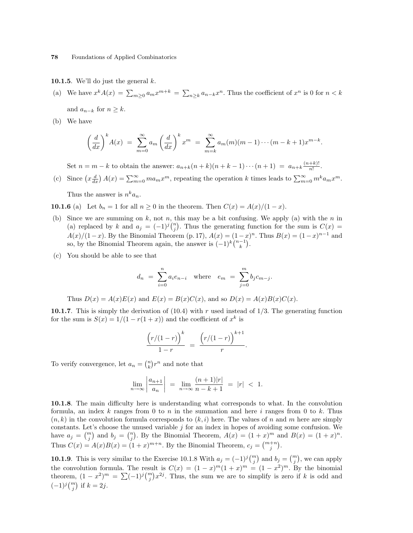10.1.5. We'll do just the general  $k$ .

(a) We have 
$$
x^k A(x) = \sum_{m\geq 0} a_m x^{m+k} = \sum_{n\geq k} a_{n-k} x^n
$$
. Thus the coefficient of  $x^n$  is 0 for  $n < k$ 

and  $a_{n-k}$  for  $n \geq k$ .

(b) We have

$$
\left(\frac{d}{dx}\right)^k A(x) = \sum_{m=0}^{\infty} a_m \left(\frac{d}{dx}\right)^k x^m = \sum_{m=k}^{\infty} a_m(m)(m-1)\cdots(m-k+1)x^{m-k}.
$$

Set  $n = m - k$  to obtain the answer:  $a_{n+k}(n+k)(n+k-1)\cdots(n+1) = a_{n+k}\frac{(n+k)!}{n!}$  $\frac{+\kappa}{n!}$ .

(c) Since  $\left(x\frac{d}{dx}\right)A(x) = \sum_{m=0}^{\infty} ma_mx^m$ , repeating the operation k times leads to  $\sum_{m=0}^{\infty} m^k a_mx^m$ .

Thus the answer is  $n^k a_n$ .

10.1.6 (a) Let  $b_n = 1$  for all  $n \ge 0$  in the theorem. Then  $C(x) = A(x)/(1-x)$ .

- (b) Since we are summing on k, not n, this may be a bit confusing. We apply (a) with the n in Since we are summing on k, not n, this may be a bit confusing. We apply (a) with the n in (a) replaced by k and  $a_j = (-1)^j {n \choose j}$ . Thus the generating function for the sum is  $C(x)$  =  $A(x)/(1-x)$ . By the Binomial Theorem (p. 17),  $A(x) = (1-x)^n$ . Thus  $B(x) = (1-x)^{n-1}$  and  $A(x)/(1-x)$ . By the Binomial Theorem (p. 17),  $A(x) = (1-x)$ <br>so, by the Binomial Theorem again, the answer is  $(-1)^k {n-1 \choose k}$ .
- (c) You should be able to see that

$$
d_n = \sum_{i=0}^{n} a_i e_{n-i} \text{ where } e_m = \sum_{j=0}^{m} b_j c_{m-j}.
$$

Thus  $D(x) = A(x)E(x)$  and  $E(x) = B(x)C(x)$ , and so  $D(x) = A(x)B(x)C(x)$ .

10.1.7. This is simply the derivation of  $(10.4)$  with r used instead of 1/3. The generating function for the sum is  $S(x) = 1/(1 - r(1 + x))$  and the coefficient of  $x^k$  is

$$
\frac{(r/(1-r))^{k}}{1-r} = \frac{(r/(1-r))^{k+1}}{r}.
$$

To verify convergence, let  $a_n = \binom{n}{k}$ ¢  $r^n$  and note that

$$
\lim_{n \to \infty} \left| \frac{a_{n+1}}{a_n} \right| \ = \ \lim_{n \to \infty} \frac{(n+1)|r|}{n-k+1} \ = \ |r| \ < \ 1.
$$

10.1.8. The main difficulty here is understanding what corresponds to what. In the convolution formula, an index k ranges from 0 to n in the summation and here i ranges from 0 to k. Thus  $(n, k)$  in the convolution formula corresponds to  $(k, i)$  here. The values of n and m here are simply constants. Let's choose the unused variable j for an index in hopes of avoiding some confusion. We constants. Let s choose the unused variable j for an index in hopes or avoiding some confusion. We<br>have  $a_j = \binom{m}{j}$  and  $b_j = \binom{n}{j}$ . By the Binomial Theorem,  $A(x) = (1 + x)^m$  and  $B(x) = (1 + x)^n$ . Thus  $C(x) = A(x)B(x) = (1+x)^{m+n}$ . By the Binomial Theorem,  $c_j = {m+n \choose j}$ .

**10.1.9** This is very similar to the Exercise 10.1.8 With  $a_j = (-1)^j {m \choose j}$ ¢ and  $b_j = {m \choose j}$ ¢ , we can apply the convolution formula. The result is  $C(x) = (1-x)^m(1+x)^m = (1-x^2)^m$ . By the binomial the convolution formula. The result is  $C(x) = (1 - x)^{m}(1 + x)^{m} = (1 - x^{-})^{m}$ . By the binomial theorem,  $(1 - x^{2})^{m} = \sum (-1)^{j} {m \choose j} x^{2j}$ . Thus, the sum we are to simplify is zero if k is odd and  $(1)^{j} {m \choose j}$  if  $k = 2j$ .  $(-1)^{j} \binom{m}{j}$  if  $k = 2j$ .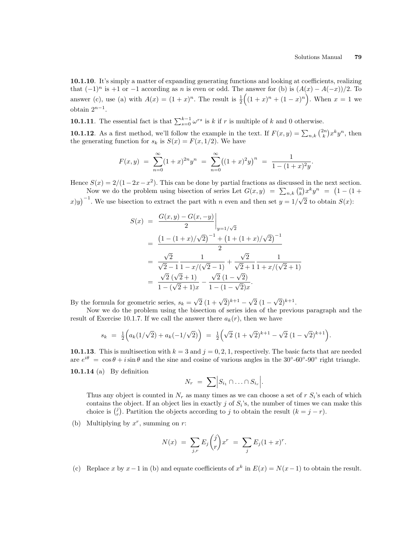10.1.10. It's simply a matter of expanding generating functions and looking at coefficients, realizing that  $(-1)^n$  is  $+1$  or  $-1$  according as n is even or odd. The answer for (b) is  $(A(x) - A(-x))/2$ . To answer (c), use (a) with  $A(x) = (1+x)^n$ . The result is  $\frac{1}{2}((1+x)^n + (1-x)^n)$ . When  $x = 1$  we obtain  $2^{n-1}$ .

**10.1.11**. The essential fact is that  $\sum_{s=0}^{k-1} \omega^{rs}$  is k if r is multiple of k and 0 otherwise.

**10.1.12**. As a first method, we'll follow the example in the text. If  $F(x, y) = \sum_{n,k} {2n \choose k}$ ¢  $x^k y^n$ , then the generating function for  $s_k$  is  $S(x) = F(x, 1/2)$ . We have

$$
F(x,y) = \sum_{n=0}^{\infty} (1+x)^{2n} y^n = \sum_{n=0}^{\infty} ((1+x)^2 y)^n = \frac{1}{1 - (1+x)^2 y}.
$$

Hence  $S(x) = 2/(1-2x-x^2)$ . This can be done by partial fractions as discussed in the next section.  $\mathcal{B}(x) = 2/(1-2x-x^2)$ . This can be done by partial fractions as discussed in the next section.<br>Now we do the problem using bisection of series Let  $G(x, y) = \sum_{n,k} {n \choose k} x^k y^n = (1 - (1 +$ 

 $f(x,y)$ <sup>-1</sup>. We use bisection to extract the part with n even and then set  $y = 1/2$ √  $\overline{2}$  to obtain  $S(x)$ :

$$
S(x) = \frac{G(x, y) - G(x, -y)}{2} \Big|_{y=1/\sqrt{2}}
$$
  
= 
$$
\frac{\left(1 - (1+x)/\sqrt{2}\right)^{-1} + \left(1 + (1+x)/\sqrt{2}\right)^{-1}}{2}
$$
  
= 
$$
\frac{\sqrt{2}}{\sqrt{2} - 1} \frac{1}{1 - x/(\sqrt{2} - 1)} + \frac{\sqrt{2}}{\sqrt{2} + 1} \frac{1}{1 + x/(\sqrt{2} + 1)}
$$
  
= 
$$
\frac{\sqrt{2}(\sqrt{2} + 1)}{1 - (\sqrt{2} + 1)x} - \frac{\sqrt{2}(1 - \sqrt{2})}{1 - (1 - \sqrt{2})x}.
$$

By the formula for geometric series,  $s_k =$  $\sqrt{2} (1 + \sqrt{2})^{k+1} - \sqrt{2}$ 2 (1 −  $\sqrt{2})^{k+1}$ .

Now we do the problem using the bisection of series idea of the previous paragraph and the result of Exercise 10.1.7. If we call the answer there  $a_k(r)$ , then we have

$$
s_k = \frac{1}{2} \Big( a_k (1/\sqrt{2}) + a_k (-1/\sqrt{2}) \Big) = \frac{1}{2} \Big( \sqrt{2} (1 + \sqrt{2})^{k+1} - \sqrt{2} (1 - \sqrt{2})^{k+1} \Big).
$$

10.1.13. This is multisection with  $k = 3$  and  $j = 0, 2, 1$ , respectively. The basic facts that are needed are  $e^{i\theta} = \cos \theta + i \sin \theta$  and the sine and cosine of various angles in the 30°-60°-90° right triangle. 10.1.14 (a) By definition

$$
N_r = \sum \Big| S_{i_1} \cap \ldots \cap S_{i_r} \Big|.
$$

Thus any object is counted in  $N_r$  as many times as we can choose a set of r  $S_i$ 's each of which contains the object. If an object lies in exactly  $j$  of  $S_i$ 's, the number of times we can make this contains the object. If an object hes in exactly j or  $S_i$  s, the number of times we calchoice is  $\binom{j}{r}$ . Partition the objects according to j to obtain the result  $(k = j - r)$ .

(b) Multiplying by  $x^r$ , summing on r:

$$
N(x) = \sum_{j,r} E_j \binom{j}{r} x^r = \sum_j E_j (1+x)^r.
$$

(c) Replace x by  $x-1$  in (b) and equate coefficients of  $x^k$  in  $E(x) = N(x-1)$  to obtain the result.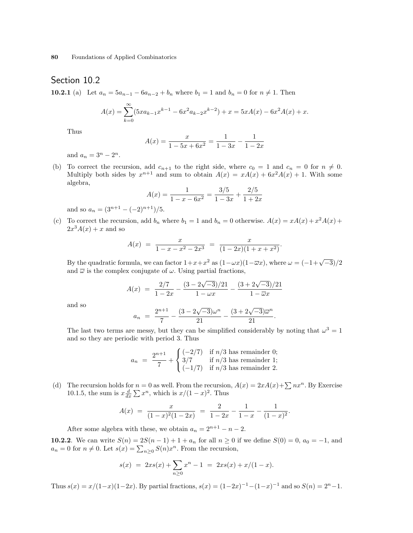## Section 10.2

10.2.1 (a) Let  $a_n = 5a_{n-1} - 6a_{n-2} + b_n$  where  $b_1 = 1$  and  $b_n = 0$  for  $n \neq 1$ . Then

$$
A(x) = \sum_{k=0}^{\infty} (5x a_{k-1} x^{k-1} - 6x^2 a_{k-2} x^{k-2}) + x = 5xA(x) - 6x^2 A(x) + x.
$$

Thus

$$
A(x) = \frac{x}{1 - 5x + 6x^2} = \frac{1}{1 - 3x} - \frac{1}{1 - 2x}
$$

and  $a_n = 3^n - 2^n$ .

(b) To correct the recursion, add  $c_{n+1}$  to the right side, where  $c_0 = 1$  and  $c_n = 0$  for  $n \neq 0$ . Multiply both sides by  $x^{n+1}$  and sum to obtain  $A(x) = xA(x) + 6x^2A(x) + 1$ . With some algebra,

$$
A(x) = \frac{1}{1 - x - 6x^2} = \frac{3/5}{1 - 3x} + \frac{2/5}{1 + 2x}
$$

and so  $a_n = (3^{n+1} - (-2)^{n+1})/5$ .

(c) To correct the recursion, add  $b_n$  where  $b_1 = 1$  and  $b_n = 0$  otherwise.  $A(x) = xA(x) + x^2A(x) +$  $2x^3A(x) + x$  and so

$$
A(x) = \frac{x}{1 - x - x^2 - 2x^3} = \frac{x}{(1 - 2x)(1 + x + x^2)}.
$$

By the quadratic formula, we can factor  $1+x+x^2$  as  $(1-\omega x)(1-\overline{\omega}x)$ , where  $\omega = (-1+\sqrt{-3})/2$ and  $\bar{\omega}$  is the complex conjugate of  $\omega$ . Using partial fractions,

$$
A(x) = \frac{2/7}{1 - 2x} - \frac{(3 - 2\sqrt{-3})/21}{1 - \omega x} - \frac{(3 + 2\sqrt{-3})/21}{1 - \overline{\omega}x}
$$

and so

$$
a_n = \frac{2^{n+1}}{7} - \frac{(3 - 2\sqrt{-3})\omega^n}{21} - \frac{(3 + 2\sqrt{-3})\overline{\omega}^n}{21}.
$$

The last two terms are messy, but they can be simplified considerably by noting that  $\omega^3 = 1$ and so they are periodic with period 3. Thus

$$
a_n = \frac{2^{n+1}}{7} + \begin{cases} (-2/7) & \text{if } n/3 \text{ has remainder 0;}\\ 3/7 & \text{if } n/3 \text{ has remainder 1;}\\ (-1/7) & \text{if } n/3 \text{ has remainder 2.} \end{cases}
$$

(d) The recursion holds for  $n = 0$  as well. From the recursion,  $A(x) = 2xA(x)+\sum nx^n$ . By Exercise 1 ne recursion notes for  $n = 0$  as well. From the recursion<br>10.1.5, the sum is  $x \frac{d}{dx} \sum x^n$ , which is  $x/(1-x)^2$ . Thus

$$
A(x) = \frac{x}{(1-x)^2(1-2x)} = \frac{2}{1-2x} - \frac{1}{1-x} - \frac{1}{(1-x)^2}.
$$

After some algebra with these, we obtain  $a_n = 2^{n+1} - n - 2$ .

**10.2.2**. We can write  $S(n) = 2S(n-1) + 1 + a_n$  for all  $n \ge 0$  if we define  $S(0) = 0$ ,  $a_0 = -1$ , and **10.2.2** We can write  $S(n) = 2S(n-1) + 1 + a_n$  for an  $n \ge 0$ <br>  $a_n = 0$  for  $n \ne 0$ . Let  $s(x) = \sum_{n \ge 0} S(n)x^n$ . From the recursion,

$$
s(x) = 2xs(x) + \sum_{n\geq 0} x^n - 1 = 2xs(x) + x/(1 - x).
$$

Thus  $s(x) = x/(1-x)(1-2x)$ . By partial fractions,  $s(x) = (1-2x)^{-1}-(1-x)^{-1}$  and so  $S(n) = 2<sup>n</sup> - 1$ .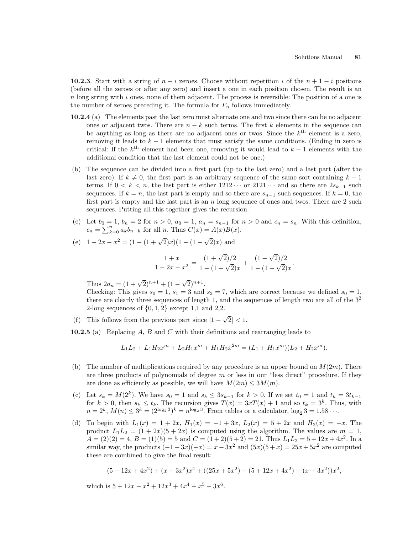10.2.3. Start with a string of  $n - i$  zeroes. Choose without repetition i of the  $n + 1 - i$  positions (before all the zeroes or after any zero) and insert a one in each position chosen. The result is an  $n \text{ long string with } i \text{ ones, none of them adjacent. The process is reversible: The position of a one is }$ the number of zeroes preceding it. The formula for  $F_n$  follows immediately.

- 10.2.4 (a) The elements past the last zero must alternate one and two since there can be no adjacent ones or adjacent twos. There are  $n - k$  such terms. The first k elements in the sequence can be anything as long as there are no adjacent ones or twos. Since the  $k<sup>th</sup>$  element is a zero, removing it leads to  $k - 1$  elements that must satisfy the same conditions. (Ending in zero is critical: If the  $k^{\text{th}}$  element had been one, removing it would lead to  $k-1$  elements with the additional condition that the last element could not be one.)
- (b) The sequence can be divided into a first part (up to the last zero) and a last part (after the last zero). If  $k \neq 0$ , the first part is an arbitrary sequence of the same sort containing  $k - 1$ terms. If  $0 < k < n$ , the last part is either  $1212 \cdots$  or  $2121 \cdots$  and so there are  $2s_{k-1}$  such sequences. If  $k = n$ , the last part is empty and so there are  $s_{n-1}$  such sequences. If  $k = 0$ , the first part is empty and the last part is an  $n$  long sequence of ones and twos. There are  $2$  such sequences. Putting all this together gives the recursion.
- (c) Let  $b_0 = 1$ ,  $b_n = 2$  for  $n > 0$ ,  $a_0 = 1$ ,  $a_n = s_{n-1}$  for  $n > 0$  and  $c_n = s_n$ . With this definition,  $c_n = \sum_{k=0}^n a_k b_{n-k}$  for all n. Thus  $C(x) = A(x)B(x)$ .

(e) 
$$
1 - 2x - x^2 = (1 - (1 + \sqrt{2})x)(1 - (1 - \sqrt{2})x)
$$
 and

$$
\frac{1+x}{1-2x-x^2} = \frac{(1+\sqrt{2})/2}{1-(1+\sqrt{2})x} + \frac{(1-\sqrt{2})/2}{1-(1-\sqrt{2})x}.
$$

Thus  $2a_n = (1 + \sqrt{2})^{n+1} + (1 - \sqrt{2})^{n+1}$ .

Checking: This gives  $s_0 = 1$ ,  $s_1 = 3$  and  $s_2 = 7$ , which are correct because we defined  $s_0 = 1$ , there are clearly three sequences of length 1, and the sequences of length two are all of the  $3<sup>2</sup>$ 2-long sequences of  $\{0, 1, 2\}$  except 1,1 and 2,2.

(f) This follows from the previous part since  $|1 -$ √  $|2| < 1.$ 

**10.2.5** (a) Replacing  $A$ ,  $B$  and  $C$  with their definitions and rearranging leads to

$$
L_1L_2 + L_1H_2x^m + L_2H_1x^m + H_1H_2x^{2m} = (L_1 + H_1x^m)(L_2 + H_2x^m).
$$

- (b) The number of multiplications required by any procedure is an upper bound on  $M(2m)$ . There are three products of polynomials of degree  $m$  or less in our "less direct" procedure. If they are done as efficiently as possible, we will have  $M(2m) \leq 3M(m)$ .
- (c) Let  $s_k = M(2^k)$ . We have  $s_0 = 1$  and  $s_k \le 3s_{k-1}$  for  $k > 0$ . If we set  $t_0 = 1$  and  $t_k = 3t_{k-1}$ for  $k > 0$ , then  $s_k \le t_k$ . The recursion gives  $T(x) = 3xT(x) + 1$  and so  $t_k = 3^k$ . Thus, with  $n = 2^k$ ,  $M(n) \leq 3^k = (2^{\log_2 3})^k = n^{\log_2 3}$ . From tables or a calculator,  $\log_2 3 = 1.58 \cdots$ .
- (d) To begin with  $L_1(x) = 1 + 2x$ ,  $H_1(x) = -1 + 3x$ ,  $L_2(x) = 5 + 2x$  and  $H_2(x) = -x$ . The product  $L_1L_2 = (1 + 2x)(5 + 2x)$  is computed using the algorithm. The values are  $m = 1$ ,  $A = (2)(2) = 4, B = (1)(5) = 5$  and  $C = (1+2)(5+2) = 21$ . Thus  $L_1L_2 = 5+12x+4x^2$ . In a similar way, the products  $(-1+3x)(-x) = x-3x^2$  and  $(5x)(5+x) = 25x+5x^2$  are computed these are combined to give the final result:

$$
(5+12x+4x2)+(x-3x2)x4+((25x+5x2)-(5+12x+4x2)-(x-3x2))x2,
$$

which is  $5 + 12x - x^2 + 12x^3 + 4x^4 + x^5 - 3x^6$ .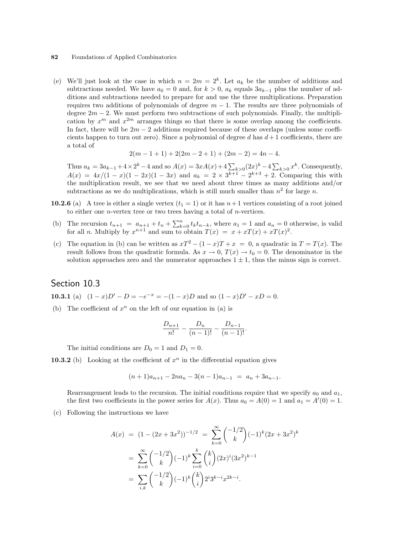(e) We'll just look at the case in which  $n = 2m = 2<sup>k</sup>$ . Let  $a_k$  be the number of additions and subtractions needed. We have  $a_0 = 0$  and, for  $k > 0$ ,  $a_k$  equals  $3a_{k-1}$  plus the number of additions and subtractions needed to prepare for and use the three multiplications. Preparation requires two additions of polynomials of degree  $m - 1$ . The results are three polynomials of degree  $2m - 2$ . We must perform two subtractions of such polynomials. Finally, the multiplication by  $x^m$  and  $x^{2m}$  arranges things so that there is some overlap among the coefficients. In fact, there will be  $2m - 2$  additions required because of these overlaps (unless some coefficients happen to turn out zero). Since a polynomial of degree d has  $d+1$  coefficients, there are a total of

$$
2(m - 1 + 1) + 2(2m - 2 + 1) + (2m - 2) = 4n - 4.
$$

Thus  $a_k = 3a_{k-1} + 4 \times 2^k - 4$  and so  $A(x) = 3xA(x) + 4\sum_{k>0} (2x)^k - 4\sum_{k>0}$  $_{k>0} x^k$ . Consequently,  $A(x) = 4x/(1-x)(1-2x)(1-3x)$  and  $a_k = 2 \times 3^{k+1} - 2^{k+3} + 2$ . Comparing this with the multiplication result, we see that we need about three times as many additions and/or subtractions as we do multiplications, which is still much smaller than  $n^2$  for large n.

- 10.2.6 (a) A tree is either a single vertex  $(t_1 = 1)$  or it has  $n+1$  vertices consisting of a root joined to either one *n*-vertex tree or two trees having a total of *n*-vertices.
- (b) The recursion  $t_{n+1} = a_{n+1} + t_n + \sum_{k=0}^{n} t_k t_{n-k}$ , where  $a_1 = 1$  and  $a_n = 0$  otherwise, is valid for all *n*. Multiply by  $x^{n+1}$  and sum to obtain  $T(x) = x + xT(x) + xT(x)^2$ .
- (c) The equation in (b) can be written as  $xT^2 (1-x)T + x = 0$ , a quadratic in  $T = T(x)$ . The result follows from the quadratic formula. As  $x \to 0$ ,  $T(x) \to t_0 = 0$ . The denominator in the solution approaches zero and the numerator approaches  $1 \pm 1$ , thus the minus sign is correct.

## Section 10.3

**10.3.1** (a)  $(1-x)D' - D = -e^{-x} = -(1-x)D$  and so  $(1-x)D' - xD = 0$ .

(b) The coefficient of  $x^n$  on the left of our equation in (a) is

$$
\frac{D_{n+1}}{n!} - \frac{D_n}{(n-1)!} - \frac{D_{n-1}}{(n-1)!}.
$$

The initial conditions are  $D_0 = 1$  and  $D_1 = 0$ .

**10.3.2** (b) Looking at the coefficient of  $x^n$  in the differential equation gives

$$
(n+1)a_{n+1} - 2na_n - 3(n-1)a_{n-1} = a_n + 3a_{n-1}.
$$

Rearrangement leads to the recursion. The initial conditions require that we specify  $a_0$  and  $a_1$ , the first two coefficients in the power series for  $A(x)$ . Thus  $a_0 = A(0) = 1$  and  $a_1 = A'(0) = 1$ .

(c) Following the instructions we have

$$
A(x) = (1 - (2x + 3x^{2}))^{-1/2} = \sum_{k=0}^{\infty} {\binom{-1/2}{k}} (-1)^{k} (2x + 3x^{2})^{k}
$$
  
= 
$$
\sum_{k=0}^{\infty} {\binom{-1/2}{k}} (-1)^{k} \sum_{i=0}^{k} {\binom{k}{i}} (2x)^{i} (3x^{2})^{k-1}
$$
  
= 
$$
\sum_{i,k} {\binom{-1/2}{k}} (-1)^{k} {\binom{k}{i}} 2^{i} 3^{k-i} x^{2k-i}.
$$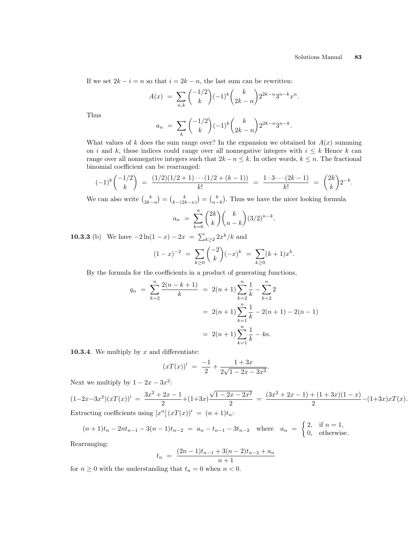If we set  $2k - i = n$  so that  $i = 2k - n$ , the last sum can be rewritten:

$$
A(x) = \sum_{n,k} {\binom{-1/2}{k}} (-1)^k {\binom{k}{2k-n}} 2^{2k-n} 3^{n-k} x^n.
$$

Thus

$$
a_n = \sum_{k} {\binom{-1/2}{k}} (-1)^k {\binom{k}{2k-n}} 2^{2k-n} 3^{n-k}.
$$

What values of k does the sum range over? In the expansion we obtained for  $A(x)$  summing on i and k, these indices could range over all nonnegative integers with  $i \leq k$  Hence k can range over all nonnegative integers such that  $2k - n \leq k$ . In other words,  $k \leq n$ . The fractional binomial coefficient can be rearranged:

$$
(-1)^k \binom{-1/2}{k} = \frac{(1/2)(1/2+1)\cdots(1/2+(k-1))}{k!} = \frac{1\cdot 3\cdots (2k-1)}{k!} = \binom{2k}{k} 2^{-k}.
$$

We can also write  $\binom{k}{2k-n}$ =  $\binom{k}{k-(2k-n)}$ =  $\binom{k}{n-k}$ . Thus we have the nicer looking formula  $\overline{a}$  $\mathbf{r}$ 

$$
a_n = \sum_{k=0}^n {2k \choose k} {k \choose n-k} (3/2)^{n-k}.
$$

**10.3.3** (b) We have  $-2\ln(1-x) - 2x = \sum$  $_{k\geq 2} 2x^{k}/k$  and  $\frac{1}{2}$ 

$$
(1-x)^{-2} = \sum_{k\geq 0} \binom{-2}{k} (-x)^k = \sum_{k\geq 0} (k+1)x^k.
$$

By the formula for the coefficients in a product of generating functions,

$$
q_n = \sum_{k=2}^n \frac{2(n-k+1)}{k} = 2(n+1) \sum_{k=2}^n \frac{1}{k} - \sum_{k=2}^n 2
$$
  
= 2(n+1)  $\sum_{k=1}^n \frac{1}{k} - 2(n+1) - 2(n-1)$   
= 2(n+1)  $\sum_{k=1}^n \frac{1}{k} - 4n$ .

**10.3.4**. We multiply by  $x$  and differentiate:

$$
(xT(x))' = \frac{-1}{2} + \frac{1+3x}{2\sqrt{1-2x-3x^2}}
$$

Next we multiply by  $1 - 2x - 3x^2$ :

$$
(1-2x-3x^2)(xT(x))' = \frac{3x^2+2x-1}{2} + (1+3x)\frac{\sqrt{1-2x-2x^2}}{2} = \frac{(3x^2+2x-1)+(1+3x)(1-x)}{2} - (1+3x)xT(x).
$$
  
Extracting coefficients using  $[x^n](xT(x))' = (n+1)t_n$ :

.

$$
(n+1)t_n - 2nt_{n-1} - 3(n-1)t_{n-2} = a_n - t_{n-1} - 3t_{n-2} \text{ where } a_n = \begin{cases} 2, & \text{if } n = 1, \\ 0, & \text{otherwise.} \end{cases}
$$

Rearranging:

$$
t_n = \frac{(2n-1)t_{n-1} + 3(n-2)t_{n-2} + a_n}{n+1}
$$

for  $n\geq 0$  with the understanding that  $t_n=0$  when  $n<0.$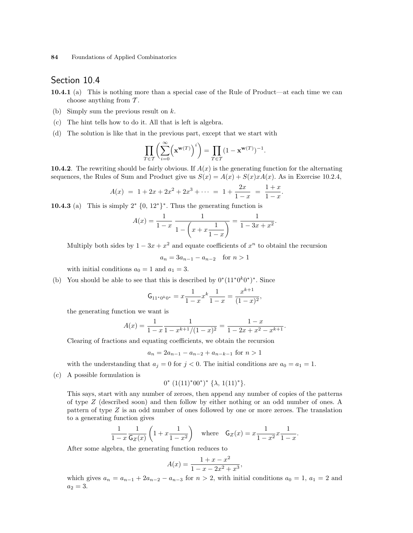## Section 10.4

- 10.4.1 (a) This is nothing more than a special case of the Rule of Product—at each time we can choose anything from  $\mathcal{T}$ .
- (b) Simply sum the previous result on k.
- (c) The hint tells how to do it. All that is left is algebra.
- (d) The solution is like that in the previous part, except that we start with

$$
\prod_{T\in\mathcal{T}}\biggl(\sum_{i=0}^\infty \Bigl(\mathbf{x}^{\mathbf{w}(T)}\Bigr)^i\biggr)=\prod_{T\in\mathcal{T}}(1-\mathbf{x}^{\mathbf{w}(T)})^{-1}.
$$

10.4.2. The rewriting should be fairly obvious. If  $A(x)$  is the generating function for the alternating sequences, the Rules of Sum and Product give us  $S(x) = A(x) + S(x)xA(x)$ . As in Exercise 10.2.4,

$$
A(x) = 1 + 2x + 2x^{2} + 2x^{3} + \dots = 1 + \frac{2x}{1 - x} = \frac{1 + x}{1 - x}.
$$

**10.4.3** (a) This is simply  $2^* \{0, 12^*\}^*$ . Thus the generating function is

$$
A(x) = \frac{1}{1-x} \frac{1}{1-\left(x+x\frac{1}{1-x}\right)} = \frac{1}{1-3x+x^2}.
$$

Multiply both sides by  $1 - 3x + x^2$  and equate coefficients of  $x^n$  to obtainl the recursion

$$
a_n = 3a_{n-1} - a_{n-2}
$$
 for  $n > 1$ 

with initial conditions  $a_0 = 1$  and  $a_1 = 3$ .

(b) You should be able to see that this is described by  $0^*(11^*0^k0^*)^*$ . Since

$$
\mathsf{G}_{11^*0^k0^*} = x \frac{1}{1-x} x^k \frac{1}{1-x} = \frac{x^{k+1}}{(1-x)^2},
$$

the generating function we want is

$$
A(x) = \frac{1}{1-x} \frac{1}{1-x^{k+1}/(1-x)^2} = \frac{1-x}{1-2x+x^2-x^{k+1}}.
$$

Clearing of fractions and equating coefficients, we obtain the recursion

$$
a_n = 2a_{n-1} - a_{n-2} + a_{n-k-1} \text{ for } n > 1
$$

with the understanding that  $a_j = 0$  for  $j < 0$ . The initial conditions are  $a_0 = a_1 = 1$ .

(c) A possible formulation is

$$
0^* (1(11)^* 00^*)^* \{\lambda, 1(11)^*\}.
$$

This says, start with any number of zeroes, then append any number of copies of the patterns of type Z (described soon) and then follow by either nothing or an odd number of ones. A pattern of type Z is an odd number of ones followed by one or more zeroes. The translation to a generating function gives

$$
\frac{1}{1-x}\frac{1}{\mathsf{G}_Z(x)}\left(1+x\frac{1}{1-x^2}\right) \quad \text{where} \quad \mathsf{G}_Z(x) = x\frac{1}{1-x^2}x\frac{1}{1-x}.
$$

After some algebra, the generating function reduces to

$$
A(x) = \frac{1 + x - x^2}{1 - x - 2x^2 + x^3},
$$

which gives  $a_n = a_{n-1} + 2a_{n-2} - a_{n-3}$  for  $n > 2$ , with initial conditions  $a_0 = 1$ ,  $a_1 = 2$  and  $a_2 = 3.$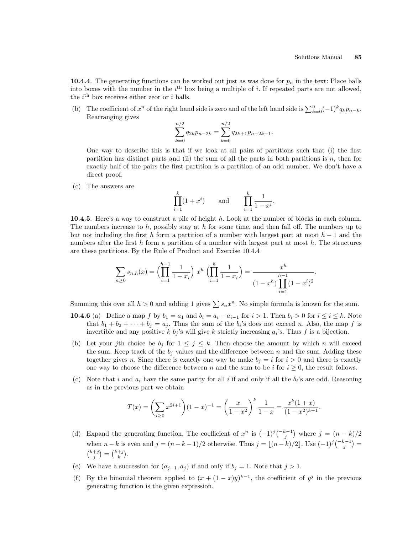10.4.4. The generating functions can be worked out just as was done for  $p_n$  in the text: Place balls into boxes with the number in the  $i<sup>th</sup>$  box being a multiple of i. If repeated parts are not allowed, the  $i<sup>th</sup>$  box receives either zeor or i balls.

(b) The coefficient of  $x^n$  of the right hand side is zero and of the left hand side is  $\sum_{k=0}^n (-1)^k q_k p_{n-k}$ . Rearranging gives

$$
\sum_{k=0}^{n/2} q_{2k} p_{n-2k} = \sum_{k=0}^{n/2} q_{2k+1} p_{n-2k-1}.
$$

One way to describe this is that if we look at all pairs of partitions such that (i) the first partition has distinct parts and (ii) the sum of all the parts in both partitions is  $n$ , then for exactly half of the pairs the first partition is a partition of an odd number. We don't have a direct proof.

(c) The answers are

$$
\prod_{i=1}^k (1+x^i) \qquad \text{and} \qquad \prod_{i=1}^k \frac{1}{1-x^i}.
$$

10.4.5. Here's a way to construct a pile of height h. Look at the number of blocks in each column. The numbers increase to h, possibly stay at h for some time, and then fall off. The numbers up to but not including the first h form a partition of a number with largest part at most  $h-1$  and the numbers after the first h form a partition of a number with largest part at most h. The structures are these partitions. By the Rule of Product and Exercise 10.4.4

$$
\sum_{n\geq 0} s_{n,h}(x) = \left(\prod_{i=1}^{h-1} \frac{1}{1-x_i}\right) x^h \left(\prod_{i=1}^h \frac{1}{1-x_i}\right) = \frac{x^h}{(1-x^h)\prod_{i=1}^{h-1} (1-x^i)^2}.
$$

Summing this over all  $h > 0$  and adding 1 gives  $\sum s_n x^n$ . No simple formula is known for the sum.

- **10.4.6** (a) Define a map f by  $b_1 = a_1$  and  $b_i = a_i a_{i-1}$  for  $i > 1$ . Then  $b_i > 0$  for  $i \le i \le k$ . Note that  $b_1 + b_2 + \cdots + b_j = a_j$ . Thus the sum of the  $b_i$ 's does not exceed n. Also, the map f is invertible and any positive k  $b_j$ 's will give k strictly increasing  $a_i$ 's. Thus f is a bijection.
- (b) Let your jth choice be  $b_j$  for  $1 \leq j \leq k$ . Then choose the amount by which n will exceed the sum. Keep track of the  $b_j$  values and the difference between n and the sum. Adding these together gives n. Since there is exactly one way to make  $b_i = i$  for  $i > 0$  and there is exactly one way to choose the difference between n and the sum to be i for  $i \geq 0$ , the result follows.
- (c) Note that i and  $a_i$  have the same parity for all i if and only if all the  $b_i$ 's are odd. Reasoning as in the previous part we obtain

$$
T(x) = \left(\sum_{i\geq 0} x^{2i+1}\right) (1-x)^{-1} = \left(\frac{x}{1-x^2}\right)^k \frac{1}{1-x} = \frac{x^k (1+x)}{(1-x^2)^{k+1}}.
$$

- (d) Expand the generating function. The coefficient of  $x^n$  is  $(-1)^j$  $\binom{-k-1}{j}$ ¢ where  $j = (n - k)/2$ when  $n - k$  is even and  $j = (n - k - 1)/2$  otherwise. Thus  $j = \lfloor (n - k)/2 \rfloor$ . Use  $(-1)^{j} {k-1 \choose j} =$  ${k+j \choose j} = {k+j \choose k}.$
- (e) We have a succession for  $(a_{j-1}, a_j)$  if and only if  $b_j = 1$ . Note that  $j > 1$ .
- (f) By the binomial theorem applied to  $(x + (1-x)y)^{k-1}$ , the coefficient of  $y^j$  in the previous generating function is the given expression.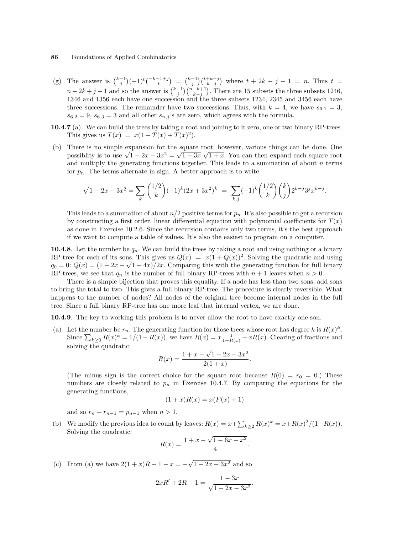- (g) The answer is  $\binom{k-1}{j}$  $(-1)^t \binom{-k-1+j}{t}$ ¢ =  $\binom{k-1}{j}\binom{t+k-j}{k-j}$ ¢ The answer is  $\binom{k-1}{j}(-1)^t \binom{-k-1+j}{t} = \binom{k-1}{j} \binom{t+k-j}{k-j}$  where  $t + 2k - j - 1 = n$ . Thus  $t = n - 2k + j + 1$  and so the answer is  $\binom{k-j}{j} \binom{n-k+1}{k-j}$ . There are 15 subsets the three subsets 1246,  $\frac{k}{\sqrt{2}}$ . There are 15 subsets the three subsets 1246, 1346 and 1356 each have one succession and the three subsets 1234, 2345 and 3456 each have three successions. The remainder have two successions. Thus, with  $k = 4$ , we have  $s_{6,1} = 3$ ,  $s_{6,2} = 9$ ,  $s_{6,3} = 3$  and all other  $s_{n,j}$ 's are zero, which agrees with the formula.
- 10.4.7 (a) We can build the trees by taking a root and joining to it zero, one or two binary RP-trees. This gives us  $T(x) = x(1 + T(x) + T(x)^2)$ .
- (b) There is no simple expansion for the square root; however, various things can be done. One There is no simple expansion for the square root; nowever, various things can be done. One possibility is to use  $\sqrt{1-2x-3x^2} = \sqrt{1-3x}\sqrt{1+x}$ . You can then expand each square root and multiply the generating functions together. This leads to a summation of about  $n$  terms for  $p_n$ . The terms alternate in sign. A better approach is to write

$$
\sqrt{1-2x-3x^2} = \sum_{k} \binom{1/2}{k} (-1)^k (2x+3x^2)^k = \sum_{k,j} (-1)^k \binom{1/2}{k} \binom{k}{j} 2^{k-j} 3^j x^{k+j}.
$$

This leads to a summation of about  $n/2$  positive terms for  $p_n$ . It's also possible to get a recursion by constructing a first order, linear differential equation with polynomial coefficients for  $T(x)$ as done in Exercise 10.2.6. Since the recursion contains only two terms, it's the best approach if we want to compute a table of values. It's also the easiest to program on a computer.

**10.4.8**. Let the number be  $q_n$ . We can build the trees by taking a root and using nothing or a binary RP-tree for each of its sons. This gives us  $Q(x) = x(1+Q(x))^2$ . Solving the quadratic and using  $q_0 = 0$ :  $Q(x) = (1 - 2x - \sqrt{1 - 4x})/2x$ . Comparing this with the generating function for full binary RP-trees, we see that  $q_n$  is the number of full binary RP-trees with  $n + 1$  leaves when  $n > 0$ .

There is a simple bijection that proves this equality. If a node has less than two sons, add sons to bring the total to two. This gives a full binary RP-tree. The procedure is clearly reversible. What happens to the number of nodes? All nodes of the original tree become internal nodes in the full tree. Since a full binary RP-tree has one more leaf that internal vertex, we are done.

10.4.9. The key to working this problem is to never allow the root to have exactly one son.

(a) Let the number be  $r_n$ . The generating function for those trees whose root has degree k is  $R(x)^k$ . Let the number be  $r_n$ . The generating function for those trees whose root has degree  $\kappa$  is  $R(x)$ .<br>Since  $\sum_{k\geq 0} R(x)^k = 1/(1-R(x))$ , we have  $R(x) = x\frac{1}{1-R(x)} - xR(x)$ . Clearing of fractions and solving the quadratic: √

$$
R(x) = \frac{1 + x - \sqrt{1 - 2x - 3x^2}}{2(1 + x)}
$$

.

.

(The minus sign is the correct choice for the square root because  $R(0) = r_0 = 0$ .) These numbers are closely related to  $p_n$  in Exercise 10.4.7. By comparing the equations for the generating functions,

$$
(1+x)R(x) = x(P(x) + 1)
$$

and so  $r_n + r_{n-1} = p_{n-1}$  when  $n > 1$ .

(b) We modify the previous idea to count by leaves:  $R(x) = x + \sum_{k \geq 2} R(x)^k = x + R(x)^2/(1 - R(x)).$ Solving the quadratic: √

$$
R(x) = \frac{1 + x - \sqrt{1 - 6x + x^2}}{4}
$$

(c) From (a) we have  $2(1+x)R-1-x = -$ √  $1-2x-3x^2$  and so

$$
2xR' + 2R - 1 = \frac{1 - 3x}{\sqrt{1 - 2x - 3x^2}}.
$$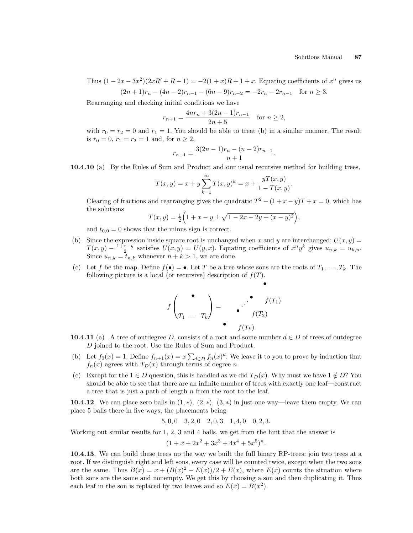Thus  $(1 - 2x - 3x^2)(2xR' + R - 1) = -2(1 + x)R + 1 + x$ . Equating coefficients of  $x^n$  gives us  $(2n + 1)r - (4n - 2)r$ <sub>n</sub>  $(6n - 9)r_{n-2} = -2r_n - 2r_{n-1}$  for  $n \ge 3$ .

$$
(2n+1)r_n - (4n-2)r_{n-1} - (6n-9)r_{n-2} = -2r_n - 2r_{n-1} \text{ for } n \ge 3
$$

Rearranging and checking initial conditions we have

$$
r_{n+1} = \frac{4nr_n + 3(2n-1)r_{n-1}}{2n+5} \quad \text{for } n \ge 2,
$$

with  $r_0 = r_2 = 0$  and  $r_1 = 1$ . You should be able to treat (b) in a similar manner. The result is  $r_0 = 0$ ,  $r_1 = r_2 = 1$  and, for  $n \geq 2$ ,

$$
r_{n+1} = \frac{3(2n-1)r_n - (n-2)r_{n-1}}{n+1}.
$$

10.4.10 (a) By the Rules of Sum and Product and our usual recursive method for building trees,

$$
T(x,y) = x + y \sum_{k=1}^{\infty} T(x,y)^k = x + \frac{yT(x,y)}{1 - T(x,y)}.
$$

Clearing of fractions and rearranging gives the quadratic  $T^2 - (1 + x - y)T + x = 0$ , which has the solutions ³ p ´

$$
T(x,y) = \frac{1}{2} \Big( 1 + x - y \pm \sqrt{1 - 2x - 2y + (x - y)^2} \Big),
$$

and  $t_{0,0} = 0$  shows that the minus sign is correct.

- (b) Since the expression inside square root is unchanged when x and y are interchanged;  $U(x, y) =$  $T(x,y) - \frac{1+x-y}{2}$  satisfies  $U(x,y) = U(y,x)$ . Equating coefficients of  $x^n y^k$  gives  $u_{n,k} = u_{k,n}$ . Since  $u_{n,k} = t_{n,k}$  whenever  $n + k > 1$ , we are done.
- (c) Let f be the map. Define  $f(\bullet) = \bullet$ . Let T be a tree whose sons are the roots of  $T_1, \ldots, T_k$ . The following picture is a local (or recursive) description of  $f(T)$ .

$$
f\begin{pmatrix} \bullet \\ T_1 & \cdots & T_k \end{pmatrix} = \begin{pmatrix} \bullet & f(T_1) \\ \bullet & f(T_2) \end{pmatrix}
$$

•

- 10.4.11 (a) A tree of outdegree D, consists of a root and some number  $d \in D$  of trees of outdegree D joined to the root. Use the Rules of Sum and Product.
- (b) Let  $f_0(x) = 1$ . Define  $f_{n+1}(x) = x \sum_{d \in D} f_n(x)^d$ . We leave it to you to prove by induction that  $f_n(x)$  agrees with  $T_D(x)$  through terms of degree n.
- (c) Except for the  $1 \in D$  question, this is handled as we did  $T_D(x)$ . Why must we have  $1 \notin D$ ? You should be able to see that there are an infinite number of trees with exactly one leaf—construct a tree that is just a path of length  $n$  from the root to the leaf.

10.4.12. We can place zero balls in  $(1, *), (2, *)$ ,  $(3, *)$  in just one way—leave them empty. We can place 5 balls there in five ways, the placements being

$$
5,0,0 \quad 3,2,0 \quad 2,0,3 \quad 1,4,0 \quad 0,2,3.
$$

Working out similar results for 1, 2, 3 and 4 balls, we get from the hint that the answer is

$$
(1 + x + 2x^2 + 3x^3 + 4x^4 + 5x^5)^n.
$$

10.4.13. We can build these trees up the way we built the full binary RP-trees: join two trees at a root. If we distinguish right and left sons, every case will be counted twice, except when the two sons are the same. Thus  $B(x) = x + (B(x)^2 - E(x))/2 + E(x)$ , where  $E(x)$  counts the situation where both sons are the same and nonempty. We get this by choosing a son and then duplicating it. Thus each leaf in the son is replaced by two leaves and so  $E(x) = B(x^2)$ .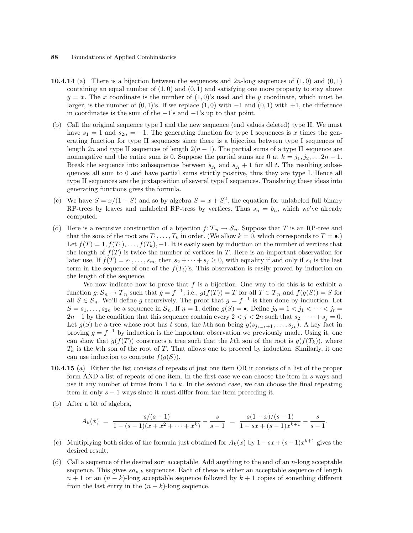- **10.4.14** (a) There is a bijection between the sequences and  $2n$ -long sequences of  $(1,0)$  and  $(0,1)$ containing an equal number of  $(1, 0)$  and  $(0, 1)$  and satisfying one more property to stay above  $y = x$ . The x coordinate is the number of  $(1,0)$ 's used and the y coordinate, which must be larger, is the number of  $(0, 1)$ 's. If we replace  $(1, 0)$  with  $-1$  and  $(0, 1)$  with  $+1$ , the difference in coordinates is the sum of the  $+1$ 's and  $-1$ 's up to that point.
- (b) Call the original sequence type I and the new sequence (end values deleted) type II. We must have  $s_1 = 1$  and  $s_{2n} = -1$ . The generating function for type I sequences is x times the generating function for type II sequences since there is a bijection between type I sequences of length 2n and type II sequences of length  $2(n - 1)$ . The partial sums of a type II sequence are nonnegative and the entire sum is 0. Suppose the partial sums are 0 at  $k = j_1, j_2, \ldots 2n - 1$ . Break the sequence into subsequences between  $s_{j_t}$  and  $s_{j_t} + 1$  for all t. The resulting subsequences all sum to 0 and have partial sums strictly positive, thus they are type I. Hence all type II sequences are the juxtaposition of several type I sequences. Translating these ideas into generating functions gives the formula.
- (c) We have  $S = x/(1-S)$  and so by algebra  $S = x + S^2$ , the equation for unlabeled full binary RP-trees by leaves and unlabeled RP-tress by vertices. Thus  $s_n = b_n$ , which we've already computed.
- (d) Here is a recursive construction of a bijection  $f: \mathcal{T}_n \to \mathcal{S}_n$ . Suppose that T is an RP-tree and that the sons of the root are  $T_1, \ldots, T_k$  in order. (We allow  $k = 0$ , which corresponds to  $T = \bullet$ .) Let  $f(T) = 1, f(T_1), \ldots, f(T_k), -1$ . It is easily seen by induction on the number of vertices that the length of  $f(T)$  is twice the number of vertices in T. Here is an important observation for later use. If  $f(T) = s_1, \ldots, s_m$ , then  $s_2 + \cdots + s_j \geq 0$ , with equality if and only if  $s_j$  is the last term in the sequence of one of the  $f(T_i)$ 's. This observation is easily proved by induction on the length of the sequence.

We now indicate how to prove that  $f$  is a bijection. One way to do this is to exhibit a function  $g: \mathcal{S}_n \to \mathcal{T}_n$  such that  $g = f^{-1}$ ; i.e.,  $g(f(T)) = T$  for all  $T \in \mathcal{T}_n$  and  $f(g(S)) = S$  for all  $S \in \mathcal{S}_n$ . We'll define g recursively. The proof that  $g = f^{-1}$  is then done by induction. Let  $S = s_1, \ldots, s_{2n}$  be a sequence in  $S_n$ . If  $n = 1$ , define  $g(S) = \bullet$ . Define  $j_0 = 1 \lt j_1 \lt \cdots \lt j_t =$  $2n-1$  by the condition that this sequence contain every  $2 < j < 2n$  such that  $s_2 + \cdots + s_j = 0$ . Let  $g(S)$  be a tree whose root has t sons, the kth son being  $g(s_{j_{k-1}+1}, \ldots, s_{j_k})$ . A key fact in proving  $g = f^{-1}$  by induction is the important observation we previously made. Using it, one can show that  $g(f(T))$  constructs a tree such that the kth son of the root is  $g(f(T_k))$ , where  $T_k$  is the kth son of the root of T. That allows one to proceed by induction. Similarly, it one can use induction to compute  $f(g(S))$ .

- 10.4.15 (a) Either the list consists of repeats of just one item OR it consists of a list of the proper form AND a list of repeats of one item. In the first case we can choose the item in s ways and use it any number of times from 1 to k. In the second case, we can choose the final repeating item in only  $s - 1$  ways since it must differ from the item preceding it.
- (b) After a bit of algebra,

$$
A_k(x) = \frac{s/(s-1)}{1-(s-1)(x+x^2+\cdots+x^k)} - \frac{s}{s-1} = \frac{s(1-x)/(s-1)}{1-sx+(s-1)x^{k+1}} - \frac{s}{s-1}.
$$

- (c) Multiplying both sides of the formula just obtained for  $A_k(x)$  by  $1-sx+(s-1)x^{k+1}$  gives the desired result.
- (d) Call a sequence of the desired sort acceptable. Add anything to the end of an  $n$ -long acceptable sequence. This gives  $sa_{n,k}$  sequences. Each of these is either an acceptable sequence of length  $n+1$  or an  $(n-k)$ -long acceptable sequence followed by  $k+1$  copies of something different from the last entry in the  $(n - k)$ -long sequence.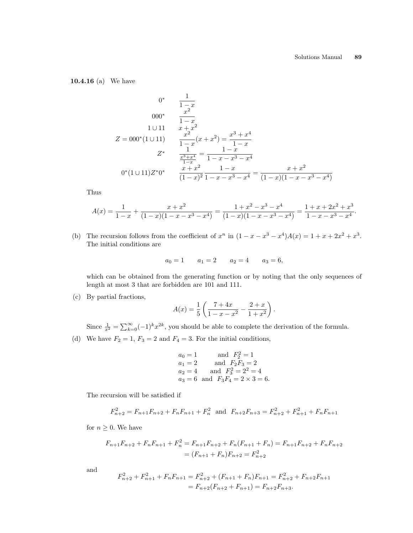10.4.16 (a) We have

$$
0^* \qquad \frac{1}{1-x}
$$
  
\n
$$
000^* \qquad \frac{x^2}{1-x}
$$
  
\n
$$
1 \cup 11 \qquad x + x^2
$$
  
\n
$$
Z = 000^*(1 \cup 11) \qquad \frac{x^2}{1-x}(x+x^2) = \frac{x^3 + x^4}{1-x}
$$
  
\n
$$
Z^* \qquad \frac{1}{\frac{x^3 + x^4}{1-x}} = \frac{1-x}{1-x-x^3-x^4}
$$
  
\n
$$
0^*(1 \cup 11)Z^*0^* \qquad \frac{x+x^2}{(1-x)^2} \frac{1-x}{1-x-x^3-x^4} = \frac{x+x^2}{(1-x)(1-x-x^3-x^4)}
$$

Thus

$$
A(x) = \frac{1}{1-x} + \frac{x+x^2}{(1-x)(1-x-x^3-x^4)} = \frac{1+x^2-x^3-x^4}{(1-x)(1-x-x^3-x^4)} = \frac{1+x+2x^2+x^3}{1-x-x^3-x^4}.
$$

(b) The recursion follows from the coefficient of  $x^n$  in  $(1-x-x^3-x^4)A(x) = 1+x+2x^2+x^3$ . The initial conditions are

$$
a_0 = 1 \qquad a_1 = 2 \qquad a_2 = 4 \qquad a_3 = 6,
$$

which can be obtained from the generating function or by noting that the only sequences of length at most 3 that are forbidden are 101 and 111.

(c) By partial fractions,

$$
A(x) = \frac{1}{5} \left( \frac{7+4x}{1-x-x^2} - \frac{2+x}{1+x^2} \right).
$$

Since  $\frac{1}{x^2} = \sum_{k=0}^{\infty} (-1)^k x^{2k}$ , you should be able to complete the derivation of the formula.

(d) We have  $F_2 = 1, F_3 = 2$  and  $F_4 = 3$ . For the initial conditions,

$$
a_0 = 1
$$
 and  $F_2^2 = 1$   
\n $a_1 = 2$  and  $F_2F_3 = 2$   
\n $a_2 = 4$  and  $F_3^2 = 2^2 = 4$   
\n $a_3 = 6$  and  $F_3F_4 = 2 \times 3 = 6$ .

The recursion will be satisfied if

$$
F_{n+2}^2 = F_{n+1}F_{n+2} + F_nF_{n+1} + F_n^2 \text{ and } F_{n+2}F_{n+3} = F_{n+2}^2 + F_{n+1}^2 + F_nF_{n+1}
$$

for  $n\geq 0.$  We have

$$
F_{n+1}F_{n+2} + F_nF_{n+1} + F_n^2 = F_{n+1}F_{n+2} + F_n(F_{n+1} + F_n) = F_{n+1}F_{n+2} + F_nF_{n+2}
$$

$$
= (F_{n+1} + F_n)F_{n+2} = F_{n+2}^2
$$

and

$$
F_{n+2}^2 + F_{n+1}^2 + F_n F_{n+1} = F_{n+2}^2 + (F_{n+1} + F_n)F_{n+1} = F_{n+2}^2 + F_{n+2}F_{n+1}
$$
  
=  $F_{n+2}(F_{n+2} + F_{n+1}) = F_{n+2}F_{n+3}.$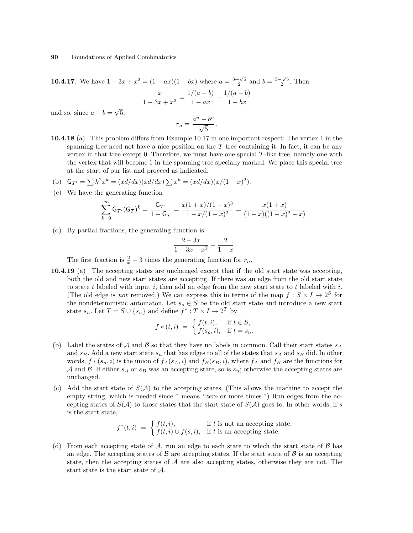**10.4.17**. We have  $1 - 3x + x^2 = (1 - ax)(1 - bx)$  where  $a = \frac{3 + \sqrt{5}}{2}$  and  $b = \frac{3 - \sqrt{5}}{2}$ . Then  $\boldsymbol{x}$  $\frac{x}{1-3x+x^2} = \frac{1/(a-b)}{1-ax}$  $\frac{1/(a-b)}{1-ax} - \frac{1/(a-b)}{1-bx}$  $1 - bx$ and so, since  $a - b =$ √ 5,  $r_n = \frac{a^n - b^n}{\sqrt{a}}$  $\frac{6}{5}$ .

10.4.18 (a) This problem differs from Example 10.17 in one important respect: The vertex 1 in the spanning tree need not have a nice position on the  $\mathcal T$  tree containing it. In fact, it can be any vertex in that tree except 0. Therefore, we must have one special T -like tree, namely one with the vertex that will become 1 in the spanning tree specially marked. We place this special tree at the start of our list and proceed as indicated.

(b) 
$$
G_{T'} = \sum k^2 x^k = (x d/dx)(x d/dx) \sum x^k = (x d/dx)(x/(1-x)^2).
$$

(c) We have the generating function

$$
\sum_{k=0}^{\infty} \mathsf{G}_{\mathcal{T}'}(\mathsf{G}_{\mathcal{T}})^k = \frac{\mathsf{G}_{\mathcal{T}'} }{1-\mathsf{G}_{\mathcal{T}}} = \frac{x(1+x)/(1-x)^3}{1-x/(1-x)^2} = \frac{x(1+x)}{(1-x)((1-x)^2-x)}.
$$

(d) By partial fractions, the generating function is

$$
\frac{2-3x}{1-3x+x^2} - \frac{2}{1-x}.
$$

The first fraction is  $\frac{2}{x} - 3$  times the generating function for  $r_n$ .

10.4.19 (a) The accepting states are unchanged except that if the old start state was accepting, both the old and new start states are accepting. If there was an edge from the old start state to state t labeled with input i, then add an edge from the new start state to t labeled with i. (The old edge is *not* removed.) We can express this in terms of the map  $f : S \times I \to 2^S$  for the nondeterministic automaton. Let  $s_o \in S$  be the old start state and introduce a new start state  $s_n$ . Let  $T = S \cup \{s_n\}$  and define  $f^* : T \times I \to 2^T$  by

$$
f * (t, i) = \begin{cases} f(t, i), & \text{if } t \in S, \\ f(s_o, i), & \text{if } t = s_n. \end{cases}
$$

- (b) Label the states of A and B so that they have no labels in common. Call their start states  $s_A$ and  $s_B$ . Add a new start state  $s_n$  that has edges to all of the states that  $s_A$  and  $s_B$  did. In other words,  $f * (s_n, i)$  is the union of  $f_A(s_A, i)$  and  $f_B(s_B, i)$ , where  $f_A$  and  $f_B$  are the functions for A and B. If either  $s_A$  or  $s_B$  was an accepting state, so is  $s_n$ ; otherwise the accepting states are unchanged.
- (c) Add the start state of  $S(\mathcal{A})$  to the accepting states. (This allows the machine to accept the empty string, which is needed since <sup>\*</sup> means "*zero* or more times.") Run edges from the accepting states of  $S(\mathcal{A})$  to those states that the start state of  $S(\mathcal{A})$  goes to. In other words, if s is the start state,

$$
f^*(t, i) = \begin{cases} f(t, i), & \text{if } t \text{ is not an accepting state,} \\ f(t, i) \cup f(s, i), & \text{if } t \text{ is an accepting state.} \end{cases}
$$

(d) From each accepting state of  $A$ , run an edge to each state to which the start state of  $B$  has an edge. The accepting states of  $\beta$  are accepting states. If the start state of  $\beta$  is an accepting state, then the accepting states of  $A$  are also accepting states, otherwise they are not. The start state is the start state of A.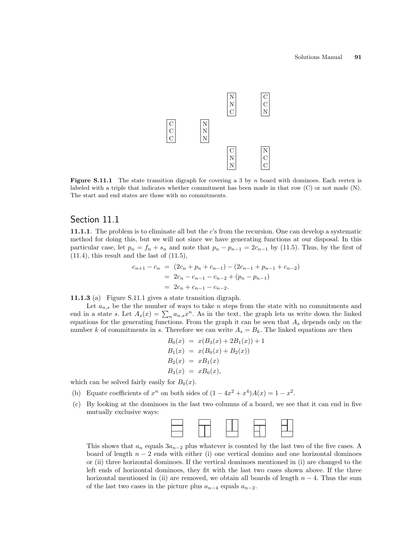

**Figure S.11.1** The state transition digraph for covering a 3 by n board with dominoes. Each vertex is labeled with a triple that indicates whether commitment has been made in that row (C) or not made (N). The start and end states are those with no commitments.

## Section 11.1

11.1.1. The problem is to eliminate all but the c's from the recursion. One can develop a systematic method for doing this, but we will not since we have generating functions at our disposal. In this particular case, let  $p_n = f_n + s_n$  and note that  $p_n - p_{n-1} = 2c_{n-1}$  by (11.5). Thus, by the first of  $(11.4)$ , this result and the last of  $(11.5)$ ,

$$
c_{n+1} - c_n = (2c_n + p_n + c_{n-1}) - (2c_{n-1} + p_{n-1} + c_{n-2})
$$
  
= 2c\_n - c\_{n-1} - c\_{n-2} + (p\_n - p\_{n-1})  
= 2c\_n + c\_{n-1} - c\_{n-2}.

11.1.3 (a) Figure S.11.1 gives a state transition digraph.

Let  $a_{n,s}$  be the the number of ways to take n steps from the state with no commitments and Let  $a_{n,s}$  be the the number of ways to take *n* steps from the state with no commitments and<br>end in a state *s*. Let  $A_s(x) = \sum_n a_{n,s}x^n$ . As in the text, the graph lets us write down the linked equations for the generating functions. From the graph it can be seen that  $A<sub>s</sub>$  depends only on the number k of commitments in s. Therefore we can write  $A_s = B_k$ . The linked equations are then

$$
B_0(x) = x(B_3(x) + 2B_1(x)) + 1
$$
  
\n
$$
B_1(x) = x(B_0(x) + B_2(x))
$$
  
\n
$$
B_2(x) = xB_1(x)
$$
  
\n
$$
B_3(x) = xB_0(x),
$$

which can be solved fairly easily for  $B_0(x)$ .

- (b) Equate coefficients of  $x^n$  on both sides of  $(1-4x^2+x^4)A(x)=1-x^2$ .
- (c) By looking at the dominoes in the last two columns of a board, we see that it can end in five mutually exclusive ways:



This shows that  $a_n$  equals  $3a_{n-2}$  plus whatever is counted by the last two of the five cases. A board of length  $n-2$  ends with either (i) one vertical domino and one horizontal dominoes or (ii) three horizontal dominoes. If the vertical dominoes mentioned in (i) are changed to the left ends of horizontal dominoes, they fit with the last two cases shown above. If the three horizontal mentioned in (ii) are removed, we obtain all boards of length  $n-4$ . Thus the sum of the last two cases in the picture plus  $a_{n-4}$  equals  $a_{n-2}$ .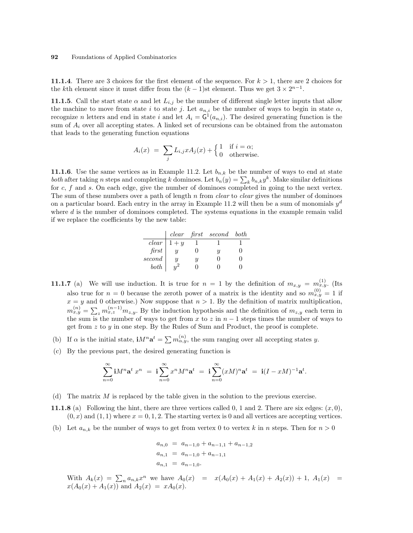11.1.4. There are 3 choices for the first element of the sequence. For  $k > 1$ , there are 2 choices for the kth element since it must differ from the  $(k-1)$ st element. Thus we get  $3 \times 2^{n-1}$ .

11.1.5. Call the start state  $\alpha$  and let  $L_{i,j}$  be the number of different single letter inputs that allow the machine to move from state i to state j. Let  $a_{n,i}$  be the number of ways to begin in state  $\alpha$ , recognize n letters and end in state i and let  $A_i = G^1(a_{n,i})$ . The desired generating function is the sum of  $A_i$  over all accepting states. A linked set of recursions can be obtained from the automaton that leads to the generating function equations

$$
A_i(x) = \sum_j L_{i,j} x A_j(x) + \begin{cases} 1 & \text{if } i = \alpha; \\ 0 & \text{otherwise.} \end{cases}
$$

**11.1.6**. Use the same vertices as in Example 11.2. Let  $b_{n,k}$  be the number of ways to end at state **11.1.0**. Use the same vertices as in Example 11.2. Let  $b_{n,k}$  be the number of ways to end at state both after taking n steps and completing k dominoes. Let  $b_n(y) = \sum_k b_{n,k} y^k$ . Make similar definitions for  $c, f$  and  $s$ . On each edge, give the number of dominoes completed in going to the next vertex. The sum of these numbers over a path of length  $n$  from *clear* to *clear* gives the number of dominoes on a particular board. Each entry in the array in Example 11.2 will then be a sum of monomials  $y^d$ where  $d$  is the number of dominoes completed. The systems equations in the example remain valid if we replace the coefficients by the new table:

|              | clear   |   | $first$ second | both |
|--------------|---------|---|----------------|------|
| $clear \mid$ | $1 + y$ |   |                |      |
| first        |         |   | и              |      |
| second       | и       | Ų |                |      |
| both         |         |   |                |      |

- **11.1.7** (a) We will use induction. It is true for  $n = 1$  by the definition of  $m_{x,y} = m_{x,y}^{(1)}$ . (Its also true for  $n = 0$  because the zeroth power of a matrix is the identity and so  $m_{x,y}^{(0)} = 1$  if  $x = y$  and 0 otherwise.) Now suppose that  $n > 1$ . By the definition of matrix multiplication,  $m_{x,y}^{(n)} = \sum_{z} m_{x,z}^{(n-1)} m_{z,y}$ . By the induction hypothesis and the definition of  $m_{z,y}$  each term in the sum is the number of ways to get from x to z in  $n-1$  steps times the number of ways to get from  $z$  to  $y$  in one step. By the Rules of Sum and Product, the proof is complete.
- (b) If  $\alpha$  is the initial state,  $\mathbf{i}M^n\mathbf{a}^t = \sum m_{\alpha,y}^{(n)}$ , the sum ranging over all accepting states y.
- (c) By the previous part, the desired generating function is

$$
\sum_{n=0}^{\infty} \mathbf{i} M^n \mathbf{a}^t x^n = \mathbf{i} \sum_{n=0}^{\infty} x^n M^n \mathbf{a}^t = \mathbf{i} \sum_{n=0}^{\infty} (xM)^n \mathbf{a}^t = \mathbf{i} (I - xM)^{-1} \mathbf{a}^t.
$$

- (d) The matrix M is replaced by the table given in the solution to the previous exercise.
- **11.1.8** (a) Following the hint, there are three vertices called 0, 1 and 2. There are six edges:  $(x, 0)$ ,  $(0, x)$  and  $(1, 1)$  where  $x = 0, 1, 2$ . The starting vertex is 0 and all vertices are accepting vertices.
- (b) Let  $a_{n,k}$  be the number of ways to get from vertex 0 to vertex k in n steps. Then for  $n > 0$

$$
a_{n,0} = a_{n-1,0} + a_{n-1,1} + a_{n-1,2}
$$
  
\n
$$
a_{n,1} = a_{n-1,0} + a_{n-1,1}
$$
  
\n
$$
a_{n,1} = a_{n-1,0}.
$$

With  $A_k(x) = \sum_n a_{n,k} x^n$  we have  $A_0(x) = x(A_0(x) + A_1(x) + A_2(x)) + 1$ ,  $A_1(x) =$  $x(A_0(x) + A_1(x))$  and  $A_2(x) = xA_0(x)$ .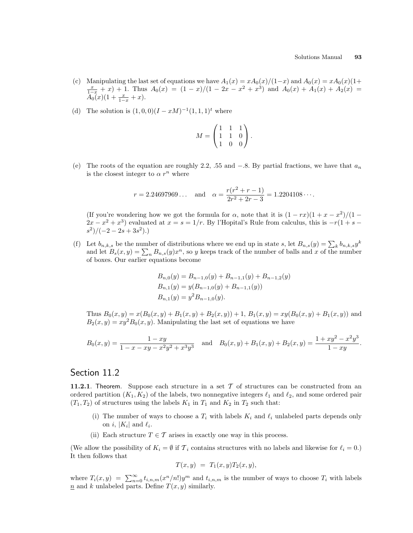- (c) Manipulating the last set of equations we have  $A_1(x) = xA_0(x)/(1-x)$  and  $A_0(x) = xA_0(x)(1+x)$  $\frac{x}{1-x} + x$  + 1. Thus  $A_0(x) = (1-x)/(1-2x-x^2+x^3)$  and  $A_0(x) + A_1(x) + A_2(x) =$  $A_0(x)(1+\frac{x}{1-x}+x).$
- (d) The solution is  $(1,0,0)(I xM)^{-1}(1,1,1)^t$  where

$$
M = \begin{pmatrix} 1 & 1 & 1 \\ 1 & 1 & 0 \\ 1 & 0 & 0 \end{pmatrix}.
$$

(e) The roots of the equation are roughly 2.2, .55 and  $-.8$ . By partial fractions, we have that  $a_n$ is the closest integer to  $\alpha r^n$  where

$$
r = 2.24697969...
$$
 and  $\alpha = \frac{r(r^2 + r - 1)}{2r^2 + 2r - 3} = 1.2204108...$ 

(If you're wondering how we got the formula for  $\alpha$ , note that it is  $(1 - rx)(1 + x - x^2)/(1 2x - x^2 + x^3$ ) evaluated at  $x = s = 1/r$ . By l'Hopital's Rule from calculus, this is  $-r(1 + s$  $s^2)/(-2-2s+3s^2).$ 

(f) Let  $b_{n,k,s}$  be the number of distributions where we end up in state s, let  $B_{n,s}(y) = \sum_{k} b_{n,k,s} y^k$ Let  $a_{n,k,s}$  be the number of distributions where we end up in state s, let  $B_{n,s}(y) = \sum_{k} b_{n,k,s} y$ <br>and let  $B_s(x,y) = \sum_{n} B_{n,s}(y) x^n$ , so y keeps track of the number of balls and x of the number of boxes. Our earlier equations become

$$
B_{n,0}(y) = B_{n-1,0}(y) + B_{n-1,1}(y) + B_{n-1,2}(y)
$$
  
\n
$$
B_{n,1}(y) = y(B_{n-1,0}(y) + B_{n-1,1}(y))
$$
  
\n
$$
B_{n,1}(y) = y^2 B_{n-1,0}(y).
$$

Thus  $B_0(x, y) = x(B_0(x, y) + B_1(x, y) + B_2(x, y)) + 1$ ,  $B_1(x, y) = xy(B_0(x, y) + B_1(x, y))$  and  $B_2(x, y) = xy^2 B_0(x, y)$ . Manipulating the last set of equations we have

$$
B_0(x,y) = \frac{1 - xy}{1 - x - xy - x^2y^2 + x^3y^3} \quad \text{and} \quad B_0(x,y) + B_1(x,y) + B_2(x,y) = \frac{1 + xy^2 - x^2y^3}{1 - xy}.
$$

### Section 11.2

**11.2.1.** Theorem. Suppose each structure in a set  $\mathcal T$  of structures can be constructed from an ordered partition  $(K_1, K_2)$  of the labels, two nonnegative integers  $\ell_1$  and  $\ell_2$ , and some ordered pair  $(T_1, T_2)$  of structures using the labels  $K_1$  in  $T_1$  and  $K_2$  in  $T_2$  such that:

- (i) The number of ways to choose a  $T_i$  with labels  $K_i$  and  $\ell_i$  unlabeled parts depends only on *i*,  $|K_i|$  and  $\ell_i$ .
- (ii) Each structure  $T \in \mathcal{T}$  arises in exactly one way in this process.

(We allow the possibility of  $K_i = \emptyset$  if  $\mathcal{T}_i$  contains structures with no labels and likewise for  $\ell_i = 0$ .) It then follows that

$$
T(x,y) = T_1(x,y)T_2(x,y),
$$

where  $T_i(x, y) = \sum_{n=0}^{\infty} t_{i,n,m}(x^n/n!)y^m$  and  $t_{i,n,m}$  is the number of ways to choose  $T_i$  with labels  $\underline{n}$  and k unlabeled parts. Define  $T(x, y)$  similarly.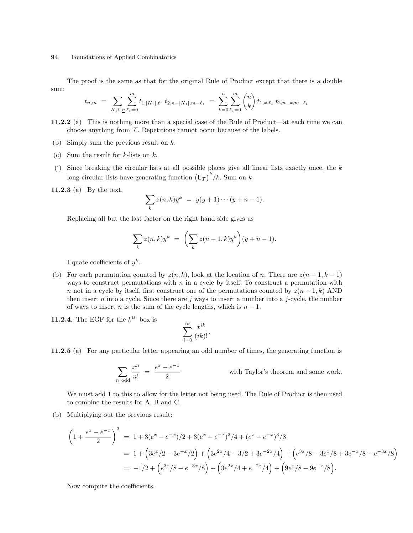The proof is the same as that for the original Rule of Product except that there is a double sum:  $\overline{a}$  $\mathbf{r}$ 

$$
t_{n,m} = \sum_{K_1 \subseteq n} \sum_{\ell_1=0}^m t_{1,|K_1|,\ell_1} t_{2,n-|K_1|,m-\ell_1} = \sum_{k=0}^n \sum_{\ell_1=0}^m \binom{n}{k} t_{1,k,\ell_1} t_{2,n-k,m-\ell_1}
$$

- 11.2.2 (a) This is nothing more than a special case of the Rule of Product—at each time we can choose anything from  $\mathcal T$ . Repetitions cannot occur because of the labels.
- (b) Simply sum the previous result on k.
- (c) Sum the result for  $k$ -lists on  $k$ .
- (') Since breaking the circular lists at all possible places give all linear lists exactly once, the  $k$ long circular lists have generating function  $(E_T)^k/k$ . Sum on k.

11.2.3 (a) By the text,

$$
\sum_{k} z(n,k)y^{k} = y(y+1)\cdots(y+n-1).
$$

Replacing all but the last factor on the right hand side gives us

$$
\sum_{k} z(n,k)y^{k} = \left(\sum_{k} z(n-1,k)y^{k}\right)(y+n-1).
$$

Equate coefficients of  $y^k$ .

- (b) For each permutation counted by  $z(n, k)$ , look at the location of n. There are  $z(n 1, k 1)$ ways to construct permutations with  $n$  in a cycle by itself. To construct a permutation with n not in a cycle by itself, first construct one of the permutations counted by  $z(n-1,k)$  AND then insert n into a cycle. Since there are j ways to insert a number into a j-cycle, the number of ways to insert *n* is the sum of the cycle lengths, which is  $n - 1$ .
- **11.2.4**. The EGF for the  $k^{\text{th}}$  box is

$$
\sum_{i=0}^{\infty} \frac{x^{ik}}{(ik)!}.
$$

11.2.5 (a) For any particular letter appearing an odd number of times, the generating function is

$$
\sum_{n \text{ odd}} \frac{x^n}{n!} = \frac{e^x - e^{-1}}{2}
$$
 with Taylor's theorem and some work.

We must add 1 to this to allow for the letter not being used. The Rule of Product is then used to combine the results for A, B and C.

(b) Multiplying out the previous result:

$$
\left(1+\frac{e^x-e^{-x}}{2}\right)^3 = 1+3(e^x-e^{-x})/2+3(e^x-e^{-x})^2/4+(e^x-e^{-x})^3/8
$$
  
=  $1+\left(3e^x/2-3e^{-x}/2\right)+\left(3e^{2x}/4-3/2+3e^{-2x}/4\right)+\left(e^{3x}/8-3e^x/8+3e^{-x}/8-e^{-3x}/8\right)$   
=  $-1/2+\left(e^{3x}/8-e^{-3x}/8\right)+\left(3e^{2x}/4+e^{-2x}/4\right)+\left(9e^x/8-9e^{-x}/8\right).$ 

Now compute the coefficients.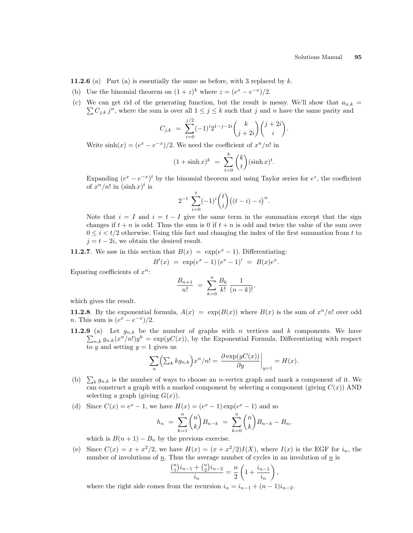**11.2.6** (a) Part (a) is essentially the same as before, with 3 replaced by  $k$ .

- (b) Use the binomial theorem on  $(1+z)^k$  where  $z = (e^x e^{-x})/2$ .
- (c) We can get rid of the generating function, but the result is messy. We'll show that  $a_{n,k} = \sum_{n=1}^{\infty} a_n$  $C_{j,k} j^{n}$ , where the sum is over all  $1 \leq j \leq k$  such that j and n have the same parity and

$$
C_{j,k} = \sum_{i=0}^{j/2} (-1)^i 2^{1-j-2i} {k \choose j+2i} {j+2i \choose i}.
$$

Write  $\sinh(x) = (e^x - e^{-x})/2$ . We need the coefficient of  $x^n/n!$  in

$$
(1+\sinh x)^k = \sum_{t=0}^k {k \choose t} (\sinh x)^t.
$$

Expanding  $(e^x - e^{-x})^t$  by the binomial theorem and using Taylor series for  $e^z$ , the coefficient of  $x^n/n!$  in  $(\sinh x)^t$  is

$$
2^{-t} \sum_{i=0}^{t} (-1)^{i} {t \choose i} ((t-i) - i)^{n}.
$$

Note that  $i = I$  and  $i = t - I$  give the same term in the summation except that the sign changes if  $t + n$  is odd. Thus the sum is 0 if  $t + n$  is odd and twice the value of the sum over  $0 \leq i \leq t/2$  otherwise. Using this fact and changing the index of the first summation from t to  $j = t - 2i$ , we obtain the desired result.

**11.2.7**. We saw in this section that  $B(x) = \exp(e^x - 1)$ . Differentiating:

$$
B'(x) = \exp(e^x - 1)(e^x - 1)' = B(x)e^x.
$$

Equating coefficients of  $x^n$ :

$$
\frac{B_{n+1}}{n!} = \sum_{k=0}^{n} \frac{B_k}{k!} \frac{1}{(n-k)!},
$$

which gives the result.

**11.2.8.** By the exponential formula,  $A(x) = \exp(B(x))$  where  $B(x)$  is the sum of  $x^n/n!$  over odd *n*. This sum is  $(e^x - e^{-x})/2$ .

11.2.9 (a) Let  $g_{n,k}$  be the number of graphs with n vertices and k components. We have  $n_k g_{n,k}(x^n/n!)y^k = \exp(yC(x))$ , by the Exponential Formula. Differentiating with respect to y and setting  $y = 1$  gives us  $\overline{a}$ 

$$
\sum_{n}^{\infty} \left( \sum_{k} k g_{n,k} \right) x^{n} / n! = \left. \frac{\partial \exp(yC(x))}{\partial y} \right|_{y=1} = H(x).
$$

- (b)  $\sum_{k} g_{n,k}$  is the number of ways to choose an *n*-vertex graph and mark a component of it. We can construct a graph with a marked component by selecting a component (giving  $C(x)$ ) AND selecting a graph (giving  $G(x)$ ).
- (d) Since  $C(x) = e^x 1$ , we have  $H(x) = (e^x 1) \exp(e^x 1)$  and so

$$
h_n = \sum_{k=1}^n \binom{n}{k} B_{n-k} = \sum_{k=0}^n \binom{n}{k} B_{n-k} - B_n,
$$

which is  $B(n + 1) - B_n$  by the previous exercise.

(e) Since  $C(x) = x + x^2/2$ , we have  $H(x) = (x + x^2/2)I(X)$ , where  $I(x)$  is the EGF for  $i_n$ , the number of involutions of  $\underline{n}$ . Thus the average number of cycles in an involution of  $\underline{n}$  is

$$
\frac{\binom{n}{1}i_{n-1} + \binom{n}{2}i_{n-2}}{i_n} = \frac{n}{2} \left( 1 + \frac{i_{n-1}}{i_n} \right)
$$

,

where the right side comes from the recursion  $i_n = i_{n-1} + (n-1)i_{n-2}$ .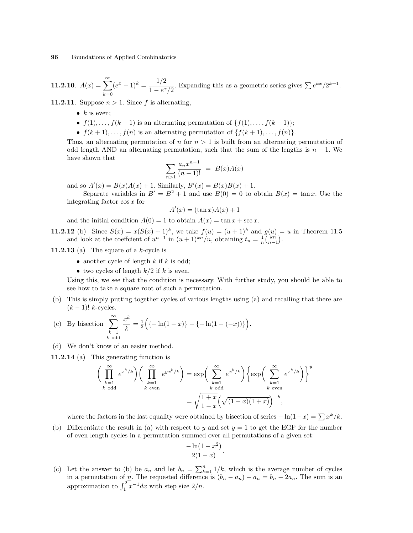11.2.10.  $A(x) = \sum_{n=0}^{\infty}$  $k=0$  $(e^x - 1)^k = \frac{1/2}{1 - x^k}$  $\frac{1/2}{1-e^x/2}$ . Expanding this as a geometric series gives  $\sum e^{kx}/2^{k+1}$ .

**11.2.11**. Suppose  $n > 1$ . Since f is alternating,

- $k$  is even;
- $f(1), \ldots, f(k-1)$  is an alternating permutation of  $\{f(1), \ldots, f(k-1)\};$
- $f(k+1), \ldots, f(n)$  is an alternating permutation of  $\{f(k+1), \ldots, f(n)\}.$

Thus, an alternating permutation of  $n \text{ for } n > 1$  is built from an alternating permutation of odd length AND an alternating permutation, such that the sum of the lengths is  $n - 1$ . We have shown that

$$
\sum_{n>1} \frac{a_n x^{n-1}}{(n-1)!} = B(x)A(x)
$$

and so  $A'(x) = B(x)A(x) + 1$ . Similarly,  $B'(x) = B(x)B(x) + 1$ .

Separate variables in  $B' = B^2 + 1$  and use  $B(0) = 0$  to obtain  $B(x) = \tan x$ . Use the integrating factor cos x for

$$
A'(x) = (\tan x)A(x) + 1
$$

and the initial condition  $A(0) = 1$  to obtain  $A(x) = \tan x + \sec x$ .

**11.2.12** (b) Since  $S(x) = x(S(x) + 1)^k$ , we take  $f(u) = (u + 1)^k$  and  $g(u) = u$  in Theorem 11.5 and look at the coeffcient of  $u^{n-1}$  in  $(u + 1)^{kn}/n$ , obtaining  $t_n = \frac{1}{n}$  $\binom{m}{n-1}$ ¢ .

11.2.13 (a) The square of a  $k$ -cycle is

- another cycle of length  $k$  if  $k$  is odd;
- two cycles of length  $k/2$  if k is even.

Using this, we see that the condition is necessary. With further study, you should be able to see how to take a square root of such a permutation.

(b) This is simply putting together cycles of various lengths using (a) and recalling that there are  $(k-1)!$  k-cycles.

(c) By bisection 
$$
\sum_{\substack{k=1 \ k \text{ odd}}}^{\infty} \frac{x^k}{k} = \frac{1}{2} \Big( \{-\ln(1-x)\} - \{-\ln(1-(-x))\} \Big).
$$

(d) We don't know of an easier method.

11.2.14 (a) This generating function is

$$
\left(\prod_{\substack{k=1\\k \text{ odd}}}^{\infty} e^{x^k/k}\right) \left(\prod_{\substack{k=1\\k \text{ even}}}^{\infty} e^{yx^k/k}\right) = \exp\left(\sum_{\substack{k=1\\k \text{ odd}}}^{\infty} e^{x^k/k}\right) \left\{\exp\left(\sum_{\substack{k=1\\k \text{ even}}}^{\infty} e^{x^k/k}\right)\right\}^y
$$

$$
= \sqrt{\frac{1+x}{1-x}} \left(\sqrt{(1-x)(1+x)}\right)^{-y},
$$

where the factors in the last equality were obtained by bisection of series  $-\ln(1-x) = \sum x^k/k$ .

(b) Differentiate the result in (a) with respect to y and set  $y = 1$  to get the EGF for the number of even length cycles in a permutation summed over all permutations of a given set:

$$
\frac{-\ln(1-x^2)}{2(1-x)}.
$$

(c) Let the answer to (b) be  $a_n$  and let  $b_n = \sum_{k=1}^n 1/k$ , which is the average number of cycles in a permutation of  $\underline{n}$ . The requested difference is  $(b_n - a_n) - a_n = b_n - 2a_n$ . The sum is an approximation to  $\int_1^2 x^{-1} dx$  with step size  $2/n$ .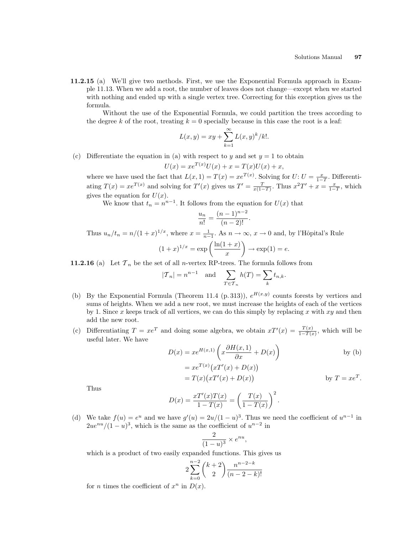11.2.15 (a) We'll give two methods. First, we use the Exponential Formula approach in Example 11.13. When we add a root, the number of leaves does not change—except when we started with nothing and ended up with a single vertex tree. Correcting for this exception gives us the formula.

Without the use of the Exponential Formula, we could partition the trees according to the degree k of the root, treating  $k = 0$  specially because in this case the root is a leaf:

$$
L(x, y) = xy + \sum_{k=1}^{\infty} L(x, y)^k / k!.
$$

(c) Differentiate the equation in (a) with respect to y and set  $y = 1$  to obtain

$$
U(x) = xe^{T(x)}U(x) + x = T(x)U(x) + x,
$$

where we have used the fact that  $L(x, 1) = T(x) = xe^{T(x)}$ . Solving for  $U: U = \frac{x}{1-T}$ . Differentiating  $T(x) = xe^{T(x)}$  and solving for  $T'(x)$  gives us  $T' = \frac{T}{x(1-T)}$ . Thus  $x^2T' + x = \frac{x}{1-T}$ , which gives the equation for  $U(x)$ .

We know that  $t_n = n^{n-1}$ . It follows from the equation for  $U(x)$  that

$$
\frac{u_n}{n!} = \frac{(n-1)^{n-2}}{(n-2)!}.
$$

Thus  $u_n/t_n = n/(1+x)^{1/x}$ , where  $x = \frac{1}{n-1}$ . As  $n \to \infty$ ,  $x \to 0$  and, by l'Hôpital's Rule  $(1+x)^{1/x} = \exp\left(\frac{\ln(1+x)}{x}\right)$  $\boldsymbol{x}$  $\mathbf{r}$  $\rightarrow \exp(1) = e.$ 

**11.2.16** (a) Let  $\mathcal{T}_n$  be the set of all *n*-vertex RP-trees. The formula follows from

$$
|\mathcal{T}_n| = n^{n-1} \quad \text{and} \quad \sum_{T \in \mathcal{T}_n} h(T) = \sum_k t_{n,k}.
$$

- (b) By the Exponential Formula (Theorem 11.4 (p. 313)),  $e^{H(x,y)}$  counts forests by vertices and sums of heights. When we add a new root, we must increase the heights of each of the vertices by 1. Since x keeps track of all vertices, we can do this simply by replacing x with  $xy$  and then add the new root.
- (c) Differentiating  $T = xe^T$  and doing some algebra, we obtain  $xT'(x) = \frac{T(x)}{1-T(x)}$ , which will be useful later. We have  $\mathbf{r}$

$$
D(x) = xe^{H(x,1)} \left( x \frac{\partial H(x,1)}{\partial x} + D(x) \right)
$$
 by (b)  
=  $xe^{T(x)} (xT'(x) + D(x))$ 

$$
= T(x)(xT'(x) + D(x))
$$
 by  $T = xe^{T}$ .

Thus

$$
D(x) = \frac{xT'(x)T(x)}{1 - T(x)} = \left(\frac{T(x)}{1 - T(x)}\right)^2.
$$

(d) We take  $f(u) = e^u$  and we have  $g'(u) = 2u/(1-u)^3$ . Thus we need the coefficient of  $u^{n-1}$  in  $2u e^{nu}/(1-u)^3$ , which is the same as the coefficient of  $u^{n-2}$  in

$$
\frac{2}{(1-u)^3} \times e^{nu},
$$

which is a product of two easily expanded functions. This gives us

$$
2\sum_{k=0}^{n-2} {k+2 \choose 2} \frac{n^{n-2-k}}{(n-2-k)!}
$$

for *n* times the coefficient of  $x^n$  in  $D(x)$ .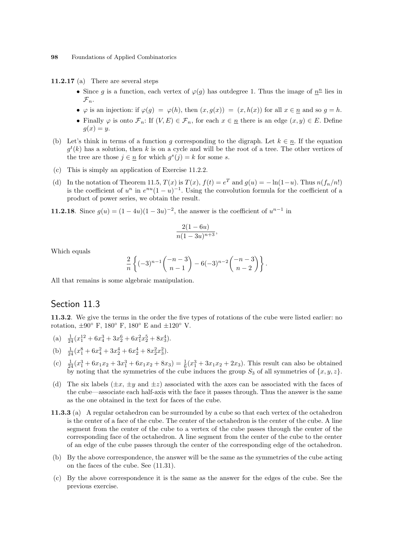11.2.17 (a) There are several steps

- Since g is a function, each vertex of  $\varphi(g)$  has outdegree 1. Thus the image of  $n^{\underline{n}}$  lies in  $\mathcal{F}_n$ .
- $\varphi$  is an injection: if  $\varphi(g) = \varphi(h)$ , then  $(x, g(x)) = (x, h(x))$  for all  $x \in \underline{n}$  and so  $g = h$ .
- Finally  $\varphi$  is onto  $\mathcal{F}_n$ : If  $(V, E) \in \mathcal{F}_n$ , for each  $x \in \underline{n}$  there is an edge  $(x, y) \in E$ . Define  $g(x) = y$ .
- (b) Let's think in terms of a function g corresponding to the digraph. Let  $k \in \underline{n}$ . If the equation  $g^t(k)$  has a solution, then k is on a cycle and will be the root of a tree. The other vertices of the tree are those  $j \in \underline{n}$  for which  $g^s(j) = k$  for some s.
- (c) This is simply an application of Exercise 11.2.2.
- (d) In the notation of Theorem 11.5,  $T(x)$  is  $T(x)$ ,  $f(t) = e^T$  and  $g(u) = -\ln(1-u)$ . Thus  $n(f_n/n!)$ is the coefficient of  $u^n$  in  $e^{nu}(1-u)^{-1}$ . Using the convolution formula for the coefficient of a product of power series, we obtain the result.

**11.2.18**. Since  $g(u) = (1 - 4u)(1 - 3u)^{-2}$ , the answer is the coefficient of  $u^{n-1}$  in

$$
\frac{2(1-6u)}{n(1-3u)^{n+3}},
$$

Which equals

$$
\frac{2}{n}\left\{(-3)^{n-1}\binom{-n-3}{n-1}-6(-3)^{n-2}\binom{-n-3}{n-2}\right\}.
$$

All that remains is some algebraic manipulation.

## Section 11.3

11.3.2. We give the terms in the order the five types of rotations of the cube were listed earlier: no rotation,  $\pm 90^\circ$  F, 180 $^\circ$  F, 180 $^\circ$  E and  $\pm 120^\circ$  V.

- (a)  $\frac{1}{24}(x_1^{12} + 6x_4^3 + 3x_2^6 + 6x_1^2x_2^5 + 8x_3^4).$
- (b)  $\frac{1}{24}(x_1^8 + 6x_4^2 + 3x_2^4 + 6x_2^4 + 8x_2^2x_3^2).$
- (c)  $\frac{1}{24}(x_1^3 + 6x_1x_2 + 3x_1^3 + 6x_1x_2 + 8x_3) = \frac{1}{6}(x_1^3 + 3x_1x_2 + 2x_3)$ . This result can also be obtained by noting that the symmetries of the cube induces the group  $S_3$  of all symmetries of  $\{x, y, z\}$ .
- (d) The six labels  $(\pm x, \pm y \text{ and } \pm z)$  associated with the axes can be associated with the faces of the cube—associate each half-axis with the face it passes through. Thus the answer is the same as the one obtained in the text for faces of the cube.
- 11.3.3 (a) A regular octahedron can be surrounded by a cube so that each vertex of the octahedron is the center of a face of the cube. The center of the octahedron is the center of the cube. A line segment from the center of the cube to a vertex of the cube passes through the center of the corresponding face of the octahedron. A line segment from the center of the cube to the center of an edge of the cube passes through the center of the corresponding edge of the octahedron.
- (b) By the above correspondence, the answer will be the same as the symmetries of the cube acting on the faces of the cube. See (11.31).
- (c) By the above correspondence it is the same as the answer for the edges of the cube. See the previous exercise.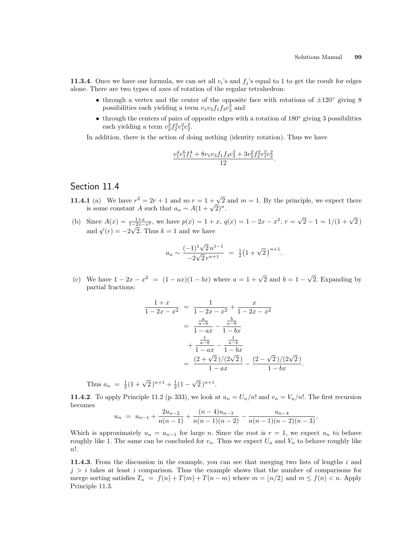**11.3.4**. Once we have our formula, we can set all  $v_i$ 's and  $f_j$ 's equal to 1 to get the result for edges alone. There are two types of axes of rotation of the regular tetrahedron:

- through a vertex and the center of the opposite face with rotations of  $\pm 120^{\circ}$  giving 8 possibilities each yielding a term  $v_1v_3f_1f_3e_3^2$  and
- through the centers of pairs of opposite edges with a rotation of 180◦ giving 3 possibilities each yielding a term  $v_2^2 f_2^2 e_1^2 e_2^2$ .

In addition, there is the action of doing nothing (identity rotation). Thus we have

$$
\frac{v_1^4e_1^6f_1^4 + 8v_1v_3f_1f_3e_3^2 + 3v_2^2f_2^2e_1^2e_2^2}{12}.
$$

# Section 11.4

- **11.4.1** (a) We have  $r^2 = 2r + 1$  and so  $r = 1 + \sqrt{2}$  and  $m = 1$ . By the principle, we expect there **i** (a) We have  $r^2 = 2r + 1$  and so  $r = 1 + \sqrt{2}$ <br>is some constant A such that  $a_n \sim A(1 + \sqrt{2})^n$ .
- (b) Since  $A(x) = \frac{1+x}{1-2x-x^2}$ , we have  $p(x) = 1 + x$ ,  $q(x) = 1 2x x^2$ ,  $r =$  $\frac{1+x}{2^x - x^2}$ , we have  $p(x) = 1 + x$ ,  $q(x) = 1 - 2x - x^2$ ,  $r = \sqrt{2} - 1 = 1/(1 + \sqrt{2})$ and  $q'(r) = -2\sqrt{2}$ . Thus  $k = 1$  and we have

$$
a_n \sim \frac{(-1)^1 \sqrt{2} n^{1-1}}{-2\sqrt{2} r^{n+1}} = \frac{1}{2} (1 + \sqrt{2})^{n+1}.
$$

(c) We have  $1 - 2x - x^2 = (1 - ax)(1 - bx)$  where  $a = 1 + \sqrt{2}$  and  $b = 1 -$ √ 2. Expanding by partial fractions:

$$
\frac{1+x}{1-2x-x^2} = \frac{1}{1-2x-x^2} + \frac{x}{1-2x-x^2}
$$

$$
= \frac{\frac{a}{a-b}}{1-ax} - \frac{\frac{b}{a-b}}{1-bx}
$$

$$
+ \frac{\frac{1}{a-b}}{1-ax} - \frac{\frac{1}{a-b}}{1-bx}
$$

$$
= \frac{(2+\sqrt{2})/(2\sqrt{2})}{1-ax} - \frac{(2-\sqrt{2})/(2\sqrt{2})}{1-bx}.
$$

Thus  $a_n = \frac{1}{2}(1+\sqrt{2})^{n+1} + \frac{1}{2}(1-\sqrt{2})^{n+1}$  $\sqrt{2}$ )<sup>n+1</sup>.

**11.4.2**. To apply Principle 11.2 (p. 333), we look at  $u_n = U_n/n!$  and  $v_n = V_n/n!$ . The first recursion becomes

$$
u_n = u_{n-1} + \frac{2u_{n-2}}{n(n-1)} + \frac{(n-4)u_{n-3}}{n(n-1)(n-2)} - \frac{u_{n-4}}{n(n-1)(n-2)(n-3)},
$$

Which is approximately  $u_n = u_{n-1}$  for large n. Since the root is  $r = 1$ , we expect  $u_n$  to behave roughly like 1. The same can be concluded for  $v_n$ . Thus we expect  $U_n$  and  $V_n$  to behave roughly like n!.

11.4.3. From the discussion in the example, you can see that merging two lists of lengths i and  $j > i$  takes at least i comparison. Thus the example shows that the number of comparisons for merge sorting satisfies  $T_n = f(n) + T(m) + T(n-m)$  where  $m = \lfloor n/2 \rfloor$  and  $m \le f(n) < n$ . Apply Principle 11.3.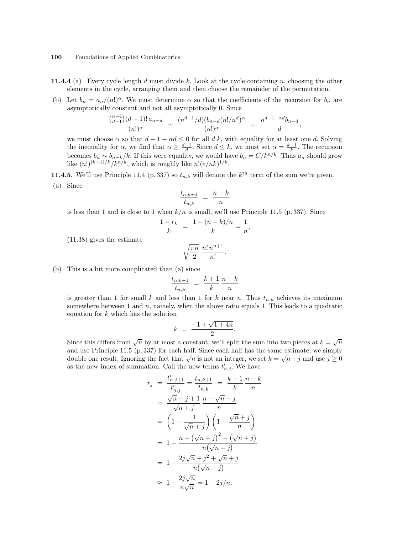- **11.4.4** (a) Every cycle length d must divide k. Look at the cycle containing n, choosing the other elements in the cycle, arranging them and then choose the remainder of the permutation.
- (b) Let  $b_n = a_n/(n!)^{\alpha}$ . We must determine  $\alpha$  so that the coefficients of the recursion for  $b_n$  are asymptotically constant and not all asymptotically 0. Since

$$
\frac{\binom{n-1}{d-1}(d-1)! \, a_{n-d}}{(n!)^{\alpha}} \sim \frac{(n^{d-1}/d)(b_{n-d}(n!/n^d)^{\alpha}}{(n!)^{\alpha}} = \frac{n^{d-1-\alpha d}b_{n-d}}{d},
$$

we must choose  $\alpha$  so that  $d-1-\alpha d \leq 0$  for all  $d|k$ , with equality for at least one d. Solving the inequality for  $\alpha$ , we find that  $\alpha \geq \frac{d-1}{d}$ . Since  $d \leq k$ , we must set  $\alpha = \frac{k-1}{k}$ . The recursion becomes  $b_n \sim b_{n-k}/k$ . If this were equality, we would have  $b_n = C/k^{n/k}$ . Thus  $a_n$  should grow like  $(n!)^{(k-1)/k}/k^{n/k}$ , which is roughly like  $n!(e/nk)^{1/k}$ .

**11.4.5**. We'll use Principle 11.4 (p. 337) so  $t_{n,k}$  will denote the  $k^{\text{th}}$  term of the sum we're given.

(a) Since

$$
\frac{t_{n,k+1}}{t_{n,k}} = \frac{n-k}{n}
$$

is less than 1 and is close to 1 when  $k/n$  is small, we'll use Principle 11.5 (p. 337). Since

$$
\frac{1-r_k}{k} = \frac{1-(n-k)/n}{k} = \frac{1}{n},
$$

(11.38) gives the estimate

$$
\sqrt{\frac{\pi n}{2}} \; \frac{n! \, n^{n+1}}{n!}.
$$

(b) This is a bit more complicated than (a) since

$$
\frac{t_{n,k+1}}{t_{n,k}} \,\,=\,\, \frac{k+1}{k} \, \frac{n-k}{n}
$$

is greater than 1 for small k and less than 1 for k near n. Thus  $t_{n,k}$  achieves its maximum somewhere between 1 and  $n$ , namely, when the above ratio equals 1. This leads to a quadratic equation for  $k$  which has the solution

$$
k = \frac{-1 + \sqrt{1 + 4n}}{2}.
$$

Since this differs from  $\sqrt{n}$  by at most a constant, we'll split the sum into two pieces at  $k = \sqrt{n}$ and use Principle 11.5 (p. 337) for each half. Since each half has the same estimate, we simply double one result. Ignoring the fact that  $\sqrt{n}$  is not an integer, we set  $k = \sqrt{n} + j$  and use  $j \ge 0$ as the new index of summation. Call the new terms  $t'_{n,j}$ . We have

$$
r_j = \frac{t'_{n,j+1}}{t'_{n,j}} = \frac{t_{n,k+1}}{t_{n,k}} = \frac{k+1}{k} \frac{n-k}{n}
$$
  
\n
$$
= \frac{\sqrt{n} + j + 1}{\sqrt{n} + j} \frac{n - \sqrt{n} - j}{n}
$$
  
\n
$$
= \left(1 + \frac{1}{\sqrt{n} + j}\right) \left(1 - \frac{\sqrt{n} + j}{n}\right)
$$
  
\n
$$
= 1 + \frac{n - (\sqrt{n} + j)^2 - (\sqrt{n} + j)}{n(\sqrt{n} + j)}
$$
  
\n
$$
= 1 - \frac{2j\sqrt{n} + j^2 + \sqrt{n} + j}{n(\sqrt{n} + j)}
$$
  
\n
$$
\approx 1 - \frac{2j\sqrt{n}}{n\sqrt{n}} = 1 - 2j/n.
$$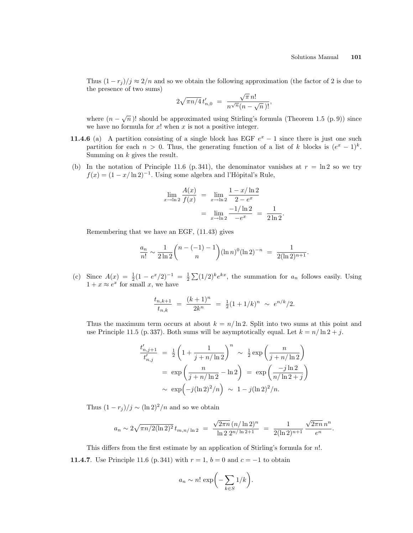Thus  $(1 - r_j)/j \approx 2/n$  and so we obtain the following approximation (the factor of 2 is due to the presence of two sums) √

$$
2\sqrt{\pi n/4} t'_{n,0} = \frac{\sqrt{\pi} n!}{n^{\sqrt{n}} (n - \sqrt{n})!},
$$

where  $(n - \sqrt{n})!$  should be approximated using Stirling's formula (Theorem 1.5 (p. 9)) since we have no formula for  $x!$  when  $x$  is not a positive integer.

- 11.4.6 (a) A partition consisting of a single block has EGF  $e^x 1$  since there is just one such partition for each  $n > 0$ . Thus, the generating function of a list of k blocks is  $(e^x - 1)^k$ . Summing on  $k$  gives the result.
- (b) In the notation of Principle 11.6 (p. 341), the denominator vanishes at  $r = \ln 2$  so we try  $f(x) = (1 - x/\ln 2)^{-1}$ . Using some algebra and l'Hôpital's Rule,

$$
\lim_{x \to \ln 2} \frac{A(x)}{f(x)} = \lim_{x \to \ln 2} \frac{1 - x / \ln 2}{2 - e^x}
$$

$$
= \lim_{x \to \ln 2} \frac{-1 / \ln 2}{-e^x} = \frac{1}{2 \ln 2}.
$$

Remembering that we have an EGF, (11.43) gives

$$
\frac{a_n}{n!} \sim \frac{1}{2\ln 2} {n-(-1)-1 \choose n} (\ln n)^0 (\ln 2)^{-n} = \frac{1}{2(\ln 2)^{n+1}}.
$$

(c) Since  $A(x) = \frac{1}{2}(1 - e^x/2)^{-1} = \frac{1}{2}\sum_{n=1}^{\infty} (1/2)^n e^{kx}$ , the summation for  $a_n$  follows easily. Using  $1 + x \approx e^x$  for small x, we have

$$
\frac{t_{n,k+1}}{t_{n,k}} = \frac{(k+1)^n}{2k^n} = \frac{1}{2}(1+1/k)^n \sim e^{n/k}/2.
$$

Thus the maximum term occurs at about  $k = n/\ln 2$ . Split into two sums at this point and use Principle 11.5 (p. 337). Both sums will be asymptotically equal. Let  $k = n/\ln 2 + j$ .

$$
\frac{t'_{n,j+1}}{t'_{n,j}} = \frac{1}{2} \left( 1 + \frac{1}{j+n/\ln 2} \right)^n \sim \frac{1}{2} \exp\left(\frac{n}{j+n/\ln 2}\right)
$$
  
=  $\exp\left(\frac{n}{j+n/\ln 2} - \ln 2\right) = \exp\left(\frac{-j\ln 2}{n/\ln 2 + j}\right)$   
 $\sim \exp\left(-j(\ln 2)^2/n\right) \sim 1 - j(\ln 2)^2/n.$ 

Thus  $(1 - r_i)/j \sim (\ln 2)^2/n$  and so we obtain

$$
a_n \sim 2\sqrt{\pi n/2(\ln 2)^2} t_{m,n/\ln 2} = \frac{\sqrt{2\pi n} (n/\ln 2)^n}{\ln 2 2^{n/\ln 2 + 1}} = \frac{1}{2(\ln 2)^{n+1}} \frac{\sqrt{2\pi n} n^n}{e^n}.
$$

This differs from the first estimate by an application of Stirling's formula for n!. **11.4.7**. Use Principle 11.6 (p. 341) with  $r = 1$ ,  $b = 0$  and  $c = -1$  to obtain

$$
a_n \sim n! \exp\biggl(-\sum_{k \in S} 1/k\biggr).
$$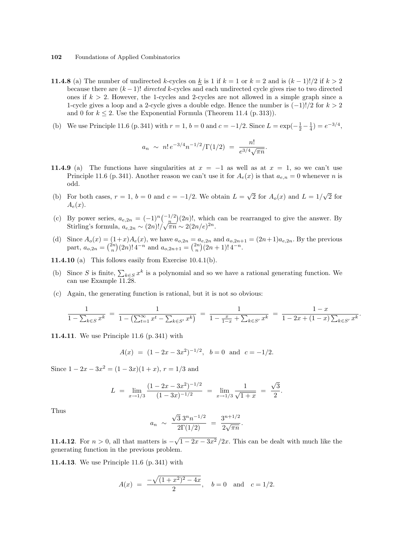- **11.4.8** (a) The number of undirected k-cycles on k is 1 if  $k = 1$  or  $k = 2$  and is  $(k 1)!/2$  if  $k > 2$ because there are  $(k-1)!$  directed k-cycles and each undirected cycle gives rise to two directed ones if  $k > 2$ . However, the 1-cycles and 2-cycles are not allowed in a simple graph since a 1-cycle gives a loop and a 2-cycle gives a double edge. Hence the number is  $(-1)!/2$  for  $k > 2$ and 0 for  $k \leq 2$ . Use the Exponential Formula (Theorem 11.4 (p. 313)).
- (b) We use Principle 11.6 (p. 341) with  $r = 1$ ,  $b = 0$  and  $c = -1/2$ . Since  $L = \exp(-\frac{1}{2} \frac{1}{4}) = e^{-3/4}$ ,

$$
a_n \sim n! \, e^{-3/4} n^{-1/2} / \Gamma(1/2) = \frac{n!}{e^{3/4} \sqrt{\pi n}}
$$

.

.

- 11.4.9 (a) The functions have singularities at  $x = -1$  as well as at  $x = 1$ , so we can't use Principle 11.6 (p. 341). Another reason we can't use it for  $A_e(x)$  is that  $a_{e,n} = 0$  whenever n is odd.
- (b) For both cases,  $r = 1$ ,  $b = 0$  and  $c = -1/2$ . We obtain  $L =$ √  $\overline{2}$  for  $A_o(x)$  and  $L = 1/$ √  $\overline{2}$  for  $A_e(x)$ .
- (c) By power series,  $a_{e,2n} = (-1)^n \binom{-1/2}{n}$ ¢  $(2n)!$ , which can be rearranged to give the answer. By By power series,  $u_{e,2n} = (-1) \binom{n}{n} (2n)!$ , which<br>Stirling's formula,  $a_{e,2n} \sim (2n)! / \sqrt{\pi n} \sim 2(2n/e)^{2n}$ .
- (d) Since  $A_o(x) = (1+x)A_e(x)$ , we have  $a_{o,2n} = a_{e,2n}$  and  $a_{o,2n+1} = (2n+1)a_{e,2n}$ . By the previous part,  $a_{o,2n} =$  $\begin{pmatrix} 1 \\ n \end{pmatrix}$  $(x+1)A_e(x)$ , we nave  $a_{o,2n} = a$ <br> $(2n)! 4^{-n}$  and  $a_{o,2n+1} = \binom{2n}{n}$  $a_{e,2n}$  and  $a_{o,2n+1}$ <br> $)(2n+1)!$  4<sup>-n</sup>.

**11.4.10** (a) This follows easily from Exercise 10.4.1(b).

- (b) Since S is finite,  $\sum_{k \in S} x^k$  is a polynomial and so we have a rational generating function. We can use Example 11.28.
- (c) Again, the generating function is rational, but it is not so obvious:

$$
\frac{1}{1 - \sum_{k \in S} x^k} = \frac{1}{1 - (\sum_{t=1}^{\infty} x^t - \sum_{k \in S'} x^k)} = \frac{1}{1 - \frac{x}{1 - x} + \sum_{k \in S'} x^k} = \frac{1 - x}{1 - 2x + (1 - x)\sum_{k \in S'} x^k}
$$

11.4.11. We use Principle 11.6 (p. 341) with

$$
A(x) = (1 - 2x - 3x^2)^{-1/2}
$$
,  $b = 0$  and  $c = -1/2$ .

Since  $1 - 2x - 3x^2 = (1 - 3x)(1 + x)$ ,  $r = 1/3$  and

$$
L = \lim_{x \to 1/3} \frac{(1 - 2x - 3x^2)^{-1/2}}{(1 - 3x)^{-1/2}} = \lim_{x \to 1/3} \frac{1}{\sqrt{1 + x}} = \frac{\sqrt{3}}{2}.
$$

Thus

$$
a_n \sim \frac{\sqrt{3} 3^n n^{-1/2}}{2\Gamma(1/2)} = \frac{3^{n+1/2}}{2\sqrt{\pi n}}.
$$

11.4.12. For  $n > 0$ , all that matters is  $-$ √  $\sqrt{1-2x-3x^2}/2x$ . This can be dealt with much like the generating function in the previous problem.

11.4.13. We use Principle 11.6 (p. 341) with

$$
A(x) = \frac{-\sqrt{(1+x^2)^2 - 4x}}{2}
$$
,  $b = 0$  and  $c = 1/2$ .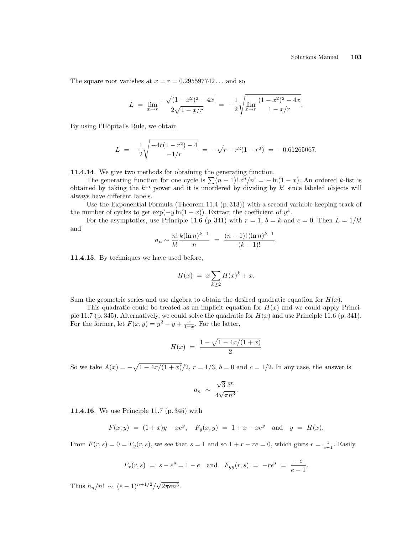The square root vanishes at  $x = r = 0.295597742...$  and so

$$
L = \lim_{x \to r} \frac{-\sqrt{(1+x^2)^2 - 4x}}{2\sqrt{1-x/r}} = -\frac{1}{2} \sqrt{\lim_{x \to r} \frac{(1-x^2)^2 - 4x}{1-x/r}}.
$$

By using l'Hôpital's Rule, we obtain

$$
L = -\frac{1}{2} \sqrt{\frac{-4r(1-r^2)-4}{-1/r}} = -\sqrt{r+r^2(1-r^2)} = -0.61265067.
$$

11.4.14. We give two methods for obtaining the generating function.

**T4**. We give two methods for obtaining the generating function.<br>The generating function for one cycle is  $\sum (n-1)! x^n/n! = -\ln(1-x)$ . An ordered k-list is obtained by taking the  $k^{\text{th}}$  power and it is unordered by dividing by k! since labeled objects will always have different labels.

Use the Exponential Formula (Theorem 11.4 (p. 313)) with a second variable keeping track of the number of cycles to get  $\exp(-y \ln(1-x))$ . Extract the coefficient of  $y^k$ .

For the asymptotics, use Principle 11.6 (p. 341) with  $r = 1$ ,  $b = k$  and  $c = 0$ . Then  $L = 1/k!$ and

$$
a_n \sim \frac{n!}{k!} \frac{k(\ln n)^{k-1}}{n} = \frac{(n-1)!(\ln n)^{k-1}}{(k-1)!}.
$$

11.4.15. By techniques we have used before,

$$
H(x) = x \sum_{k \ge 2} H(x)^k + x.
$$

Sum the geometric series and use algebra to obtain the desired quadratic equation for  $H(x)$ .

This quadratic could be treated as an implicit equation for  $H(x)$  and we could apply Principle 11.7 (p. 345). Alternatively, we could solve the quadratic for  $H(x)$  and use Principle 11.6 (p. 341). For the former, let  $F(x, y) = y^2 - y + \frac{x}{1+x}$ . For the latter,

$$
H(x) = \frac{1 - \sqrt{1 - 4x/(1 + x)}}{2}
$$

So we take  $A(x) =$ p  $1-4x/(1+x)/2$ ,  $r = 1/3$ ,  $b = 0$  and  $c = 1/2$ . In any case, the answer is

$$
a_n \sim \frac{\sqrt{3} 3^n}{4\sqrt{\pi n^3}}.
$$

11.4.16. We use Principle 11.7 (p. 345) with

$$
F(x,y) = (1+x)y - xe^y
$$
,  $F_y(x,y) = 1 + x - xe^y$  and  $y = H(x)$ .

From  $F(r, s) = 0 = F_y(r, s)$ , we see that  $s = 1$  and so  $1 + r - re = 0$ , which gives  $r = \frac{1}{e-1}$ . Easily

$$
F_x(r, s) = s - e^s = 1 - e
$$
 and  $F_{yy}(r, s) = -re^s = \frac{-e}{e-1}$ .

Thus  $h_n/n! \sim (e-1)^{n+1/2}/\sqrt{2}$  $2\pi en^3$ .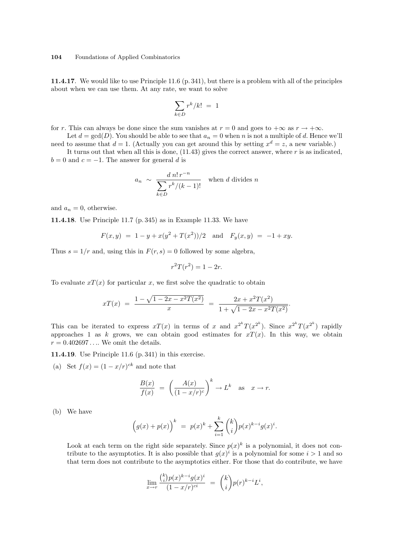11.4.17. We would like to use Principle 11.6 (p. 341), but there is a problem with all of the principles about when we can use them. At any rate, we want to solve

$$
\sum_{k \in D} r^k / k! = 1
$$

for r. This can always be done since the sum vanishes at  $r = 0$  and goes to  $+\infty$  as  $r \to +\infty$ .

Let  $d = \gcd(D)$ . You should be able to see that  $a_n = 0$  when n is not a multiple of d. Hence we'll need to assume that  $d = 1$ . (Actually you can get around this by setting  $x^d = z$ , a new variable.)

It turns out that when all this is done,  $(11.43)$  gives the correct answer, where r is as indicated,  $b = 0$  and  $c = -1$ . The answer for general d is

$$
a_n \sim \frac{d \, n! \, r^{-n}}{\sum_{k \in D} r^k / (k-1)!} \quad \text{when } d \text{ divides } n
$$

and  $a_n = 0$ , otherwise.

11.4.18. Use Principle 11.7 (p. 345) as in Example 11.33. We have

$$
F(x,y) = 1 - y + x(y^2 + T(x^2))/2
$$
 and  $F_y(x,y) = -1 + xy$ .

Thus  $s = 1/r$  and, using this in  $F(r, s) = 0$  followed by some algebra,

$$
r^2T(r^2) = 1 - 2r.
$$

To evaluate  $x(x)$  for particular x, we first solve the quadratic to obtain

$$
xT(x) = \frac{1 - \sqrt{1 - 2x - x^2 T(x^2)}}{x} = \frac{2x + x^2 T(x^2)}{1 + \sqrt{1 - 2x - x^2 T(x^2)}}.
$$

This can be iterated to express  $xT(x)$  in terms of x and  $x^{2^k}T(x^{2^k})$ . Since  $x^{2^k}T(x^{2^k})$  rapidly approaches 1 as k grows, we can obtain good estimates for  $xT(x)$ . In this way, we obtain  $r = 0.402697...$  We omit the details.

11.4.19. Use Principle 11.6 (p. 341) in this exercise.

(a) Set  $f(x) = (1 - x/r)^{ck}$  and note that

$$
\frac{B(x)}{f(x)} = \left(\frac{A(x)}{(1-x/r)^c}\right)^k \to L^k \quad \text{as} \quad x \to r.
$$

(b) We have

$$
\Big(g(x)+p(x)\Big)^k \ = \ p(x)^k + \sum_{i=1}^k \binom{k}{i} p(x)^{k-i} g(x)^i.
$$

Look at each term on the right side separately. Since  $p(x)^k$  is a polynomial, it does not contribute to the asymptotics. It is also possible that  $g(x)^i$  is a polynomial for some  $i > 1$  and so that term does not contribute to the asymptotics either. For those that do contribute, we have

$$
\lim_{x \to r} \frac{{k \choose i} p(x)^{k-i} g(x)^i}{(1-x/r)^{ci}} = {k \choose i} p(r)^{k-i} L^i,
$$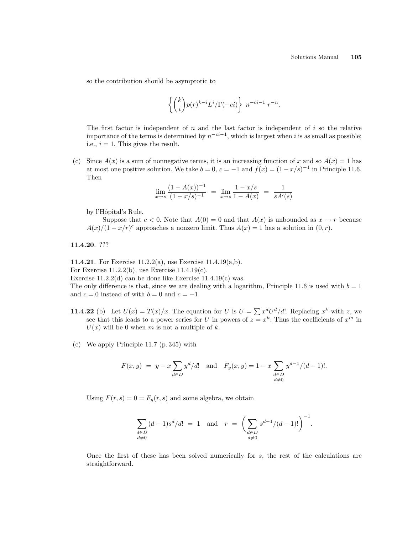so the contribution should be asymptotic to

$$
\left\{ \binom{k}{i} p(r)^{k-i} L^i / \Gamma(-ci) \right\} n^{-ci-1} r^{-n}.
$$

The first factor is independent of  $n$  and the last factor is independent of  $i$  so the relative importance of the terms is determined by  $n^{-ci-1}$ , which is largest when i is as small as possible; i.e.,  $i = 1$ . This gives the result.

(c) Since  $A(x)$  is a sum of nonnegative terms, it is an increasing function of x and so  $A(x) = 1$  has at most one positive solution. We take  $b = 0$ ,  $c = -1$  and  $f(x) = (1 - x/s)^{-1}$  in Principle 11.6. Then

$$
\lim_{x \to s} \frac{(1 - A(x))^{-1}}{(1 - x/s)^{-1}} = \lim_{x \to s} \frac{1 - x/s}{1 - A(x)} = \frac{1}{sA'(s)}
$$

by l'Hôpital's Rule.

Suppose that  $c < 0$ . Note that  $A(0) = 0$  and that  $A(x)$  is unbounded as  $x \to r$  because  $A(x)/(1-x/r)^c$  approaches a nonzero limit. Thus  $A(x) = 1$  has a solution in  $(0, r)$ .

11.4.20. ???

11.4.21. For Exercise 11.2.2(a), use Exercise 11.4.19(a,b). For Exercise  $11.2.2(b)$ , use Exercise  $11.4.19(c)$ . Exercise  $11.2.2(d)$  can be done like Exercise  $11.4.19(c)$  was. The only difference is that, since we are dealing with a logarithm, Principle 11.6 is used with  $b = 1$ and  $c = 0$  instead of with  $b = 0$  and  $c = -1$ .

- **11.4.22** (b) Let  $U(x) = T(x)/x$ . The equation for U is  $U = \sum x^d U^d/d!$ . Replacing  $x^k$  with z, we see that this leads to a power series for U in powers of  $z = x^k$ . Thus the coefficients of  $x^m$  in  $U(x)$  will be 0 when m is not a multiple of k.
- (c) We apply Principle 11.7 (p. 345) with

$$
F(x,y) = y - x \sum_{d \in D} y^d / d!
$$
 and  $F_y(x,y) = 1 - x \sum_{\substack{d \in D \\ d \neq 0}} y^{d-1} / (d-1)!$ .

Using  $F(r, s) = 0 = F<sub>y</sub>(r, s)$  and some algebra, we obtain

$$
\sum_{\substack{d \in D \\ d \neq 0}} (d-1)s^d/d! = 1 \text{ and } r = \left(\sum_{\substack{d \in D \\ d \neq 0}} s^{d-1}/(d-1)!\right)^{-1}.
$$

Once the first of these has been solved numerically for s, the rest of the calculations are straightforward.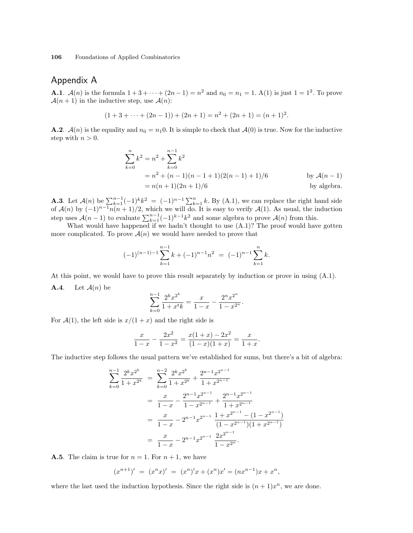## Appendix A

**A.1.**  $\mathcal{A}(n)$  is the formula  $1 + 3 + \cdots + (2n - 1) = n^2$  and  $n_0 = n_1 = 1$ . A(1) is just  $1 = 1^2$ . To prove  $\mathcal{A}(n+1)$  in the inductive step, use  $\mathcal{A}(n)$ :

$$
(1+3+\cdots+(2n-1))+(2n+1)=n^2+(2n+1)=(n+1)^2.
$$

**A.2**.  $\mathcal{A}(n)$  is the equality and  $n_0 = n_1 0$ . It is simple to check that  $\mathcal{A}(0)$  is true. Now for the inductive step with  $n > 0$ .

$$
\sum_{k=0}^{n} k^{2} = n^{2} + \sum_{k=0}^{n-1} k^{2}
$$
  
=  $n^{2} + (n - 1)(n - 1 + 1)(2(n - 1) + 1)/6$  by  $A(n - 1)$   
=  $n(n + 1)(2n + 1)/6$  by algebra.

**A.3**. Let  $\mathcal{A}(n)$  be  $\sum_{k=1}^{n-1} (-1)^k k^2 = (-1)^{n-1} \sum_{k=1}^{n} k$ . By (A.1), we can replace the right hand side of  $\mathcal{A}(n)$  by  $(-1)^{n-1}n(n+1)/2$ , which we will do. It is easy to verify  $\mathcal{A}(1)$ . As usual, the induction step uses  $\mathcal{A}(n-1)$  to evaluate  $\sum_{k=1}^{n-1}(-1)^{k-1}k^2$  and some algebra to prove  $\mathcal{A}(n)$  from this.

What would have happened if we hadn't thought to use  $(A.1)$ ? The proof would have gotten more complicated. To prove  $\mathcal{A}(n)$  we would have needed to prove that

$$
(-1)^{(n-1)-1} \sum_{k=1}^{n-1} k + (-1)^{n-1} n^2 = (-1)^{n-1} \sum_{k=1}^n k.
$$

At this point, we would have to prove this result separately by induction or prove in using (A.1). **A.4.** Let  $\mathcal{A}(n)$  be

$$
\sum_{k=0}^{n-1} \frac{2^k x^{2^k}}{1 + x^t k} = \frac{x}{1-x} - \frac{2^n x^{2^n}}{1 - x^{2^n}}.
$$

For  $\mathcal{A}(1)$ , the left side is  $x/(1+x)$  and the right side is

$$
\frac{x}{1-x} - \frac{2x^2}{1-x^2} = \frac{x(1+x) - 2x^2}{(1-x)(1+x)} = \frac{x}{1+x}.
$$

The inductive step follows the usual pattern we've established for sums, but there's a bit of algebra:

$$
\sum_{k=0}^{n-1} \frac{2^k x^{2^k}}{1+x^{2^k}} = \sum_{k=0}^{n-2} \frac{2^k x^{2^k}}{1+x^{2^k}} + \frac{2^{n-1} x^{2^{n-1}}}{1+x^{2^{n-1}}} \n= \frac{x}{1-x} - \frac{2^{n-1} x^{2^{n-1}}}{1-x^{2^{n-1}}} + \frac{2^{n-1} x^{2^{n-1}}}{1+x^{2^{n-1}}} \n= \frac{x}{1-x} - 2^{n-1} x^{2^{n-1}} \frac{1+x^{2^{n-1}} - (1-x^{2^{n-1}})}{(1-x^{2^{n-1}})(1+x^{2^{n-1}})} \n= \frac{x}{1-x} - 2^{n-1} x^{2^{n-1}} \frac{2x^{2^{n-1}}}{1-x^{2^n}}.
$$

**A.5**. The claim is true for  $n = 1$ . For  $n + 1$ , we have

$$
(x^{n+1})' = (x^n x)' = (x^n)'x + (x^n)x' = (nx^{n-1})x + x^n,
$$

where the last used the induction hypothesis. Since the right side is  $(n+1)x^n$ , we are done.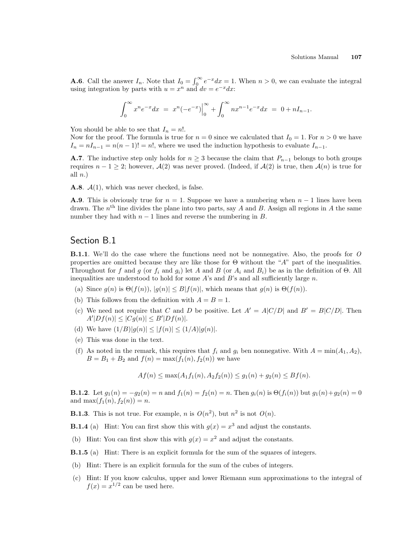**A.6**. Call the answer  $I_n$ . Note that  $I_0 = \int_0^\infty$  $\int_{0}^{\infty} e^{-x} dx = 1$ . When  $n > 0$ , we can evaluate the integral using integration by parts with  $u = x^n$  and  $dv = e^{-x} dx$ .

$$
\int_0^\infty x^n e^{-x} dx = x^n (-e^{-x}) \Big|_0^\infty + \int_0^\infty n x^{n-1} e^{-x} dx = 0 + nI_{n-1}.
$$

You should be able to see that  $I_n = n!$ .

Now for the proof. The formula is true for  $n = 0$  since we calculated that  $I_0 = 1$ . For  $n > 0$  we have  $I_n = nI_{n-1} = n(n-1)! = n!$ , where we used the induction hypothesis to evaluate  $I_{n-1}$ .

**A.7**. The inductive step only holds for  $n \geq 3$  because the claim that  $P_{n-1}$  belongs to both groups requires  $n - 1 \geq 2$ ; however,  $\mathcal{A}(2)$  was never proved. (Indeed, if  $\mathcal{A}(2)$  is true, then  $\mathcal{A}(n)$  is true for all  $n.$ )

**A.8**.  $\mathcal{A}(1)$ , which was never checked, is false.

**A.9.** This is obviously true for  $n = 1$ . Suppose we have a numbering when  $n - 1$  lines have been drawn. The  $n<sup>th</sup>$  line divides the plane into two parts, say A and B. Assign all regions in A the same number they had with  $n-1$  lines and reverse the numbering in B.

### Section B.1

**B.1.1.** We'll do the case where the functions need not be nonnegative. Also, the proofs for O properties are omitted because they are like those for  $\Theta$  without the "A" part of the inequalities. Throughout for f and g (or  $f_i$  and  $g_i$ ) let A and B (or  $A_i$  and  $B_i$ ) be as in the definition of  $\Theta$ . All inequalities are understood to hold for some A's and B's and all sufficiently large  $n$ .

- (a) Since  $g(n)$  is  $\Theta(f(n))$ ,  $|g(n)| \leq B|f(n)|$ , which means that  $g(n)$  is  $\Theta(f(n))$ .
- (b) This follows from the definition with  $A = B = 1$ .
- (c) We need not require that C and D be positive. Let  $A' = A|C/D|$  and  $B' = B|C/D|$ . Then  $A'|Df(n)| \leq |Cg(n)| \leq B'|Df(n)|.$
- (d) We have  $(1/B)|g(n)| \le |f(n)| \le (1/A)|g(n)|$ .
- (e) This was done in the text.
- (f) As noted in the remark, this requires that  $f_i$  and  $g_i$  ben nonnegative. With  $A = \min(A_1, A_2)$ ,  $B = B_1 + B_2$  and  $f(n) = \max(f_1(n), f_2(n))$  we have

 $A f(n) \leq \max(A_1 f_1(n), A_2 f_2(n)) \leq q_1(n) + q_2(n) \leq B f(n).$ 

**B.1.2**. Let  $g_1(n) = -g_2(n) = n$  and  $f_1(n) = f_2(n) = n$ . Then  $g_i(n)$  is  $\Theta(f_i(n))$  but  $g_1(n) + g_2(n) = 0$ and  $\max(f_1(n), f_2(n)) = n$ .

**B.1.3**. This is not true. For example, *n* is  $O(n^2)$ , but  $n^2$  is not  $O(n)$ .

**B.1.4** (a) Hint: You can first show this with  $g(x) = x^3$  and adjust the constants.

- (b) Hint: You can first show this with  $g(x) = x^2$  and adjust the constants.
- B.1.5 (a) Hint: There is an explicit formula for the sum of the squares of integers.
- (b) Hint: There is an explicit formula for the sum of the cubes of integers.
- (c) Hint: If you know calculus, upper and lower Riemann sum approximations to the integral of  $f(x) = x^{1/2}$  can be used here.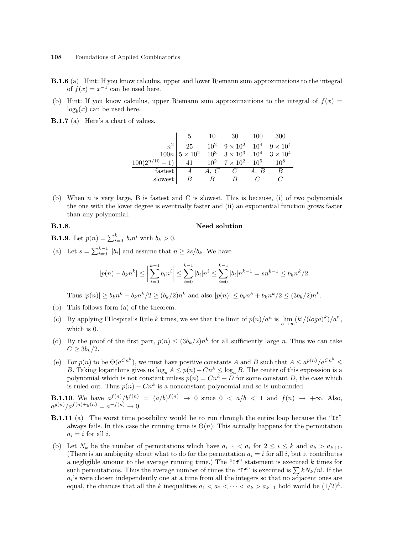- B.1.6 (a) Hint: If you know calculus, upper and lower Riemann sum approximations to the integral of  $f(x) = x^{-1}$  can be used here.
- (b) Hint: If you know calculus, upper Riemann sum approximations to the integral of  $f(x)$  =  $log_b(x)$  can be used here.
- B.1.7 (a) Here's a chart of values.

|                                                             | 5.                                                                                                                                                                       | 10             | 30                     | - 100 | -300 |
|-------------------------------------------------------------|--------------------------------------------------------------------------------------------------------------------------------------------------------------------------|----------------|------------------------|-------|------|
|                                                             | $\begin{array}{c ccccc} n^2 & 25 & 10^2 & 9 \times 10^2 & 10^4 & 9 \times 10^4 \\ \hline 100n & 5 \times 10^2 & 10^3 & 3 \times 10^3 & 10^4 & 3 \times 10^4 \end{array}$ |                |                        |       |      |
|                                                             |                                                                                                                                                                          |                |                        |       |      |
| $100(2^{n/10} - 1)$ 41 $10^2$ $7 \times 10^2$ $10^5$ $10^8$ |                                                                                                                                                                          |                |                        |       |      |
| fastest                                                     |                                                                                                                                                                          |                | $A \quad A, C \quad C$ | A, B  | B    |
| slowest                                                     |                                                                                                                                                                          | $\overline{B}$ |                        |       |      |

(b) When n is very large, B is fastest and C is slowest. This is because, (i) of two polynomials the one with the lower degree is eventually faster and (ii) an exponential function grows faster than any polynomial.

## B.1.8. Need solution

- **B.1.9**. Let  $p(n) = \sum_{i=0}^{k} b_i n^i$  with  $b_k > 0$ .
- (a) Let  $s = \sum_{i=0}^{k-1} |b_i|$  and assume that  $n \geq 2s/b_k$ . We have

$$
|p(n) - b_k n^k| \le \left| \sum_{i=0}^{k-1} b_i n^i \right| \le \sum_{i=0}^{k-1} |b_i| n^i \le \sum_{i=0}^{k-1} |b_i| n^{k-1} = sn^{k-1} \le b_k n^k/2.
$$

Thus  $|p(n)| \ge b_k n^k - b_k n^k/2 \ge (b_k/2) n^k$  and also  $|p(n)| \le b_k n^k + b_k n^k/2 \le (3b_k/2) n^k$ .

- (b) This follows form (a) of the theorem.
- (c) By applying l'Hospital's Rule k times, we see that the limit of  $p(n)/a^n$  is  $\lim_{n\to\infty} (k!/(loga)^k)/a^n$ , which is 0.
- (d) By the proof of the first part,  $p(n) \leq (3b_k/2)n^k$  for all sufficiently large n. Thus we can take  $C > 3b_k/2$ .
- (e) For  $p(n)$  to be  $\Theta(a^{Cn^k})$ , we must have positive constants A and B such that  $A \le a^{p(n)}/a^{Cn^k} \le$ B. Taking logarithms gives us  $\log_a A \leq p(n) - Cn^k \leq \log_a B$ . The center of this expression is a polynomial which is not constant unless  $p(n) = Cn^k + D$  for some constant D, the case which is ruled out. Thus  $p(n) - Cn^k$  is a nonconstant polynomial and so is unbounded.

**B.1.10**. We have  $a^{f(n)}/b^{f(n)} = (a/b)^{f(n)} \rightarrow 0$  since  $0 < a/b < 1$  and  $f(n) \rightarrow +\infty$ . Also,  $a^{g(n)}/a^{f(n)+g(n)} = a^{-f(n)} \to 0.$ 

- **B.1.11** (a) The worst time possibility would be to run through the entire loop because the "If" always fails. In this case the running time is  $\Theta(n)$ . This actually happens for the permutation  $a_i = i$  for all i.
- (b) Let  $N_k$  be the number of permutations which have  $a_{i-1} < a_i$  for  $2 \leq i \leq k$  and  $a_k > a_{k+1}$ . (There is an ambiguity about what to do for the permutation  $a_i = i$  for all i, but it contributes a negligible amount to the average running time.) The "If" statement is executed  $k$  times for such permutations. Thus the average number of times the "If" is executed is  $\sum kN_k/n!$ . If the  $a_i$ 's were chosen independently one at a time from all the integers so that no adjacent ones are equal, the chances that all the k inequalities  $a_1 < a_2 < \cdots < a_k > a_{k+1}$  hold would be  $(1/2)^k$ .